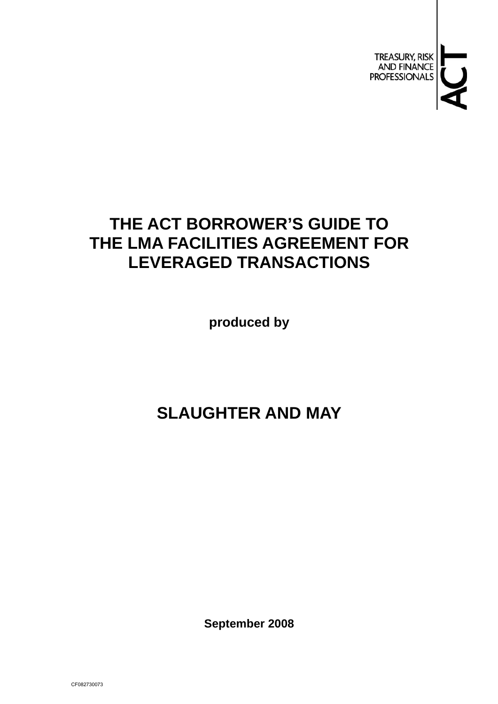

# **THE ACT BORROWER'S GUIDE TO THE LMA FACILITIES AGREEMENT FOR LEVERAGED TRANSACTIONS**

**produced by** 

# **SLAUGHTER AND MAY**

**September 2008**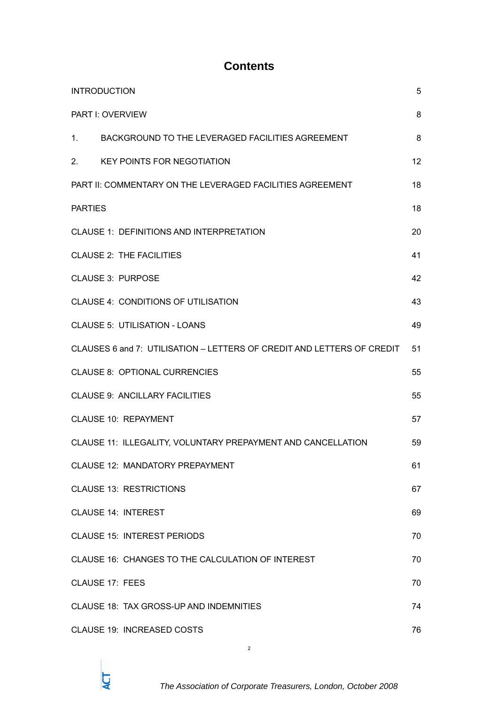## **Contents**

|                                 | <b>INTRODUCTION</b>                                                    | 5  |  |
|---------------------------------|------------------------------------------------------------------------|----|--|
| 8<br><b>PART I: OVERVIEW</b>    |                                                                        |    |  |
|                                 | 1. BACKGROUND TO THE LEVERAGED FACILITIES AGREEMENT                    | 8  |  |
|                                 | 2. KEY POINTS FOR NEGOTIATION                                          | 12 |  |
|                                 | PART II: COMMENTARY ON THE LEVERAGED FACILITIES AGREEMENT              |    |  |
| <b>PARTIES</b>                  |                                                                        |    |  |
|                                 | <b>CLAUSE 1: DEFINITIONS AND INTERPRETATION</b>                        | 20 |  |
| <b>CLAUSE 2: THE FACILITIES</b> |                                                                        | 41 |  |
|                                 | <b>CLAUSE 3: PURPOSE</b>                                               | 42 |  |
|                                 | CLAUSE 4: CONDITIONS OF UTILISATION                                    | 43 |  |
|                                 | <b>CLAUSE 5: UTILISATION - LOANS</b>                                   | 49 |  |
|                                 | CLAUSES 6 and 7: UTILISATION - LETTERS OF CREDIT AND LETTERS OF CREDIT | 51 |  |
|                                 | <b>CLAUSE 8: OPTIONAL CURRENCIES</b>                                   | 55 |  |
|                                 | <b>CLAUSE 9: ANCILLARY FACILITIES</b>                                  | 55 |  |
|                                 | <b>CLAUSE 10: REPAYMENT</b>                                            | 57 |  |
|                                 | CLAUSE 11: ILLEGALITY, VOLUNTARY PREPAYMENT AND CANCELLATION           | 59 |  |
|                                 | <b>CLAUSE 12: MANDATORY PREPAYMENT</b>                                 | 61 |  |
|                                 | <b>CLAUSE 13: RESTRICTIONS</b>                                         | 67 |  |
|                                 | <b>CLAUSE 14: INTEREST</b>                                             | 69 |  |
|                                 | <b>CLAUSE 15: INTEREST PERIODS</b>                                     | 70 |  |
|                                 | CLAUSE 16: CHANGES TO THE CALCULATION OF INTEREST                      | 70 |  |
|                                 | <b>CLAUSE 17: FEES</b>                                                 | 70 |  |
|                                 | CLAUSE 18: TAX GROSS-UP AND INDEMNITIES                                | 74 |  |
|                                 | <b>CLAUSE 19: INCREASED COSTS</b>                                      | 76 |  |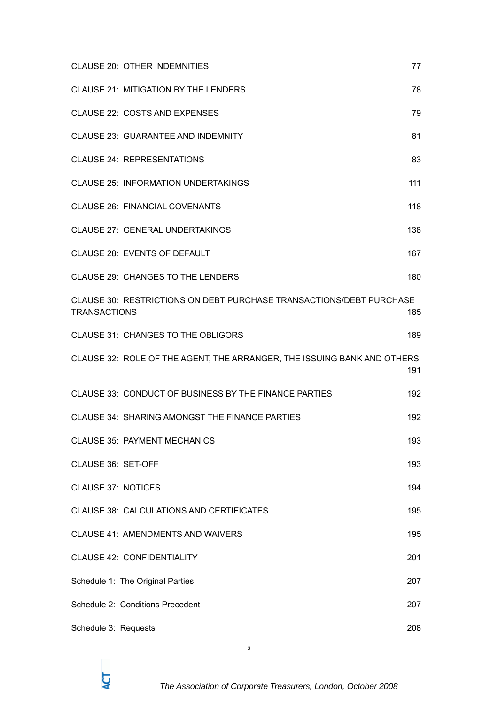|                           | <b>CLAUSE 20: OTHER INDEMNITIES</b>                                     | 77  |
|---------------------------|-------------------------------------------------------------------------|-----|
|                           | CLAUSE 21: MITIGATION BY THE LENDERS                                    | 78  |
|                           | <b>CLAUSE 22: COSTS AND EXPENSES</b>                                    | 79  |
|                           | <b>CLAUSE 23: GUARANTEE AND INDEMNITY</b>                               | 81  |
|                           | <b>CLAUSE 24: REPRESENTATIONS</b>                                       | 83  |
|                           | <b>CLAUSE 25: INFORMATION UNDERTAKINGS</b>                              | 111 |
|                           | <b>CLAUSE 26: FINANCIAL COVENANTS</b>                                   | 118 |
|                           | CLAUSE 27: GENERAL UNDERTAKINGS                                         | 138 |
|                           | CLAUSE 28: EVENTS OF DEFAULT                                            | 167 |
|                           | CLAUSE 29: CHANGES TO THE LENDERS                                       | 180 |
| <b>TRANSACTIONS</b>       | CLAUSE 30: RESTRICTIONS ON DEBT PURCHASE TRANSACTIONS/DEBT PURCHASE     | 185 |
|                           | CLAUSE 31: CHANGES TO THE OBLIGORS                                      | 189 |
|                           | CLAUSE 32: ROLE OF THE AGENT, THE ARRANGER, THE ISSUING BANK AND OTHERS | 191 |
|                           | CLAUSE 33: CONDUCT OF BUSINESS BY THE FINANCE PARTIES                   | 192 |
|                           | CLAUSE 34: SHARING AMONGST THE FINANCE PARTIES                          | 192 |
|                           | <b>CLAUSE 35: PAYMENT MECHANICS</b>                                     | 193 |
| CLAUSE 36: SET-OFF        |                                                                         | 193 |
| <b>CLAUSE 37: NOTICES</b> |                                                                         | 194 |
|                           | CLAUSE 38: CALCULATIONS AND CERTIFICATES                                | 195 |
|                           | <b>CLAUSE 41: AMENDMENTS AND WAIVERS</b>                                | 195 |
|                           | <b>CLAUSE 42: CONFIDENTIALITY</b>                                       | 201 |
|                           | Schedule 1: The Original Parties                                        | 207 |
|                           | Schedule 2: Conditions Precedent                                        | 207 |
| Schedule 3: Requests      |                                                                         | 208 |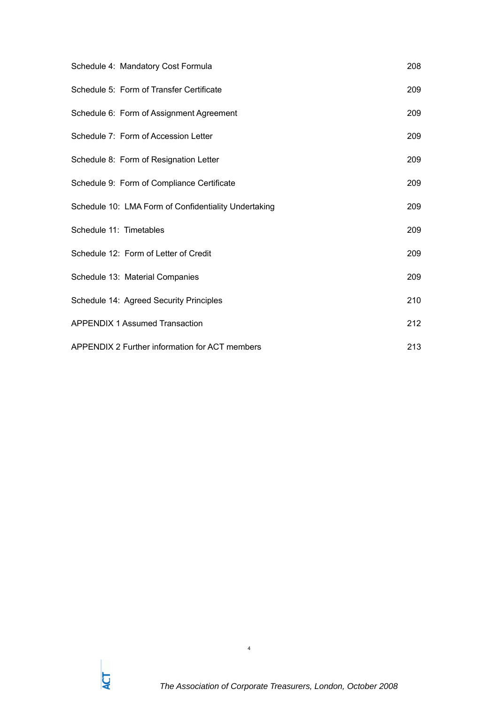| Schedule 4: Mandatory Cost Formula                   | 208 |
|------------------------------------------------------|-----|
| Schedule 5: Form of Transfer Certificate             | 209 |
| Schedule 6: Form of Assignment Agreement             | 209 |
| Schedule 7: Form of Accession Letter                 | 209 |
| Schedule 8: Form of Resignation Letter               | 209 |
| Schedule 9: Form of Compliance Certificate           | 209 |
| Schedule 10: LMA Form of Confidentiality Undertaking | 209 |
| Schedule 11: Timetables                              | 209 |
| Schedule 12: Form of Letter of Credit                | 209 |
| Schedule 13: Material Companies                      | 209 |
| Schedule 14: Agreed Security Principles              | 210 |
| <b>APPENDIX 1 Assumed Transaction</b>                | 212 |
| APPENDIX 2 Further information for ACT members       | 213 |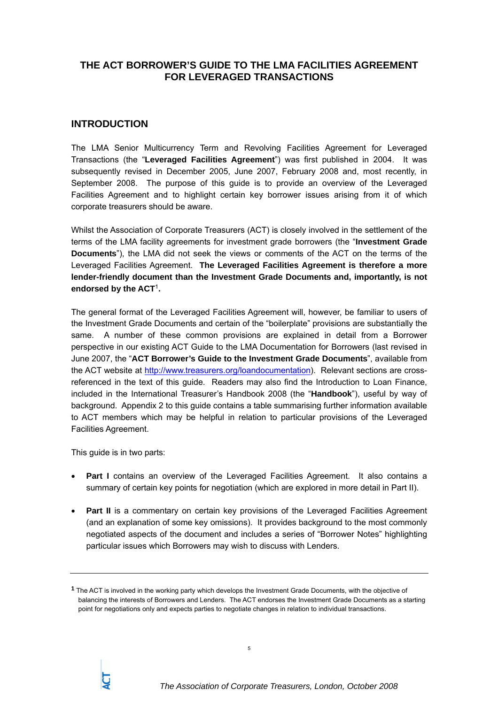## **THE ACT BORROWER'S GUIDE TO THE LMA FACILITIES AGREEMENT FOR LEVERAGED TRANSACTIONS**

## **INTRODUCTION**

The LMA Senior Multicurrency Term and Revolving Facilities Agreement for Leveraged Transactions (the "**Leveraged Facilities Agreement**") was first published in 2004. It was subsequently revised in December 2005, June 2007, February 2008 and, most recently, in September 2008. The purpose of this guide is to provide an overview of the Leveraged Facilities Agreement and to highlight certain key borrower issues arising from it of which corporate treasurers should be aware.

Whilst the Association of Corporate Treasurers (ACT) is closely involved in the settlement of the terms of the LMA facility agreements for investment grade borrowers (the "**Investment Grade Documents**"), the LMA did not seek the views or comments of the ACT on the terms of the Leveraged Facilities Agreement. **The Leveraged Facilities Agreement is therefore a more lender-friendly document than the Investment Grade Documents and, importantly, is not endorsed by the ACT**1**.** 

The general format of the Leveraged Facilities Agreement will, however, be familiar to users of the Investment Grade Documents and certain of the "boilerplate" provisions are substantially the same. A number of these common provisions are explained in detail from a Borrower perspective in our existing ACT Guide to the LMA Documentation for Borrowers (last revised in June 2007, the "**ACT Borrower's Guide to the Investment Grade Documents**", available from the ACT website at http://www.treasurers.org/loandocumentation). Relevant sections are crossreferenced in the text of this guide. Readers may also find the Introduction to Loan Finance, included in the International Treasurer's Handbook 2008 (the "**Handbook**"), useful by way of background. Appendix 2 to this guide contains a table summarising further information available to ACT members which may be helpful in relation to particular provisions of the Leveraged Facilities Agreement.

This guide is in two parts:

- **Part I** contains an overview of the Leveraged Facilities Agreement. It also contains a summary of certain key points for negotiation (which are explored in more detail in Part II).
- **Part II** is a commentary on certain key provisions of the Leveraged Facilities Agreement (and an explanation of some key omissions). It provides background to the most commonly negotiated aspects of the document and includes a series of "Borrower Notes" highlighting particular issues which Borrowers may wish to discuss with Lenders.

**<sup>1</sup>** The ACT is involved in the working party which develops the Investment Grade Documents, with the objective of balancing the interests of Borrowers and Lenders. The ACT endorses the Investment Grade Documents as a starting point for negotiations only and expects parties to negotiate changes in relation to individual transactions.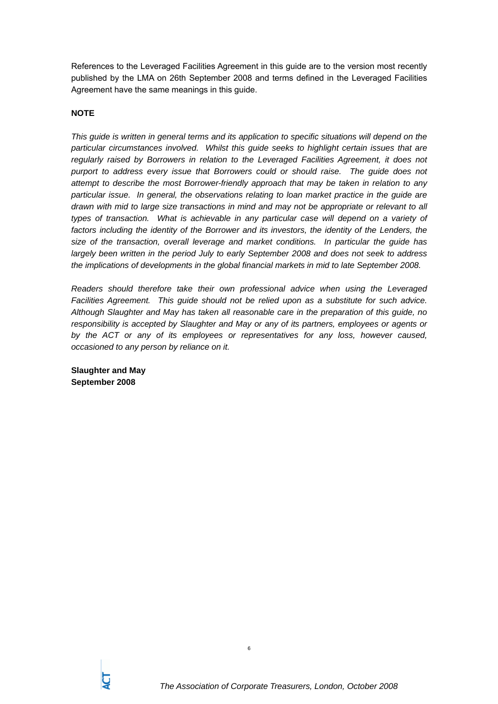References to the Leveraged Facilities Agreement in this guide are to the version most recently published by the LMA on 26th September 2008 and terms defined in the Leveraged Facilities Agreement have the same meanings in this guide.

## **NOTE**

*This guide is written in general terms and its application to specific situations will depend on the particular circumstances involved. Whilst this guide seeks to highlight certain issues that are regularly raised by Borrowers in relation to the Leveraged Facilities Agreement, it does not purport to address every issue that Borrowers could or should raise. The guide does not attempt to describe the most Borrower-friendly approach that may be taken in relation to any particular issue. In general, the observations relating to loan market practice in the guide are drawn with mid to large size transactions in mind and may not be appropriate or relevant to all types of transaction. What is achievable in any particular case will depend on a variety of*  factors including the identity of the Borrower and its investors, the identity of the Lenders, the *size of the transaction, overall leverage and market conditions. In particular the guide has largely been written in the period July to early September 2008 and does not seek to address the implications of developments in the global financial markets in mid to late September 2008.* 

*Readers should therefore take their own professional advice when using the Leveraged Facilities Agreement. This guide should not be relied upon as a substitute for such advice. Although Slaughter and May has taken all reasonable care in the preparation of this guide, no responsibility is accepted by Slaughter and May or any of its partners, employees or agents or by the ACT or any of its employees or representatives for any loss, however caused, occasioned to any person by reliance on it.*

**Slaughter and May September 2008**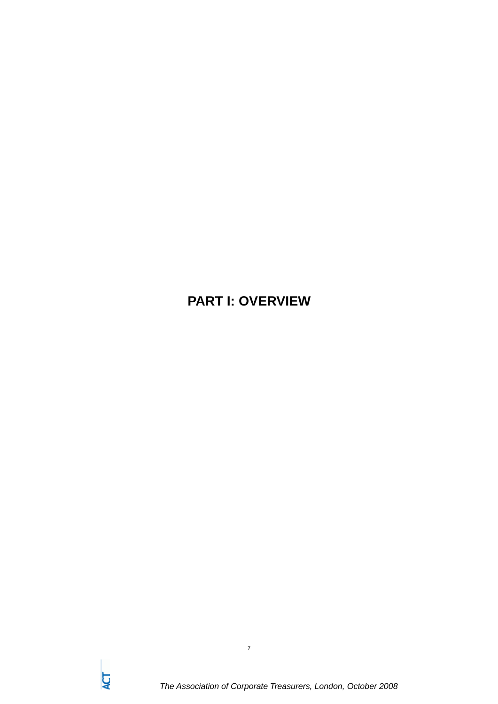## **PART I: OVERVIEW**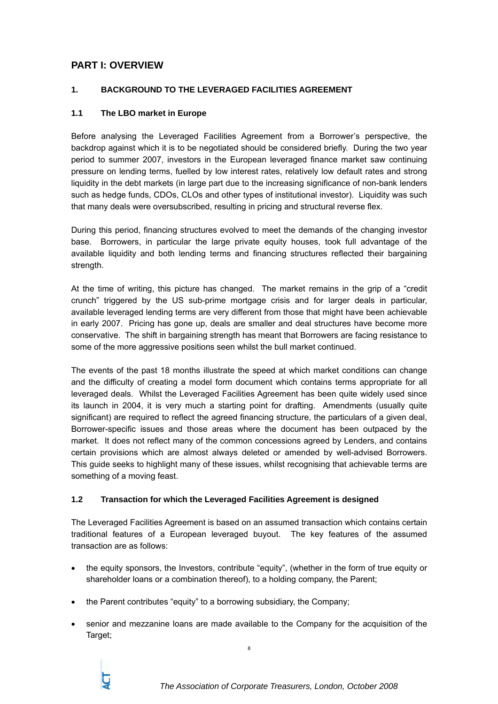## **PART I: OVERVIEW**

## **1. BACKGROUND TO THE LEVERAGED FACILITIES AGREEMENT**

## **1.1 The LBO market in Europe**

Before analysing the Leveraged Facilities Agreement from a Borrower's perspective, the backdrop against which it is to be negotiated should be considered briefly. During the two year period to summer 2007, investors in the European leveraged finance market saw continuing pressure on lending terms, fuelled by low interest rates, relatively low default rates and strong liquidity in the debt markets (in large part due to the increasing significance of non-bank lenders such as hedge funds, CDOs, CLOs and other types of institutional investor). Liquidity was such that many deals were oversubscribed, resulting in pricing and structural reverse flex.

During this period, financing structures evolved to meet the demands of the changing investor base. Borrowers, in particular the large private equity houses, took full advantage of the available liquidity and both lending terms and financing structures reflected their bargaining strength.

At the time of writing, this picture has changed. The market remains in the grip of a "credit crunch" triggered by the US sub-prime mortgage crisis and for larger deals in particular, available leveraged lending terms are very different from those that might have been achievable in early 2007. Pricing has gone up, deals are smaller and deal structures have become more conservative. The shift in bargaining strength has meant that Borrowers are facing resistance to some of the more aggressive positions seen whilst the bull market continued.

The events of the past 18 months illustrate the speed at which market conditions can change and the difficulty of creating a model form document which contains terms appropriate for all leveraged deals. Whilst the Leveraged Facilities Agreement has been quite widely used since its launch in 2004, it is very much a starting point for drafting. Amendments (usually quite significant) are required to reflect the agreed financing structure, the particulars of a given deal. Borrower-specific issues and those areas where the document has been outpaced by the market. It does not reflect many of the common concessions agreed by Lenders, and contains certain provisions which are almost always deleted or amended by well-advised Borrowers. This guide seeks to highlight many of these issues, whilst recognising that achievable terms are something of a moving feast.

## **1.2 Transaction for which the Leveraged Facilities Agreement is designed**

The Leveraged Facilities Agreement is based on an assumed transaction which contains certain traditional features of a European leveraged buyout. The key features of the assumed transaction are as follows:

- the equity sponsors, the Investors, contribute "equity", (whether in the form of true equity or shareholder loans or a combination thereof), to a holding company, the Parent;
- the Parent contributes "equity" to a borrowing subsidiary, the Company;
- senior and mezzanine loans are made available to the Company for the acquisition of the Target;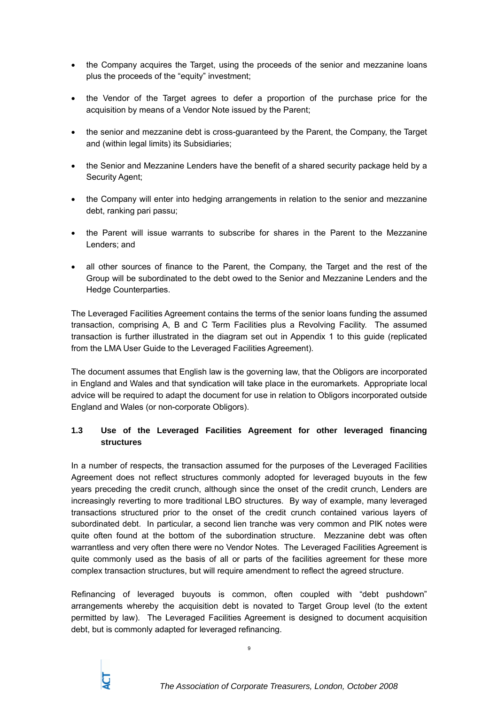- the Company acquires the Target, using the proceeds of the senior and mezzanine loans plus the proceeds of the "equity" investment;
- the Vendor of the Target agrees to defer a proportion of the purchase price for the acquisition by means of a Vendor Note issued by the Parent;
- the senior and mezzanine debt is cross-guaranteed by the Parent, the Company, the Target and (within legal limits) its Subsidiaries;
- the Senior and Mezzanine Lenders have the benefit of a shared security package held by a Security Agent;
- the Company will enter into hedging arrangements in relation to the senior and mezzanine debt, ranking pari passu;
- the Parent will issue warrants to subscribe for shares in the Parent to the Mezzanine Lenders; and
- all other sources of finance to the Parent, the Company, the Target and the rest of the Group will be subordinated to the debt owed to the Senior and Mezzanine Lenders and the Hedge Counterparties.

The Leveraged Facilities Agreement contains the terms of the senior loans funding the assumed transaction, comprising A, B and C Term Facilities plus a Revolving Facility. The assumed transaction is further illustrated in the diagram set out in Appendix 1 to this guide (replicated from the LMA User Guide to the Leveraged Facilities Agreement).

The document assumes that English law is the governing law, that the Obligors are incorporated in England and Wales and that syndication will take place in the euromarkets. Appropriate local advice will be required to adapt the document for use in relation to Obligors incorporated outside England and Wales (or non-corporate Obligors).

## **1.3 Use of the Leveraged Facilities Agreement for other leveraged financing structures**

In a number of respects, the transaction assumed for the purposes of the Leveraged Facilities Agreement does not reflect structures commonly adopted for leveraged buyouts in the few years preceding the credit crunch, although since the onset of the credit crunch, Lenders are increasingly reverting to more traditional LBO structures. By way of example, many leveraged transactions structured prior to the onset of the credit crunch contained various layers of subordinated debt. In particular, a second lien tranche was very common and PIK notes were quite often found at the bottom of the subordination structure. Mezzanine debt was often warrantless and very often there were no Vendor Notes. The Leveraged Facilities Agreement is quite commonly used as the basis of all or parts of the facilities agreement for these more complex transaction structures, but will require amendment to reflect the agreed structure.

Refinancing of leveraged buyouts is common, often coupled with "debt pushdown" arrangements whereby the acquisition debt is novated to Target Group level (to the extent permitted by law). The Leveraged Facilities Agreement is designed to document acquisition debt, but is commonly adapted for leveraged refinancing.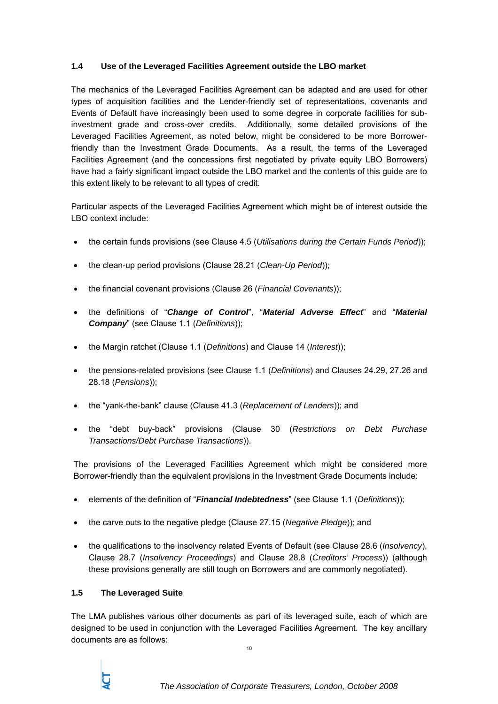## **1.4 Use of the Leveraged Facilities Agreement outside the LBO market**

The mechanics of the Leveraged Facilities Agreement can be adapted and are used for other types of acquisition facilities and the Lender-friendly set of representations, covenants and Events of Default have increasingly been used to some degree in corporate facilities for subinvestment grade and cross-over credits. Additionally, some detailed provisions of the Leveraged Facilities Agreement, as noted below, might be considered to be more Borrowerfriendly than the Investment Grade Documents. As a result, the terms of the Leveraged Facilities Agreement (and the concessions first negotiated by private equity LBO Borrowers) have had a fairly significant impact outside the LBO market and the contents of this guide are to this extent likely to be relevant to all types of credit.

Particular aspects of the Leveraged Facilities Agreement which might be of interest outside the LBO context include:

- the certain funds provisions (see Clause 4.5 (*Utilisations during the Certain Funds Period*));
- the clean-up period provisions (Clause 28.21 (*Clean-Up Period*));
- the financial covenant provisions (Clause 26 (*Financial Covenants*));
- the definitions of "*Change of Control*", "*Material Adverse Effect*" and "*Material Company*" (see Clause 1.1 (*Definitions*));
- the Margin ratchet (Clause 1.1 (*Definitions*) and Clause 14 (*Interest*));
- the pensions-related provisions (see Clause 1.1 (*Definitions*) and Clauses 24.29, 27.26 and 28.18 (*Pensions*));
- the "yank-the-bank" clause (Clause 41.3 (*Replacement of Lenders*)); and
- the "debt buy-back" provisions (Clause 30 (*Restrictions on Debt Purchase Transactions/Debt Purchase Transactions*)).

The provisions of the Leveraged Facilities Agreement which might be considered more Borrower-friendly than the equivalent provisions in the Investment Grade Documents include:

- elements of the definition of "*Financial Indebtedness*" (see Clause 1.1 (*Definitions*));
- the carve outs to the negative pledge (Clause 27.15 (*Negative Pledge*)); and
- the qualifications to the insolvency related Events of Default (see Clause 28.6 (*Insolvency*), Clause 28.7 (*Insolvency Proceedings*) and Clause 28.8 (*Creditors' Process*)) (although these provisions generally are still tough on Borrowers and are commonly negotiated).

#### **1.5 The Leveraged Suite**

The LMA publishes various other documents as part of its leveraged suite, each of which are designed to be used in conjunction with the Leveraged Facilities Agreement. The key ancillary documents are as follows: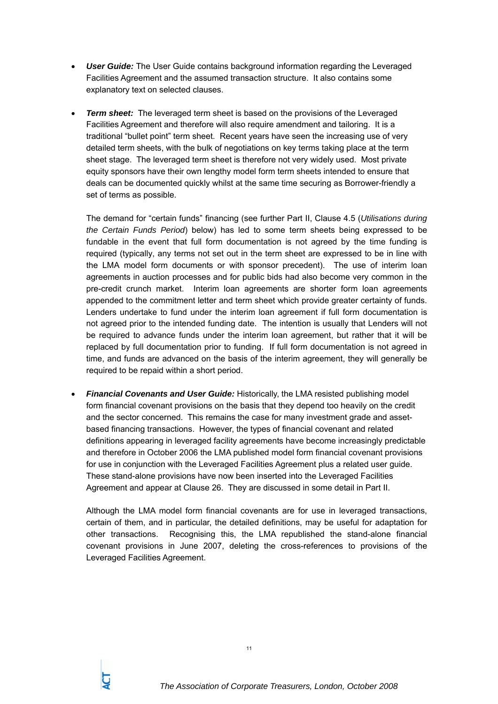- *User Guide:* The User Guide contains background information regarding the Leveraged Facilities Agreement and the assumed transaction structure. It also contains some explanatory text on selected clauses.
- *Term sheet:* The leveraged term sheet is based on the provisions of the Leveraged Facilities Agreement and therefore will also require amendment and tailoring. It is a traditional "bullet point" term sheet. Recent years have seen the increasing use of very detailed term sheets, with the bulk of negotiations on key terms taking place at the term sheet stage. The leveraged term sheet is therefore not very widely used. Most private equity sponsors have their own lengthy model form term sheets intended to ensure that deals can be documented quickly whilst at the same time securing as Borrower-friendly a set of terms as possible.

The demand for "certain funds" financing (see further Part II, Clause 4.5 (*Utilisations during the Certain Funds Period*) below) has led to some term sheets being expressed to be fundable in the event that full form documentation is not agreed by the time funding is required (typically, any terms not set out in the term sheet are expressed to be in line with the LMA model form documents or with sponsor precedent). The use of interim loan agreements in auction processes and for public bids had also become very common in the pre-credit crunch market. Interim loan agreements are shorter form loan agreements appended to the commitment letter and term sheet which provide greater certainty of funds. Lenders undertake to fund under the interim loan agreement if full form documentation is not agreed prior to the intended funding date. The intention is usually that Lenders will not be required to advance funds under the interim loan agreement, but rather that it will be replaced by full documentation prior to funding. If full form documentation is not agreed in time, and funds are advanced on the basis of the interim agreement, they will generally be required to be repaid within a short period.

• *Financial Covenants and User Guide:* Historically, the LMA resisted publishing model form financial covenant provisions on the basis that they depend too heavily on the credit and the sector concerned. This remains the case for many investment grade and assetbased financing transactions. However, the types of financial covenant and related definitions appearing in leveraged facility agreements have become increasingly predictable and therefore in October 2006 the LMA published model form financial covenant provisions for use in conjunction with the Leveraged Facilities Agreement plus a related user guide. These stand-alone provisions have now been inserted into the Leveraged Facilities Agreement and appear at Clause 26. They are discussed in some detail in Part II.

Although the LMA model form financial covenants are for use in leveraged transactions, certain of them, and in particular, the detailed definitions, may be useful for adaptation for other transactions. Recognising this, the LMA republished the stand-alone financial covenant provisions in June 2007, deleting the cross-references to provisions of the Leveraged Facilities Agreement.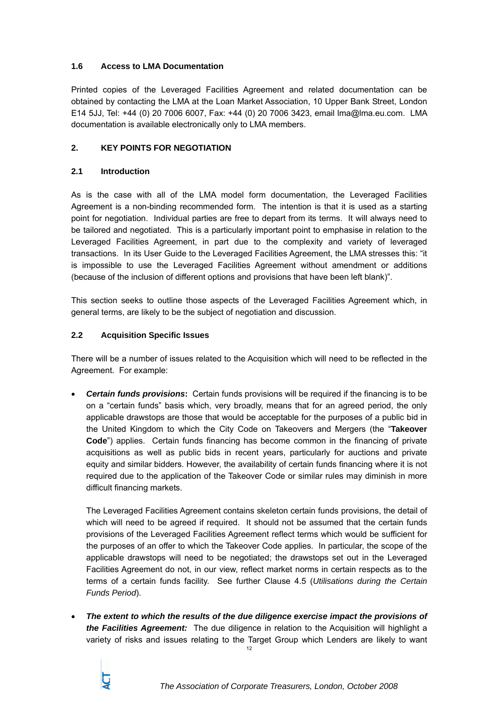## **1.6 Access to LMA Documentation**

Printed copies of the Leveraged Facilities Agreement and related documentation can be obtained by contacting the LMA at the Loan Market Association, 10 Upper Bank Street, London E14 5JJ, Tel: +44 (0) 20 7006 6007, Fax: +44 (0) 20 7006 3423, email lma@lma.eu.com. LMA documentation is available electronically only to LMA members.

## **2. KEY POINTS FOR NEGOTIATION**

## **2.1 Introduction**

As is the case with all of the LMA model form documentation, the Leveraged Facilities Agreement is a non-binding recommended form. The intention is that it is used as a starting point for negotiation. Individual parties are free to depart from its terms. It will always need to be tailored and negotiated. This is a particularly important point to emphasise in relation to the Leveraged Facilities Agreement, in part due to the complexity and variety of leveraged transactions. In its User Guide to the Leveraged Facilities Agreement, the LMA stresses this: "it is impossible to use the Leveraged Facilities Agreement without amendment or additions (because of the inclusion of different options and provisions that have been left blank)".

This section seeks to outline those aspects of the Leveraged Facilities Agreement which, in general terms, are likely to be the subject of negotiation and discussion.

## **2.2 Acquisition Specific Issues**

There will be a number of issues related to the Acquisition which will need to be reflected in the Agreement. For example:

• *Certain funds provisions***:** Certain funds provisions will be required if the financing is to be on a "certain funds" basis which, very broadly, means that for an agreed period, the only applicable drawstops are those that would be acceptable for the purposes of a public bid in the United Kingdom to which the City Code on Takeovers and Mergers (the "**Takeover Code**") applies. Certain funds financing has become common in the financing of private acquisitions as well as public bids in recent years, particularly for auctions and private equity and similar bidders. However, the availability of certain funds financing where it is not required due to the application of the Takeover Code or similar rules may diminish in more difficult financing markets.

The Leveraged Facilities Agreement contains skeleton certain funds provisions, the detail of which will need to be agreed if required. It should not be assumed that the certain funds provisions of the Leveraged Facilities Agreement reflect terms which would be sufficient for the purposes of an offer to which the Takeover Code applies. In particular, the scope of the applicable drawstops will need to be negotiated; the drawstops set out in the Leveraged Facilities Agreement do not, in our view, reflect market norms in certain respects as to the terms of a certain funds facility. See further Clause 4.5 (*Utilisations during the Certain Funds Period*).

• *The extent to which the results of the due diligence exercise impact the provisions of the Facilities Agreement:* The due diligence in relation to the Acquisition will highlight a variety of risks and issues relating to the Target Group which Lenders are likely to want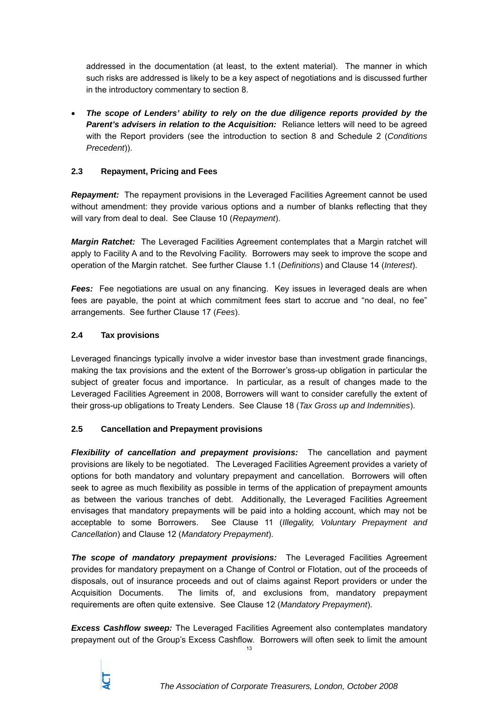addressed in the documentation (at least, to the extent material). The manner in which such risks are addressed is likely to be a key aspect of negotiations and is discussed further in the introductory commentary to section 8.

• *The scope of Lenders' ability to rely on the due diligence reports provided by the*  **Parent's advisers in relation to the Acquisition:** Reliance letters will need to be agreed with the Report providers (see the introduction to section 8 and Schedule 2 (*Conditions Precedent*)).

## **2.3 Repayment, Pricing and Fees**

**Repayment:** The repayment provisions in the Leveraged Facilities Agreement cannot be used without amendment: they provide various options and a number of blanks reflecting that they will vary from deal to deal. See Clause 10 (*Repayment*).

*Margin Ratchet:* The Leveraged Facilities Agreement contemplates that a Margin ratchet will apply to Facility A and to the Revolving Facility. Borrowers may seek to improve the scope and operation of the Margin ratchet. See further Clause 1.1 (*Definitions*) and Clause 14 (*Interest*).

**Fees:** Fee negotiations are usual on any financing. Key issues in leveraged deals are when fees are payable, the point at which commitment fees start to accrue and "no deal, no fee" arrangements. See further Clause 17 (*Fees*).

## **2.4 Tax provisions**

Leveraged financings typically involve a wider investor base than investment grade financings, making the tax provisions and the extent of the Borrower's gross-up obligation in particular the subject of greater focus and importance. In particular, as a result of changes made to the Leveraged Facilities Agreement in 2008, Borrowers will want to consider carefully the extent of their gross-up obligations to Treaty Lenders. See Clause 18 (*Tax Gross up and Indemnities*).

## **2.5 Cancellation and Prepayment provisions**

*Flexibility of cancellation and prepayment provisions:* The cancellation and payment provisions are likely to be negotiated. The Leveraged Facilities Agreement provides a variety of options for both mandatory and voluntary prepayment and cancellation. Borrowers will often seek to agree as much flexibility as possible in terms of the application of prepayment amounts as between the various tranches of debt. Additionally, the Leveraged Facilities Agreement envisages that mandatory prepayments will be paid into a holding account, which may not be acceptable to some Borrowers. See Clause 11 (*Illegality, Voluntary Prepayment and Cancellation*) and Clause 12 (*Mandatory Prepayment*).

*The scope of mandatory prepayment provisions:* The Leveraged Facilities Agreement provides for mandatory prepayment on a Change of Control or Flotation, out of the proceeds of disposals, out of insurance proceeds and out of claims against Report providers or under the Acquisition Documents. The limits of, and exclusions from, mandatory prepayment requirements are often quite extensive. See Clause 12 (*Mandatory Prepayment*).

13 *Excess Cashflow sweep:* The Leveraged Facilities Agreement also contemplates mandatory prepayment out of the Group's Excess Cashflow. Borrowers will often seek to limit the amount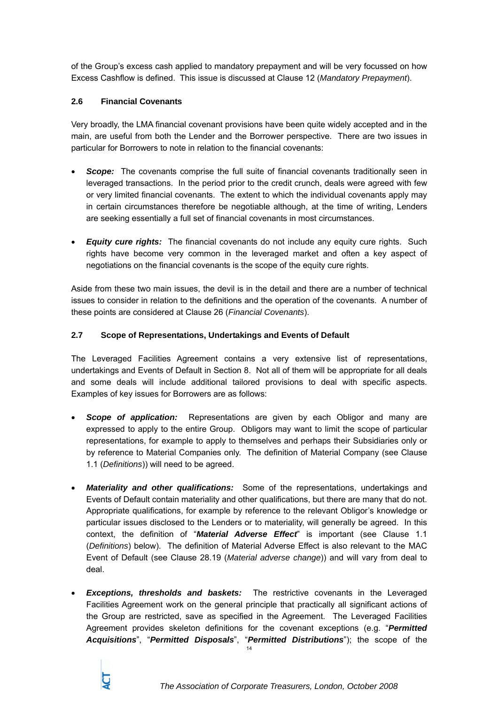of the Group's excess cash applied to mandatory prepayment and will be very focussed on how Excess Cashflow is defined. This issue is discussed at Clause 12 (*Mandatory Prepayment*).

## **2.6 Financial Covenants**

Very broadly, the LMA financial covenant provisions have been quite widely accepted and in the main, are useful from both the Lender and the Borrower perspective. There are two issues in particular for Borrowers to note in relation to the financial covenants:

- **Scope:** The covenants comprise the full suite of financial covenants traditionally seen in leveraged transactions. In the period prior to the credit crunch, deals were agreed with few or very limited financial covenants. The extent to which the individual covenants apply may in certain circumstances therefore be negotiable although, at the time of writing, Lenders are seeking essentially a full set of financial covenants in most circumstances.
- *Equity cure rights:* The financial covenants do not include any equity cure rights. Such rights have become very common in the leveraged market and often a key aspect of negotiations on the financial covenants is the scope of the equity cure rights.

Aside from these two main issues, the devil is in the detail and there are a number of technical issues to consider in relation to the definitions and the operation of the covenants. A number of these points are considered at Clause 26 (*Financial Covenants*).

## **2.7 Scope of Representations, Undertakings and Events of Default**

The Leveraged Facilities Agreement contains a very extensive list of representations, undertakings and Events of Default in Section 8. Not all of them will be appropriate for all deals and some deals will include additional tailored provisions to deal with specific aspects. Examples of key issues for Borrowers are as follows:

- *Scope of application:* Representations are given by each Obligor and many are expressed to apply to the entire Group. Obligors may want to limit the scope of particular representations, for example to apply to themselves and perhaps their Subsidiaries only or by reference to Material Companies only. The definition of Material Company (see Clause 1.1 (*Definitions*)) will need to be agreed.
- *Materiality and other qualifications:* Some of the representations, undertakings and Events of Default contain materiality and other qualifications, but there are many that do not. Appropriate qualifications, for example by reference to the relevant Obligor's knowledge or particular issues disclosed to the Lenders or to materiality, will generally be agreed. In this context, the definition of "*Material Adverse Effect*" is important (see Clause 1.1 (*Definitions*) below). The definition of Material Adverse Effect is also relevant to the MAC Event of Default (see Clause 28.19 (*Material adverse change*)) and will vary from deal to deal.
- 14 **Exceptions, thresholds and baskets:** The restrictive covenants in the Leveraged Facilities Agreement work on the general principle that practically all significant actions of the Group are restricted, save as specified in the Agreement. The Leveraged Facilities Agreement provides skeleton definitions for the covenant exceptions (e.g. "*Permitted Acquisitions*", "*Permitted Disposals*", "*Permitted Distributions*"); the scope of the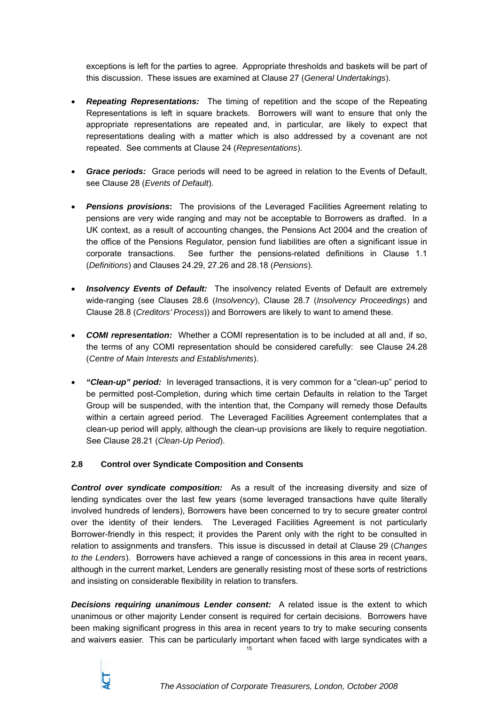exceptions is left for the parties to agree. Appropriate thresholds and baskets will be part of this discussion. These issues are examined at Clause 27 (*General Undertakings*).

- *Repeating Representations:* The timing of repetition and the scope of the Repeating Representations is left in square brackets. Borrowers will want to ensure that only the appropriate representations are repeated and, in particular, are likely to expect that representations dealing with a matter which is also addressed by a covenant are not repeated. See comments at Clause 24 (*Representations*).
- *Grace periods:* Grace periods will need to be agreed in relation to the Events of Default, see Clause 28 (*Events of Default*).
- **Pensions provisions:** The provisions of the Leveraged Facilities Agreement relating to pensions are very wide ranging and may not be acceptable to Borrowers as drafted. In a UK context, as a result of accounting changes, the Pensions Act 2004 and the creation of the office of the Pensions Regulator, pension fund liabilities are often a significant issue in corporate transactions. See further the pensions-related definitions in Clause 1.1 (*Definitions*) and Clauses 24.29, 27.26 and 28.18 (*Pensions*).
- **Insolvency Events of Default:** The insolvency related Events of Default are extremely wide-ranging (see Clauses 28.6 (*Insolvency*), Clause 28.7 (*Insolvency Proceedings*) and Clause 28.8 (*Creditors' Process*)) and Borrowers are likely to want to amend these.
- *COMI representation:* Whether a COMI representation is to be included at all and, if so, the terms of any COMI representation should be considered carefully: see Clause 24.28 (*Centre of Main Interests and Establishments*).
- *"Clean-up" period:* In leveraged transactions, it is very common for a "clean-up" period to be permitted post-Completion, during which time certain Defaults in relation to the Target Group will be suspended, with the intention that, the Company will remedy those Defaults within a certain agreed period. The Leveraged Facilities Agreement contemplates that a clean-up period will apply, although the clean-up provisions are likely to require negotiation. See Clause 28.21 (*Clean-Up Period*).

#### **2.8 Control over Syndicate Composition and Consents**

*Control over syndicate composition:* As a result of the increasing diversity and size of lending syndicates over the last few years (some leveraged transactions have quite literally involved hundreds of lenders), Borrowers have been concerned to try to secure greater control over the identity of their lenders. The Leveraged Facilities Agreement is not particularly Borrower-friendly in this respect; it provides the Parent only with the right to be consulted in relation to assignments and transfers. This issue is discussed in detail at Clause 29 (*Changes to the Lenders*). Borrowers have achieved a range of concessions in this area in recent years, although in the current market, Lenders are generally resisting most of these sorts of restrictions and insisting on considerable flexibility in relation to transfers.

*Decisions requiring unanimous Lender consent:* A related issue is the extent to which unanimous or other majority Lender consent is required for certain decisions. Borrowers have been making significant progress in this area in recent years to try to make securing consents and waivers easier. This can be particularly important when faced with large syndicates with a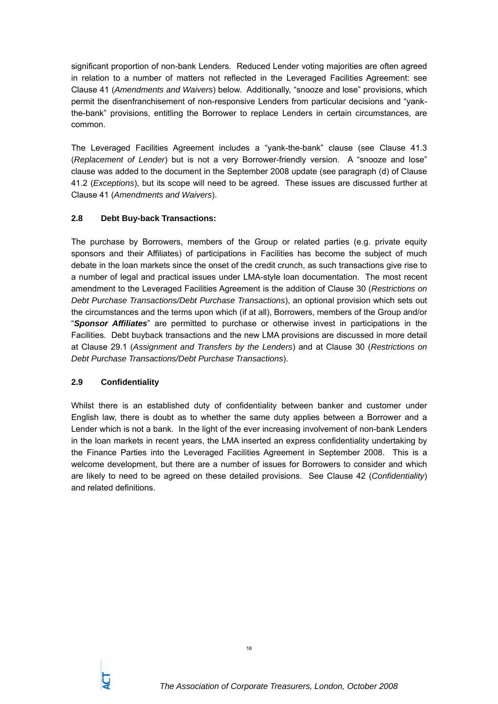significant proportion of non-bank Lenders. Reduced Lender voting majorities are often agreed in relation to a number of matters not reflected in the Leveraged Facilities Agreement: see Clause 41 (*Amendments and Waivers*) below. Additionally, "snooze and lose" provisions, which permit the disenfranchisement of non-responsive Lenders from particular decisions and "yankthe-bank" provisions, entitling the Borrower to replace Lenders in certain circumstances, are common.

The Leveraged Facilities Agreement includes a "yank-the-bank" clause (see Clause 41.3 (*Replacement of Lender*) but is not a very Borrower-friendly version. A "snooze and lose" clause was added to the document in the September 2008 update (see paragraph (d) of Clause 41.2 (*Exceptions*), but its scope will need to be agreed. These issues are discussed further at Clause 41 (*Amendments and Waivers*).

## **2.8 Debt Buy-back Transactions:**

The purchase by Borrowers, members of the Group or related parties (e.g. private equity sponsors and their Affiliates) of participations in Facilities has become the subject of much debate in the loan markets since the onset of the credit crunch, as such transactions give rise to a number of legal and practical issues under LMA-style loan documentation. The most recent amendment to the Leveraged Facilities Agreement is the addition of Clause 30 (*Restrictions on Debt Purchase Transactions/Debt Purchase Transactions*), an optional provision which sets out the circumstances and the terms upon which (if at all), Borrowers, members of the Group and/or "*Sponsor Affiliates*" are permitted to purchase or otherwise invest in participations in the Facilities. Debt buyback transactions and the new LMA provisions are discussed in more detail at Clause 29.1 (*Assignment and Transfers by the Lenders*) and at Clause 30 (*Restrictions on Debt Purchase Transactions/Debt Purchase Transactions*).

## **2.9 Confidentiality**

Whilst there is an established duty of confidentiality between banker and customer under English law, there is doubt as to whether the same duty applies between a Borrower and a Lender which is not a bank. In the light of the ever increasing involvement of non-bank Lenders in the loan markets in recent years, the LMA inserted an express confidentiality undertaking by the Finance Parties into the Leveraged Facilities Agreement in September 2008. This is a welcome development, but there are a number of issues for Borrowers to consider and which are likely to need to be agreed on these detailed provisions. See Clause 42 (*Confidentiality*) and related definitions.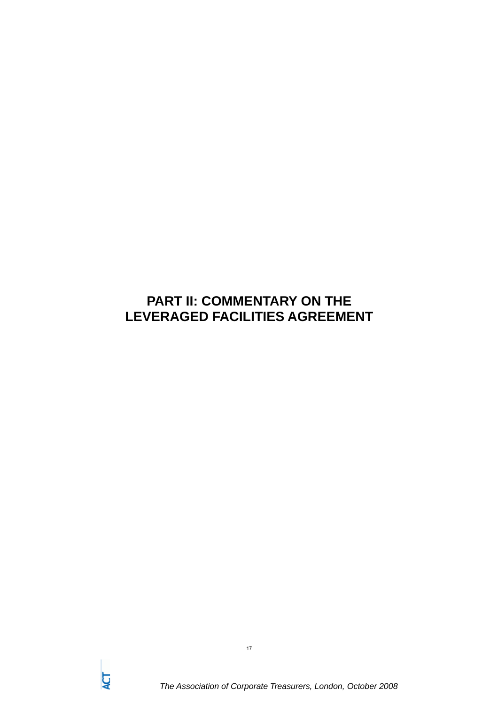## **PART II: COMMENTARY ON THE LEVERAGED FACILITIES AGREEMENT**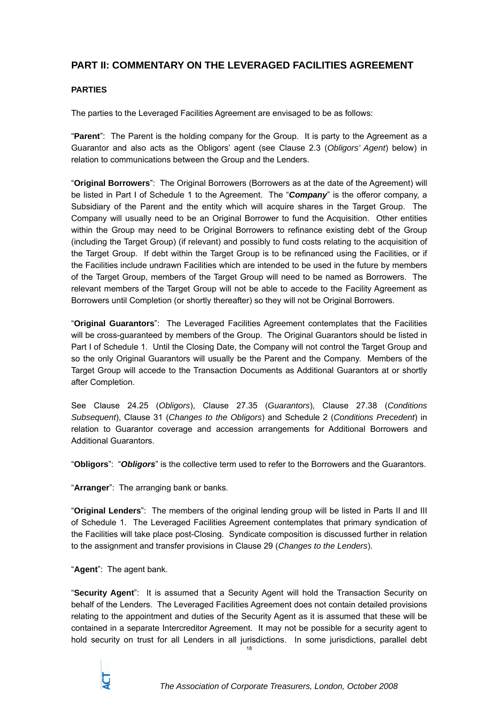## **PART II: COMMENTARY ON THE LEVERAGED FACILITIES AGREEMENT**

## **PARTIES**

The parties to the Leveraged Facilities Agreement are envisaged to be as follows:

"**Parent**": The Parent is the holding company for the Group. It is party to the Agreement as a Guarantor and also acts as the Obligors' agent (see Clause 2.3 (*Obligors' Agent*) below) in relation to communications between the Group and the Lenders.

"**Original Borrowers**": The Original Borrowers (Borrowers as at the date of the Agreement) will be listed in Part I of Schedule 1 to the Agreement. The "*Company*" is the offeror company, a Subsidiary of the Parent and the entity which will acquire shares in the Target Group. The Company will usually need to be an Original Borrower to fund the Acquisition. Other entities within the Group may need to be Original Borrowers to refinance existing debt of the Group (including the Target Group) (if relevant) and possibly to fund costs relating to the acquisition of the Target Group. If debt within the Target Group is to be refinanced using the Facilities, or if the Facilities include undrawn Facilities which are intended to be used in the future by members of the Target Group, members of the Target Group will need to be named as Borrowers. The relevant members of the Target Group will not be able to accede to the Facility Agreement as Borrowers until Completion (or shortly thereafter) so they will not be Original Borrowers.

"**Original Guarantors**": The Leveraged Facilities Agreement contemplates that the Facilities will be cross-guaranteed by members of the Group. The Original Guarantors should be listed in Part I of Schedule 1. Until the Closing Date, the Company will not control the Target Group and so the only Original Guarantors will usually be the Parent and the Company. Members of the Target Group will accede to the Transaction Documents as Additional Guarantors at or shortly after Completion.

See Clause 24.25 (*Obligors*), Clause 27.35 (*Guarantors*), Clause 27.38 (*Conditions Subsequent*), Clause 31 (*Changes to the Obligors*) and Schedule 2 (*Conditions Precedent*) in relation to Guarantor coverage and accession arrangements for Additional Borrowers and Additional Guarantors.

"**Obligors**": "*Obligors*" is the collective term used to refer to the Borrowers and the Guarantors.

"**Arranger**": The arranging bank or banks.

"**Original Lenders**": The members of the original lending group will be listed in Parts II and III of Schedule 1. The Leveraged Facilities Agreement contemplates that primary syndication of the Facilities will take place post-Closing. Syndicate composition is discussed further in relation to the assignment and transfer provisions in Clause 29 (*Changes to the Lenders*).

"**Agent**": The agent bank.

"**Security Agent**": It is assumed that a Security Agent will hold the Transaction Security on behalf of the Lenders. The Leveraged Facilities Agreement does not contain detailed provisions relating to the appointment and duties of the Security Agent as it is assumed that these will be contained in a separate Intercreditor Agreement. It may not be possible for a security agent to hold security on trust for all Lenders in all jurisdictions. In some jurisdictions, parallel debt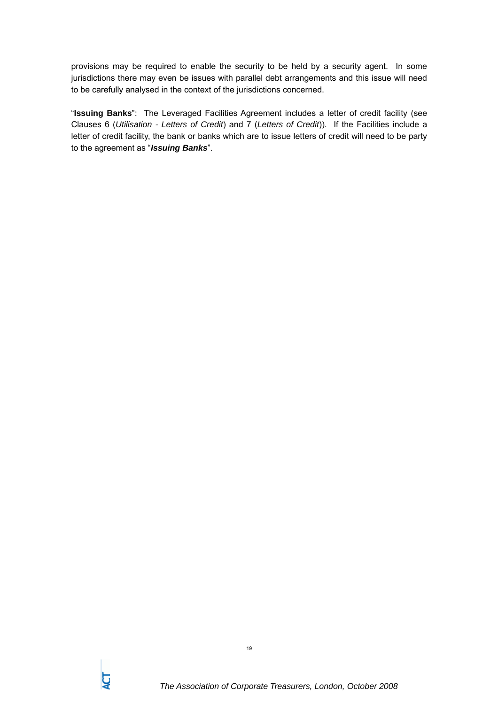provisions may be required to enable the security to be held by a security agent. In some jurisdictions there may even be issues with parallel debt arrangements and this issue will need to be carefully analysed in the context of the jurisdictions concerned.

"**Issuing Banks**": The Leveraged Facilities Agreement includes a letter of credit facility (see Clauses 6 (*Utilisation - Letters of Credit*) and 7 (*Letters of Credit*)). If the Facilities include a letter of credit facility, the bank or banks which are to issue letters of credit will need to be party to the agreement as "*Issuing Banks*".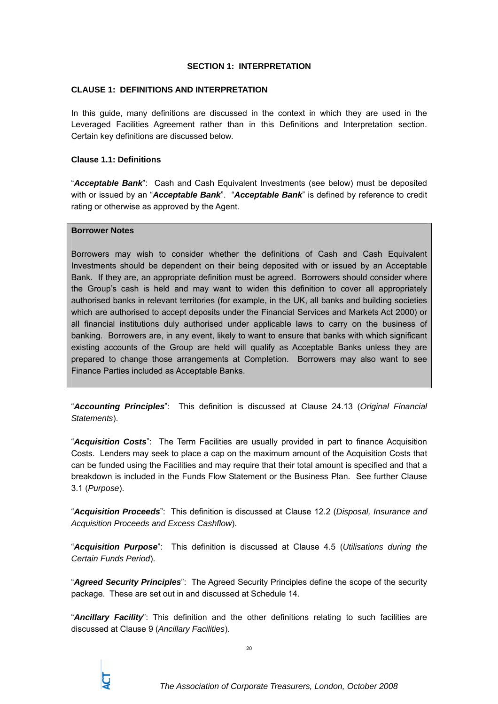#### **SECTION 1: INTERPRETATION**

#### **CLAUSE 1: DEFINITIONS AND INTERPRETATION**

In this guide, many definitions are discussed in the context in which they are used in the Leveraged Facilities Agreement rather than in this Definitions and Interpretation section. Certain key definitions are discussed below.

#### **Clause 1.1: Definitions**

"*Acceptable Bank*": Cash and Cash Equivalent Investments (see below) must be deposited with or issued by an "*Acceptable Bank*". "*Acceptable Bank*" is defined by reference to credit rating or otherwise as approved by the Agent.

#### **Borrower Notes**

Borrowers may wish to consider whether the definitions of Cash and Cash Equivalent Investments should be dependent on their being deposited with or issued by an Acceptable Bank. If they are, an appropriate definition must be agreed. Borrowers should consider where the Group's cash is held and may want to widen this definition to cover all appropriately authorised banks in relevant territories (for example, in the UK, all banks and building societies which are authorised to accept deposits under the Financial Services and Markets Act 2000) or all financial institutions duly authorised under applicable laws to carry on the business of banking. Borrowers are, in any event, likely to want to ensure that banks with which significant existing accounts of the Group are held will qualify as Acceptable Banks unless they are prepared to change those arrangements at Completion. Borrowers may also want to see Finance Parties included as Acceptable Banks.

"*Accounting Principles*": This definition is discussed at Clause 24.13 (*Original Financial Statements*).

"*Acquisition Costs*": The Term Facilities are usually provided in part to finance Acquisition Costs. Lenders may seek to place a cap on the maximum amount of the Acquisition Costs that can be funded using the Facilities and may require that their total amount is specified and that a breakdown is included in the Funds Flow Statement or the Business Plan. See further Clause 3.1 (*Purpose*).

"*Acquisition Proceeds*": This definition is discussed at Clause 12.2 (*Disposal, Insurance and Acquisition Proceeds and Excess Cashflow*).

"*Acquisition Purpose*": This definition is discussed at Clause 4.5 (*Utilisations during the Certain Funds Period*).

"*Agreed Security Principles*": The Agreed Security Principles define the scope of the security package. These are set out in and discussed at Schedule 14.

"*Ancillary Facility*": This definition and the other definitions relating to such facilities are discussed at Clause 9 (*Ancillary Facilities*).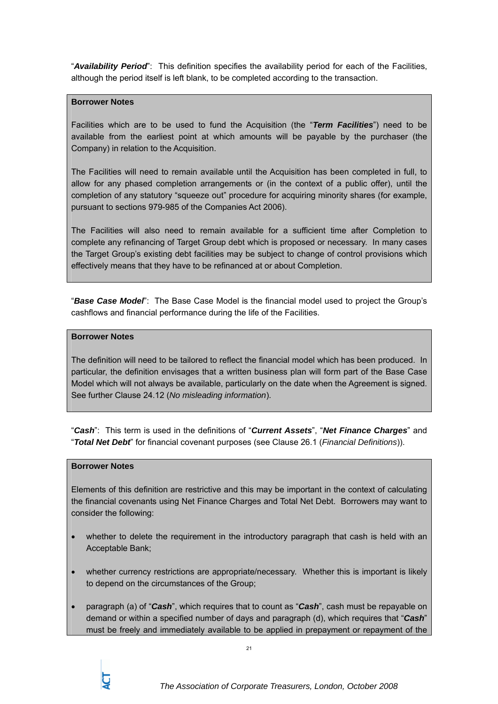"*Availability Period*": This definition specifies the availability period for each of the Facilities, although the period itself is left blank, to be completed according to the transaction.

#### **Borrower Notes**

Facilities which are to be used to fund the Acquisition (the "*Term Facilities*") need to be available from the earliest point at which amounts will be payable by the purchaser (the Company) in relation to the Acquisition.

The Facilities will need to remain available until the Acquisition has been completed in full, to allow for any phased completion arrangements or (in the context of a public offer), until the completion of any statutory "squeeze out" procedure for acquiring minority shares (for example, pursuant to sections 979-985 of the Companies Act 2006).

The Facilities will also need to remain available for a sufficient time after Completion to complete any refinancing of Target Group debt which is proposed or necessary. In many cases the Target Group's existing debt facilities may be subject to change of control provisions which effectively means that they have to be refinanced at or about Completion.

"*Base Case Model*": The Base Case Model is the financial model used to project the Group's cashflows and financial performance during the life of the Facilities.

## **Borrower Notes**

The definition will need to be tailored to reflect the financial model which has been produced. In particular, the definition envisages that a written business plan will form part of the Base Case Model which will not always be available, particularly on the date when the Agreement is signed. See further Clause 24.12 (*No misleading information*).

"*Cash*": This term is used in the definitions of "*Current Assets*", "*Net Finance Charges*" and "*Total Net Debt*" for financial covenant purposes (see Clause 26.1 (*Financial Definitions*)).

#### **Borrower Notes**

Elements of this definition are restrictive and this may be important in the context of calculating the financial covenants using Net Finance Charges and Total Net Debt. Borrowers may want to consider the following:

- whether to delete the requirement in the introductory paragraph that cash is held with an Acceptable Bank;
- whether currency restrictions are appropriate/necessary. Whether this is important is likely to depend on the circumstances of the Group;
- paragraph (a) of "*Cash*", which requires that to count as "*Cash*", cash must be repayable on demand or within a specified number of days and paragraph (d), which requires that "*Cash*" must be freely and immediately available to be applied in prepayment or repayment of the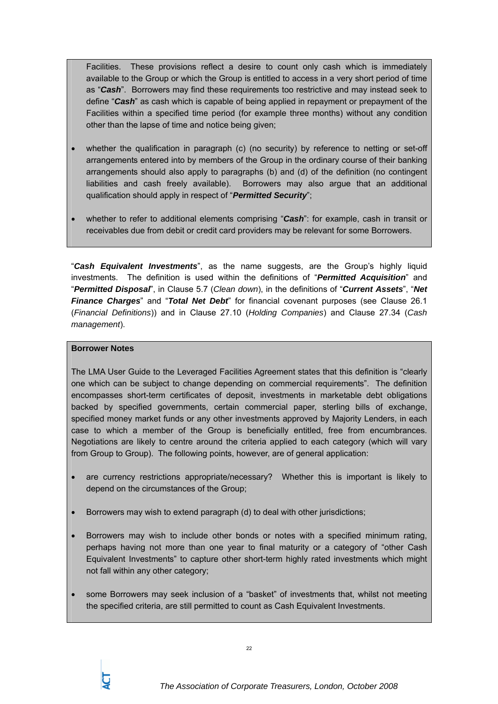Facilities. These provisions reflect a desire to count only cash which is immediately available to the Group or which the Group is entitled to access in a very short period of time as "*Cash*". Borrowers may find these requirements too restrictive and may instead seek to define "*Cash*" as cash which is capable of being applied in repayment or prepayment of the Facilities within a specified time period (for example three months) without any condition other than the lapse of time and notice being given;

- whether the qualification in paragraph (c) (no security) by reference to netting or set-off arrangements entered into by members of the Group in the ordinary course of their banking arrangements should also apply to paragraphs (b) and (d) of the definition (no contingent liabilities and cash freely available). Borrowers may also argue that an additional qualification should apply in respect of "*Permitted Security*";
- whether to refer to additional elements comprising "*Cash*": for example, cash in transit or receivables due from debit or credit card providers may be relevant for some Borrowers.

"*Cash Equivalent Investments*", as the name suggests, are the Group's highly liquid investments. The definition is used within the definitions of "*Permitted Acquisition*" and "*Permitted Disposal*", in Clause 5.7 (*Clean down*), in the definitions of "*Current Assets*", "*Net Finance Charges*" and "*Total Net Debt*" for financial covenant purposes (see Clause 26.1 (*Financial Definitions*)) and in Clause 27.10 (*Holding Companies*) and Clause 27.34 (*Cash management*).

#### **Borrower Notes**

The LMA User Guide to the Leveraged Facilities Agreement states that this definition is "clearly one which can be subject to change depending on commercial requirements". The definition encompasses short-term certificates of deposit, investments in marketable debt obligations backed by specified governments, certain commercial paper, sterling bills of exchange, specified money market funds or any other investments approved by Majority Lenders, in each case to which a member of the Group is beneficially entitled, free from encumbrances. Negotiations are likely to centre around the criteria applied to each category (which will vary from Group to Group). The following points, however, are of general application:

- are currency restrictions appropriate/necessary? Whether this is important is likely to depend on the circumstances of the Group;
- Borrowers may wish to extend paragraph (d) to deal with other jurisdictions;
- Borrowers may wish to include other bonds or notes with a specified minimum rating, perhaps having not more than one year to final maturity or a category of "other Cash Equivalent Investments" to capture other short-term highly rated investments which might not fall within any other category;
- some Borrowers may seek inclusion of a "basket" of investments that, whilst not meeting the specified criteria, are still permitted to count as Cash Equivalent Investments.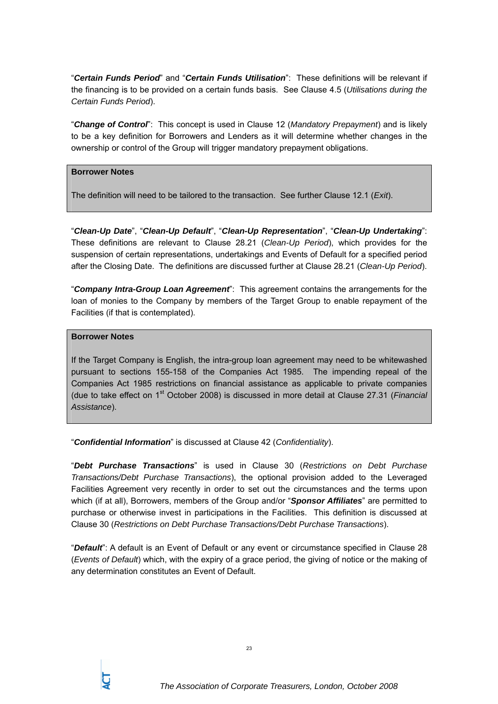"*Certain Funds Period*" and "*Certain Funds Utilisation*": These definitions will be relevant if the financing is to be provided on a certain funds basis. See Clause 4.5 (*Utilisations during the Certain Funds Period*).

"*Change of Control*": This concept is used in Clause 12 (*Mandatory Prepayment*) and is likely to be a key definition for Borrowers and Lenders as it will determine whether changes in the ownership or control of the Group will trigger mandatory prepayment obligations.

#### **Borrower Notes**

The definition will need to be tailored to the transaction. See further Clause 12.1 (*Exit*).

"*Clean-Up Date*", "*Clean-Up Default*", "*Clean-Up Representation*", "*Clean-Up Undertaking*": These definitions are relevant to Clause 28.21 (*Clean-Up Period*), which provides for the suspension of certain representations, undertakings and Events of Default for a specified period after the Closing Date. The definitions are discussed further at Clause 28.21 (*Clean-Up Period*).

"*Company Intra-Group Loan Agreement*": This agreement contains the arrangements for the loan of monies to the Company by members of the Target Group to enable repayment of the Facilities (if that is contemplated).

#### **Borrower Notes**

If the Target Company is English, the intra-group loan agreement may need to be whitewashed pursuant to sections 155-158 of the Companies Act 1985. The impending repeal of the Companies Act 1985 restrictions on financial assistance as applicable to private companies (due to take effect on 1st October 2008) is discussed in more detail at Clause 27.31 (*Financial Assistance*).

"*Confidential Information*" is discussed at Clause 42 (*Confidentiality*).

"*Debt Purchase Transactions*" is used in Clause 30 (*Restrictions on Debt Purchase Transactions/Debt Purchase Transactions*), the optional provision added to the Leveraged Facilities Agreement very recently in order to set out the circumstances and the terms upon which (if at all), Borrowers, members of the Group and/or "*Sponsor Affiliates*" are permitted to purchase or otherwise invest in participations in the Facilities. This definition is discussed at Clause 30 (*Restrictions on Debt Purchase Transactions/Debt Purchase Transactions*).

"*Default*": A default is an Event of Default or any event or circumstance specified in Clause 28 (*Events of Default*) which, with the expiry of a grace period, the giving of notice or the making of any determination constitutes an Event of Default.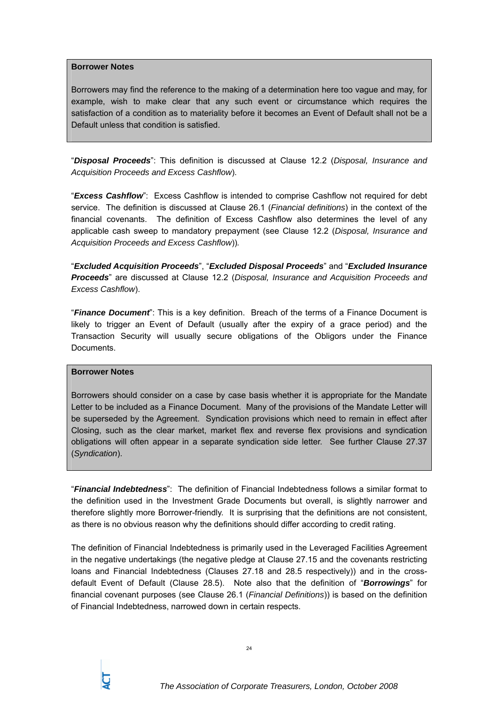#### **Borrower Notes**

Borrowers may find the reference to the making of a determination here too vague and may, for example, wish to make clear that any such event or circumstance which requires the satisfaction of a condition as to materiality before it becomes an Event of Default shall not be a Default unless that condition is satisfied.

"*Disposal Proceeds*": This definition is discussed at Clause 12.2 (*Disposal, Insurance and Acquisition Proceeds and Excess Cashflow*).

"*Excess Cashflow*": Excess Cashflow is intended to comprise Cashflow not required for debt service. The definition is discussed at Clause 26.1 (*Financial definitions*) in the context of the financial covenants. The definition of Excess Cashflow also determines the level of any applicable cash sweep to mandatory prepayment (see Clause 12.2 (*Disposal, Insurance and Acquisition Proceeds and Excess Cashflow*))*.*

"*Excluded Acquisition Proceeds*", "*Excluded Disposal Proceeds*" and "*Excluded Insurance Proceeds*" are discussed at Clause 12.2 (*Disposal, Insurance and Acquisition Proceeds and Excess Cashflow*).

"*Finance Document*": This is a key definition. Breach of the terms of a Finance Document is likely to trigger an Event of Default (usually after the expiry of a grace period) and the Transaction Security will usually secure obligations of the Obligors under the Finance Documents.

#### **Borrower Notes**

Borrowers should consider on a case by case basis whether it is appropriate for the Mandate Letter to be included as a Finance Document. Many of the provisions of the Mandate Letter will be superseded by the Agreement. Syndication provisions which need to remain in effect after Closing, such as the clear market, market flex and reverse flex provisions and syndication obligations will often appear in a separate syndication side letter. See further Clause 27.37 (*Syndication*).

"*Financial Indebtedness*": The definition of Financial Indebtedness follows a similar format to the definition used in the Investment Grade Documents but overall, is slightly narrower and therefore slightly more Borrower-friendly. It is surprising that the definitions are not consistent, as there is no obvious reason why the definitions should differ according to credit rating.

The definition of Financial Indebtedness is primarily used in the Leveraged Facilities Agreement in the negative undertakings (the negative pledge at Clause 27.15 and the covenants restricting loans and Financial Indebtedness (Clauses 27.18 and 28.5 respectively)) and in the crossdefault Event of Default (Clause 28.5). Note also that the definition of "*Borrowings*" for financial covenant purposes (see Clause 26.1 (*Financial Definitions*)) is based on the definition of Financial Indebtedness, narrowed down in certain respects.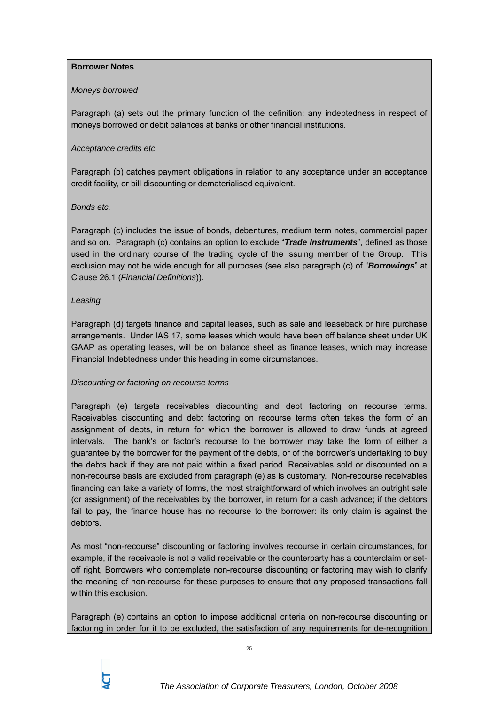#### **Borrower Notes**

## *Moneys borrowed*

Paragraph (a) sets out the primary function of the definition: any indebtedness in respect of moneys borrowed or debit balances at banks or other financial institutions.

## *Acceptance credits etc.*

Paragraph (b) catches payment obligations in relation to any acceptance under an acceptance credit facility, or bill discounting or dematerialised equivalent.

## *Bonds etc.*

Paragraph (c) includes the issue of bonds, debentures, medium term notes, commercial paper and so on. Paragraph (c) contains an option to exclude "*Trade Instruments*", defined as those used in the ordinary course of the trading cycle of the issuing member of the Group. This exclusion may not be wide enough for all purposes (see also paragraph (c) of "*Borrowings*" at Clause 26.1 (*Financial Definitions*)).

## *Leasing*

Paragraph (d) targets finance and capital leases, such as sale and leaseback or hire purchase arrangements. Under IAS 17, some leases which would have been off balance sheet under UK GAAP as operating leases, will be on balance sheet as finance leases, which may increase Financial Indebtedness under this heading in some circumstances.

## *Discounting or factoring on recourse terms*

Paragraph (e) targets receivables discounting and debt factoring on recourse terms. Receivables discounting and debt factoring on recourse terms often takes the form of an assignment of debts, in return for which the borrower is allowed to draw funds at agreed intervals. The bank's or factor's recourse to the borrower may take the form of either a guarantee by the borrower for the payment of the debts, or of the borrower's undertaking to buy the debts back if they are not paid within a fixed period. Receivables sold or discounted on a non-recourse basis are excluded from paragraph (e) as is customary. Non-recourse receivables financing can take a variety of forms, the most straightforward of which involves an outright sale (or assignment) of the receivables by the borrower, in return for a cash advance; if the debtors fail to pay, the finance house has no recourse to the borrower: its only claim is against the debtors.

As most "non-recourse" discounting or factoring involves recourse in certain circumstances, for example, if the receivable is not a valid receivable or the counterparty has a counterclaim or setoff right, Borrowers who contemplate non-recourse discounting or factoring may wish to clarify the meaning of non-recourse for these purposes to ensure that any proposed transactions fall within this exclusion.

Paragraph (e) contains an option to impose additional criteria on non-recourse discounting or factoring in order for it to be excluded, the satisfaction of any requirements for de-recognition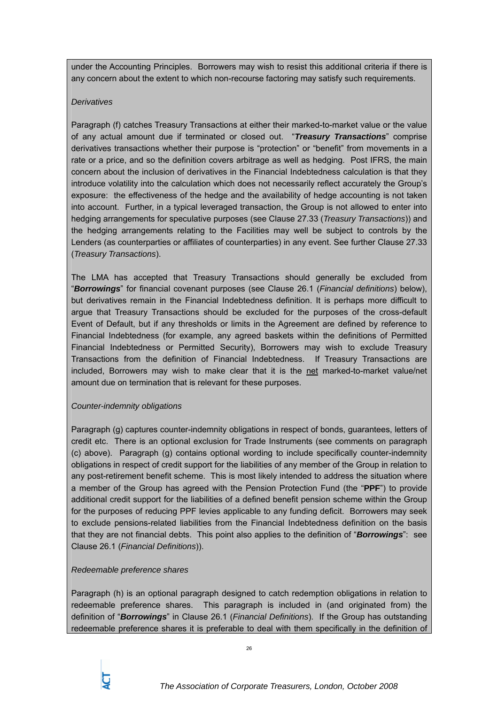under the Accounting Principles. Borrowers may wish to resist this additional criteria if there is any concern about the extent to which non-recourse factoring may satisfy such requirements.

#### *Derivatives*

Paragraph (f) catches Treasury Transactions at either their marked-to-market value or the value of any actual amount due if terminated or closed out. "*Treasury Transactions*" comprise derivatives transactions whether their purpose is "protection" or "benefit" from movements in a rate or a price, and so the definition covers arbitrage as well as hedging. Post IFRS, the main concern about the inclusion of derivatives in the Financial Indebtedness calculation is that they introduce volatility into the calculation which does not necessarily reflect accurately the Group's exposure: the effectiveness of the hedge and the availability of hedge accounting is not taken into account. Further, in a typical leveraged transaction, the Group is not allowed to enter into hedging arrangements for speculative purposes (see Clause 27.33 (*Treasury Transactions*)) and the hedging arrangements relating to the Facilities may well be subject to controls by the Lenders (as counterparties or affiliates of counterparties) in any event. See further Clause 27.33 (*Treasury Transactions*).

The LMA has accepted that Treasury Transactions should generally be excluded from "*Borrowings*" for financial covenant purposes (see Clause 26.1 (*Financial definitions*) below), but derivatives remain in the Financial Indebtedness definition. It is perhaps more difficult to argue that Treasury Transactions should be excluded for the purposes of the cross-default Event of Default, but if any thresholds or limits in the Agreement are defined by reference to Financial Indebtedness (for example, any agreed baskets within the definitions of Permitted Financial Indebtedness or Permitted Security), Borrowers may wish to exclude Treasury Transactions from the definition of Financial Indebtedness. If Treasury Transactions are included, Borrowers may wish to make clear that it is the net marked-to-market value/net amount due on termination that is relevant for these purposes.

#### *Counter-indemnity obligations*

Paragraph (g) captures counter-indemnity obligations in respect of bonds, guarantees, letters of credit etc. There is an optional exclusion for Trade Instruments (see comments on paragraph (c) above). Paragraph (g) contains optional wording to include specifically counter-indemnity obligations in respect of credit support for the liabilities of any member of the Group in relation to any post-retirement benefit scheme. This is most likely intended to address the situation where a member of the Group has agreed with the Pension Protection Fund (the "**PPF**") to provide additional credit support for the liabilities of a defined benefit pension scheme within the Group for the purposes of reducing PPF levies applicable to any funding deficit. Borrowers may seek to exclude pensions-related liabilities from the Financial Indebtedness definition on the basis that they are not financial debts. This point also applies to the definition of "*Borrowings*": see Clause 26.1 (*Financial Definitions*)).

#### *Redeemable preference shares*

Paragraph (h) is an optional paragraph designed to catch redemption obligations in relation to redeemable preference shares. This paragraph is included in (and originated from) the definition of "*Borrowings*" in Clause 26.1 (*Financial Definitions*). If the Group has outstanding redeemable preference shares it is preferable to deal with them specifically in the definition of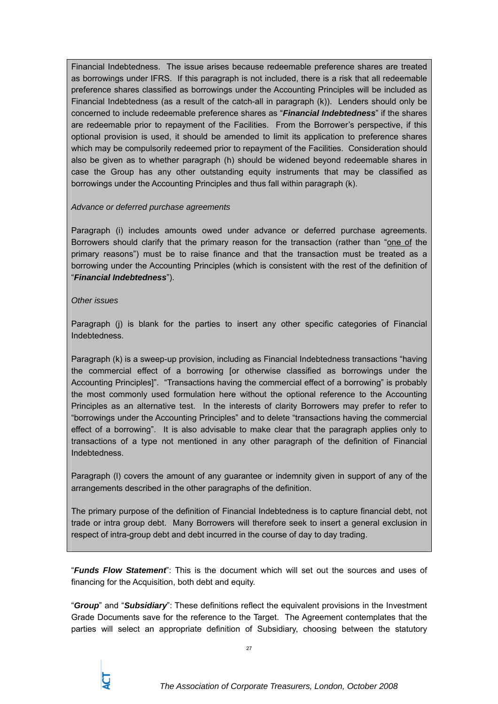Financial Indebtedness. The issue arises because redeemable preference shares are treated as borrowings under IFRS. If this paragraph is not included, there is a risk that all redeemable preference shares classified as borrowings under the Accounting Principles will be included as Financial Indebtedness (as a result of the catch-all in paragraph (k)). Lenders should only be concerned to include redeemable preference shares as "*Financial Indebtedness*" if the shares are redeemable prior to repayment of the Facilities. From the Borrower's perspective, if this optional provision is used, it should be amended to limit its application to preference shares which may be compulsorily redeemed prior to repayment of the Facilities. Consideration should also be given as to whether paragraph (h) should be widened beyond redeemable shares in case the Group has any other outstanding equity instruments that may be classified as borrowings under the Accounting Principles and thus fall within paragraph (k).

#### *Advance or deferred purchase agreements*

Paragraph (i) includes amounts owed under advance or deferred purchase agreements. Borrowers should clarify that the primary reason for the transaction (rather than "one of the primary reasons") must be to raise finance and that the transaction must be treated as a borrowing under the Accounting Principles (which is consistent with the rest of the definition of "*Financial Indebtedness*").

#### *Other issues*

Paragraph (j) is blank for the parties to insert any other specific categories of Financial Indebtedness.

Paragraph (k) is a sweep-up provision, including as Financial Indebtedness transactions "having the commercial effect of a borrowing [or otherwise classified as borrowings under the Accounting Principles]". "Transactions having the commercial effect of a borrowing" is probably the most commonly used formulation here without the optional reference to the Accounting Principles as an alternative test. In the interests of clarity Borrowers may prefer to refer to "borrowings under the Accounting Principles" and to delete "transactions having the commercial effect of a borrowing". It is also advisable to make clear that the paragraph applies only to transactions of a type not mentioned in any other paragraph of the definition of Financial Indebtedness.

Paragraph (l) covers the amount of any guarantee or indemnity given in support of any of the arrangements described in the other paragraphs of the definition.

The primary purpose of the definition of Financial Indebtedness is to capture financial debt, not trade or intra group debt. Many Borrowers will therefore seek to insert a general exclusion in respect of intra-group debt and debt incurred in the course of day to day trading.

"*Funds Flow Statement*": This is the document which will set out the sources and uses of financing for the Acquisition, both debt and equity.

"*Group*" and "*Subsidiary*": These definitions reflect the equivalent provisions in the Investment Grade Documents save for the reference to the Target. The Agreement contemplates that the parties will select an appropriate definition of Subsidiary, choosing between the statutory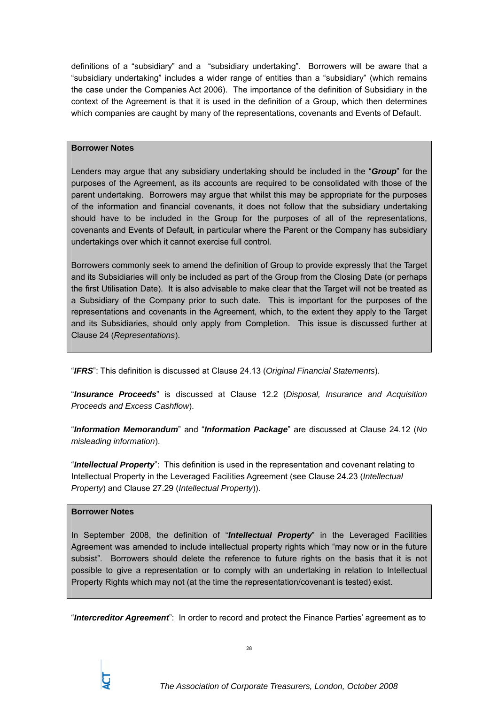definitions of a "subsidiary" and a "subsidiary undertaking". Borrowers will be aware that a "subsidiary undertaking" includes a wider range of entities than a "subsidiary" (which remains the case under the Companies Act 2006). The importance of the definition of Subsidiary in the context of the Agreement is that it is used in the definition of a Group, which then determines which companies are caught by many of the representations, covenants and Events of Default.

#### **Borrower Notes**

Lenders may argue that any subsidiary undertaking should be included in the "*Group*" for the purposes of the Agreement, as its accounts are required to be consolidated with those of the parent undertaking. Borrowers may argue that whilst this may be appropriate for the purposes of the information and financial covenants, it does not follow that the subsidiary undertaking should have to be included in the Group for the purposes of all of the representations, covenants and Events of Default, in particular where the Parent or the Company has subsidiary undertakings over which it cannot exercise full control.

Borrowers commonly seek to amend the definition of Group to provide expressly that the Target and its Subsidiaries will only be included as part of the Group from the Closing Date (or perhaps the first Utilisation Date). It is also advisable to make clear that the Target will not be treated as a Subsidiary of the Company prior to such date. This is important for the purposes of the representations and covenants in the Agreement, which, to the extent they apply to the Target and its Subsidiaries, should only apply from Completion. This issue is discussed further at Clause 24 (*Representations*).

"*IFRS*": This definition is discussed at Clause 24.13 (*Original Financial Statements*).

"*Insurance Proceeds*" is discussed at Clause 12.2 (*Disposal, Insurance and Acquisition Proceeds and Excess Cashflow*).

"*Information Memorandum*" and "*Information Package*" are discussed at Clause 24.12 (*No misleading information*).

"*Intellectual Property*": This definition is used in the representation and covenant relating to Intellectual Property in the Leveraged Facilities Agreement (see Clause 24.23 (*Intellectual Property*) and Clause 27.29 (*Intellectual Property*)).

#### **Borrower Notes**

In September 2008, the definition of "*Intellectual Property*" in the Leveraged Facilities Agreement was amended to include intellectual property rights which "may now or in the future subsist". Borrowers should delete the reference to future rights on the basis that it is not possible to give a representation or to comply with an undertaking in relation to Intellectual Property Rights which may not (at the time the representation/covenant is tested) exist.

"*Intercreditor Agreement*": In order to record and protect the Finance Parties' agreement as to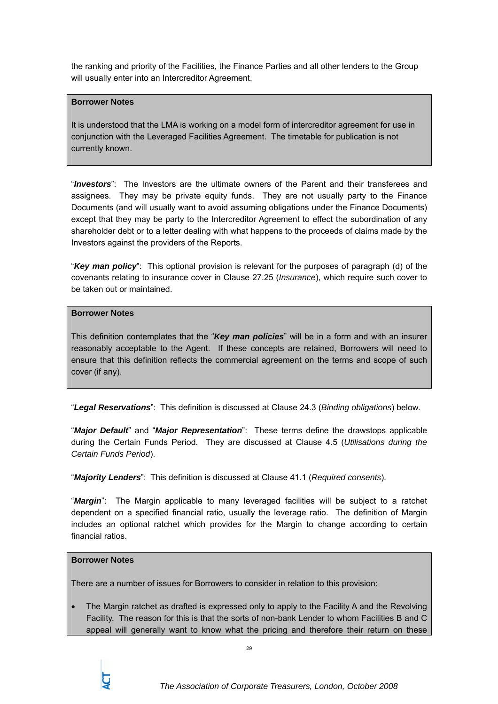the ranking and priority of the Facilities, the Finance Parties and all other lenders to the Group will usually enter into an Intercreditor Agreement.

#### **Borrower Notes**

It is understood that the LMA is working on a model form of intercreditor agreement for use in conjunction with the Leveraged Facilities Agreement. The timetable for publication is not currently known.

"*Investors*": The Investors are the ultimate owners of the Parent and their transferees and assignees. They may be private equity funds. They are not usually party to the Finance Documents (and will usually want to avoid assuming obligations under the Finance Documents) except that they may be party to the Intercreditor Agreement to effect the subordination of any shareholder debt or to a letter dealing with what happens to the proceeds of claims made by the Investors against the providers of the Reports.

"*Key man policy*": This optional provision is relevant for the purposes of paragraph (d) of the covenants relating to insurance cover in Clause 27.25 (*Insurance*), which require such cover to be taken out or maintained.

#### **Borrower Notes**

This definition contemplates that the "*Key man policies*" will be in a form and with an insurer reasonably acceptable to the Agent. If these concepts are retained, Borrowers will need to ensure that this definition reflects the commercial agreement on the terms and scope of such cover (if any).

"*Legal Reservations*": This definition is discussed at Clause 24.3 (*Binding obligations*) below.

"*Major Default*" and "*Major Representation*": These terms define the drawstops applicable during the Certain Funds Period. They are discussed at Clause 4.5 (*Utilisations during the Certain Funds Period*).

"*Majority Lenders*": This definition is discussed at Clause 41.1 (*Required consents*).

"*Margin*": The Margin applicable to many leveraged facilities will be subject to a ratchet dependent on a specified financial ratio, usually the leverage ratio. The definition of Margin includes an optional ratchet which provides for the Margin to change according to certain financial ratios.

## **Borrower Notes**

There are a number of issues for Borrowers to consider in relation to this provision:

The Margin ratchet as drafted is expressed only to apply to the Facility A and the Revolving Facility. The reason for this is that the sorts of non-bank Lender to whom Facilities B and C appeal will generally want to know what the pricing and therefore their return on these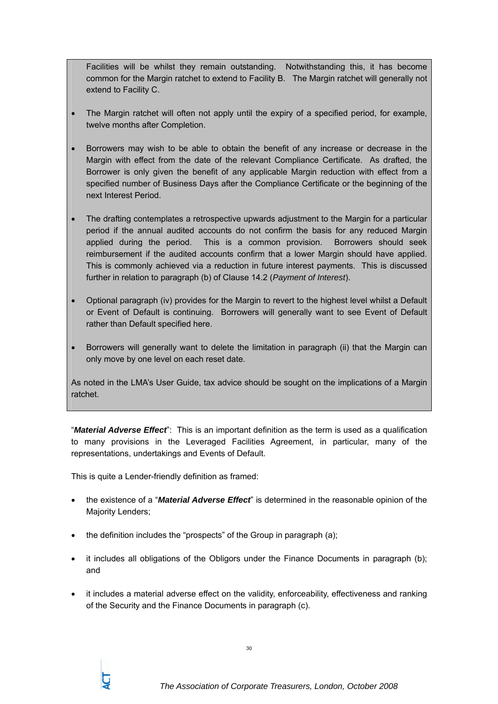Facilities will be whilst they remain outstanding. Notwithstanding this, it has become common for the Margin ratchet to extend to Facility B. The Margin ratchet will generally not extend to Facility C.

- The Margin ratchet will often not apply until the expiry of a specified period, for example, twelve months after Completion.
- Borrowers may wish to be able to obtain the benefit of any increase or decrease in the Margin with effect from the date of the relevant Compliance Certificate. As drafted, the Borrower is only given the benefit of any applicable Margin reduction with effect from a specified number of Business Days after the Compliance Certificate or the beginning of the next Interest Period.
- The drafting contemplates a retrospective upwards adjustment to the Margin for a particular period if the annual audited accounts do not confirm the basis for any reduced Margin applied during the period. This is a common provision. Borrowers should seek reimbursement if the audited accounts confirm that a lower Margin should have applied. This is commonly achieved via a reduction in future interest payments. This is discussed further in relation to paragraph (b) of Clause 14.2 (*Payment of Interest*).
- Optional paragraph (iv) provides for the Margin to revert to the highest level whilst a Default or Event of Default is continuing. Borrowers will generally want to see Event of Default rather than Default specified here.
- Borrowers will generally want to delete the limitation in paragraph (ii) that the Margin can only move by one level on each reset date.

As noted in the LMA's User Guide, tax advice should be sought on the implications of a Margin ratchet.

"*Material Adverse Effect*": This is an important definition as the term is used as a qualification to many provisions in the Leveraged Facilities Agreement, in particular, many of the representations, undertakings and Events of Default.

This is quite a Lender-friendly definition as framed:

- the existence of a "*Material Adverse Effect*" is determined in the reasonable opinion of the Majority Lenders;
- the definition includes the "prospects" of the Group in paragraph (a);
- it includes all obligations of the Obligors under the Finance Documents in paragraph (b); and
- it includes a material adverse effect on the validity, enforceability, effectiveness and ranking of the Security and the Finance Documents in paragraph (c).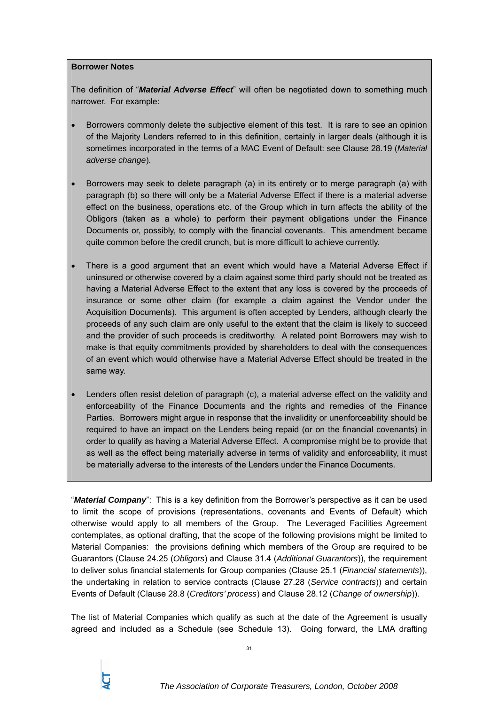#### **Borrower Notes**

The definition of "*Material Adverse Effect*" will often be negotiated down to something much narrower. For example:

- Borrowers commonly delete the subjective element of this test. It is rare to see an opinion of the Majority Lenders referred to in this definition, certainly in larger deals (although it is sometimes incorporated in the terms of a MAC Event of Default: see Clause 28.19 (*Material adverse change*).
- Borrowers may seek to delete paragraph (a) in its entirety or to merge paragraph (a) with paragraph (b) so there will only be a Material Adverse Effect if there is a material adverse effect on the business, operations etc. of the Group which in turn affects the ability of the Obligors (taken as a whole) to perform their payment obligations under the Finance Documents or, possibly, to comply with the financial covenants. This amendment became quite common before the credit crunch, but is more difficult to achieve currently.
- There is a good argument that an event which would have a Material Adverse Effect if uninsured or otherwise covered by a claim against some third party should not be treated as having a Material Adverse Effect to the extent that any loss is covered by the proceeds of insurance or some other claim (for example a claim against the Vendor under the Acquisition Documents). This argument is often accepted by Lenders, although clearly the proceeds of any such claim are only useful to the extent that the claim is likely to succeed and the provider of such proceeds is creditworthy. A related point Borrowers may wish to make is that equity commitments provided by shareholders to deal with the consequences of an event which would otherwise have a Material Adverse Effect should be treated in the same way.
- Lenders often resist deletion of paragraph (c), a material adverse effect on the validity and enforceability of the Finance Documents and the rights and remedies of the Finance Parties. Borrowers might argue in response that the invalidity or unenforceability should be required to have an impact on the Lenders being repaid (or on the financial covenants) in order to qualify as having a Material Adverse Effect. A compromise might be to provide that as well as the effect being materially adverse in terms of validity and enforceability, it must be materially adverse to the interests of the Lenders under the Finance Documents.

"*Material Company*": This is a key definition from the Borrower's perspective as it can be used to limit the scope of provisions (representations, covenants and Events of Default) which otherwise would apply to all members of the Group. The Leveraged Facilities Agreement contemplates, as optional drafting, that the scope of the following provisions might be limited to Material Companies: the provisions defining which members of the Group are required to be Guarantors (Clause 24.25 (*Obligors*) and Clause 31.4 (*Additional Guarantors*)), the requirement to deliver solus financial statements for Group companies (Clause 25.1 (*Financial statements*)), the undertaking in relation to service contracts (Clause 27.28 (*Service contracts*)) and certain Events of Default (Clause 28.8 (*Creditors' process*) and Clause 28.12 (*Change of ownership*)).

The list of Material Companies which qualify as such at the date of the Agreement is usually agreed and included as a Schedule (see Schedule 13). Going forward, the LMA drafting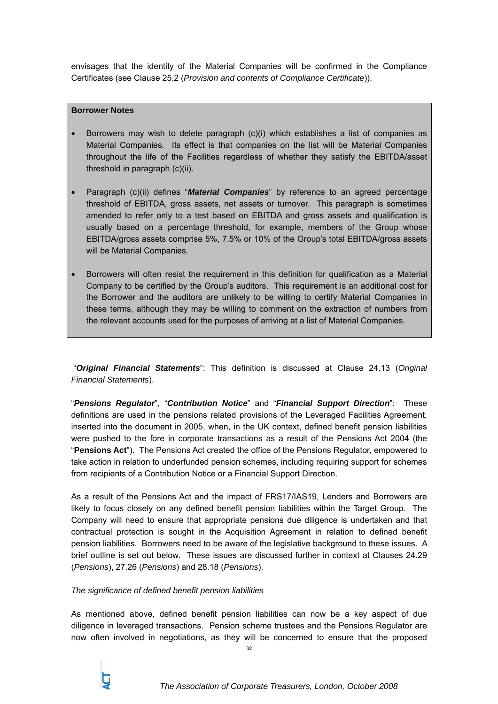envisages that the identity of the Material Companies will be confirmed in the Compliance Certificates (see Clause 25.2 (*Provision and contents of Compliance Certificate*)).

#### **Borrower Notes**

- Borrowers may wish to delete paragraph (c)(i) which establishes a list of companies as Material Companies. Its effect is that companies on the list will be Material Companies throughout the life of the Facilities regardless of whether they satisfy the EBITDA/asset threshold in paragraph (c)(ii).
- Paragraph (c)(ii) defines "*Material Companies*" by reference to an agreed percentage threshold of EBITDA, gross assets, net assets or turnover. This paragraph is sometimes amended to refer only to a test based on EBITDA and gross assets and qualification is usually based on a percentage threshold, for example, members of the Group whose EBITDA/gross assets comprise 5%, 7.5% or 10% of the Group's total EBITDA/gross assets will be Material Companies.
- Borrowers will often resist the requirement in this definition for qualification as a Material Company to be certified by the Group's auditors. This requirement is an additional cost for the Borrower and the auditors are unlikely to be willing to certify Material Companies in these terms, although they may be willing to comment on the extraction of numbers from the relevant accounts used for the purposes of arriving at a list of Material Companies.

 "*Original Financial Statements*": This definition is discussed at Clause 24.13 (*Original Financial Statements*).

"*Pensions Regulator*", "*Contribution Notice*" and "*Financial Support Direction*": These definitions are used in the pensions related provisions of the Leveraged Facilities Agreement, inserted into the document in 2005, when, in the UK context, defined benefit pension liabilities were pushed to the fore in corporate transactions as a result of the Pensions Act 2004 (the "**Pensions Act**"). The Pensions Act created the office of the Pensions Regulator, empowered to take action in relation to underfunded pension schemes, including requiring support for schemes from recipients of a Contribution Notice or a Financial Support Direction.

As a result of the Pensions Act and the impact of FRS17/IAS19, Lenders and Borrowers are likely to focus closely on any defined benefit pension liabilities within the Target Group. The Company will need to ensure that appropriate pensions due diligence is undertaken and that contractual protection is sought in the Acquisition Agreement in relation to defined benefit pension liabilities. Borrowers need to be aware of the legislative background to these issues. A brief outline is set out below. These issues are discussed further in context at Clauses 24.29 (*Pensions*), 27.26 (*Pensions*) and 28.18 (*Pensions*).

#### *The significance of defined benefit pension liabilities*

As mentioned above, defined benefit pension liabilities can now be a key aspect of due diligence in leveraged transactions. Pension scheme trustees and the Pensions Regulator are now often involved in negotiations, as they will be concerned to ensure that the proposed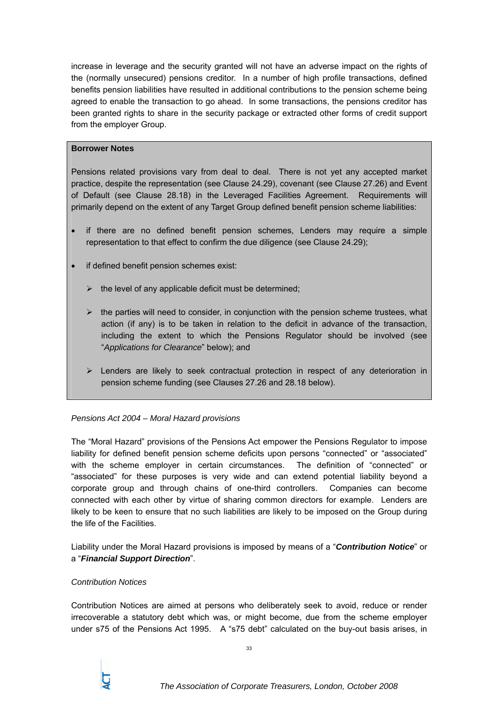increase in leverage and the security granted will not have an adverse impact on the rights of the (normally unsecured) pensions creditor. In a number of high profile transactions, defined benefits pension liabilities have resulted in additional contributions to the pension scheme being agreed to enable the transaction to go ahead. In some transactions, the pensions creditor has been granted rights to share in the security package or extracted other forms of credit support from the employer Group.

#### **Borrower Notes**

Pensions related provisions vary from deal to deal. There is not yet any accepted market practice, despite the representation (see Clause 24.29), covenant (see Clause 27.26) and Event of Default (see Clause 28.18) in the Leveraged Facilities Agreement. Requirements will primarily depend on the extent of any Target Group defined benefit pension scheme liabilities:

- if there are no defined benefit pension schemes, Lenders may require a simple representation to that effect to confirm the due diligence (see Clause 24.29);
- if defined benefit pension schemes exist:
	- $\triangleright$  the level of any applicable deficit must be determined;
	- $\triangleright$  the parties will need to consider, in conjunction with the pension scheme trustees, what action (if any) is to be taken in relation to the deficit in advance of the transaction, including the extent to which the Pensions Regulator should be involved (see "*Applications for Clearance*" below); and
	- $\triangleright$  Lenders are likely to seek contractual protection in respect of any deterioration in pension scheme funding (see Clauses 27.26 and 28.18 below).

#### *Pensions Act 2004 – Moral Hazard provisions*

The "Moral Hazard" provisions of the Pensions Act empower the Pensions Regulator to impose liability for defined benefit pension scheme deficits upon persons "connected" or "associated" with the scheme employer in certain circumstances. The definition of "connected" or "associated" for these purposes is very wide and can extend potential liability beyond a corporate group and through chains of one-third controllers. Companies can become connected with each other by virtue of sharing common directors for example. Lenders are likely to be keen to ensure that no such liabilities are likely to be imposed on the Group during the life of the Facilities.

Liability under the Moral Hazard provisions is imposed by means of a "*Contribution Notice*" or a "*Financial Support Direction*".

#### *Contribution Notices*

Contribution Notices are aimed at persons who deliberately seek to avoid, reduce or render irrecoverable a statutory debt which was, or might become, due from the scheme employer under s75 of the Pensions Act 1995. A "s75 debt" calculated on the buy-out basis arises, in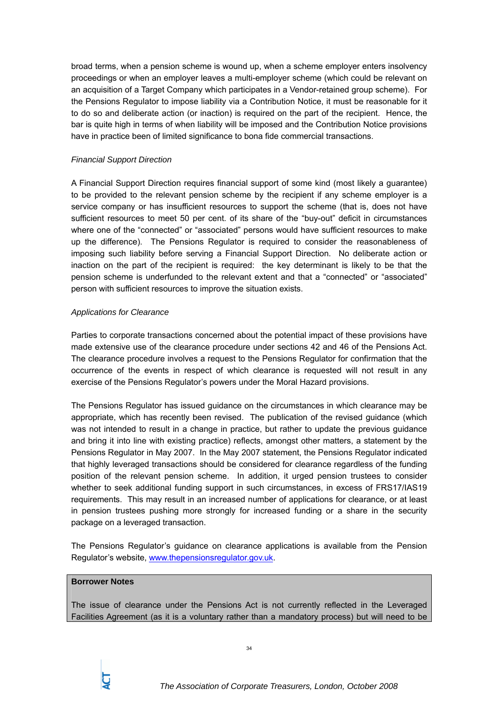broad terms, when a pension scheme is wound up, when a scheme employer enters insolvency proceedings or when an employer leaves a multi-employer scheme (which could be relevant on an acquisition of a Target Company which participates in a Vendor-retained group scheme). For the Pensions Regulator to impose liability via a Contribution Notice, it must be reasonable for it to do so and deliberate action (or inaction) is required on the part of the recipient. Hence, the bar is quite high in terms of when liability will be imposed and the Contribution Notice provisions have in practice been of limited significance to bona fide commercial transactions.

#### *Financial Support Direction*

A Financial Support Direction requires financial support of some kind (most likely a guarantee) to be provided to the relevant pension scheme by the recipient if any scheme employer is a service company or has insufficient resources to support the scheme (that is, does not have sufficient resources to meet 50 per cent. of its share of the "buy-out" deficit in circumstances where one of the "connected" or "associated" persons would have sufficient resources to make up the difference). The Pensions Regulator is required to consider the reasonableness of imposing such liability before serving a Financial Support Direction. No deliberate action or inaction on the part of the recipient is required: the key determinant is likely to be that the pension scheme is underfunded to the relevant extent and that a "connected" or "associated" person with sufficient resources to improve the situation exists.

#### *Applications for Clearance*

Parties to corporate transactions concerned about the potential impact of these provisions have made extensive use of the clearance procedure under sections 42 and 46 of the Pensions Act. The clearance procedure involves a request to the Pensions Regulator for confirmation that the occurrence of the events in respect of which clearance is requested will not result in any exercise of the Pensions Regulator's powers under the Moral Hazard provisions.

The Pensions Regulator has issued guidance on the circumstances in which clearance may be appropriate, which has recently been revised. The publication of the revised guidance (which was not intended to result in a change in practice, but rather to update the previous guidance and bring it into line with existing practice) reflects, amongst other matters, a statement by the Pensions Regulator in May 2007. In the May 2007 statement, the Pensions Regulator indicated that highly leveraged transactions should be considered for clearance regardless of the funding position of the relevant pension scheme. In addition, it urged pension trustees to consider whether to seek additional funding support in such circumstances, in excess of FRS17/IAS19 requirements. This may result in an increased number of applications for clearance, or at least in pension trustees pushing more strongly for increased funding or a share in the security package on a leveraged transaction.

The Pensions Regulator's guidance on clearance applications is available from the Pension Regulator's website, www.thepensionsregulator.gov.uk.

#### **Borrower Notes**

The issue of clearance under the Pensions Act is not currently reflected in the Leveraged Facilities Agreement (as it is a voluntary rather than a mandatory process) but will need to be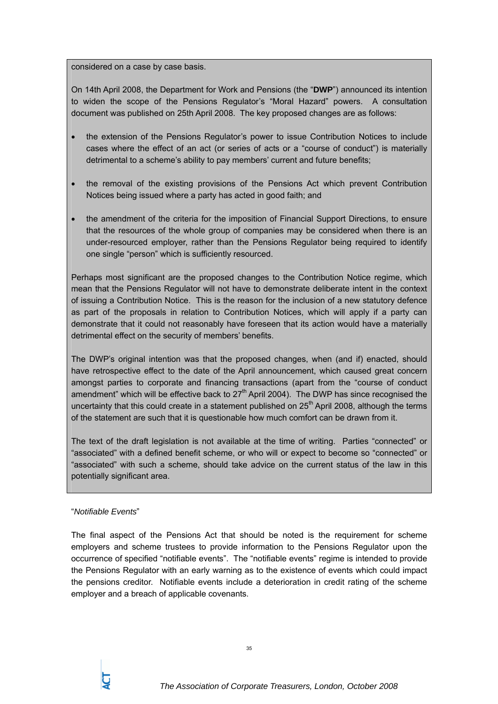considered on a case by case basis.

On 14th April 2008, the Department for Work and Pensions (the "**DWP**") announced its intention to widen the scope of the Pensions Regulator's "Moral Hazard" powers. A consultation document was published on 25th April 2008. The key proposed changes are as follows:

- the extension of the Pensions Regulator's power to issue Contribution Notices to include cases where the effect of an act (or series of acts or a "course of conduct") is materially detrimental to a scheme's ability to pay members' current and future benefits;
- the removal of the existing provisions of the Pensions Act which prevent Contribution Notices being issued where a party has acted in good faith; and
- the amendment of the criteria for the imposition of Financial Support Directions, to ensure that the resources of the whole group of companies may be considered when there is an under-resourced employer, rather than the Pensions Regulator being required to identify one single "person" which is sufficiently resourced.

Perhaps most significant are the proposed changes to the Contribution Notice regime, which mean that the Pensions Regulator will not have to demonstrate deliberate intent in the context of issuing a Contribution Notice. This is the reason for the inclusion of a new statutory defence as part of the proposals in relation to Contribution Notices, which will apply if a party can demonstrate that it could not reasonably have foreseen that its action would have a materially detrimental effect on the security of members' benefits.

The DWP's original intention was that the proposed changes, when (and if) enacted, should have retrospective effect to the date of the April announcement, which caused great concern amongst parties to corporate and financing transactions (apart from the "course of conduct amendment" which will be effective back to  $27<sup>th</sup>$  April 2004). The DWP has since recognised the uncertainty that this could create in a statement published on  $25<sup>th</sup>$  April 2008, although the terms of the statement are such that it is questionable how much comfort can be drawn from it.

The text of the draft legislation is not available at the time of writing. Parties "connected" or "associated" with a defined benefit scheme, or who will or expect to become so "connected" or "associated" with such a scheme, should take advice on the current status of the law in this potentially significant area.

#### "*Notifiable Events*"

The final aspect of the Pensions Act that should be noted is the requirement for scheme employers and scheme trustees to provide information to the Pensions Regulator upon the occurrence of specified "notifiable events". The "notifiable events" regime is intended to provide the Pensions Regulator with an early warning as to the existence of events which could impact the pensions creditor. Notifiable events include a deterioration in credit rating of the scheme employer and a breach of applicable covenants.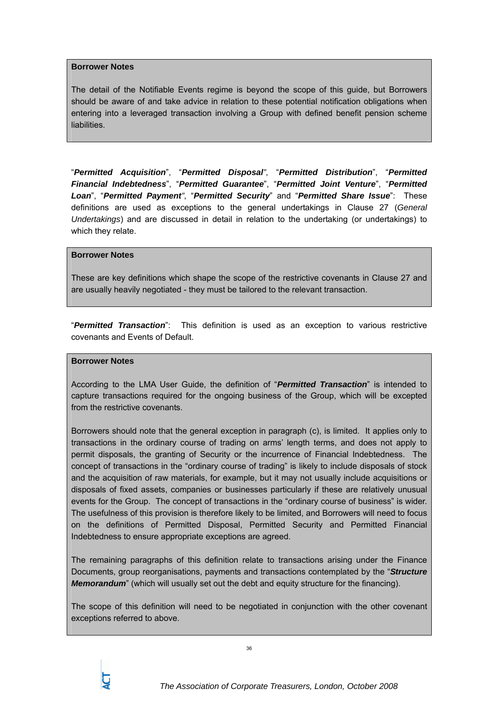#### **Borrower Notes**

The detail of the Notifiable Events regime is beyond the scope of this guide, but Borrowers should be aware of and take advice in relation to these potential notification obligations when entering into a leveraged transaction involving a Group with defined benefit pension scheme liabilities.

"*Permitted Acquisition*", "*Permitted Disposal"*, "*Permitted Distribution*", "*Permitted Financial Indebtedness*", "*Permitted Guarantee*", "*Permitted Joint Venture*", "*Permitted Loan*", "*Permitted Payment"*, "*Permitted Security*" and "*Permitted Share Issue*": These definitions are used as exceptions to the general undertakings in Clause 27 (*General Undertakings*) and are discussed in detail in relation to the undertaking (or undertakings) to which they relate.

#### **Borrower Notes**

These are key definitions which shape the scope of the restrictive covenants in Clause 27 and are usually heavily negotiated - they must be tailored to the relevant transaction.

"*Permitted Transaction*": This definition is used as an exception to various restrictive covenants and Events of Default.

#### **Borrower Notes**

According to the LMA User Guide, the definition of "*Permitted Transaction*" is intended to capture transactions required for the ongoing business of the Group, which will be excepted from the restrictive covenants.

Borrowers should note that the general exception in paragraph (c), is limited. It applies only to transactions in the ordinary course of trading on arms' length terms, and does not apply to permit disposals, the granting of Security or the incurrence of Financial Indebtedness. The concept of transactions in the "ordinary course of trading" is likely to include disposals of stock and the acquisition of raw materials, for example, but it may not usually include acquisitions or disposals of fixed assets, companies or businesses particularly if these are relatively unusual events for the Group. The concept of transactions in the "ordinary course of business" is wider. The usefulness of this provision is therefore likely to be limited, and Borrowers will need to focus on the definitions of Permitted Disposal, Permitted Security and Permitted Financial Indebtedness to ensure appropriate exceptions are agreed.

The remaining paragraphs of this definition relate to transactions arising under the Finance Documents, group reorganisations, payments and transactions contemplated by the "*Structure Memorandum*" (which will usually set out the debt and equity structure for the financing).

The scope of this definition will need to be negotiated in conjunction with the other covenant exceptions referred to above.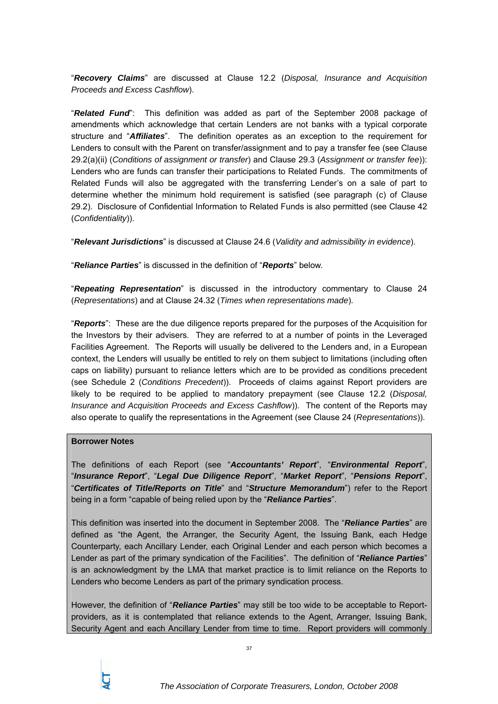"*Recovery Claims*" are discussed at Clause 12.2 (*Disposal, Insurance and Acquisition Proceeds and Excess Cashflow*).

"*Related Fund*": This definition was added as part of the September 2008 package of amendments which acknowledge that certain Lenders are not banks with a typical corporate structure and "*Affiliates*". The definition operates as an exception to the requirement for Lenders to consult with the Parent on transfer/assignment and to pay a transfer fee (see Clause 29.2(a)(ii) (*Conditions of assignment or transfer*) and Clause 29.3 (*Assignment or transfer fee*)): Lenders who are funds can transfer their participations to Related Funds. The commitments of Related Funds will also be aggregated with the transferring Lender's on a sale of part to determine whether the minimum hold requirement is satisfied (see paragraph (c) of Clause 29.2). Disclosure of Confidential Information to Related Funds is also permitted (see Clause 42 (*Confidentiality*)).

"*Relevant Jurisdictions*" is discussed at Clause 24.6 (*Validity and admissibility in evidence*).

"*Reliance Parties*" is discussed in the definition of "*Reports*" below.

"*Repeating Representation*" is discussed in the introductory commentary to Clause 24 (*Representations*) and at Clause 24.32 (*Times when representations made*).

"*Reports*": These are the due diligence reports prepared for the purposes of the Acquisition for the Investors by their advisers. They are referred to at a number of points in the Leveraged Facilities Agreement. The Reports will usually be delivered to the Lenders and, in a European context, the Lenders will usually be entitled to rely on them subject to limitations (including often caps on liability) pursuant to reliance letters which are to be provided as conditions precedent (see Schedule 2 (*Conditions Precedent*)). Proceeds of claims against Report providers are likely to be required to be applied to mandatory prepayment (see Clause 12.2 (*Disposal, Insurance and Acquisition Proceeds and Excess Cashflow*)). The content of the Reports may also operate to qualify the representations in the Agreement (see Clause 24 (*Representations*)).

#### **Borrower Notes**

The definitions of each Report (see "*Accountants' Report*", "*Environmental Report*", "*Insurance Report*", "*Legal Due Diligence Report*", "*Market Report*", "*Pensions Report*", "*Certificates of Title/Reports on Title*" and "*Structure Memorandum*") refer to the Report being in a form "capable of being relied upon by the "*Reliance Parties*".

This definition was inserted into the document in September 2008. The "*Reliance Parties*" are defined as "the Agent, the Arranger, the Security Agent, the Issuing Bank, each Hedge Counterparty, each Ancillary Lender, each Original Lender and each person which becomes a Lender as part of the primary syndication of the Facilities". The definition of "*Reliance Parties*" is an acknowledgment by the LMA that market practice is to limit reliance on the Reports to Lenders who become Lenders as part of the primary syndication process.

However, the definition of "*Reliance Parties*" may still be too wide to be acceptable to Reportproviders, as it is contemplated that reliance extends to the Agent, Arranger, Issuing Bank, Security Agent and each Ancillary Lender from time to time. Report providers will commonly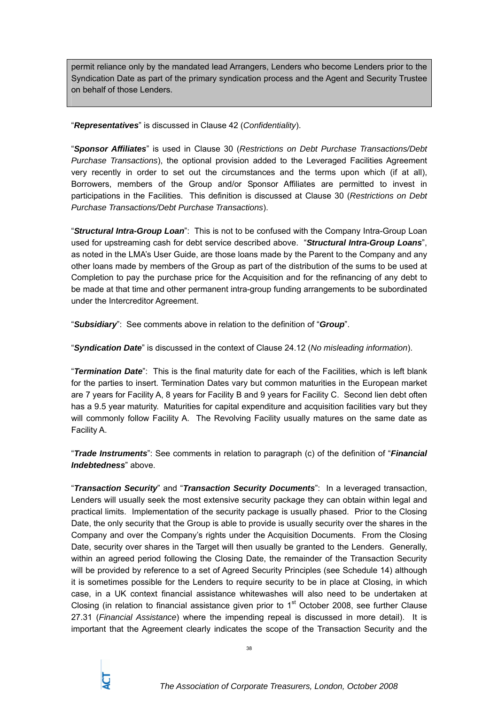permit reliance only by the mandated lead Arrangers, Lenders who become Lenders prior to the Syndication Date as part of the primary syndication process and the Agent and Security Trustee on behalf of those Lenders.

"*Representatives*" is discussed in Clause 42 (*Confidentiality*).

"*Sponsor Affiliates*" is used in Clause 30 (*Restrictions on Debt Purchase Transactions/Debt Purchase Transactions*), the optional provision added to the Leveraged Facilities Agreement very recently in order to set out the circumstances and the terms upon which (if at all), Borrowers, members of the Group and/or Sponsor Affiliates are permitted to invest in participations in the Facilities. This definition is discussed at Clause 30 (*Restrictions on Debt Purchase Transactions/Debt Purchase Transactions*).

"*Structural Intra-Group Loan*": This is not to be confused with the Company Intra-Group Loan used for upstreaming cash for debt service described above. "*Structural Intra-Group Loans*", as noted in the LMA's User Guide, are those loans made by the Parent to the Company and any other loans made by members of the Group as part of the distribution of the sums to be used at Completion to pay the purchase price for the Acquisition and for the refinancing of any debt to be made at that time and other permanent intra-group funding arrangements to be subordinated under the Intercreditor Agreement.

"*Subsidiary*": See comments above in relation to the definition of "*Group*".

"*Syndication Date*" is discussed in the context of Clause 24.12 (*No misleading information*).

"*Termination Date*": This is the final maturity date for each of the Facilities, which is left blank for the parties to insert. Termination Dates vary but common maturities in the European market are 7 years for Facility A, 8 years for Facility B and 9 years for Facility C. Second lien debt often has a 9.5 year maturity. Maturities for capital expenditure and acquisition facilities vary but they will commonly follow Facility A. The Revolving Facility usually matures on the same date as Facility A.

"*Trade Instruments*": See comments in relation to paragraph (c) of the definition of "*Financial Indebtedness*" above.

"*Transaction Security*" and "*Transaction Security Documents*": In a leveraged transaction, Lenders will usually seek the most extensive security package they can obtain within legal and practical limits. Implementation of the security package is usually phased. Prior to the Closing Date, the only security that the Group is able to provide is usually security over the shares in the Company and over the Company's rights under the Acquisition Documents. From the Closing Date, security over shares in the Target will then usually be granted to the Lenders. Generally, within an agreed period following the Closing Date, the remainder of the Transaction Security will be provided by reference to a set of Agreed Security Principles (see Schedule 14) although it is sometimes possible for the Lenders to require security to be in place at Closing, in which case, in a UK context financial assistance whitewashes will also need to be undertaken at Closing (in relation to financial assistance given prior to  $1<sup>st</sup>$  October 2008, see further Clause 27.31 (*Financial Assistance*) where the impending repeal is discussed in more detail). It is important that the Agreement clearly indicates the scope of the Transaction Security and the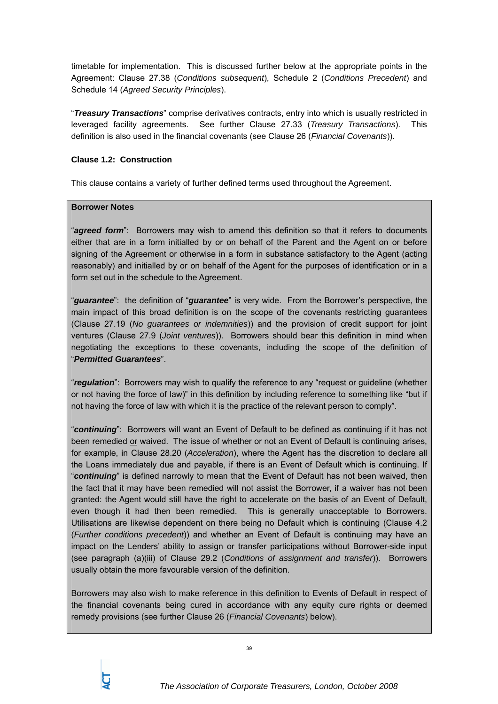timetable for implementation. This is discussed further below at the appropriate points in the Agreement: Clause 27.38 (*Conditions subsequent*), Schedule 2 (*Conditions Precedent*) and Schedule 14 (*Agreed Security Principles*).

"*Treasury Transactions*" comprise derivatives contracts, entry into which is usually restricted in leveraged facility agreements. See further Clause 27.33 (*Treasury Transactions*). This definition is also used in the financial covenants (see Clause 26 (*Financial Covenants*)).

## **Clause 1.2: Construction**

This clause contains a variety of further defined terms used throughout the Agreement.

## **Borrower Notes**

"*agreed form*": Borrowers may wish to amend this definition so that it refers to documents either that are in a form initialled by or on behalf of the Parent and the Agent on or before signing of the Agreement or otherwise in a form in substance satisfactory to the Agent (acting reasonably) and initialled by or on behalf of the Agent for the purposes of identification or in a form set out in the schedule to the Agreement.

"*guarantee*": the definition of "*guarantee*" is very wide. From the Borrower's perspective, the main impact of this broad definition is on the scope of the covenants restricting guarantees (Clause 27.19 (*No guarantees or indemnities*)) and the provision of credit support for joint ventures (Clause 27.9 (*Joint ventures*)). Borrowers should bear this definition in mind when negotiating the exceptions to these covenants, including the scope of the definition of "*Permitted Guarantees*".

"*regulation*": Borrowers may wish to qualify the reference to any "request or guideline (whether or not having the force of law)" in this definition by including reference to something like "but if not having the force of law with which it is the practice of the relevant person to comply".

"*continuing*": Borrowers will want an Event of Default to be defined as continuing if it has not been remedied or waived. The issue of whether or not an Event of Default is continuing arises, for example, in Clause 28.20 (*Acceleration*), where the Agent has the discretion to declare all the Loans immediately due and payable, if there is an Event of Default which is continuing. If "*continuing*" is defined narrowly to mean that the Event of Default has not been waived, then the fact that it may have been remedied will not assist the Borrower, if a waiver has not been granted: the Agent would still have the right to accelerate on the basis of an Event of Default, even though it had then been remedied. This is generally unacceptable to Borrowers. Utilisations are likewise dependent on there being no Default which is continuing (Clause 4.2 (*Further conditions precedent*)) and whether an Event of Default is continuing may have an impact on the Lenders' ability to assign or transfer participations without Borrower-side input (see paragraph (a)(iii) of Clause 29.2 (*Conditions of assignment and transfer*)). Borrowers usually obtain the more favourable version of the definition.

Borrowers may also wish to make reference in this definition to Events of Default in respect of the financial covenants being cured in accordance with any equity cure rights or deemed remedy provisions (see further Clause 26 (*Financial Covenants*) below).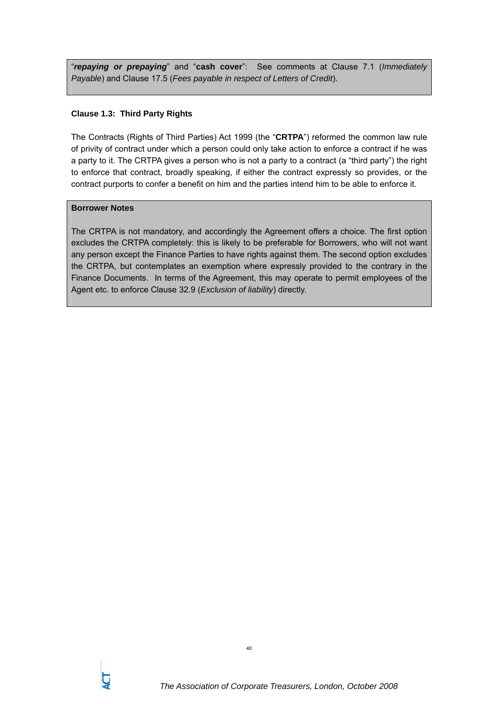"*repaying or prepaying*" and "**cash cover**": See comments at Clause 7.1 (*Immediately Payable*) and Clause 17.5 (*Fees payable in respect of Letters of Credit*).

## **Clause 1.3: Third Party Rights**

The Contracts (Rights of Third Parties) Act 1999 (the "**CRTPA**") reformed the common law rule of privity of contract under which a person could only take action to enforce a contract if he was a party to it. The CRTPA gives a person who is not a party to a contract (a "third party") the right to enforce that contract, broadly speaking, if either the contract expressly so provides, or the contract purports to confer a benefit on him and the parties intend him to be able to enforce it.

# **Borrower Notes**

The CRTPA is not mandatory, and accordingly the Agreement offers a choice. The first option excludes the CRTPA completely: this is likely to be preferable for Borrowers, who will not want any person except the Finance Parties to have rights against them. The second option excludes the CRTPA, but contemplates an exemption where expressly provided to the contrary in the Finance Documents. In terms of the Agreement, this may operate to permit employees of the Agent etc. to enforce Clause 32.9 (*Exclusion of liability*) directly.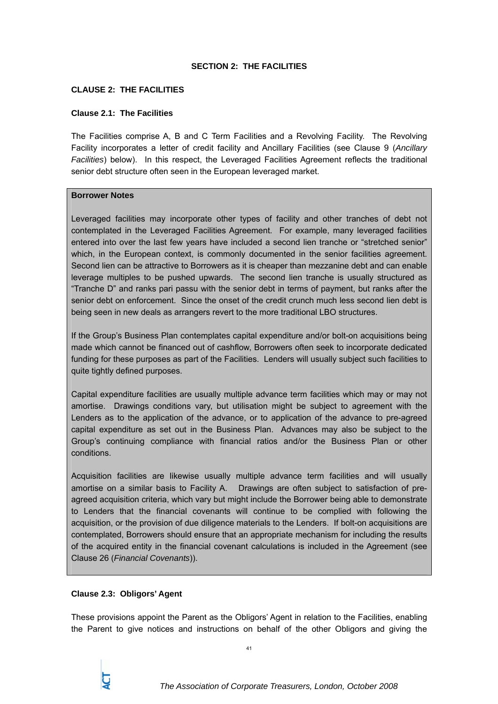#### **SECTION 2: THE FACILITIES**

#### **CLAUSE 2: THE FACILITIES**

#### **Clause 2.1: The Facilities**

The Facilities comprise A, B and C Term Facilities and a Revolving Facility. The Revolving Facility incorporates a letter of credit facility and Ancillary Facilities (see Clause 9 (*Ancillary Facilities*) below). In this respect, the Leveraged Facilities Agreement reflects the traditional senior debt structure often seen in the European leveraged market.

#### **Borrower Notes**

Leveraged facilities may incorporate other types of facility and other tranches of debt not contemplated in the Leveraged Facilities Agreement. For example, many leveraged facilities entered into over the last few years have included a second lien tranche or "stretched senior" which, in the European context, is commonly documented in the senior facilities agreement. Second lien can be attractive to Borrowers as it is cheaper than mezzanine debt and can enable leverage multiples to be pushed upwards. The second lien tranche is usually structured as "Tranche D" and ranks pari passu with the senior debt in terms of payment, but ranks after the senior debt on enforcement. Since the onset of the credit crunch much less second lien debt is being seen in new deals as arrangers revert to the more traditional LBO structures.

If the Group's Business Plan contemplates capital expenditure and/or bolt-on acquisitions being made which cannot be financed out of cashflow, Borrowers often seek to incorporate dedicated funding for these purposes as part of the Facilities. Lenders will usually subject such facilities to quite tightly defined purposes.

Capital expenditure facilities are usually multiple advance term facilities which may or may not amortise. Drawings conditions vary, but utilisation might be subject to agreement with the Lenders as to the application of the advance, or to application of the advance to pre-agreed capital expenditure as set out in the Business Plan. Advances may also be subject to the Group's continuing compliance with financial ratios and/or the Business Plan or other conditions.

Acquisition facilities are likewise usually multiple advance term facilities and will usually amortise on a similar basis to Facility A. Drawings are often subject to satisfaction of preagreed acquisition criteria, which vary but might include the Borrower being able to demonstrate to Lenders that the financial covenants will continue to be complied with following the acquisition, or the provision of due diligence materials to the Lenders. If bolt-on acquisitions are contemplated, Borrowers should ensure that an appropriate mechanism for including the results of the acquired entity in the financial covenant calculations is included in the Agreement (see Clause 26 (*Financial Covenants*)).

### **Clause 2.3: Obligors' Agent**

These provisions appoint the Parent as the Obligors' Agent in relation to the Facilities, enabling the Parent to give notices and instructions on behalf of the other Obligors and giving the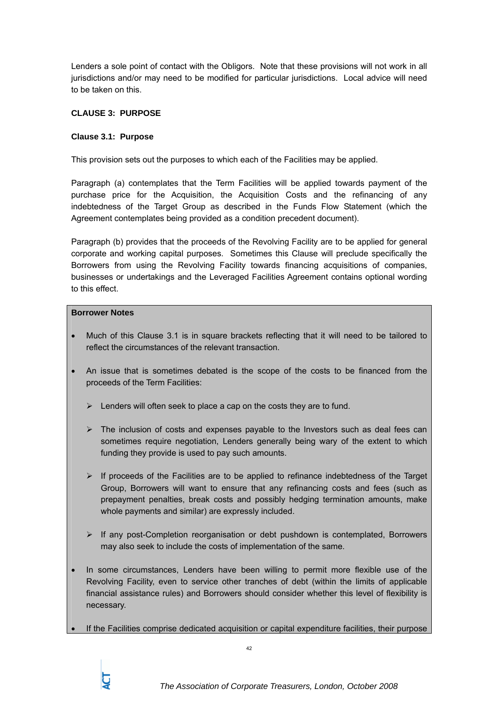Lenders a sole point of contact with the Obligors. Note that these provisions will not work in all jurisdictions and/or may need to be modified for particular jurisdictions. Local advice will need to be taken on this.

# **CLAUSE 3: PURPOSE**

## **Clause 3.1: Purpose**

This provision sets out the purposes to which each of the Facilities may be applied.

Paragraph (a) contemplates that the Term Facilities will be applied towards payment of the purchase price for the Acquisition, the Acquisition Costs and the refinancing of any indebtedness of the Target Group as described in the Funds Flow Statement (which the Agreement contemplates being provided as a condition precedent document).

Paragraph (b) provides that the proceeds of the Revolving Facility are to be applied for general corporate and working capital purposes. Sometimes this Clause will preclude specifically the Borrowers from using the Revolving Facility towards financing acquisitions of companies, businesses or undertakings and the Leveraged Facilities Agreement contains optional wording to this effect.

#### **Borrower Notes**

- Much of this Clause 3.1 is in square brackets reflecting that it will need to be tailored to reflect the circumstances of the relevant transaction.
- An issue that is sometimes debated is the scope of the costs to be financed from the proceeds of the Term Facilities:
	- $\triangleright$  Lenders will often seek to place a cap on the costs they are to fund.
	- $\triangleright$  The inclusion of costs and expenses payable to the Investors such as deal fees can sometimes require negotiation, Lenders generally being wary of the extent to which funding they provide is used to pay such amounts.
	- $\triangleright$  If proceeds of the Facilities are to be applied to refinance indebtedness of the Target Group, Borrowers will want to ensure that any refinancing costs and fees (such as prepayment penalties, break costs and possibly hedging termination amounts, make whole payments and similar) are expressly included.
	- $\triangleright$  If any post-Completion reorganisation or debt pushdown is contemplated, Borrowers may also seek to include the costs of implementation of the same.
- In some circumstances, Lenders have been willing to permit more flexible use of the Revolving Facility, even to service other tranches of debt (within the limits of applicable financial assistance rules) and Borrowers should consider whether this level of flexibility is necessary.
- If the Facilities comprise dedicated acquisition or capital expenditure facilities, their purpose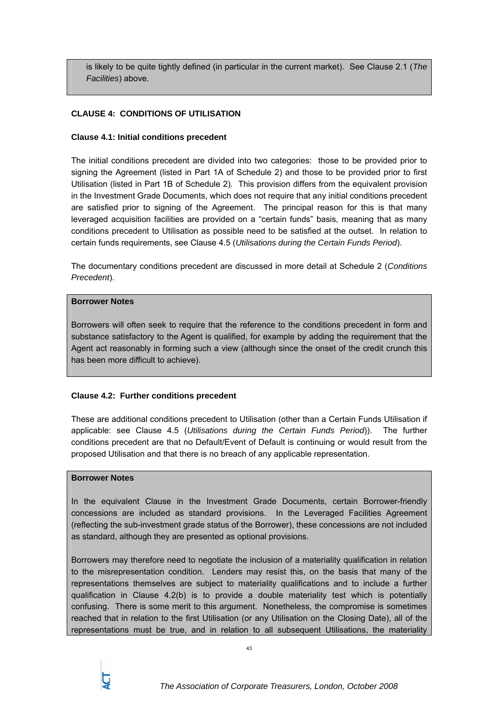is likely to be quite tightly defined (in particular in the current market). See Clause 2.1 (*The Facilities*) above.

## **CLAUSE 4: CONDITIONS OF UTILISATION**

#### **Clause 4.1: Initial conditions precedent**

The initial conditions precedent are divided into two categories: those to be provided prior to signing the Agreement (listed in Part 1A of Schedule 2) and those to be provided prior to first Utilisation (listed in Part 1B of Schedule 2). This provision differs from the equivalent provision in the Investment Grade Documents, which does not require that any initial conditions precedent are satisfied prior to signing of the Agreement. The principal reason for this is that many leveraged acquisition facilities are provided on a "certain funds" basis, meaning that as many conditions precedent to Utilisation as possible need to be satisfied at the outset. In relation to certain funds requirements, see Clause 4.5 (*Utilisations during the Certain Funds Period*).

The documentary conditions precedent are discussed in more detail at Schedule 2 (*Conditions Precedent*).

#### **Borrower Notes**

Borrowers will often seek to require that the reference to the conditions precedent in form and substance satisfactory to the Agent is qualified, for example by adding the requirement that the Agent act reasonably in forming such a view (although since the onset of the credit crunch this has been more difficult to achieve).

### **Clause 4.2: Further conditions precedent**

These are additional conditions precedent to Utilisation (other than a Certain Funds Utilisation if applicable: see Clause 4.5 (*Utilisations during the Certain Funds Period*)). The further conditions precedent are that no Default/Event of Default is continuing or would result from the proposed Utilisation and that there is no breach of any applicable representation.

#### **Borrower Notes**

In the equivalent Clause in the Investment Grade Documents, certain Borrower-friendly concessions are included as standard provisions. In the Leveraged Facilities Agreement (reflecting the sub-investment grade status of the Borrower), these concessions are not included as standard, although they are presented as optional provisions.

Borrowers may therefore need to negotiate the inclusion of a materiality qualification in relation to the misrepresentation condition. Lenders may resist this, on the basis that many of the representations themselves are subject to materiality qualifications and to include a further qualification in Clause 4.2(b) is to provide a double materiality test which is potentially confusing. There is some merit to this argument. Nonetheless, the compromise is sometimes reached that in relation to the first Utilisation (or any Utilisation on the Closing Date), all of the representations must be true, and in relation to all subsequent Utilisations, the materiality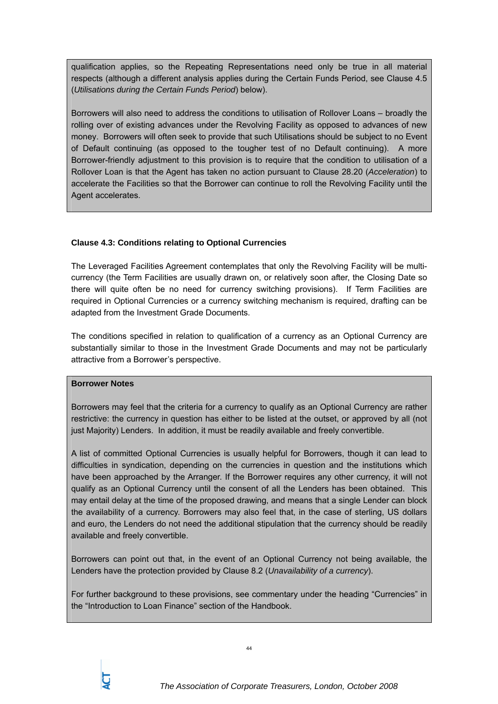qualification applies, so the Repeating Representations need only be true in all material respects (although a different analysis applies during the Certain Funds Period, see Clause 4.5 (*Utilisations during the Certain Funds Period*) below).

Borrowers will also need to address the conditions to utilisation of Rollover Loans – broadly the rolling over of existing advances under the Revolving Facility as opposed to advances of new money. Borrowers will often seek to provide that such Utilisations should be subject to no Event of Default continuing (as opposed to the tougher test of no Default continuing). A more Borrower-friendly adjustment to this provision is to require that the condition to utilisation of a Rollover Loan is that the Agent has taken no action pursuant to Clause 28.20 (*Acceleration*) to accelerate the Facilities so that the Borrower can continue to roll the Revolving Facility until the Agent accelerates.

## **Clause 4.3: Conditions relating to Optional Currencies**

The Leveraged Facilities Agreement contemplates that only the Revolving Facility will be multicurrency (the Term Facilities are usually drawn on, or relatively soon after, the Closing Date so there will quite often be no need for currency switching provisions). If Term Facilities are required in Optional Currencies or a currency switching mechanism is required, drafting can be adapted from the Investment Grade Documents.

The conditions specified in relation to qualification of a currency as an Optional Currency are substantially similar to those in the Investment Grade Documents and may not be particularly attractive from a Borrower's perspective.

### **Borrower Notes**

Borrowers may feel that the criteria for a currency to qualify as an Optional Currency are rather restrictive: the currency in question has either to be listed at the outset, or approved by all (not just Majority) Lenders. In addition, it must be readily available and freely convertible.

A list of committed Optional Currencies is usually helpful for Borrowers, though it can lead to difficulties in syndication, depending on the currencies in question and the institutions which have been approached by the Arranger. If the Borrower requires any other currency, it will not qualify as an Optional Currency until the consent of all the Lenders has been obtained. This may entail delay at the time of the proposed drawing, and means that a single Lender can block the availability of a currency. Borrowers may also feel that, in the case of sterling, US dollars and euro, the Lenders do not need the additional stipulation that the currency should be readily available and freely convertible.

Borrowers can point out that, in the event of an Optional Currency not being available, the Lenders have the protection provided by Clause 8.2 (*Unavailability of a currency*).

For further background to these provisions, see commentary under the heading "Currencies" in the "Introduction to Loan Finance" section of the Handbook.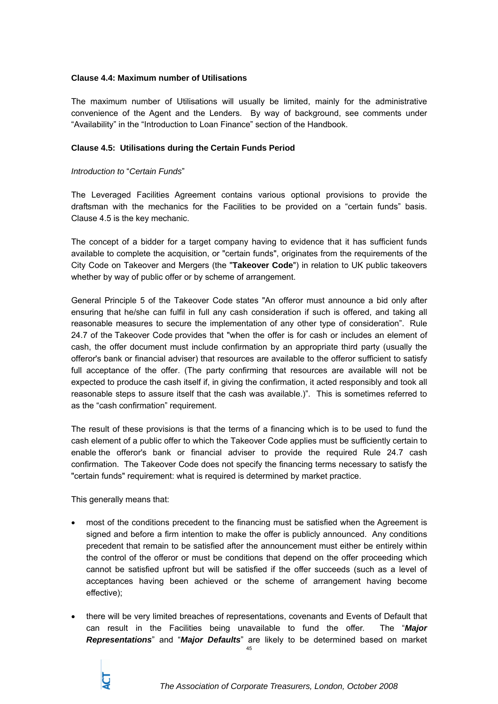#### **Clause 4.4: Maximum number of Utilisations**

The maximum number of Utilisations will usually be limited, mainly for the administrative convenience of the Agent and the Lenders. By way of background, see comments under "Availability" in the "Introduction to Loan Finance" section of the Handbook.

#### **Clause 4.5: Utilisations during the Certain Funds Period**

#### *Introduction to* "*Certain Funds*"

The Leveraged Facilities Agreement contains various optional provisions to provide the draftsman with the mechanics for the Facilities to be provided on a "certain funds" basis. Clause 4.5 is the key mechanic.

The concept of a bidder for a target company having to evidence that it has sufficient funds available to complete the acquisition, or "certain funds", originates from the requirements of the City Code on Takeover and Mergers (the "**Takeover Code**") in relation to UK public takeovers whether by way of public offer or by scheme of arrangement.

General Principle 5 of the Takeover Code states "An offeror must announce a bid only after ensuring that he/she can fulfil in full any cash consideration if such is offered, and taking all reasonable measures to secure the implementation of any other type of consideration". Rule 24.7 of the Takeover Code provides that "when the offer is for cash or includes an element of cash, the offer document must include confirmation by an appropriate third party (usually the offeror's bank or financial adviser) that resources are available to the offeror sufficient to satisfy full acceptance of the offer. (The party confirming that resources are available will not be expected to produce the cash itself if, in giving the confirmation, it acted responsibly and took all reasonable steps to assure itself that the cash was available.)". This is sometimes referred to as the "cash confirmation" requirement.

The result of these provisions is that the terms of a financing which is to be used to fund the cash element of a public offer to which the Takeover Code applies must be sufficiently certain to enable the offeror's bank or financial adviser to provide the required Rule 24.7 cash confirmation. The Takeover Code does not specify the financing terms necessary to satisfy the "certain funds" requirement: what is required is determined by market practice.

This generally means that:

- most of the conditions precedent to the financing must be satisfied when the Agreement is signed and before a firm intention to make the offer is publicly announced. Any conditions precedent that remain to be satisfied after the announcement must either be entirely within the control of the offeror or must be conditions that depend on the offer proceeding which cannot be satisfied upfront but will be satisfied if the offer succeeds (such as a level of acceptances having been achieved or the scheme of arrangement having become effective);
- 45 • there will be very limited breaches of representations, covenants and Events of Default that can result in the Facilities being unavailable to fund the offer. The "*Major Representations*" and "*Major Defaults*" are likely to be determined based on market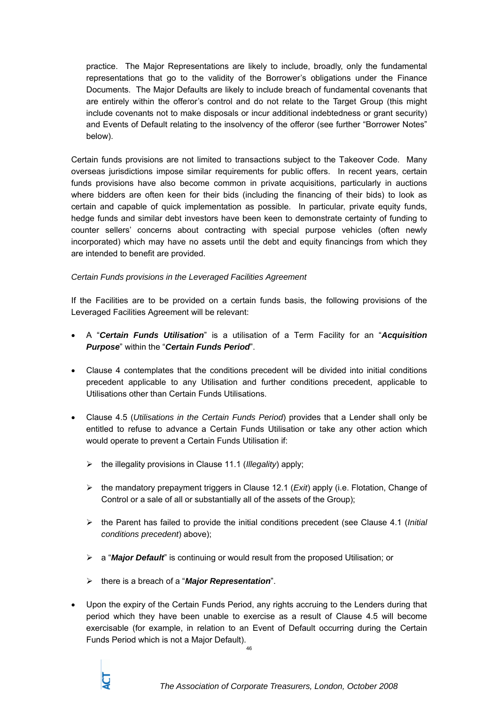practice. The Major Representations are likely to include, broadly, only the fundamental representations that go to the validity of the Borrower's obligations under the Finance Documents. The Major Defaults are likely to include breach of fundamental covenants that are entirely within the offeror's control and do not relate to the Target Group (this might include covenants not to make disposals or incur additional indebtedness or grant security) and Events of Default relating to the insolvency of the offeror (see further "Borrower Notes" below).

Certain funds provisions are not limited to transactions subject to the Takeover Code. Many overseas jurisdictions impose similar requirements for public offers. In recent years, certain funds provisions have also become common in private acquisitions, particularly in auctions where bidders are often keen for their bids (including the financing of their bids) to look as certain and capable of quick implementation as possible. In particular, private equity funds, hedge funds and similar debt investors have been keen to demonstrate certainty of funding to counter sellers' concerns about contracting with special purpose vehicles (often newly incorporated) which may have no assets until the debt and equity financings from which they are intended to benefit are provided.

## *Certain Funds provisions in the Leveraged Facilities Agreement*

If the Facilities are to be provided on a certain funds basis, the following provisions of the Leveraged Facilities Agreement will be relevant:

- A "*Certain Funds Utilisation*" is a utilisation of a Term Facility for an "*Acquisition Purpose*" within the "*Certain Funds Period*".
- Clause 4 contemplates that the conditions precedent will be divided into initial conditions precedent applicable to any Utilisation and further conditions precedent, applicable to Utilisations other than Certain Funds Utilisations.
- Clause 4.5 (*Utilisations in the Certain Funds Period*) provides that a Lender shall only be entitled to refuse to advance a Certain Funds Utilisation or take any other action which would operate to prevent a Certain Funds Utilisation if:
	- ¾ the illegality provisions in Clause 11.1 (*Illegality*) apply;
	- ¾ the mandatory prepayment triggers in Clause 12.1 (*Exit*) apply (i.e. Flotation, Change of Control or a sale of all or substantially all of the assets of the Group);
	- ¾ the Parent has failed to provide the initial conditions precedent (see Clause 4.1 (*Initial conditions precedent*) above);
	- ¾ a "*Major Default*" is continuing or would result from the proposed Utilisation; or
	- ¾ there is a breach of a "*Major Representation*".
- Upon the expiry of the Certain Funds Period, any rights accruing to the Lenders during that period which they have been unable to exercise as a result of Clause 4.5 will become exercisable (for example, in relation to an Event of Default occurring during the Certain Funds Period which is not a Major Default).

46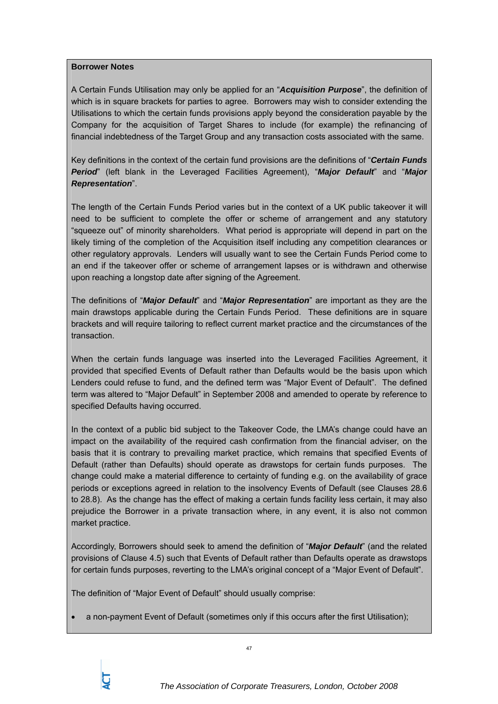#### **Borrower Notes**

A Certain Funds Utilisation may only be applied for an "*Acquisition Purpose*", the definition of which is in square brackets for parties to agree. Borrowers may wish to consider extending the Utilisations to which the certain funds provisions apply beyond the consideration payable by the Company for the acquisition of Target Shares to include (for example) the refinancing of financial indebtedness of the Target Group and any transaction costs associated with the same.

Key definitions in the context of the certain fund provisions are the definitions of "*Certain Funds Period*" (left blank in the Leveraged Facilities Agreement), "*Major Default*" and "*Major Representation*".

The length of the Certain Funds Period varies but in the context of a UK public takeover it will need to be sufficient to complete the offer or scheme of arrangement and any statutory "squeeze out" of minority shareholders. What period is appropriate will depend in part on the likely timing of the completion of the Acquisition itself including any competition clearances or other regulatory approvals. Lenders will usually want to see the Certain Funds Period come to an end if the takeover offer or scheme of arrangement lapses or is withdrawn and otherwise upon reaching a longstop date after signing of the Agreement.

The definitions of "*Major Default*" and "*Major Representation*" are important as they are the main drawstops applicable during the Certain Funds Period. These definitions are in square brackets and will require tailoring to reflect current market practice and the circumstances of the transaction.

When the certain funds language was inserted into the Leveraged Facilities Agreement, it provided that specified Events of Default rather than Defaults would be the basis upon which Lenders could refuse to fund, and the defined term was "Major Event of Default". The defined term was altered to "Major Default" in September 2008 and amended to operate by reference to specified Defaults having occurred.

In the context of a public bid subject to the Takeover Code, the LMA's change could have an impact on the availability of the required cash confirmation from the financial adviser, on the basis that it is contrary to prevailing market practice, which remains that specified Events of Default (rather than Defaults) should operate as drawstops for certain funds purposes. The change could make a material difference to certainty of funding e.g. on the availability of grace periods or exceptions agreed in relation to the insolvency Events of Default (see Clauses 28.6 to 28.8). As the change has the effect of making a certain funds facility less certain, it may also prejudice the Borrower in a private transaction where, in any event, it is also not common market practice.

Accordingly, Borrowers should seek to amend the definition of "*Major Default*" (and the related provisions of Clause 4.5) such that Events of Default rather than Defaults operate as drawstops for certain funds purposes, reverting to the LMA's original concept of a "Major Event of Default".

The definition of "Major Event of Default" should usually comprise:

• a non-payment Event of Default (sometimes only if this occurs after the first Utilisation);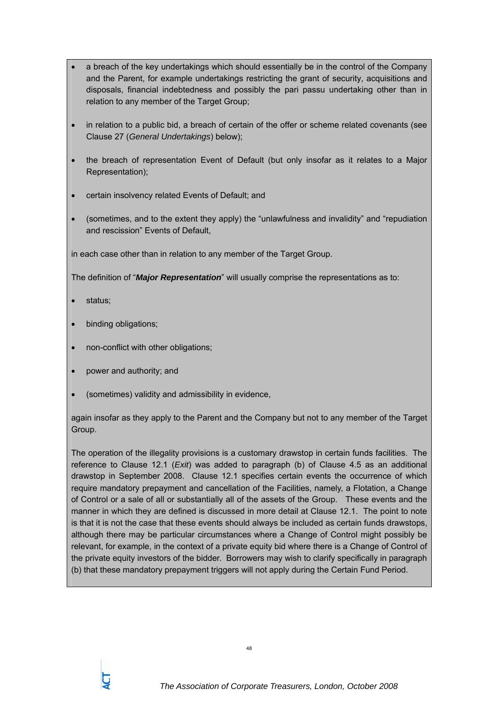- a breach of the key undertakings which should essentially be in the control of the Company and the Parent, for example undertakings restricting the grant of security, acquisitions and disposals, financial indebtedness and possibly the pari passu undertaking other than in relation to any member of the Target Group;
- in relation to a public bid, a breach of certain of the offer or scheme related covenants (see Clause 27 (*General Undertakings*) below);
- the breach of representation Event of Default (but only insofar as it relates to a Major Representation);
- certain insolvency related Events of Default; and
- (sometimes, and to the extent they apply) the "unlawfulness and invalidity" and "repudiation and rescission" Events of Default,

in each case other than in relation to any member of the Target Group.

The definition of "*Major Representation*" will usually comprise the representations as to:

- status;
- binding obligations;
- non-conflict with other obligations;
- power and authority; and
- (sometimes) validity and admissibility in evidence,

again insofar as they apply to the Parent and the Company but not to any member of the Target Group.

The operation of the illegality provisions is a customary drawstop in certain funds facilities. The reference to Clause 12.1 (*Exit*) was added to paragraph (b) of Clause 4.5 as an additional drawstop in September 2008. Clause 12.1 specifies certain events the occurrence of which require mandatory prepayment and cancellation of the Facilities, namely, a Flotation, a Change of Control or a sale of all or substantially all of the assets of the Group. These events and the manner in which they are defined is discussed in more detail at Clause 12.1. The point to note is that it is not the case that these events should always be included as certain funds drawstops, although there may be particular circumstances where a Change of Control might possibly be relevant, for example, in the context of a private equity bid where there is a Change of Control of the private equity investors of the bidder. Borrowers may wish to clarify specifically in paragraph (b) that these mandatory prepayment triggers will not apply during the Certain Fund Period.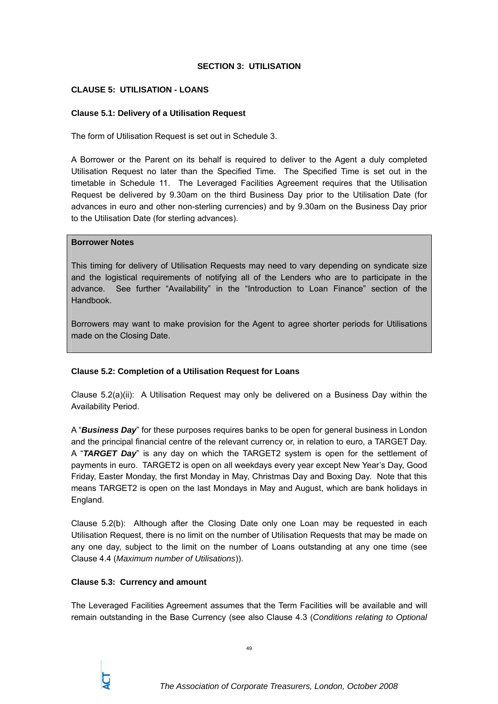### **SECTION 3: UTILISATION**

## **CLAUSE 5: UTILISATION - LOANS**

## **Clause 5.1: Delivery of a Utilisation Request**

The form of Utilisation Request is set out in Schedule 3.

A Borrower or the Parent on its behalf is required to deliver to the Agent a duly completed Utilisation Request no later than the Specified Time. The Specified Time is set out in the timetable in Schedule 11. The Leveraged Facilities Agreement requires that the Utilisation Request be delivered by 9.30am on the third Business Day prior to the Utilisation Date (for advances in euro and other non-sterling currencies) and by 9.30am on the Business Day prior to the Utilisation Date (for sterling advances).

#### **Borrower Notes**

This timing for delivery of Utilisation Requests may need to vary depending on syndicate size and the logistical requirements of notifying all of the Lenders who are to participate in the advance. See further "Availability" in the "Introduction to Loan Finance" section of the **Handbook** 

Borrowers may want to make provision for the Agent to agree shorter periods for Utilisations made on the Closing Date.

### **Clause 5.2: Completion of a Utilisation Request for Loans**

Clause 5.2(a)(ii): A Utilisation Request may only be delivered on a Business Day within the Availability Period.

A "*Business Day*" for these purposes requires banks to be open for general business in London and the principal financial centre of the relevant currency or, in relation to euro, a TARGET Day. A "*TARGET Day*" is any day on which the TARGET2 system is open for the settlement of payments in euro. TARGET2 is open on all weekdays every year except New Year's Day, Good Friday, Easter Monday, the first Monday in May, Christmas Day and Boxing Day. Note that this means TARGET2 is open on the last Mondays in May and August, which are bank holidays in England.

Clause 5.2(b): Although after the Closing Date only one Loan may be requested in each Utilisation Request, there is no limit on the number of Utilisation Requests that may be made on any one day, subject to the limit on the number of Loans outstanding at any one time (see Clause 4.4 (*Maximum number of Utilisations*)).

### **Clause 5.3: Currency and amount**

The Leveraged Facilities Agreement assumes that the Term Facilities will be available and will remain outstanding in the Base Currency (see also Clause 4.3 (*Conditions relating to Optional*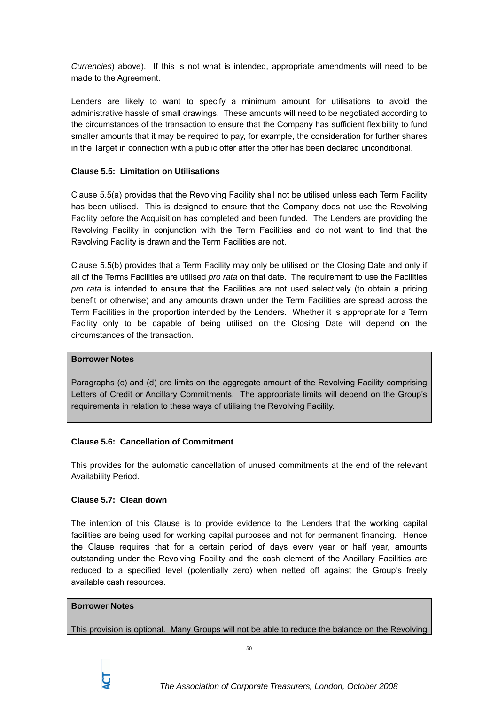*Currencies*) above). If this is not what is intended, appropriate amendments will need to be made to the Agreement.

Lenders are likely to want to specify a minimum amount for utilisations to avoid the administrative hassle of small drawings. These amounts will need to be negotiated according to the circumstances of the transaction to ensure that the Company has sufficient flexibility to fund smaller amounts that it may be required to pay, for example, the consideration for further shares in the Target in connection with a public offer after the offer has been declared unconditional.

### **Clause 5.5: Limitation on Utilisations**

Clause 5.5(a) provides that the Revolving Facility shall not be utilised unless each Term Facility has been utilised. This is designed to ensure that the Company does not use the Revolving Facility before the Acquisition has completed and been funded. The Lenders are providing the Revolving Facility in conjunction with the Term Facilities and do not want to find that the Revolving Facility is drawn and the Term Facilities are not.

Clause 5.5(b) provides that a Term Facility may only be utilised on the Closing Date and only if all of the Terms Facilities are utilised *pro rata* on that date. The requirement to use the Facilities *pro rata* is intended to ensure that the Facilities are not used selectively (to obtain a pricing benefit or otherwise) and any amounts drawn under the Term Facilities are spread across the Term Facilities in the proportion intended by the Lenders. Whether it is appropriate for a Term Facility only to be capable of being utilised on the Closing Date will depend on the circumstances of the transaction.

#### **Borrower Notes**

Paragraphs (c) and (d) are limits on the aggregate amount of the Revolving Facility comprising Letters of Credit or Ancillary Commitments. The appropriate limits will depend on the Group's requirements in relation to these ways of utilising the Revolving Facility.

### **Clause 5.6: Cancellation of Commitment**

This provides for the automatic cancellation of unused commitments at the end of the relevant Availability Period.

### **Clause 5.7: Clean down**

The intention of this Clause is to provide evidence to the Lenders that the working capital facilities are being used for working capital purposes and not for permanent financing. Hence the Clause requires that for a certain period of days every year or half year, amounts outstanding under the Revolving Facility and the cash element of the Ancillary Facilities are reduced to a specified level (potentially zero) when netted off against the Group's freely available cash resources.

#### **Borrower Notes**

This provision is optional. Many Groups will not be able to reduce the balance on the Revolving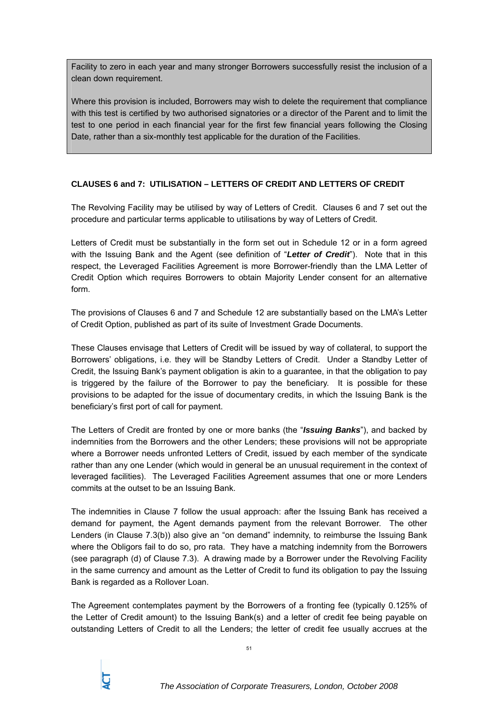Facility to zero in each year and many stronger Borrowers successfully resist the inclusion of a clean down requirement.

Where this provision is included, Borrowers may wish to delete the requirement that compliance with this test is certified by two authorised signatories or a director of the Parent and to limit the test to one period in each financial year for the first few financial years following the Closing Date, rather than a six-monthly test applicable for the duration of the Facilities.

# **CLAUSES 6 and 7: UTILISATION – LETTERS OF CREDIT AND LETTERS OF CREDIT**

The Revolving Facility may be utilised by way of Letters of Credit. Clauses 6 and 7 set out the procedure and particular terms applicable to utilisations by way of Letters of Credit.

Letters of Credit must be substantially in the form set out in Schedule 12 or in a form agreed with the Issuing Bank and the Agent (see definition of "*Letter of Credit*"). Note that in this respect, the Leveraged Facilities Agreement is more Borrower-friendly than the LMA Letter of Credit Option which requires Borrowers to obtain Majority Lender consent for an alternative form.

The provisions of Clauses 6 and 7 and Schedule 12 are substantially based on the LMA's Letter of Credit Option, published as part of its suite of Investment Grade Documents.

These Clauses envisage that Letters of Credit will be issued by way of collateral, to support the Borrowers' obligations, i.e. they will be Standby Letters of Credit. Under a Standby Letter of Credit, the Issuing Bank's payment obligation is akin to a guarantee, in that the obligation to pay is triggered by the failure of the Borrower to pay the beneficiary. It is possible for these provisions to be adapted for the issue of documentary credits, in which the Issuing Bank is the beneficiary's first port of call for payment.

The Letters of Credit are fronted by one or more banks (the "*Issuing Banks*"), and backed by indemnities from the Borrowers and the other Lenders; these provisions will not be appropriate where a Borrower needs unfronted Letters of Credit, issued by each member of the syndicate rather than any one Lender (which would in general be an unusual requirement in the context of leveraged facilities). The Leveraged Facilities Agreement assumes that one or more Lenders commits at the outset to be an Issuing Bank.

The indemnities in Clause 7 follow the usual approach: after the Issuing Bank has received a demand for payment, the Agent demands payment from the relevant Borrower. The other Lenders (in Clause 7.3(b)) also give an "on demand" indemnity, to reimburse the Issuing Bank where the Obligors fail to do so, pro rata. They have a matching indemnity from the Borrowers (see paragraph (d) of Clause 7.3). A drawing made by a Borrower under the Revolving Facility in the same currency and amount as the Letter of Credit to fund its obligation to pay the Issuing Bank is regarded as a Rollover Loan.

The Agreement contemplates payment by the Borrowers of a fronting fee (typically 0.125% of the Letter of Credit amount) to the Issuing Bank(s) and a letter of credit fee being payable on outstanding Letters of Credit to all the Lenders; the letter of credit fee usually accrues at the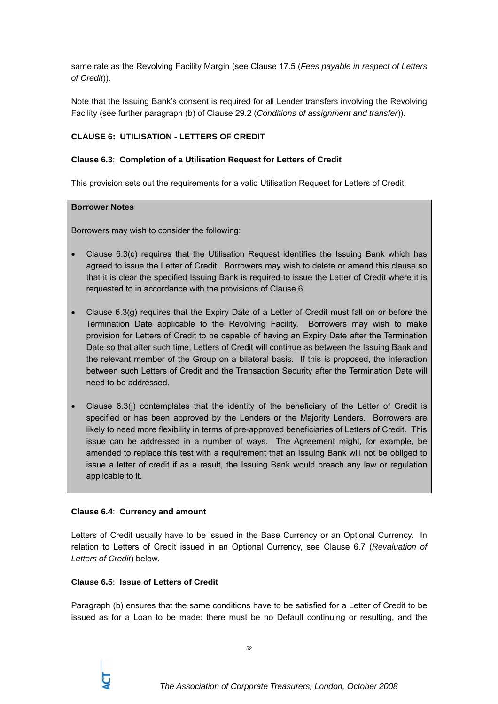same rate as the Revolving Facility Margin (see Clause 17.5 (*Fees payable in respect of Letters of Credit*)).

Note that the Issuing Bank's consent is required for all Lender transfers involving the Revolving Facility (see further paragraph (b) of Clause 29.2 (*Conditions of assignment and transfer*)).

# **CLAUSE 6: UTILISATION - LETTERS OF CREDIT**

## **Clause 6.3**: **Completion of a Utilisation Request for Letters of Credit**

This provision sets out the requirements for a valid Utilisation Request for Letters of Credit.

### **Borrower Notes**

Borrowers may wish to consider the following:

- Clause 6.3(c) requires that the Utilisation Request identifies the Issuing Bank which has agreed to issue the Letter of Credit. Borrowers may wish to delete or amend this clause so that it is clear the specified Issuing Bank is required to issue the Letter of Credit where it is requested to in accordance with the provisions of Clause 6.
- Clause 6.3(g) requires that the Expiry Date of a Letter of Credit must fall on or before the Termination Date applicable to the Revolving Facility. Borrowers may wish to make provision for Letters of Credit to be capable of having an Expiry Date after the Termination Date so that after such time, Letters of Credit will continue as between the Issuing Bank and the relevant member of the Group on a bilateral basis. If this is proposed, the interaction between such Letters of Credit and the Transaction Security after the Termination Date will need to be addressed.
- Clause 6.3(j) contemplates that the identity of the beneficiary of the Letter of Credit is specified or has been approved by the Lenders or the Majority Lenders. Borrowers are likely to need more flexibility in terms of pre-approved beneficiaries of Letters of Credit. This issue can be addressed in a number of ways. The Agreement might, for example, be amended to replace this test with a requirement that an Issuing Bank will not be obliged to issue a letter of credit if as a result, the Issuing Bank would breach any law or regulation applicable to it.

### **Clause 6.4**: **Currency and amount**

Letters of Credit usually have to be issued in the Base Currency or an Optional Currency. In relation to Letters of Credit issued in an Optional Currency, see Clause 6.7 (*Revaluation of Letters of Credit*) below.

### **Clause 6.5**: **Issue of Letters of Credit**

Paragraph (b) ensures that the same conditions have to be satisfied for a Letter of Credit to be issued as for a Loan to be made: there must be no Default continuing or resulting, and the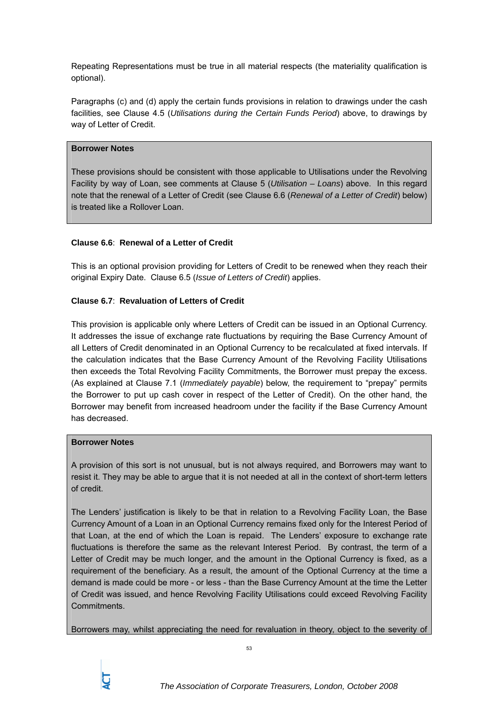Repeating Representations must be true in all material respects (the materiality qualification is optional).

Paragraphs (c) and (d) apply the certain funds provisions in relation to drawings under the cash facilities, see Clause 4.5 (*Utilisations during the Certain Funds Period*) above, to drawings by way of Letter of Credit.

### **Borrower Notes**

These provisions should be consistent with those applicable to Utilisations under the Revolving Facility by way of Loan, see comments at Clause 5 (*Utilisation – Loans*) above. In this regard note that the renewal of a Letter of Credit (see Clause 6.6 (*Renewal of a Letter of Credit*) below) is treated like a Rollover Loan.

## **Clause 6.6**: **Renewal of a Letter of Credit**

This is an optional provision providing for Letters of Credit to be renewed when they reach their original Expiry Date. Clause 6.5 (*Issue of Letters of Credit*) applies.

## **Clause 6.7**: **Revaluation of Letters of Credit**

This provision is applicable only where Letters of Credit can be issued in an Optional Currency. It addresses the issue of exchange rate fluctuations by requiring the Base Currency Amount of all Letters of Credit denominated in an Optional Currency to be recalculated at fixed intervals. If the calculation indicates that the Base Currency Amount of the Revolving Facility Utilisations then exceeds the Total Revolving Facility Commitments, the Borrower must prepay the excess. (As explained at Clause 7.1 (*Immediately payable*) below, the requirement to "prepay" permits the Borrower to put up cash cover in respect of the Letter of Credit). On the other hand, the Borrower may benefit from increased headroom under the facility if the Base Currency Amount has decreased.

### **Borrower Notes**

A provision of this sort is not unusual, but is not always required, and Borrowers may want to resist it. They may be able to argue that it is not needed at all in the context of short-term letters of credit.

The Lenders' justification is likely to be that in relation to a Revolving Facility Loan, the Base Currency Amount of a Loan in an Optional Currency remains fixed only for the Interest Period of that Loan, at the end of which the Loan is repaid. The Lenders' exposure to exchange rate fluctuations is therefore the same as the relevant Interest Period. By contrast, the term of a Letter of Credit may be much longer, and the amount in the Optional Currency is fixed, as a requirement of the beneficiary. As a result, the amount of the Optional Currency at the time a demand is made could be more - or less - than the Base Currency Amount at the time the Letter of Credit was issued, and hence Revolving Facility Utilisations could exceed Revolving Facility Commitments.

Borrowers may, whilst appreciating the need for revaluation in theory, object to the severity of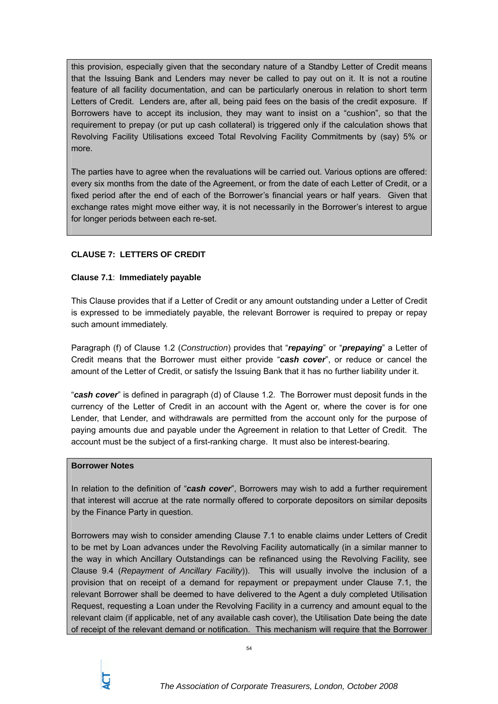this provision, especially given that the secondary nature of a Standby Letter of Credit means that the Issuing Bank and Lenders may never be called to pay out on it. It is not a routine feature of all facility documentation, and can be particularly onerous in relation to short term Letters of Credit. Lenders are, after all, being paid fees on the basis of the credit exposure. If Borrowers have to accept its inclusion, they may want to insist on a "cushion", so that the requirement to prepay (or put up cash collateral) is triggered only if the calculation shows that Revolving Facility Utilisations exceed Total Revolving Facility Commitments by (say) 5% or more.

The parties have to agree when the revaluations will be carried out. Various options are offered: every six months from the date of the Agreement, or from the date of each Letter of Credit, or a fixed period after the end of each of the Borrower's financial years or half years. Given that exchange rates might move either way, it is not necessarily in the Borrower's interest to argue for longer periods between each re-set.

# **CLAUSE 7: LETTERS OF CREDIT**

### **Clause 7.1**: **Immediately payable**

This Clause provides that if a Letter of Credit or any amount outstanding under a Letter of Credit is expressed to be immediately payable, the relevant Borrower is required to prepay or repay such amount immediately.

Paragraph (f) of Clause 1.2 (*Construction*) provides that "*repaying*" or "*prepaying*" a Letter of Credit means that the Borrower must either provide "*cash cover*", or reduce or cancel the amount of the Letter of Credit, or satisfy the Issuing Bank that it has no further liability under it.

"*cash cover*" is defined in paragraph (d) of Clause 1.2. The Borrower must deposit funds in the currency of the Letter of Credit in an account with the Agent or, where the cover is for one Lender, that Lender, and withdrawals are permitted from the account only for the purpose of paying amounts due and payable under the Agreement in relation to that Letter of Credit. The account must be the subject of a first-ranking charge. It must also be interest-bearing.

#### **Borrower Notes**

In relation to the definition of "*cash cover*", Borrowers may wish to add a further requirement that interest will accrue at the rate normally offered to corporate depositors on similar deposits by the Finance Party in question.

Borrowers may wish to consider amending Clause 7.1 to enable claims under Letters of Credit to be met by Loan advances under the Revolving Facility automatically (in a similar manner to the way in which Ancillary Outstandings can be refinanced using the Revolving Facility, see Clause 9.4 (*Repayment of Ancillary Facility*)). This will usually involve the inclusion of a provision that on receipt of a demand for repayment or prepayment under Clause 7.1, the relevant Borrower shall be deemed to have delivered to the Agent a duly completed Utilisation Request, requesting a Loan under the Revolving Facility in a currency and amount equal to the relevant claim (if applicable, net of any available cash cover), the Utilisation Date being the date of receipt of the relevant demand or notification. This mechanism will require that the Borrower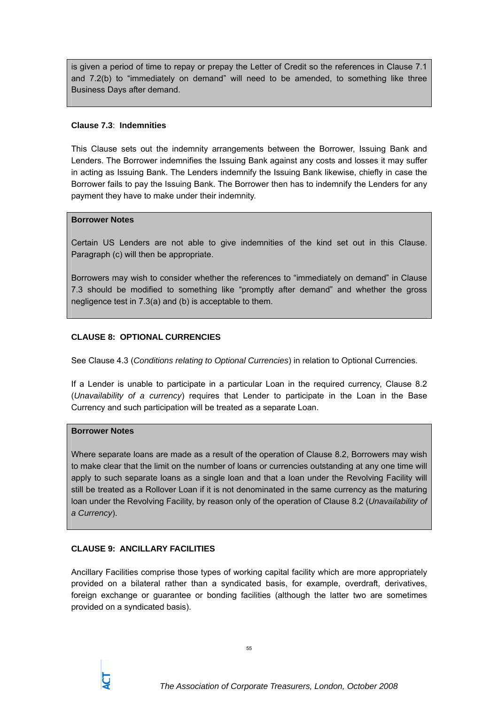is given a period of time to repay or prepay the Letter of Credit so the references in Clause 7.1 and 7.2(b) to "immediately on demand" will need to be amended, to something like three Business Days after demand.

### **Clause 7.3**: **Indemnities**

This Clause sets out the indemnity arrangements between the Borrower, Issuing Bank and Lenders. The Borrower indemnifies the Issuing Bank against any costs and losses it may suffer in acting as Issuing Bank. The Lenders indemnify the Issuing Bank likewise, chiefly in case the Borrower fails to pay the Issuing Bank. The Borrower then has to indemnify the Lenders for any payment they have to make under their indemnity.

#### **Borrower Notes**

Certain US Lenders are not able to give indemnities of the kind set out in this Clause. Paragraph (c) will then be appropriate.

Borrowers may wish to consider whether the references to "immediately on demand" in Clause 7.3 should be modified to something like "promptly after demand" and whether the gross negligence test in 7.3(a) and (b) is acceptable to them.

## **CLAUSE 8: OPTIONAL CURRENCIES**

See Clause 4.3 (*Conditions relating to Optional Currencies*) in relation to Optional Currencies.

If a Lender is unable to participate in a particular Loan in the required currency, Clause 8.2 (*Unavailability of a currency*) requires that Lender to participate in the Loan in the Base Currency and such participation will be treated as a separate Loan.

### **Borrower Notes**

Where separate loans are made as a result of the operation of Clause 8.2, Borrowers may wish to make clear that the limit on the number of loans or currencies outstanding at any one time will apply to such separate loans as a single loan and that a loan under the Revolving Facility will still be treated as a Rollover Loan if it is not denominated in the same currency as the maturing loan under the Revolving Facility, by reason only of the operation of Clause 8.2 (*Unavailability of a Currency*).

### **CLAUSE 9: ANCILLARY FACILITIES**

Ancillary Facilities comprise those types of working capital facility which are more appropriately provided on a bilateral rather than a syndicated basis, for example, overdraft, derivatives, foreign exchange or guarantee or bonding facilities (although the latter two are sometimes provided on a syndicated basis).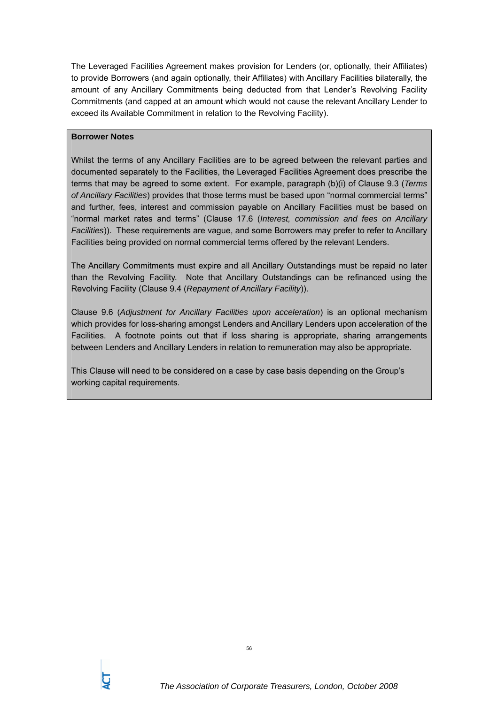The Leveraged Facilities Agreement makes provision for Lenders (or, optionally, their Affiliates) to provide Borrowers (and again optionally, their Affiliates) with Ancillary Facilities bilaterally, the amount of any Ancillary Commitments being deducted from that Lender's Revolving Facility Commitments (and capped at an amount which would not cause the relevant Ancillary Lender to exceed its Available Commitment in relation to the Revolving Facility).

## **Borrower Notes**

Whilst the terms of any Ancillary Facilities are to be agreed between the relevant parties and documented separately to the Facilities, the Leveraged Facilities Agreement does prescribe the terms that may be agreed to some extent. For example, paragraph (b)(i) of Clause 9.3 (*Terms of Ancillary Facilities*) provides that those terms must be based upon "normal commercial terms" and further, fees, interest and commission payable on Ancillary Facilities must be based on "normal market rates and terms" (Clause 17.6 (*Interest, commission and fees on Ancillary Facilities*)). These requirements are vague, and some Borrowers may prefer to refer to Ancillary Facilities being provided on normal commercial terms offered by the relevant Lenders.

The Ancillary Commitments must expire and all Ancillary Outstandings must be repaid no later than the Revolving Facility. Note that Ancillary Outstandings can be refinanced using the Revolving Facility (Clause 9.4 (*Repayment of Ancillary Facility*)).

Clause 9.6 (*Adjustment for Ancillary Facilities upon acceleration*) is an optional mechanism which provides for loss-sharing amongst Lenders and Ancillary Lenders upon acceleration of the Facilities. A footnote points out that if loss sharing is appropriate, sharing arrangements between Lenders and Ancillary Lenders in relation to remuneration may also be appropriate.

This Clause will need to be considered on a case by case basis depending on the Group's working capital requirements.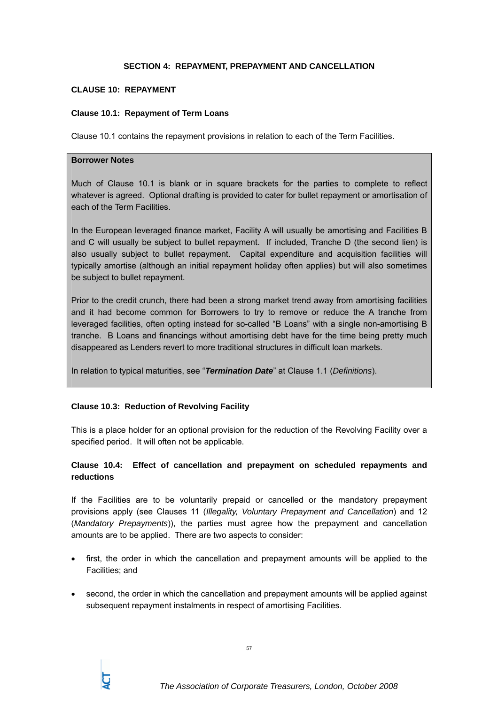#### **SECTION 4: REPAYMENT, PREPAYMENT AND CANCELLATION**

#### **CLAUSE 10: REPAYMENT**

#### **Clause 10.1: Repayment of Term Loans**

Clause 10.1 contains the repayment provisions in relation to each of the Term Facilities.

#### **Borrower Notes**

Much of Clause 10.1 is blank or in square brackets for the parties to complete to reflect whatever is agreed. Optional drafting is provided to cater for bullet repayment or amortisation of each of the Term Facilities.

In the European leveraged finance market, Facility A will usually be amortising and Facilities B and C will usually be subject to bullet repayment. If included, Tranche D (the second lien) is also usually subject to bullet repayment. Capital expenditure and acquisition facilities will typically amortise (although an initial repayment holiday often applies) but will also sometimes be subject to bullet repayment.

Prior to the credit crunch, there had been a strong market trend away from amortising facilities and it had become common for Borrowers to try to remove or reduce the A tranche from leveraged facilities, often opting instead for so-called "B Loans" with a single non-amortising B tranche. B Loans and financings without amortising debt have for the time being pretty much disappeared as Lenders revert to more traditional structures in difficult loan markets.

In relation to typical maturities, see "*Termination Date*" at Clause 1.1 (*Definitions*).

### **Clause 10.3: Reduction of Revolving Facility**

This is a place holder for an optional provision for the reduction of the Revolving Facility over a specified period. It will often not be applicable.

## **Clause 10.4: Effect of cancellation and prepayment on scheduled repayments and reductions**

If the Facilities are to be voluntarily prepaid or cancelled or the mandatory prepayment provisions apply (see Clauses 11 (*Illegality, Voluntary Prepayment and Cancellation*) and 12 (*Mandatory Prepayments*)), the parties must agree how the prepayment and cancellation amounts are to be applied. There are two aspects to consider:

- first, the order in which the cancellation and prepayment amounts will be applied to the Facilities; and
- second, the order in which the cancellation and prepayment amounts will be applied against subsequent repayment instalments in respect of amortising Facilities.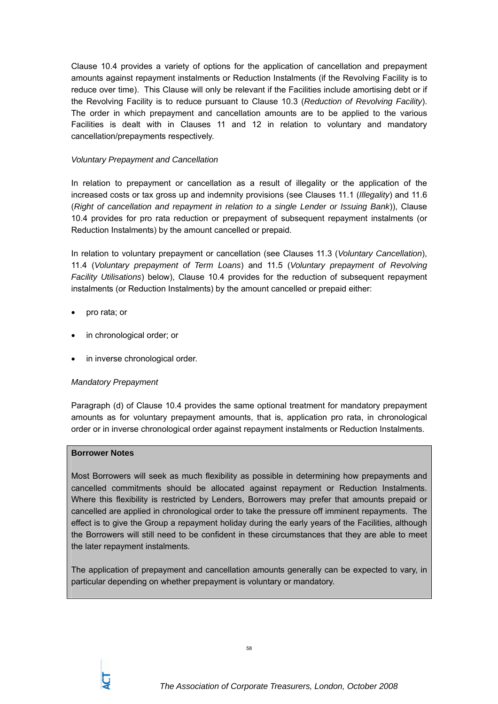Clause 10.4 provides a variety of options for the application of cancellation and prepayment amounts against repayment instalments or Reduction Instalments (if the Revolving Facility is to reduce over time). This Clause will only be relevant if the Facilities include amortising debt or if the Revolving Facility is to reduce pursuant to Clause 10.3 (*Reduction of Revolving Facility*). The order in which prepayment and cancellation amounts are to be applied to the various Facilities is dealt with in Clauses 11 and 12 in relation to voluntary and mandatory cancellation/prepayments respectively.

## *Voluntary Prepayment and Cancellation*

In relation to prepayment or cancellation as a result of illegality or the application of the increased costs or tax gross up and indemnity provisions (see Clauses 11.1 (*Illegality*) and 11.6 (*Right of cancellation and repayment in relation to a single Lender or Issuing Bank*)), Clause 10.4 provides for pro rata reduction or prepayment of subsequent repayment instalments (or Reduction Instalments) by the amount cancelled or prepaid.

In relation to voluntary prepayment or cancellation (see Clauses 11.3 (*Voluntary Cancellation*), 11.4 (*Voluntary prepayment of Term Loans*) and 11.5 (*Voluntary prepayment of Revolving Facility Utilisations*) below), Clause 10.4 provides for the reduction of subsequent repayment instalments (or Reduction Instalments) by the amount cancelled or prepaid either:

- pro rata; or
- in chronological order; or
- in inverse chronological order.

### *Mandatory Prepayment*

Paragraph (d) of Clause 10.4 provides the same optional treatment for mandatory prepayment amounts as for voluntary prepayment amounts, that is, application pro rata, in chronological order or in inverse chronological order against repayment instalments or Reduction Instalments.

#### **Borrower Notes**

Most Borrowers will seek as much flexibility as possible in determining how prepayments and cancelled commitments should be allocated against repayment or Reduction Instalments. Where this flexibility is restricted by Lenders, Borrowers may prefer that amounts prepaid or cancelled are applied in chronological order to take the pressure off imminent repayments. The effect is to give the Group a repayment holiday during the early years of the Facilities, although the Borrowers will still need to be confident in these circumstances that they are able to meet the later repayment instalments.

The application of prepayment and cancellation amounts generally can be expected to vary, in particular depending on whether prepayment is voluntary or mandatory.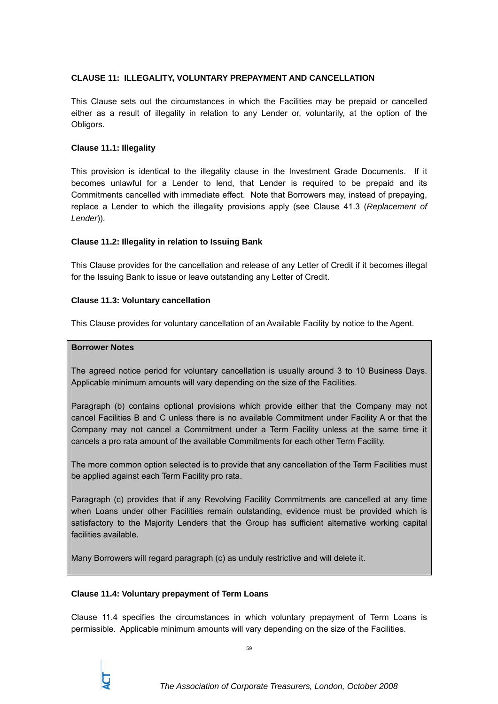## **CLAUSE 11: ILLEGALITY, VOLUNTARY PREPAYMENT AND CANCELLATION**

This Clause sets out the circumstances in which the Facilities may be prepaid or cancelled either as a result of illegality in relation to any Lender or, voluntarily, at the option of the Obligors.

### **Clause 11.1: Illegality**

This provision is identical to the illegality clause in the Investment Grade Documents. If it becomes unlawful for a Lender to lend, that Lender is required to be prepaid and its Commitments cancelled with immediate effect. Note that Borrowers may, instead of prepaying, replace a Lender to which the illegality provisions apply (see Clause 41.3 (*Replacement of Lender*)).

## **Clause 11.2: Illegality in relation to Issuing Bank**

This Clause provides for the cancellation and release of any Letter of Credit if it becomes illegal for the Issuing Bank to issue or leave outstanding any Letter of Credit.

### **Clause 11.3: Voluntary cancellation**

This Clause provides for voluntary cancellation of an Available Facility by notice to the Agent.

### **Borrower Notes**

The agreed notice period for voluntary cancellation is usually around 3 to 10 Business Days. Applicable minimum amounts will vary depending on the size of the Facilities.

Paragraph (b) contains optional provisions which provide either that the Company may not cancel Facilities B and C unless there is no available Commitment under Facility A or that the Company may not cancel a Commitment under a Term Facility unless at the same time it cancels a pro rata amount of the available Commitments for each other Term Facility.

The more common option selected is to provide that any cancellation of the Term Facilities must be applied against each Term Facility pro rata.

Paragraph (c) provides that if any Revolving Facility Commitments are cancelled at any time when Loans under other Facilities remain outstanding, evidence must be provided which is satisfactory to the Majority Lenders that the Group has sufficient alternative working capital facilities available.

Many Borrowers will regard paragraph (c) as unduly restrictive and will delete it.

### **Clause 11.4: Voluntary prepayment of Term Loans**

Clause 11.4 specifies the circumstances in which voluntary prepayment of Term Loans is permissible. Applicable minimum amounts will vary depending on the size of the Facilities.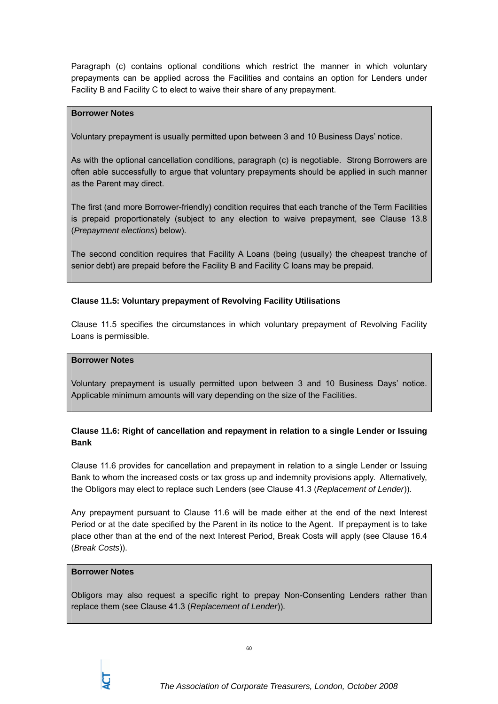Paragraph (c) contains optional conditions which restrict the manner in which voluntary prepayments can be applied across the Facilities and contains an option for Lenders under Facility B and Facility C to elect to waive their share of any prepayment.

#### **Borrower Notes**

Voluntary prepayment is usually permitted upon between 3 and 10 Business Days' notice.

As with the optional cancellation conditions, paragraph (c) is negotiable. Strong Borrowers are often able successfully to argue that voluntary prepayments should be applied in such manner as the Parent may direct.

The first (and more Borrower-friendly) condition requires that each tranche of the Term Facilities is prepaid proportionately (subject to any election to waive prepayment, see Clause 13.8 (*Prepayment elections*) below).

The second condition requires that Facility A Loans (being (usually) the cheapest tranche of senior debt) are prepaid before the Facility B and Facility C loans may be prepaid.

### **Clause 11.5: Voluntary prepayment of Revolving Facility Utilisations**

Clause 11.5 specifies the circumstances in which voluntary prepayment of Revolving Facility Loans is permissible.

#### **Borrower Notes**

Voluntary prepayment is usually permitted upon between 3 and 10 Business Days' notice. Applicable minimum amounts will vary depending on the size of the Facilities.

# **Clause 11.6: Right of cancellation and repayment in relation to a single Lender or Issuing Bank**

Clause 11.6 provides for cancellation and prepayment in relation to a single Lender or Issuing Bank to whom the increased costs or tax gross up and indemnity provisions apply. Alternatively, the Obligors may elect to replace such Lenders (see Clause 41.3 (*Replacement of Lender*)).

Any prepayment pursuant to Clause 11.6 will be made either at the end of the next Interest Period or at the date specified by the Parent in its notice to the Agent. If prepayment is to take place other than at the end of the next Interest Period, Break Costs will apply (see Clause 16.4 (*Break Costs*)).

#### **Borrower Notes**

Obligors may also request a specific right to prepay Non-Consenting Lenders rather than replace them (see Clause 41.3 (*Replacement of Lender*)).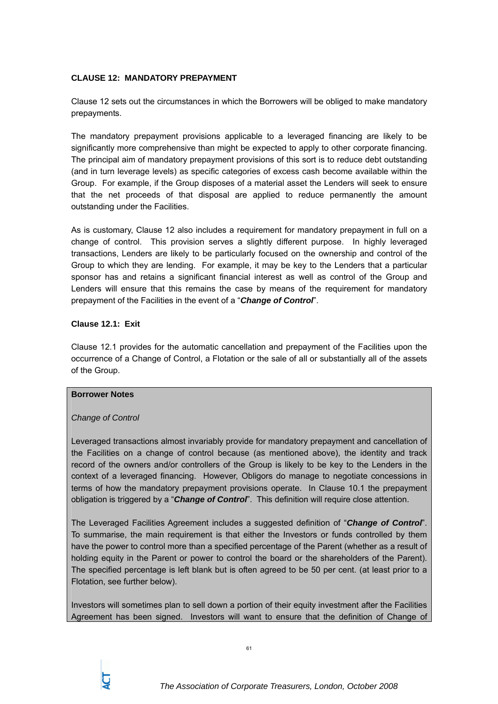## **CLAUSE 12: MANDATORY PREPAYMENT**

Clause 12 sets out the circumstances in which the Borrowers will be obliged to make mandatory prepayments.

The mandatory prepayment provisions applicable to a leveraged financing are likely to be significantly more comprehensive than might be expected to apply to other corporate financing. The principal aim of mandatory prepayment provisions of this sort is to reduce debt outstanding (and in turn leverage levels) as specific categories of excess cash become available within the Group. For example, if the Group disposes of a material asset the Lenders will seek to ensure that the net proceeds of that disposal are applied to reduce permanently the amount outstanding under the Facilities.

As is customary, Clause 12 also includes a requirement for mandatory prepayment in full on a change of control. This provision serves a slightly different purpose. In highly leveraged transactions, Lenders are likely to be particularly focused on the ownership and control of the Group to which they are lending. For example, it may be key to the Lenders that a particular sponsor has and retains a significant financial interest as well as control of the Group and Lenders will ensure that this remains the case by means of the requirement for mandatory prepayment of the Facilities in the event of a "*Change of Control*".

### **Clause 12.1: Exit**

Clause 12.1 provides for the automatic cancellation and prepayment of the Facilities upon the occurrence of a Change of Control, a Flotation or the sale of all or substantially all of the assets of the Group.

### **Borrower Notes**

### *Change of Control*

Leveraged transactions almost invariably provide for mandatory prepayment and cancellation of the Facilities on a change of control because (as mentioned above), the identity and track record of the owners and/or controllers of the Group is likely to be key to the Lenders in the context of a leveraged financing. However, Obligors do manage to negotiate concessions in terms of how the mandatory prepayment provisions operate. In Clause 10.1 the prepayment obligation is triggered by a "*Change of Control*". This definition will require close attention.

The Leveraged Facilities Agreement includes a suggested definition of "*Change of Control*". To summarise, the main requirement is that either the Investors or funds controlled by them have the power to control more than a specified percentage of the Parent (whether as a result of holding equity in the Parent or power to control the board or the shareholders of the Parent). The specified percentage is left blank but is often agreed to be 50 per cent. (at least prior to a Flotation, see further below).

Investors will sometimes plan to sell down a portion of their equity investment after the Facilities Agreement has been signed. Investors will want to ensure that the definition of Change of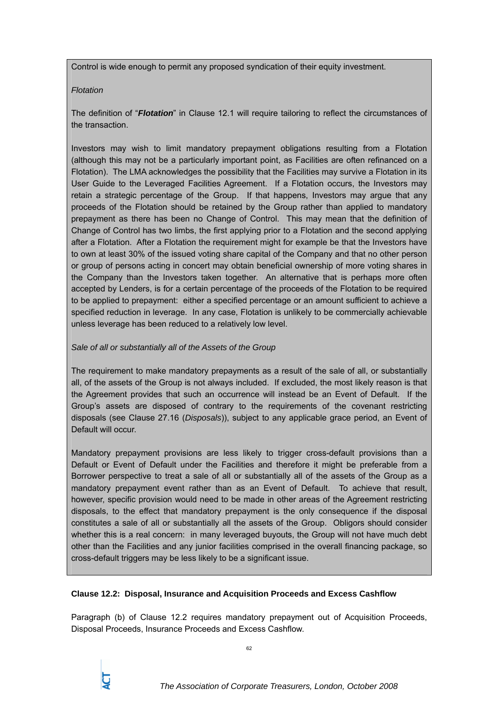Control is wide enough to permit any proposed syndication of their equity investment.

#### *Flotation*

The definition of "*Flotation*" in Clause 12.1 will require tailoring to reflect the circumstances of the transaction.

Investors may wish to limit mandatory prepayment obligations resulting from a Flotation (although this may not be a particularly important point, as Facilities are often refinanced on a Flotation). The LMA acknowledges the possibility that the Facilities may survive a Flotation in its User Guide to the Leveraged Facilities Agreement. If a Flotation occurs, the Investors may retain a strategic percentage of the Group. If that happens, Investors may argue that any proceeds of the Flotation should be retained by the Group rather than applied to mandatory prepayment as there has been no Change of Control. This may mean that the definition of Change of Control has two limbs, the first applying prior to a Flotation and the second applying after a Flotation. After a Flotation the requirement might for example be that the Investors have to own at least 30% of the issued voting share capital of the Company and that no other person or group of persons acting in concert may obtain beneficial ownership of more voting shares in the Company than the Investors taken together. An alternative that is perhaps more often accepted by Lenders, is for a certain percentage of the proceeds of the Flotation to be required to be applied to prepayment: either a specified percentage or an amount sufficient to achieve a specified reduction in leverage. In any case, Flotation is unlikely to be commercially achievable unless leverage has been reduced to a relatively low level.

### *Sale of all or substantially all of the Assets of the Group*

The requirement to make mandatory prepayments as a result of the sale of all, or substantially all, of the assets of the Group is not always included. If excluded, the most likely reason is that the Agreement provides that such an occurrence will instead be an Event of Default. If the Group's assets are disposed of contrary to the requirements of the covenant restricting disposals (see Clause 27.16 (*Disposals*)), subject to any applicable grace period, an Event of Default will occur.

Mandatory prepayment provisions are less likely to trigger cross-default provisions than a Default or Event of Default under the Facilities and therefore it might be preferable from a Borrower perspective to treat a sale of all or substantially all of the assets of the Group as a mandatory prepayment event rather than as an Event of Default. To achieve that result, however, specific provision would need to be made in other areas of the Agreement restricting disposals, to the effect that mandatory prepayment is the only consequence if the disposal constitutes a sale of all or substantially all the assets of the Group. Obligors should consider whether this is a real concern: in many leveraged buyouts, the Group will not have much debt other than the Facilities and any junior facilities comprised in the overall financing package, so cross-default triggers may be less likely to be a significant issue.

### **Clause 12.2: Disposal, Insurance and Acquisition Proceeds and Excess Cashflow**

Paragraph (b) of Clause 12.2 requires mandatory prepayment out of Acquisition Proceeds, Disposal Proceeds, Insurance Proceeds and Excess Cashflow.

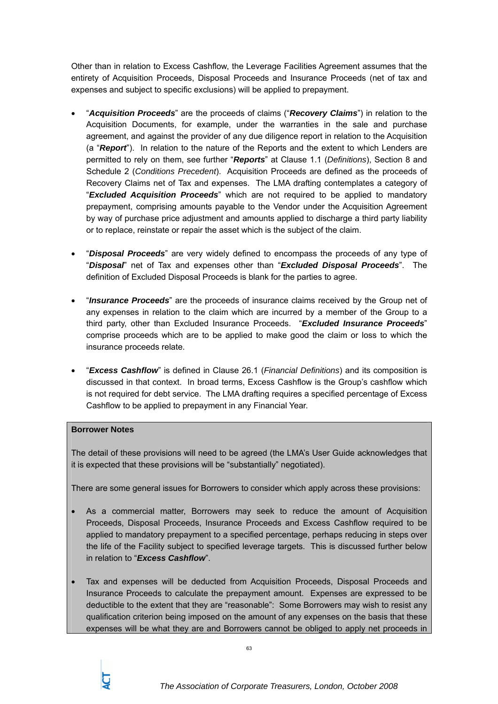Other than in relation to Excess Cashflow, the Leverage Facilities Agreement assumes that the entirety of Acquisition Proceeds, Disposal Proceeds and Insurance Proceeds (net of tax and expenses and subject to specific exclusions) will be applied to prepayment.

- "*Acquisition Proceeds*" are the proceeds of claims ("*Recovery Claims*") in relation to the Acquisition Documents, for example, under the warranties in the sale and purchase agreement, and against the provider of any due diligence report in relation to the Acquisition (a "*Report*"). In relation to the nature of the Reports and the extent to which Lenders are permitted to rely on them, see further "*Reports*" at Clause 1.1 (*Definitions*), Section 8 and Schedule 2 (*Conditions Precedent*). Acquisition Proceeds are defined as the proceeds of Recovery Claims net of Tax and expenses. The LMA drafting contemplates a category of "*Excluded Acquisition Proceeds*" which are not required to be applied to mandatory prepayment, comprising amounts payable to the Vendor under the Acquisition Agreement by way of purchase price adjustment and amounts applied to discharge a third party liability or to replace, reinstate or repair the asset which is the subject of the claim.
- "*Disposal Proceeds*" are very widely defined to encompass the proceeds of any type of "*Disposal*" net of Tax and expenses other than "*Excluded Disposal Proceeds*". The definition of Excluded Disposal Proceeds is blank for the parties to agree.
- "*Insurance Proceeds*" are the proceeds of insurance claims received by the Group net of any expenses in relation to the claim which are incurred by a member of the Group to a third party, other than Excluded Insurance Proceeds. "*Excluded Insurance Proceeds*" comprise proceeds which are to be applied to make good the claim or loss to which the insurance proceeds relate.
- "*Excess Cashflow*" is defined in Clause 26.1 (*Financial Definitions*) and its composition is discussed in that context. In broad terms, Excess Cashflow is the Group's cashflow which is not required for debt service. The LMA drafting requires a specified percentage of Excess Cashflow to be applied to prepayment in any Financial Year.

### **Borrower Notes**

The detail of these provisions will need to be agreed (the LMA's User Guide acknowledges that it is expected that these provisions will be "substantially" negotiated).

There are some general issues for Borrowers to consider which apply across these provisions:

- As a commercial matter, Borrowers may seek to reduce the amount of Acquisition Proceeds, Disposal Proceeds, Insurance Proceeds and Excess Cashflow required to be applied to mandatory prepayment to a specified percentage, perhaps reducing in steps over the life of the Facility subject to specified leverage targets. This is discussed further below in relation to "*Excess Cashflow*".
- Tax and expenses will be deducted from Acquisition Proceeds, Disposal Proceeds and Insurance Proceeds to calculate the prepayment amount. Expenses are expressed to be deductible to the extent that they are "reasonable": Some Borrowers may wish to resist any qualification criterion being imposed on the amount of any expenses on the basis that these expenses will be what they are and Borrowers cannot be obliged to apply net proceeds in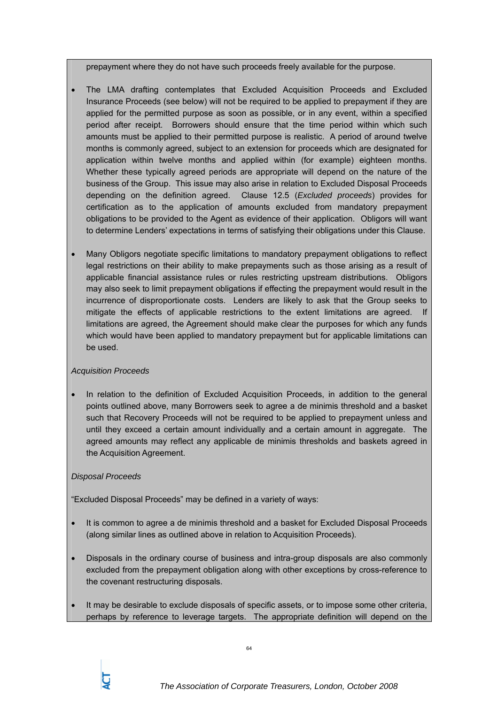prepayment where they do not have such proceeds freely available for the purpose.

- The LMA drafting contemplates that Excluded Acquisition Proceeds and Excluded Insurance Proceeds (see below) will not be required to be applied to prepayment if they are applied for the permitted purpose as soon as possible, or in any event, within a specified period after receipt. Borrowers should ensure that the time period within which such amounts must be applied to their permitted purpose is realistic. A period of around twelve months is commonly agreed, subject to an extension for proceeds which are designated for application within twelve months and applied within (for example) eighteen months. Whether these typically agreed periods are appropriate will depend on the nature of the business of the Group. This issue may also arise in relation to Excluded Disposal Proceeds depending on the definition agreed. Clause 12.5 (*Excluded proceeds*) provides for certification as to the application of amounts excluded from mandatory prepayment obligations to be provided to the Agent as evidence of their application. Obligors will want to determine Lenders' expectations in terms of satisfying their obligations under this Clause.
- Many Obligors negotiate specific limitations to mandatory prepayment obligations to reflect legal restrictions on their ability to make prepayments such as those arising as a result of applicable financial assistance rules or rules restricting upstream distributions. Obligors may also seek to limit prepayment obligations if effecting the prepayment would result in the incurrence of disproportionate costs. Lenders are likely to ask that the Group seeks to mitigate the effects of applicable restrictions to the extent limitations are agreed. If limitations are agreed, the Agreement should make clear the purposes for which any funds which would have been applied to mandatory prepayment but for applicable limitations can be used.

### *Acquisition Proceeds*

In relation to the definition of Excluded Acquisition Proceeds, in addition to the general points outlined above, many Borrowers seek to agree a de minimis threshold and a basket such that Recovery Proceeds will not be required to be applied to prepayment unless and until they exceed a certain amount individually and a certain amount in aggregate. The agreed amounts may reflect any applicable de minimis thresholds and baskets agreed in the Acquisition Agreement.

# *Disposal Proceeds*

"Excluded Disposal Proceeds" may be defined in a variety of ways:

- It is common to agree a de minimis threshold and a basket for Excluded Disposal Proceeds (along similar lines as outlined above in relation to Acquisition Proceeds).
- Disposals in the ordinary course of business and intra-group disposals are also commonly excluded from the prepayment obligation along with other exceptions by cross-reference to the covenant restructuring disposals.
- It may be desirable to exclude disposals of specific assets, or to impose some other criteria, perhaps by reference to leverage targets. The appropriate definition will depend on the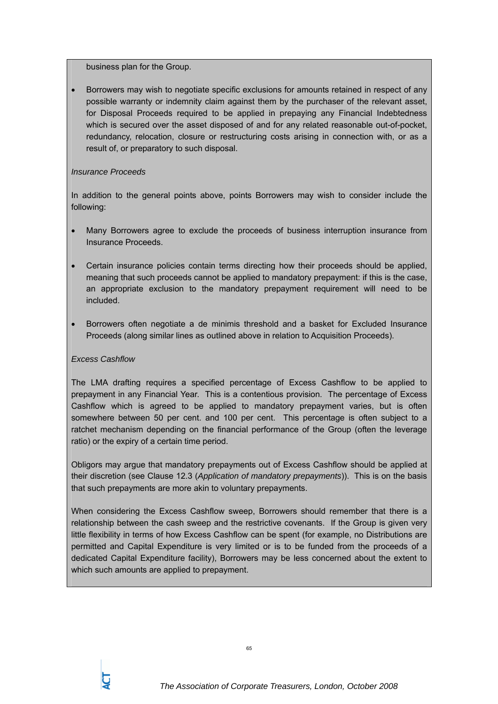business plan for the Group.

• Borrowers may wish to negotiate specific exclusions for amounts retained in respect of any possible warranty or indemnity claim against them by the purchaser of the relevant asset, for Disposal Proceeds required to be applied in prepaying any Financial Indebtedness which is secured over the asset disposed of and for any related reasonable out-of-pocket, redundancy, relocation, closure or restructuring costs arising in connection with, or as a result of, or preparatory to such disposal.

### *Insurance Proceeds*

In addition to the general points above, points Borrowers may wish to consider include the following:

- Many Borrowers agree to exclude the proceeds of business interruption insurance from Insurance Proceeds.
- Certain insurance policies contain terms directing how their proceeds should be applied, meaning that such proceeds cannot be applied to mandatory prepayment: if this is the case, an appropriate exclusion to the mandatory prepayment requirement will need to be included.
- Borrowers often negotiate a de minimis threshold and a basket for Excluded Insurance Proceeds (along similar lines as outlined above in relation to Acquisition Proceeds).

### *Excess Cashflow*

The LMA drafting requires a specified percentage of Excess Cashflow to be applied to prepayment in any Financial Year. This is a contentious provision. The percentage of Excess Cashflow which is agreed to be applied to mandatory prepayment varies, but is often somewhere between 50 per cent. and 100 per cent. This percentage is often subject to a ratchet mechanism depending on the financial performance of the Group (often the leverage ratio) or the expiry of a certain time period.

Obligors may argue that mandatory prepayments out of Excess Cashflow should be applied at their discretion (see Clause 12.3 (*Application of mandatory prepayments*)). This is on the basis that such prepayments are more akin to voluntary prepayments.

When considering the Excess Cashflow sweep, Borrowers should remember that there is a relationship between the cash sweep and the restrictive covenants. If the Group is given very little flexibility in terms of how Excess Cashflow can be spent (for example, no Distributions are permitted and Capital Expenditure is very limited or is to be funded from the proceeds of a dedicated Capital Expenditure facility), Borrowers may be less concerned about the extent to which such amounts are applied to prepayment.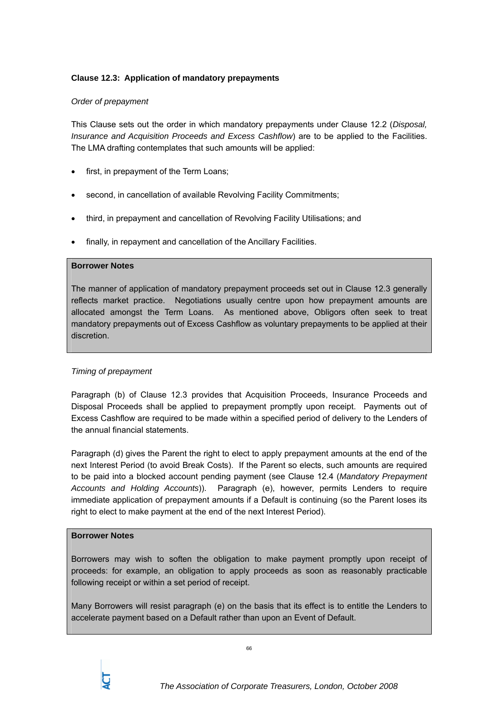## **Clause 12.3: Application of mandatory prepayments**

### *Order of prepayment*

This Clause sets out the order in which mandatory prepayments under Clause 12.2 (*Disposal, Insurance and Acquisition Proceeds and Excess Cashflow*) are to be applied to the Facilities. The LMA drafting contemplates that such amounts will be applied:

- first, in prepayment of the Term Loans:
- second, in cancellation of available Revolving Facility Commitments;
- third, in prepayment and cancellation of Revolving Facility Utilisations; and
- finally, in repayment and cancellation of the Ancillary Facilities.

#### **Borrower Notes**

The manner of application of mandatory prepayment proceeds set out in Clause 12.3 generally reflects market practice. Negotiations usually centre upon how prepayment amounts are allocated amongst the Term Loans. As mentioned above, Obligors often seek to treat mandatory prepayments out of Excess Cashflow as voluntary prepayments to be applied at their discretion.

### *Timing of prepayment*

Paragraph (b) of Clause 12.3 provides that Acquisition Proceeds, Insurance Proceeds and Disposal Proceeds shall be applied to prepayment promptly upon receipt. Payments out of Excess Cashflow are required to be made within a specified period of delivery to the Lenders of the annual financial statements.

Paragraph (d) gives the Parent the right to elect to apply prepayment amounts at the end of the next Interest Period (to avoid Break Costs). If the Parent so elects, such amounts are required to be paid into a blocked account pending payment (see Clause 12.4 (*Mandatory Prepayment Accounts and Holding Accounts*)). Paragraph (e), however, permits Lenders to require immediate application of prepayment amounts if a Default is continuing (so the Parent loses its right to elect to make payment at the end of the next Interest Period).

### **Borrower Notes**

Borrowers may wish to soften the obligation to make payment promptly upon receipt of proceeds: for example, an obligation to apply proceeds as soon as reasonably practicable following receipt or within a set period of receipt.

Many Borrowers will resist paragraph (e) on the basis that its effect is to entitle the Lenders to accelerate payment based on a Default rather than upon an Event of Default.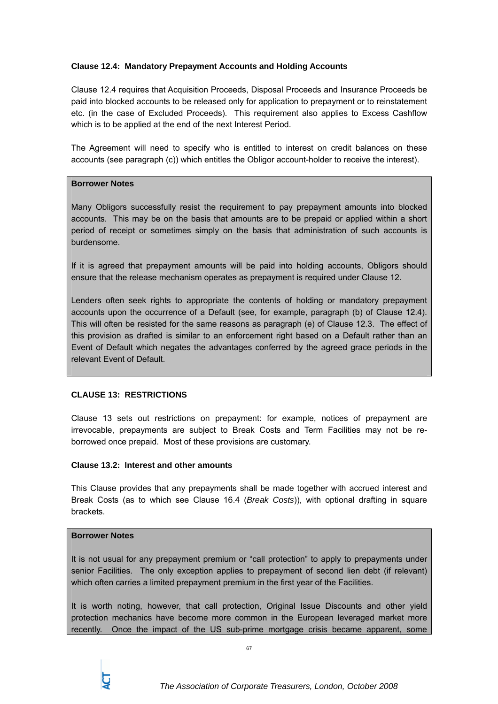## **Clause 12.4: Mandatory Prepayment Accounts and Holding Accounts**

Clause 12.4 requires that Acquisition Proceeds, Disposal Proceeds and Insurance Proceeds be paid into blocked accounts to be released only for application to prepayment or to reinstatement etc. (in the case of Excluded Proceeds). This requirement also applies to Excess Cashflow which is to be applied at the end of the next Interest Period.

The Agreement will need to specify who is entitled to interest on credit balances on these accounts (see paragraph (c)) which entitles the Obligor account-holder to receive the interest).

### **Borrower Notes**

Many Obligors successfully resist the requirement to pay prepayment amounts into blocked accounts. This may be on the basis that amounts are to be prepaid or applied within a short period of receipt or sometimes simply on the basis that administration of such accounts is burdensome.

If it is agreed that prepayment amounts will be paid into holding accounts, Obligors should ensure that the release mechanism operates as prepayment is required under Clause 12.

Lenders often seek rights to appropriate the contents of holding or mandatory prepayment accounts upon the occurrence of a Default (see, for example, paragraph (b) of Clause 12.4). This will often be resisted for the same reasons as paragraph (e) of Clause 12.3. The effect of this provision as drafted is similar to an enforcement right based on a Default rather than an Event of Default which negates the advantages conferred by the agreed grace periods in the relevant Event of Default.

### **CLAUSE 13: RESTRICTIONS**

Clause 13 sets out restrictions on prepayment: for example, notices of prepayment are irrevocable, prepayments are subject to Break Costs and Term Facilities may not be reborrowed once prepaid. Most of these provisions are customary.

## **Clause 13.2: Interest and other amounts**

This Clause provides that any prepayments shall be made together with accrued interest and Break Costs (as to which see Clause 16.4 (*Break Costs*)), with optional drafting in square brackets.

### **Borrower Notes**

It is not usual for any prepayment premium or "call protection" to apply to prepayments under senior Facilities. The only exception applies to prepayment of second lien debt (if relevant) which often carries a limited prepayment premium in the first year of the Facilities.

It is worth noting, however, that call protection, Original Issue Discounts and other yield protection mechanics have become more common in the European leveraged market more recently. Once the impact of the US sub-prime mortgage crisis became apparent, some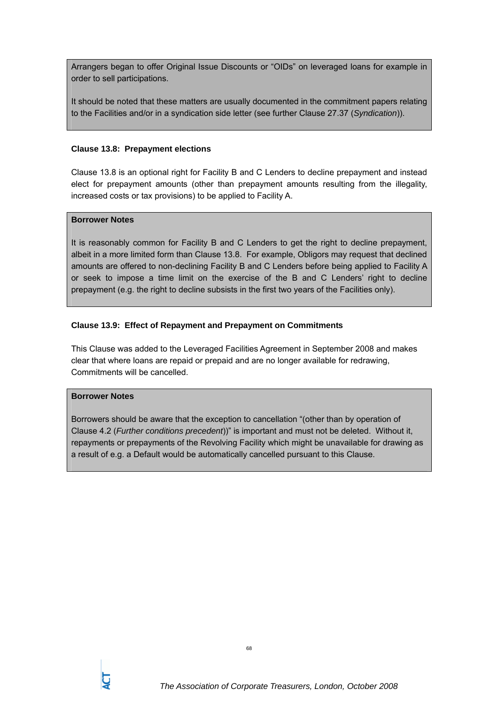Arrangers began to offer Original Issue Discounts or "OIDs" on leveraged loans for example in order to sell participations.

It should be noted that these matters are usually documented in the commitment papers relating to the Facilities and/or in a syndication side letter (see further Clause 27.37 (*Syndication*)).

#### **Clause 13.8: Prepayment elections**

Clause 13.8 is an optional right for Facility B and C Lenders to decline prepayment and instead elect for prepayment amounts (other than prepayment amounts resulting from the illegality, increased costs or tax provisions) to be applied to Facility A.

### **Borrower Notes**

It is reasonably common for Facility B and C Lenders to get the right to decline prepayment, albeit in a more limited form than Clause 13.8. For example, Obligors may request that declined amounts are offered to non-declining Facility B and C Lenders before being applied to Facility A or seek to impose a time limit on the exercise of the B and C Lenders' right to decline prepayment (e.g. the right to decline subsists in the first two years of the Facilities only).

### **Clause 13.9: Effect of Repayment and Prepayment on Commitments**

This Clause was added to the Leveraged Facilities Agreement in September 2008 and makes clear that where loans are repaid or prepaid and are no longer available for redrawing, Commitments will be cancelled.

### **Borrower Notes**

Borrowers should be aware that the exception to cancellation "(other than by operation of Clause 4.2 (*Further conditions precedent*))" is important and must not be deleted. Without it, repayments or prepayments of the Revolving Facility which might be unavailable for drawing as a result of e.g. a Default would be automatically cancelled pursuant to this Clause.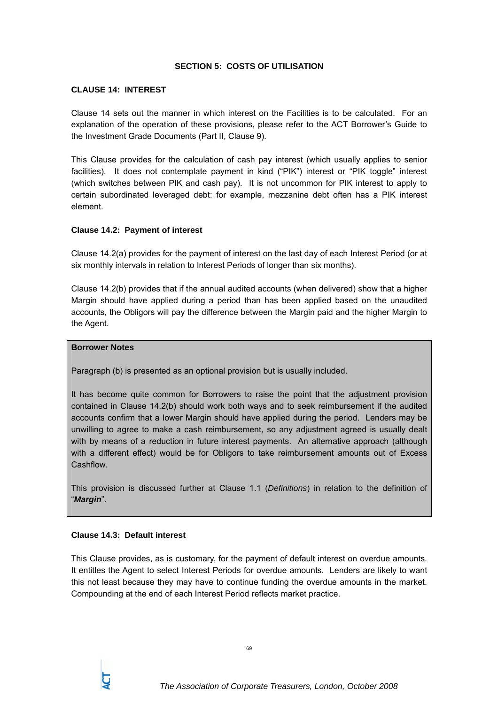#### **SECTION 5: COSTS OF UTILISATION**

#### **CLAUSE 14: INTEREST**

Clause 14 sets out the manner in which interest on the Facilities is to be calculated. For an explanation of the operation of these provisions, please refer to the ACT Borrower's Guide to the Investment Grade Documents (Part II, Clause 9).

This Clause provides for the calculation of cash pay interest (which usually applies to senior facilities). It does not contemplate payment in kind ("PIK") interest or "PIK toggle" interest (which switches between PIK and cash pay). It is not uncommon for PIK interest to apply to certain subordinated leveraged debt: for example, mezzanine debt often has a PIK interest element.

#### **Clause 14.2: Payment of interest**

Clause 14.2(a) provides for the payment of interest on the last day of each Interest Period (or at six monthly intervals in relation to Interest Periods of longer than six months).

Clause 14.2(b) provides that if the annual audited accounts (when delivered) show that a higher Margin should have applied during a period than has been applied based on the unaudited accounts, the Obligors will pay the difference between the Margin paid and the higher Margin to the Agent.

#### **Borrower Notes**

Paragraph (b) is presented as an optional provision but is usually included.

It has become quite common for Borrowers to raise the point that the adjustment provision contained in Clause 14.2(b) should work both ways and to seek reimbursement if the audited accounts confirm that a lower Margin should have applied during the period. Lenders may be unwilling to agree to make a cash reimbursement, so any adjustment agreed is usually dealt with by means of a reduction in future interest payments. An alternative approach (although with a different effect) would be for Obligors to take reimbursement amounts out of Excess Cashflow.

This provision is discussed further at Clause 1.1 (*Definitions*) in relation to the definition of "*Margin*".

#### **Clause 14.3: Default interest**

This Clause provides, as is customary, for the payment of default interest on overdue amounts. It entitles the Agent to select Interest Periods for overdue amounts. Lenders are likely to want this not least because they may have to continue funding the overdue amounts in the market. Compounding at the end of each Interest Period reflects market practice.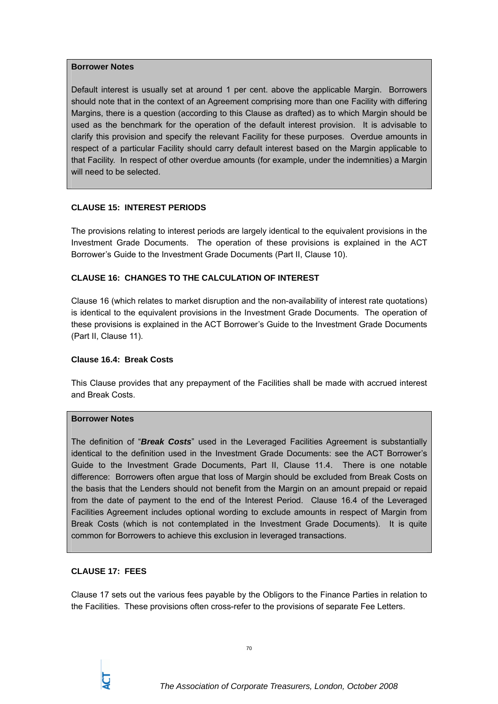#### **Borrower Notes**

Default interest is usually set at around 1 per cent. above the applicable Margin. Borrowers should note that in the context of an Agreement comprising more than one Facility with differing Margins, there is a question (according to this Clause as drafted) as to which Margin should be used as the benchmark for the operation of the default interest provision. It is advisable to clarify this provision and specify the relevant Facility for these purposes. Overdue amounts in respect of a particular Facility should carry default interest based on the Margin applicable to that Facility. In respect of other overdue amounts (for example, under the indemnities) a Margin will need to be selected.

### **CLAUSE 15: INTEREST PERIODS**

The provisions relating to interest periods are largely identical to the equivalent provisions in the Investment Grade Documents. The operation of these provisions is explained in the ACT Borrower's Guide to the Investment Grade Documents (Part II, Clause 10).

## **CLAUSE 16: CHANGES TO THE CALCULATION OF INTEREST**

Clause 16 (which relates to market disruption and the non-availability of interest rate quotations) is identical to the equivalent provisions in the Investment Grade Documents. The operation of these provisions is explained in the ACT Borrower's Guide to the Investment Grade Documents (Part II, Clause 11).

### **Clause 16.4: Break Costs**

This Clause provides that any prepayment of the Facilities shall be made with accrued interest and Break Costs.

## **Borrower Notes**

The definition of "*Break Costs*" used in the Leveraged Facilities Agreement is substantially identical to the definition used in the Investment Grade Documents: see the ACT Borrower's Guide to the Investment Grade Documents, Part II, Clause 11.4. There is one notable difference: Borrowers often argue that loss of Margin should be excluded from Break Costs on the basis that the Lenders should not benefit from the Margin on an amount prepaid or repaid from the date of payment to the end of the Interest Period. Clause 16.4 of the Leveraged Facilities Agreement includes optional wording to exclude amounts in respect of Margin from Break Costs (which is not contemplated in the Investment Grade Documents). It is quite common for Borrowers to achieve this exclusion in leveraged transactions.

## **CLAUSE 17: FEES**

Clause 17 sets out the various fees payable by the Obligors to the Finance Parties in relation to the Facilities. These provisions often cross-refer to the provisions of separate Fee Letters.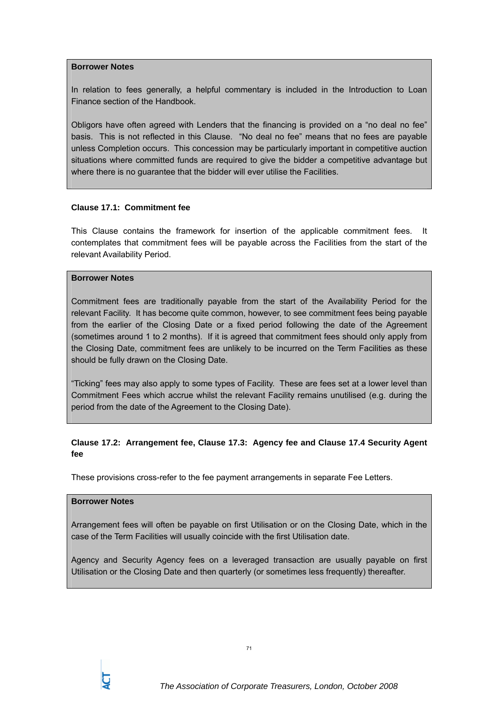#### **Borrower Notes**

In relation to fees generally, a helpful commentary is included in the Introduction to Loan Finance section of the Handbook.

Obligors have often agreed with Lenders that the financing is provided on a "no deal no fee" basis. This is not reflected in this Clause. "No deal no fee" means that no fees are payable unless Completion occurs. This concession may be particularly important in competitive auction situations where committed funds are required to give the bidder a competitive advantage but where there is no guarantee that the bidder will ever utilise the Facilities.

#### **Clause 17.1: Commitment fee**

This Clause contains the framework for insertion of the applicable commitment fees. It contemplates that commitment fees will be payable across the Facilities from the start of the relevant Availability Period.

#### **Borrower Notes**

Commitment fees are traditionally payable from the start of the Availability Period for the relevant Facility. It has become quite common, however, to see commitment fees being payable from the earlier of the Closing Date or a fixed period following the date of the Agreement (sometimes around 1 to 2 months). If it is agreed that commitment fees should only apply from the Closing Date, commitment fees are unlikely to be incurred on the Term Facilities as these should be fully drawn on the Closing Date.

"Ticking" fees may also apply to some types of Facility. These are fees set at a lower level than Commitment Fees which accrue whilst the relevant Facility remains unutilised (e.g. during the period from the date of the Agreement to the Closing Date).

# **Clause 17.2: Arrangement fee, Clause 17.3: Agency fee and Clause 17.4 Security Agent fee**

These provisions cross-refer to the fee payment arrangements in separate Fee Letters.

## **Borrower Notes**

Arrangement fees will often be payable on first Utilisation or on the Closing Date, which in the case of the Term Facilities will usually coincide with the first Utilisation date.

Agency and Security Agency fees on a leveraged transaction are usually payable on first Utilisation or the Closing Date and then quarterly (or sometimes less frequently) thereafter.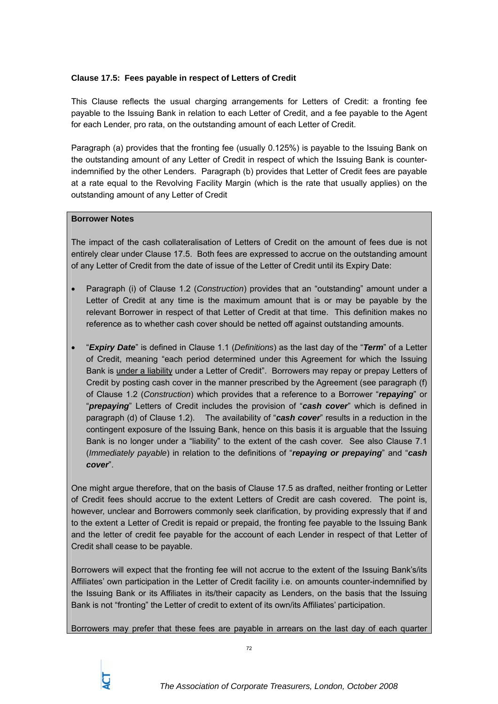## **Clause 17.5: Fees payable in respect of Letters of Credit**

This Clause reflects the usual charging arrangements for Letters of Credit: a fronting fee payable to the Issuing Bank in relation to each Letter of Credit, and a fee payable to the Agent for each Lender, pro rata, on the outstanding amount of each Letter of Credit.

Paragraph (a) provides that the fronting fee (usually 0.125%) is payable to the Issuing Bank on the outstanding amount of any Letter of Credit in respect of which the Issuing Bank is counterindemnified by the other Lenders. Paragraph (b) provides that Letter of Credit fees are payable at a rate equal to the Revolving Facility Margin (which is the rate that usually applies) on the outstanding amount of any Letter of Credit

### **Borrower Notes**

The impact of the cash collateralisation of Letters of Credit on the amount of fees due is not entirely clear under Clause 17.5. Both fees are expressed to accrue on the outstanding amount of any Letter of Credit from the date of issue of the Letter of Credit until its Expiry Date:

- Paragraph (i) of Clause 1.2 (*Construction*) provides that an "outstanding" amount under a Letter of Credit at any time is the maximum amount that is or may be payable by the relevant Borrower in respect of that Letter of Credit at that time. This definition makes no reference as to whether cash cover should be netted off against outstanding amounts.
- "*Expiry Date*" is defined in Clause 1.1 (*Definitions*) as the last day of the "*Term*" of a Letter of Credit, meaning "each period determined under this Agreement for which the Issuing Bank is under a liability under a Letter of Credit". Borrowers may repay or prepay Letters of Credit by posting cash cover in the manner prescribed by the Agreement (see paragraph (f) of Clause 1.2 (*Construction*) which provides that a reference to a Borrower "*repaying*" or "*prepaying*" Letters of Credit includes the provision of "*cash cover*" which is defined in paragraph (d) of Clause 1.2). The availability of "*cash cover*" results in a reduction in the contingent exposure of the Issuing Bank, hence on this basis it is arguable that the Issuing Bank is no longer under a "liability" to the extent of the cash cover. See also Clause 7.1 (*Immediately payable*) in relation to the definitions of "*repaying or prepaying*" and "*cash cover*".

One might argue therefore, that on the basis of Clause 17.5 as drafted, neither fronting or Letter of Credit fees should accrue to the extent Letters of Credit are cash covered. The point is, however, unclear and Borrowers commonly seek clarification, by providing expressly that if and to the extent a Letter of Credit is repaid or prepaid, the fronting fee payable to the Issuing Bank and the letter of credit fee payable for the account of each Lender in respect of that Letter of Credit shall cease to be payable.

Borrowers will expect that the fronting fee will not accrue to the extent of the Issuing Bank's/its Affiliates' own participation in the Letter of Credit facility i.e. on amounts counter-indemnified by the Issuing Bank or its Affiliates in its/their capacity as Lenders, on the basis that the Issuing Bank is not "fronting" the Letter of credit to extent of its own/its Affiliates' participation.

Borrowers may prefer that these fees are payable in arrears on the last day of each quarter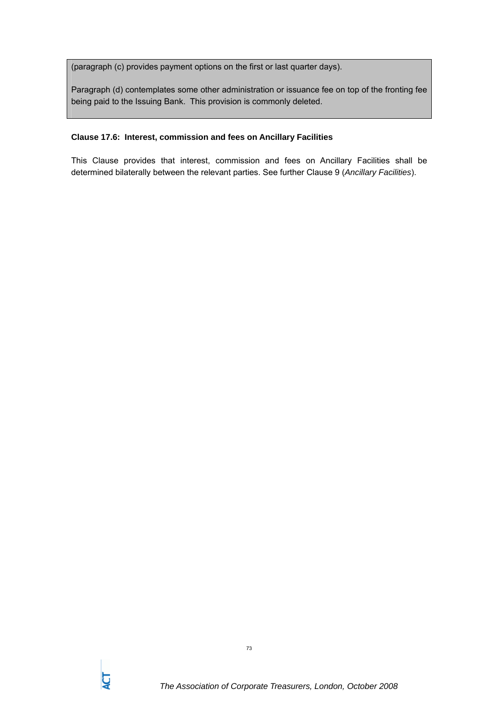(paragraph (c) provides payment options on the first or last quarter days).

Paragraph (d) contemplates some other administration or issuance fee on top of the fronting fee being paid to the Issuing Bank. This provision is commonly deleted.

## **Clause 17.6: Interest, commission and fees on Ancillary Facilities**

This Clause provides that interest, commission and fees on Ancillary Facilities shall be determined bilaterally between the relevant parties. See further Clause 9 (*Ancillary Facilities*).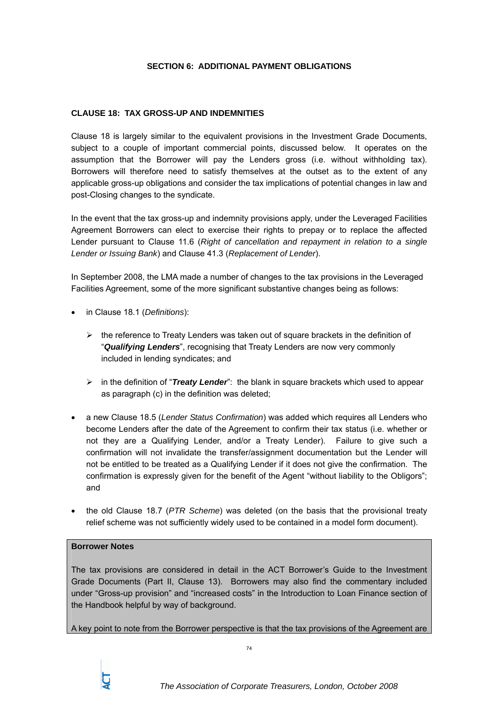# **SECTION 6: ADDITIONAL PAYMENT OBLIGATIONS**

# **CLAUSE 18: TAX GROSS-UP AND INDEMNITIES**

Clause 18 is largely similar to the equivalent provisions in the Investment Grade Documents, subject to a couple of important commercial points, discussed below. It operates on the assumption that the Borrower will pay the Lenders gross (i.e. without withholding tax). Borrowers will therefore need to satisfy themselves at the outset as to the extent of any applicable gross-up obligations and consider the tax implications of potential changes in law and post-Closing changes to the syndicate.

In the event that the tax gross-up and indemnity provisions apply, under the Leveraged Facilities Agreement Borrowers can elect to exercise their rights to prepay or to replace the affected Lender pursuant to Clause 11.6 (*Right of cancellation and repayment in relation to a single Lender or Issuing Bank*) and Clause 41.3 (*Replacement of Lender*).

In September 2008, the LMA made a number of changes to the tax provisions in the Leveraged Facilities Agreement, some of the more significant substantive changes being as follows:

- in Clause 18.1 (*Definitions*):
	- $\triangleright$  the reference to Treaty Lenders was taken out of square brackets in the definition of "*Qualifying Lenders*", recognising that Treaty Lenders are now very commonly included in lending syndicates; and
	- ¾ in the definition of "*Treaty Lender*": the blank in square brackets which used to appear as paragraph (c) in the definition was deleted;
- a new Clause 18.5 (*Lender Status Confirmation*) was added which requires all Lenders who become Lenders after the date of the Agreement to confirm their tax status (i.e. whether or not they are a Qualifying Lender, and/or a Treaty Lender). Failure to give such a confirmation will not invalidate the transfer/assignment documentation but the Lender will not be entitled to be treated as a Qualifying Lender if it does not give the confirmation. The confirmation is expressly given for the benefit of the Agent "without liability to the Obligors"; and
- the old Clause 18.7 (*PTR Scheme*) was deleted (on the basis that the provisional treaty relief scheme was not sufficiently widely used to be contained in a model form document).

# **Borrower Notes**

The tax provisions are considered in detail in the ACT Borrower's Guide to the Investment Grade Documents (Part II, Clause 13). Borrowers may also find the commentary included under "Gross-up provision" and "increased costs" in the Introduction to Loan Finance section of the Handbook helpful by way of background.

A key point to note from the Borrower perspective is that the tax provisions of the Agreement are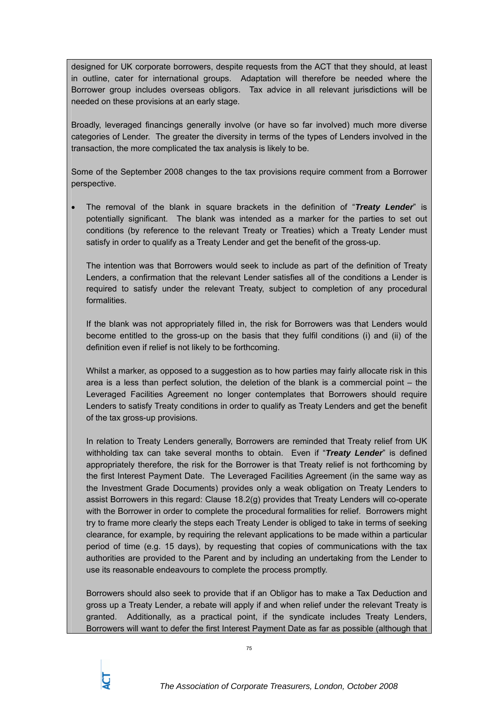designed for UK corporate borrowers, despite requests from the ACT that they should, at least in outline, cater for international groups. Adaptation will therefore be needed where the Borrower group includes overseas obligors. Tax advice in all relevant jurisdictions will be needed on these provisions at an early stage.

Broadly, leveraged financings generally involve (or have so far involved) much more diverse categories of Lender. The greater the diversity in terms of the types of Lenders involved in the transaction, the more complicated the tax analysis is likely to be.

Some of the September 2008 changes to the tax provisions require comment from a Borrower perspective.

• The removal of the blank in square brackets in the definition of "*Treaty Lender*" is potentially significant. The blank was intended as a marker for the parties to set out conditions (by reference to the relevant Treaty or Treaties) which a Treaty Lender must satisfy in order to qualify as a Treaty Lender and get the benefit of the gross-up.

The intention was that Borrowers would seek to include as part of the definition of Treaty Lenders, a confirmation that the relevant Lender satisfies all of the conditions a Lender is required to satisfy under the relevant Treaty, subject to completion of any procedural formalities.

If the blank was not appropriately filled in, the risk for Borrowers was that Lenders would become entitled to the gross-up on the basis that they fulfil conditions (i) and (ii) of the definition even if relief is not likely to be forthcoming.

Whilst a marker, as opposed to a suggestion as to how parties may fairly allocate risk in this area is a less than perfect solution, the deletion of the blank is a commercial point – the Leveraged Facilities Agreement no longer contemplates that Borrowers should require Lenders to satisfy Treaty conditions in order to qualify as Treaty Lenders and get the benefit of the tax gross-up provisions.

In relation to Treaty Lenders generally, Borrowers are reminded that Treaty relief from UK withholding tax can take several months to obtain. Even if "*Treaty Lender*" is defined appropriately therefore, the risk for the Borrower is that Treaty relief is not forthcoming by the first Interest Payment Date. The Leveraged Facilities Agreement (in the same way as the Investment Grade Documents) provides only a weak obligation on Treaty Lenders to assist Borrowers in this regard: Clause 18.2(g) provides that Treaty Lenders will co-operate with the Borrower in order to complete the procedural formalities for relief. Borrowers might try to frame more clearly the steps each Treaty Lender is obliged to take in terms of seeking clearance, for example, by requiring the relevant applications to be made within a particular period of time (e.g. 15 days), by requesting that copies of communications with the tax authorities are provided to the Parent and by including an undertaking from the Lender to use its reasonable endeavours to complete the process promptly.

Borrowers should also seek to provide that if an Obligor has to make a Tax Deduction and gross up a Treaty Lender, a rebate will apply if and when relief under the relevant Treaty is granted. Additionally, as a practical point, if the syndicate includes Treaty Lenders, Borrowers will want to defer the first Interest Payment Date as far as possible (although that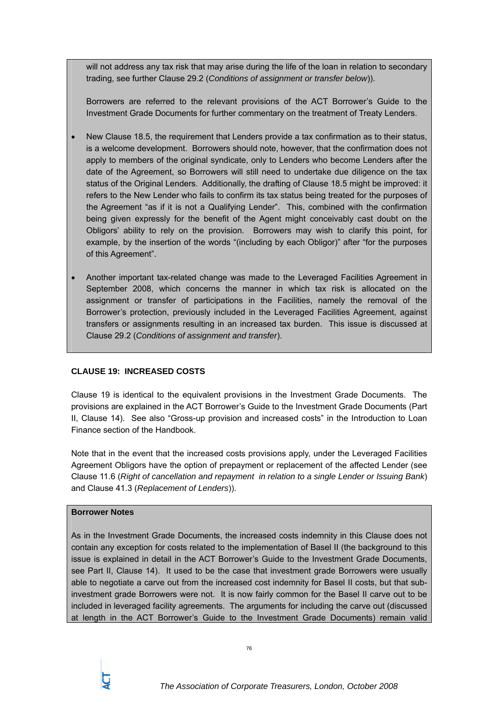will not address any tax risk that may arise during the life of the loan in relation to secondary trading, see further Clause 29.2 (*Conditions of assignment or transfer below*)).

Borrowers are referred to the relevant provisions of the ACT Borrower's Guide to the Investment Grade Documents for further commentary on the treatment of Treaty Lenders.

- New Clause 18.5, the requirement that Lenders provide a tax confirmation as to their status, is a welcome development. Borrowers should note, however, that the confirmation does not apply to members of the original syndicate, only to Lenders who become Lenders after the date of the Agreement, so Borrowers will still need to undertake due diligence on the tax status of the Original Lenders. Additionally, the drafting of Clause 18.5 might be improved: it refers to the New Lender who fails to confirm its tax status being treated for the purposes of the Agreement "as if it is not a Qualifying Lender". This, combined with the confirmation being given expressly for the benefit of the Agent might conceivably cast doubt on the Obligors' ability to rely on the provision. Borrowers may wish to clarify this point, for example, by the insertion of the words "(including by each Obligor)" after "for the purposes of this Agreement".
- Another important tax-related change was made to the Leveraged Facilities Agreement in September 2008, which concerns the manner in which tax risk is allocated on the assignment or transfer of participations in the Facilities, namely the removal of the Borrower's protection, previously included in the Leveraged Facilities Agreement, against transfers or assignments resulting in an increased tax burden. This issue is discussed at Clause 29.2 (*Conditions of assignment and transfer*).

# **CLAUSE 19: INCREASED COSTS**

Clause 19 is identical to the equivalent provisions in the Investment Grade Documents. The provisions are explained in the ACT Borrower's Guide to the Investment Grade Documents (Part II, Clause 14). See also "Gross-up provision and increased costs" in the Introduction to Loan Finance section of the Handbook.

Note that in the event that the increased costs provisions apply, under the Leveraged Facilities Agreement Obligors have the option of prepayment or replacement of the affected Lender (see Clause 11.6 (*Right of cancellation and repayment in relation to a single Lender or Issuing Bank*) and Clause 41.3 (*Replacement of Lenders*)).

# **Borrower Notes**

As in the Investment Grade Documents, the increased costs indemnity in this Clause does not contain any exception for costs related to the implementation of Basel II (the background to this issue is explained in detail in the ACT Borrower's Guide to the Investment Grade Documents, see Part II, Clause 14). It used to be the case that investment grade Borrowers were usually able to negotiate a carve out from the increased cost indemnity for Basel II costs, but that subinvestment grade Borrowers were not. It is now fairly common for the Basel II carve out to be included in leveraged facility agreements. The arguments for including the carve out (discussed at length in the ACT Borrower's Guide to the Investment Grade Documents) remain valid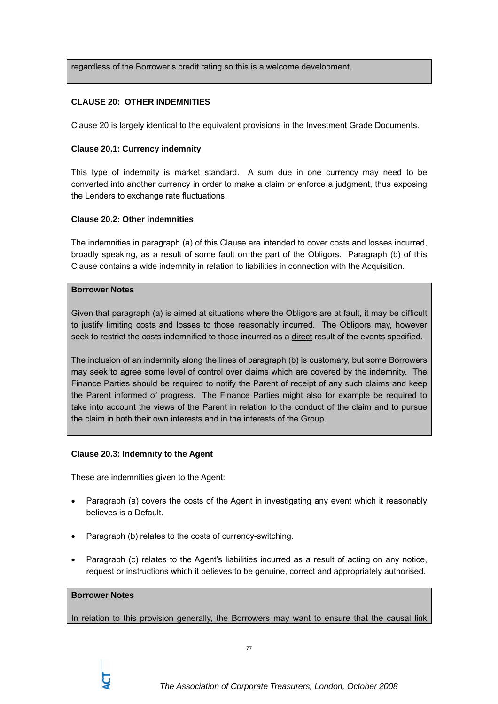regardless of the Borrower's credit rating so this is a welcome development.

# **CLAUSE 20: OTHER INDEMNITIES**

Clause 20 is largely identical to the equivalent provisions in the Investment Grade Documents.

## **Clause 20.1: Currency indemnity**

This type of indemnity is market standard. A sum due in one currency may need to be converted into another currency in order to make a claim or enforce a judgment, thus exposing the Lenders to exchange rate fluctuations.

## **Clause 20.2: Other indemnities**

The indemnities in paragraph (a) of this Clause are intended to cover costs and losses incurred, broadly speaking, as a result of some fault on the part of the Obligors. Paragraph (b) of this Clause contains a wide indemnity in relation to liabilities in connection with the Acquisition.

### **Borrower Notes**

Given that paragraph (a) is aimed at situations where the Obligors are at fault, it may be difficult to justify limiting costs and losses to those reasonably incurred. The Obligors may, however seek to restrict the costs indemnified to those incurred as a direct result of the events specified.

The inclusion of an indemnity along the lines of paragraph (b) is customary, but some Borrowers may seek to agree some level of control over claims which are covered by the indemnity. The Finance Parties should be required to notify the Parent of receipt of any such claims and keep the Parent informed of progress. The Finance Parties might also for example be required to take into account the views of the Parent in relation to the conduct of the claim and to pursue the claim in both their own interests and in the interests of the Group.

### **Clause 20.3: Indemnity to the Agent**

These are indemnities given to the Agent:

- Paragraph (a) covers the costs of the Agent in investigating any event which it reasonably believes is a Default.
- Paragraph (b) relates to the costs of currency-switching.
- Paragraph (c) relates to the Agent's liabilities incurred as a result of acting on any notice, request or instructions which it believes to be genuine, correct and appropriately authorised.

### **Borrower Notes**

In relation to this provision generally, the Borrowers may want to ensure that the causal link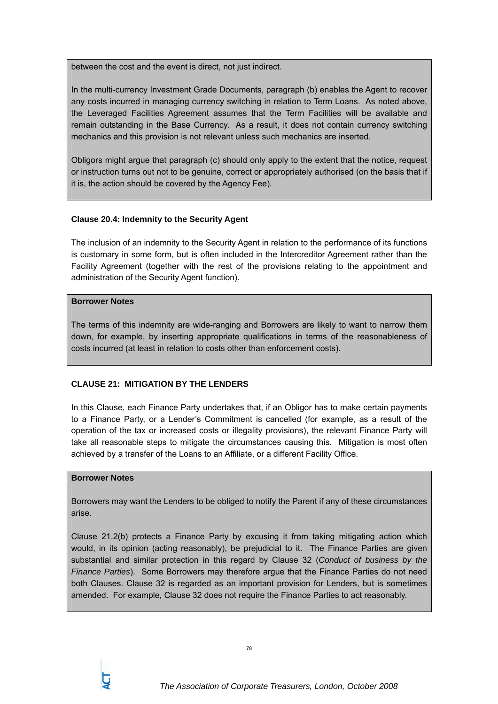between the cost and the event is direct, not just indirect.

In the multi-currency Investment Grade Documents, paragraph (b) enables the Agent to recover any costs incurred in managing currency switching in relation to Term Loans. As noted above, the Leveraged Facilities Agreement assumes that the Term Facilities will be available and remain outstanding in the Base Currency. As a result, it does not contain currency switching mechanics and this provision is not relevant unless such mechanics are inserted.

Obligors might argue that paragraph (c) should only apply to the extent that the notice, request or instruction turns out not to be genuine, correct or appropriately authorised (on the basis that if it is, the action should be covered by the Agency Fee).

# **Clause 20.4: Indemnity to the Security Agent**

The inclusion of an indemnity to the Security Agent in relation to the performance of its functions is customary in some form, but is often included in the Intercreditor Agreement rather than the Facility Agreement (together with the rest of the provisions relating to the appointment and administration of the Security Agent function).

# **Borrower Notes**

The terms of this indemnity are wide-ranging and Borrowers are likely to want to narrow them down, for example, by inserting appropriate qualifications in terms of the reasonableness of costs incurred (at least in relation to costs other than enforcement costs).

# **CLAUSE 21: MITIGATION BY THE LENDERS**

In this Clause, each Finance Party undertakes that, if an Obligor has to make certain payments to a Finance Party, or a Lender's Commitment is cancelled (for example, as a result of the operation of the tax or increased costs or illegality provisions), the relevant Finance Party will take all reasonable steps to mitigate the circumstances causing this. Mitigation is most often achieved by a transfer of the Loans to an Affiliate, or a different Facility Office.

# **Borrower Notes**

Borrowers may want the Lenders to be obliged to notify the Parent if any of these circumstances arise.

Clause 21.2(b) protects a Finance Party by excusing it from taking mitigating action which would, in its opinion (acting reasonably), be prejudicial to it. The Finance Parties are given substantial and similar protection in this regard by Clause 32 (*Conduct of business by the Finance Parties*). Some Borrowers may therefore argue that the Finance Parties do not need both Clauses. Clause 32 is regarded as an important provision for Lenders, but is sometimes amended. For example, Clause 32 does not require the Finance Parties to act reasonably.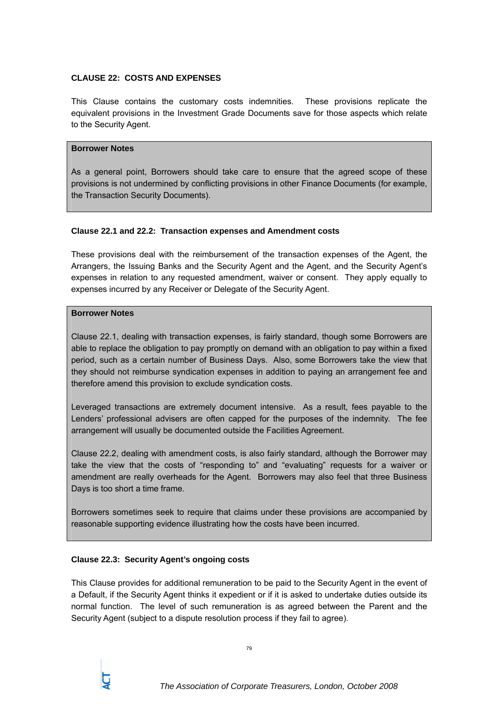## **CLAUSE 22: COSTS AND EXPENSES**

This Clause contains the customary costs indemnities. These provisions replicate the equivalent provisions in the Investment Grade Documents save for those aspects which relate to the Security Agent.

### **Borrower Notes**

As a general point, Borrowers should take care to ensure that the agreed scope of these provisions is not undermined by conflicting provisions in other Finance Documents (for example, the Transaction Security Documents).

### **Clause 22.1 and 22.2: Transaction expenses and Amendment costs**

These provisions deal with the reimbursement of the transaction expenses of the Agent, the Arrangers, the Issuing Banks and the Security Agent and the Agent, and the Security Agent's expenses in relation to any requested amendment, waiver or consent. They apply equally to expenses incurred by any Receiver or Delegate of the Security Agent.

## **Borrower Notes**

Clause 22.1, dealing with transaction expenses, is fairly standard, though some Borrowers are able to replace the obligation to pay promptly on demand with an obligation to pay within a fixed period, such as a certain number of Business Days. Also, some Borrowers take the view that they should not reimburse syndication expenses in addition to paying an arrangement fee and therefore amend this provision to exclude syndication costs.

Leveraged transactions are extremely document intensive. As a result, fees payable to the Lenders' professional advisers are often capped for the purposes of the indemnity. The fee arrangement will usually be documented outside the Facilities Agreement.

Clause 22.2, dealing with amendment costs, is also fairly standard, although the Borrower may take the view that the costs of "responding to" and "evaluating" requests for a waiver or amendment are really overheads for the Agent. Borrowers may also feel that three Business Days is too short a time frame.

Borrowers sometimes seek to require that claims under these provisions are accompanied by reasonable supporting evidence illustrating how the costs have been incurred.

### **Clause 22.3: Security Agent's ongoing costs**

This Clause provides for additional remuneration to be paid to the Security Agent in the event of a Default, if the Security Agent thinks it expedient or if it is asked to undertake duties outside its normal function. The level of such remuneration is as agreed between the Parent and the Security Agent (subject to a dispute resolution process if they fail to agree).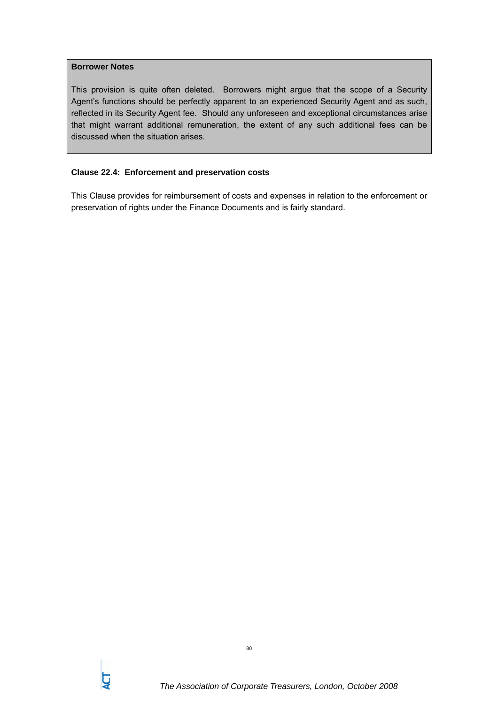## **Borrower Notes**

This provision is quite often deleted. Borrowers might argue that the scope of a Security Agent's functions should be perfectly apparent to an experienced Security Agent and as such, reflected in its Security Agent fee. Should any unforeseen and exceptional circumstances arise that might warrant additional remuneration, the extent of any such additional fees can be discussed when the situation arises.

# **Clause 22.4: Enforcement and preservation costs**

This Clause provides for reimbursement of costs and expenses in relation to the enforcement or preservation of rights under the Finance Documents and is fairly standard.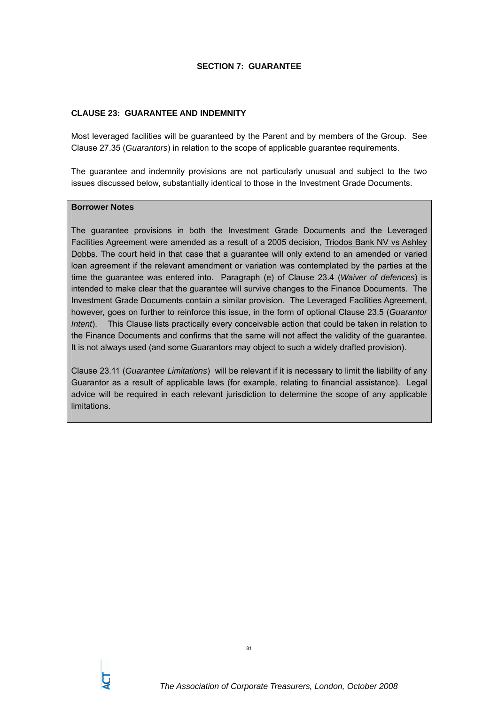# **SECTION 7: GUARANTEE**

## **CLAUSE 23: GUARANTEE AND INDEMNITY**

Most leveraged facilities will be guaranteed by the Parent and by members of the Group. See Clause 27.35 (*Guarantors*) in relation to the scope of applicable guarantee requirements.

The guarantee and indemnity provisions are not particularly unusual and subject to the two issues discussed below, substantially identical to those in the Investment Grade Documents.

## **Borrower Notes**

The guarantee provisions in both the Investment Grade Documents and the Leveraged Facilities Agreement were amended as a result of a 2005 decision, Triodos Bank NV vs Ashley Dobbs. The court held in that case that a guarantee will only extend to an amended or varied loan agreement if the relevant amendment or variation was contemplated by the parties at the time the guarantee was entered into. Paragraph (e) of Clause 23.4 (*Waiver of defences*) is intended to make clear that the guarantee will survive changes to the Finance Documents. The Investment Grade Documents contain a similar provision. The Leveraged Facilities Agreement, however, goes on further to reinforce this issue, in the form of optional Clause 23.5 (*Guarantor Intent*). This Clause lists practically every conceivable action that could be taken in relation to the Finance Documents and confirms that the same will not affect the validity of the guarantee. It is not always used (and some Guarantors may object to such a widely drafted provision).

Clause 23.11 (*Guarantee Limitations*) will be relevant if it is necessary to limit the liability of any Guarantor as a result of applicable laws (for example, relating to financial assistance). Legal advice will be required in each relevant jurisdiction to determine the scope of any applicable limitations.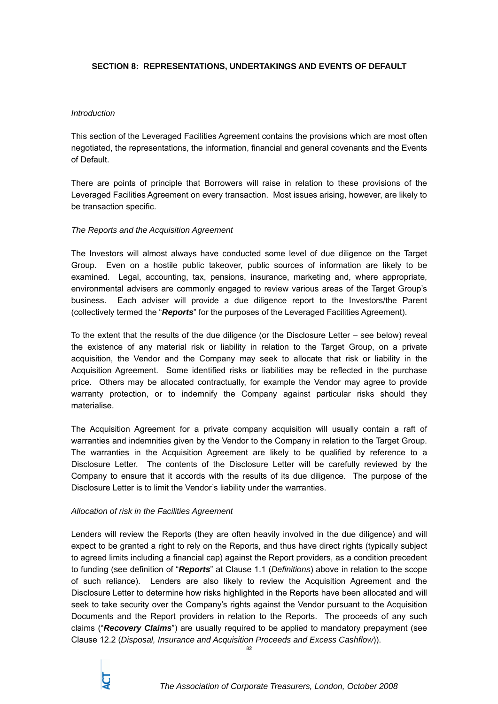# **SECTION 8: REPRESENTATIONS, UNDERTAKINGS AND EVENTS OF DEFAULT**

## *Introduction*

This section of the Leveraged Facilities Agreement contains the provisions which are most often negotiated, the representations, the information, financial and general covenants and the Events of Default.

There are points of principle that Borrowers will raise in relation to these provisions of the Leveraged Facilities Agreement on every transaction. Most issues arising, however, are likely to be transaction specific.

## *The Reports and the Acquisition Agreement*

The Investors will almost always have conducted some level of due diligence on the Target Group. Even on a hostile public takeover, public sources of information are likely to be examined. Legal, accounting, tax, pensions, insurance, marketing and, where appropriate, environmental advisers are commonly engaged to review various areas of the Target Group's business. Each adviser will provide a due diligence report to the Investors/the Parent (collectively termed the "*Reports*" for the purposes of the Leveraged Facilities Agreement).

To the extent that the results of the due diligence (or the Disclosure Letter – see below) reveal the existence of any material risk or liability in relation to the Target Group, on a private acquisition, the Vendor and the Company may seek to allocate that risk or liability in the Acquisition Agreement. Some identified risks or liabilities may be reflected in the purchase price. Others may be allocated contractually, for example the Vendor may agree to provide warranty protection, or to indemnify the Company against particular risks should they materialise.

The Acquisition Agreement for a private company acquisition will usually contain a raft of warranties and indemnities given by the Vendor to the Company in relation to the Target Group. The warranties in the Acquisition Agreement are likely to be qualified by reference to a Disclosure Letter. The contents of the Disclosure Letter will be carefully reviewed by the Company to ensure that it accords with the results of its due diligence. The purpose of the Disclosure Letter is to limit the Vendor's liability under the warranties.

# *Allocation of risk in the Facilities Agreement*

Lenders will review the Reports (they are often heavily involved in the due diligence) and will expect to be granted a right to rely on the Reports, and thus have direct rights (typically subject to agreed limits including a financial cap) against the Report providers, as a condition precedent to funding (see definition of "*Reports*" at Clause 1.1 (*Definitions*) above in relation to the scope of such reliance). Lenders are also likely to review the Acquisition Agreement and the Disclosure Letter to determine how risks highlighted in the Reports have been allocated and will seek to take security over the Company's rights against the Vendor pursuant to the Acquisition Documents and the Report providers in relation to the Reports. The proceeds of any such claims ("*Recovery Claims*") are usually required to be applied to mandatory prepayment (see Clause 12.2 (*Disposal, Insurance and Acquisition Proceeds and Excess Cashflow*)).

82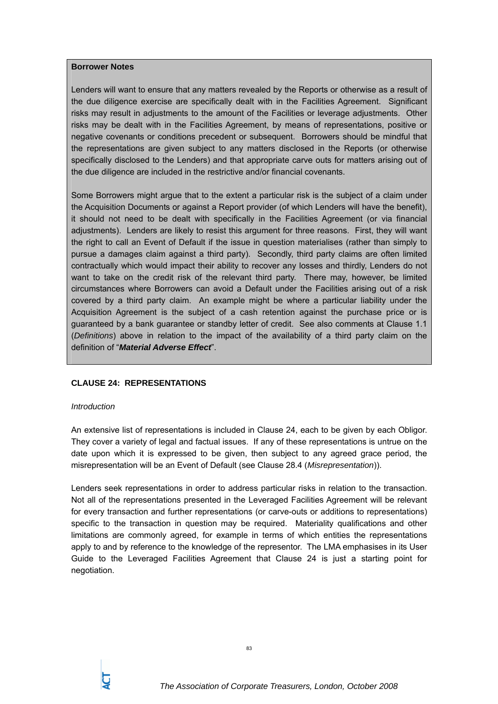#### **Borrower Notes**

Lenders will want to ensure that any matters revealed by the Reports or otherwise as a result of the due diligence exercise are specifically dealt with in the Facilities Agreement. Significant risks may result in adjustments to the amount of the Facilities or leverage adjustments. Other risks may be dealt with in the Facilities Agreement, by means of representations, positive or negative covenants or conditions precedent or subsequent. Borrowers should be mindful that the representations are given subject to any matters disclosed in the Reports (or otherwise specifically disclosed to the Lenders) and that appropriate carve outs for matters arising out of the due diligence are included in the restrictive and/or financial covenants.

Some Borrowers might argue that to the extent a particular risk is the subject of a claim under the Acquisition Documents or against a Report provider (of which Lenders will have the benefit), it should not need to be dealt with specifically in the Facilities Agreement (or via financial adjustments). Lenders are likely to resist this argument for three reasons. First, they will want the right to call an Event of Default if the issue in question materialises (rather than simply to pursue a damages claim against a third party). Secondly, third party claims are often limited contractually which would impact their ability to recover any losses and thirdly, Lenders do not want to take on the credit risk of the relevant third party. There may, however, be limited circumstances where Borrowers can avoid a Default under the Facilities arising out of a risk covered by a third party claim. An example might be where a particular liability under the Acquisition Agreement is the subject of a cash retention against the purchase price or is guaranteed by a bank guarantee or standby letter of credit. See also comments at Clause 1.1 (*Definitions*) above in relation to the impact of the availability of a third party claim on the definition of "*Material Adverse Effect*".

### **CLAUSE 24: REPRESENTATIONS**

### *Introduction*

An extensive list of representations is included in Clause 24, each to be given by each Obligor. They cover a variety of legal and factual issues. If any of these representations is untrue on the date upon which it is expressed to be given, then subject to any agreed grace period, the misrepresentation will be an Event of Default (see Clause 28.4 (*Misrepresentation*)).

Lenders seek representations in order to address particular risks in relation to the transaction. Not all of the representations presented in the Leveraged Facilities Agreement will be relevant for every transaction and further representations (or carve-outs or additions to representations) specific to the transaction in question may be required. Materiality qualifications and other limitations are commonly agreed, for example in terms of which entities the representations apply to and by reference to the knowledge of the representor. The LMA emphasises in its User Guide to the Leveraged Facilities Agreement that Clause 24 is just a starting point for negotiation.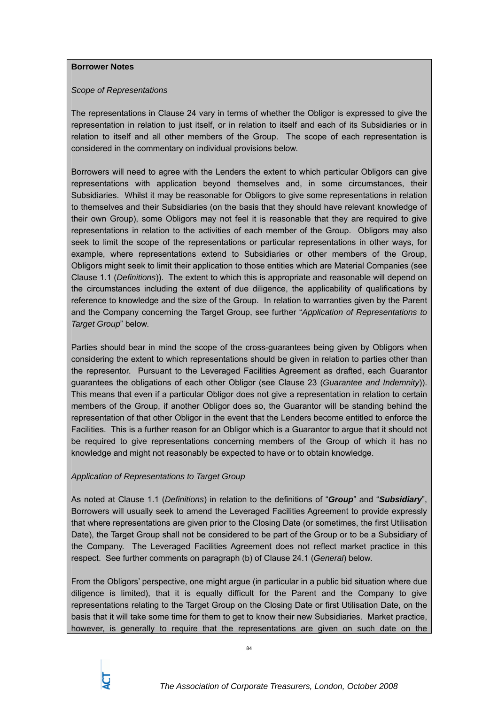## **Borrower Notes**

## *Scope of Representations*

The representations in Clause 24 vary in terms of whether the Obligor is expressed to give the representation in relation to just itself, or in relation to itself and each of its Subsidiaries or in relation to itself and all other members of the Group. The scope of each representation is considered in the commentary on individual provisions below.

Borrowers will need to agree with the Lenders the extent to which particular Obligors can give representations with application beyond themselves and, in some circumstances, their Subsidiaries. Whilst it may be reasonable for Obligors to give some representations in relation to themselves and their Subsidiaries (on the basis that they should have relevant knowledge of their own Group), some Obligors may not feel it is reasonable that they are required to give representations in relation to the activities of each member of the Group. Obligors may also seek to limit the scope of the representations or particular representations in other ways, for example, where representations extend to Subsidiaries or other members of the Group, Obligors might seek to limit their application to those entities which are Material Companies (see Clause 1.1 (*Definitions*)). The extent to which this is appropriate and reasonable will depend on the circumstances including the extent of due diligence, the applicability of qualifications by reference to knowledge and the size of the Group. In relation to warranties given by the Parent and the Company concerning the Target Group, see further "*Application of Representations to Target Group*" below.

Parties should bear in mind the scope of the cross-guarantees being given by Obligors when considering the extent to which representations should be given in relation to parties other than the representor. Pursuant to the Leveraged Facilities Agreement as drafted, each Guarantor guarantees the obligations of each other Obligor (see Clause 23 (*Guarantee and Indemnity*)). This means that even if a particular Obligor does not give a representation in relation to certain members of the Group, if another Obligor does so, the Guarantor will be standing behind the representation of that other Obligor in the event that the Lenders become entitled to enforce the Facilities. This is a further reason for an Obligor which is a Guarantor to argue that it should not be required to give representations concerning members of the Group of which it has no knowledge and might not reasonably be expected to have or to obtain knowledge.

# *Application of Representations to Target Group*

As noted at Clause 1.1 (*Definitions*) in relation to the definitions of "*Group*" and "*Subsidiary*", Borrowers will usually seek to amend the Leveraged Facilities Agreement to provide expressly that where representations are given prior to the Closing Date (or sometimes, the first Utilisation Date), the Target Group shall not be considered to be part of the Group or to be a Subsidiary of the Company. The Leveraged Facilities Agreement does not reflect market practice in this respect. See further comments on paragraph (b) of Clause 24.1 (*General*) below.

From the Obligors' perspective, one might argue (in particular in a public bid situation where due diligence is limited), that it is equally difficult for the Parent and the Company to give representations relating to the Target Group on the Closing Date or first Utilisation Date, on the basis that it will take some time for them to get to know their new Subsidiaries. Market practice, however, is generally to require that the representations are given on such date on the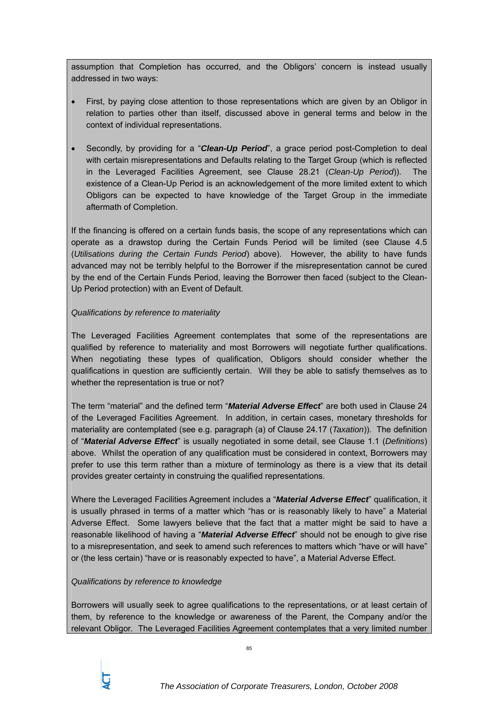assumption that Completion has occurred, and the Obligors' concern is instead usually addressed in two ways:

- First, by paying close attention to those representations which are given by an Obligor in relation to parties other than itself, discussed above in general terms and below in the context of individual representations.
- Secondly, by providing for a "*Clean-Up Period*", a grace period post-Completion to deal with certain misrepresentations and Defaults relating to the Target Group (which is reflected in the Leveraged Facilities Agreement, see Clause 28.21 (*Clean-Up Period*)). The existence of a Clean-Up Period is an acknowledgement of the more limited extent to which Obligors can be expected to have knowledge of the Target Group in the immediate aftermath of Completion.

If the financing is offered on a certain funds basis, the scope of any representations which can operate as a drawstop during the Certain Funds Period will be limited (see Clause 4.5 (*Utilisations during the Certain Funds Period*) above). However, the ability to have funds advanced may not be terribly helpful to the Borrower if the misrepresentation cannot be cured by the end of the Certain Funds Period, leaving the Borrower then faced (subject to the Clean-Up Period protection) with an Event of Default.

# *Qualifications by reference to materiality*

The Leveraged Facilities Agreement contemplates that some of the representations are qualified by reference to materiality and most Borrowers will negotiate further qualifications. When negotiating these types of qualification, Obligors should consider whether the qualifications in question are sufficiently certain. Will they be able to satisfy themselves as to whether the representation is true or not?

The term "material" and the defined term "*Material Adverse Effect*" are both used in Clause 24 of the Leveraged Facilities Agreement. In addition, in certain cases, monetary thresholds for materiality are contemplated (see e.g. paragraph (a) of Clause 24.17 (*Taxation*)). The definition of "*Material Adverse Effect*" is usually negotiated in some detail, see Clause 1.1 (*Definitions*) above. Whilst the operation of any qualification must be considered in context, Borrowers may prefer to use this term rather than a mixture of terminology as there is a view that its detail provides greater certainty in construing the qualified representations.

Where the Leveraged Facilities Agreement includes a "*Material Adverse Effect*" qualification, it is usually phrased in terms of a matter which "has or is reasonably likely to have" a Material Adverse Effect. Some lawyers believe that the fact that a matter might be said to have a reasonable likelihood of having a "*Material Adverse Effect*" should not be enough to give rise to a misrepresentation, and seek to amend such references to matters which "have or will have" or (the less certain) "have or is reasonably expected to have", a Material Adverse Effect.

# *Qualifications by reference to knowledge*

Borrowers will usually seek to agree qualifications to the representations, or at least certain of them, by reference to the knowledge or awareness of the Parent, the Company and/or the relevant Obligor. The Leveraged Facilities Agreement contemplates that a very limited number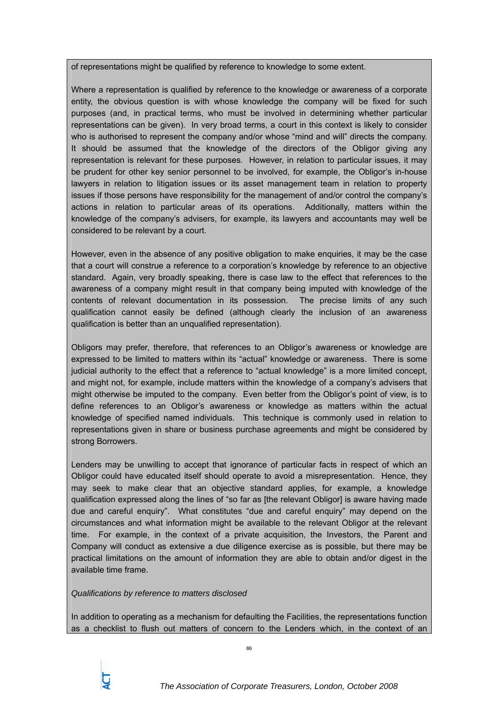of representations might be qualified by reference to knowledge to some extent.

Where a representation is qualified by reference to the knowledge or awareness of a corporate entity, the obvious question is with whose knowledge the company will be fixed for such purposes (and, in practical terms, who must be involved in determining whether particular representations can be given). In very broad terms, a court in this context is likely to consider who is authorised to represent the company and/or whose "mind and will" directs the company. It should be assumed that the knowledge of the directors of the Obligor giving any representation is relevant for these purposes. However, in relation to particular issues, it may be prudent for other key senior personnel to be involved, for example, the Obligor's in-house lawyers in relation to litigation issues or its asset management team in relation to property issues if those persons have responsibility for the management of and/or control the company's actions in relation to particular areas of its operations. Additionally, matters within the knowledge of the company's advisers, for example, its lawyers and accountants may well be considered to be relevant by a court.

However, even in the absence of any positive obligation to make enquiries, it may be the case that a court will construe a reference to a corporation's knowledge by reference to an objective standard. Again, very broadly speaking, there is case law to the effect that references to the awareness of a company might result in that company being imputed with knowledge of the contents of relevant documentation in its possession. The precise limits of any such qualification cannot easily be defined (although clearly the inclusion of an awareness qualification is better than an unqualified representation).

Obligors may prefer, therefore, that references to an Obligor's awareness or knowledge are expressed to be limited to matters within its "actual" knowledge or awareness. There is some judicial authority to the effect that a reference to "actual knowledge" is a more limited concept, and might not, for example, include matters within the knowledge of a company's advisers that might otherwise be imputed to the company. Even better from the Obligor's point of view, is to define references to an Obligor's awareness or knowledge as matters within the actual knowledge of specified named individuals. This technique is commonly used in relation to representations given in share or business purchase agreements and might be considered by strong Borrowers.

Lenders may be unwilling to accept that ignorance of particular facts in respect of which an Obligor could have educated itself should operate to avoid a misrepresentation. Hence, they may seek to make clear that an objective standard applies, for example, a knowledge qualification expressed along the lines of "so far as [the relevant Obligor] is aware having made due and careful enquiry". What constitutes "due and careful enquiry" may depend on the circumstances and what information might be available to the relevant Obligor at the relevant time. For example, in the context of a private acquisition, the Investors, the Parent and Company will conduct as extensive a due diligence exercise as is possible, but there may be practical limitations on the amount of information they are able to obtain and/or digest in the available time frame.

# *Qualifications by reference to matters disclosed*

In addition to operating as a mechanism for defaulting the Facilities, the representations function as a checklist to flush out matters of concern to the Lenders which, in the context of an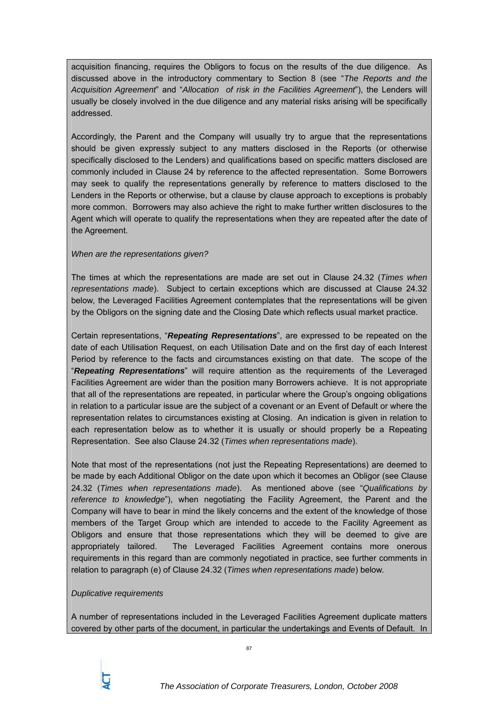acquisition financing, requires the Obligors to focus on the results of the due diligence. As discussed above in the introductory commentary to Section 8 (see "*The Reports and the Acquisition Agreement*" and "*Allocation of risk in the Facilities Agreement*"), the Lenders will usually be closely involved in the due diligence and any material risks arising will be specifically addressed.

Accordingly, the Parent and the Company will usually try to argue that the representations should be given expressly subject to any matters disclosed in the Reports (or otherwise specifically disclosed to the Lenders) and qualifications based on specific matters disclosed are commonly included in Clause 24 by reference to the affected representation. Some Borrowers may seek to qualify the representations generally by reference to matters disclosed to the Lenders in the Reports or otherwise, but a clause by clause approach to exceptions is probably more common. Borrowers may also achieve the right to make further written disclosures to the Agent which will operate to qualify the representations when they are repeated after the date of the Agreement.

# *When are the representations given?*

The times at which the representations are made are set out in Clause 24.32 (*Times when representations made*). Subject to certain exceptions which are discussed at Clause 24.32 below, the Leveraged Facilities Agreement contemplates that the representations will be given by the Obligors on the signing date and the Closing Date which reflects usual market practice.

Certain representations, "*Repeating Representations*", are expressed to be repeated on the date of each Utilisation Request, on each Utilisation Date and on the first day of each Interest Period by reference to the facts and circumstances existing on that date. The scope of the "*Repeating Representations*" will require attention as the requirements of the Leveraged Facilities Agreement are wider than the position many Borrowers achieve. It is not appropriate that all of the representations are repeated, in particular where the Group's ongoing obligations in relation to a particular issue are the subject of a covenant or an Event of Default or where the representation relates to circumstances existing at Closing. An indication is given in relation to each representation below as to whether it is usually or should properly be a Repeating Representation. See also Clause 24.32 (*Times when representations made*).

Note that most of the representations (not just the Repeating Representations) are deemed to be made by each Additional Obligor on the date upon which it becomes an Obligor (see Clause 24.32 (*Times when representations made*). As mentioned above (see "*Qualifications by reference to knowledge*"), when negotiating the Facility Agreement, the Parent and the Company will have to bear in mind the likely concerns and the extent of the knowledge of those members of the Target Group which are intended to accede to the Facility Agreement as Obligors and ensure that those representations which they will be deemed to give are appropriately tailored. The Leveraged Facilities Agreement contains more onerous requirements in this regard than are commonly negotiated in practice, see further comments in relation to paragraph (e) of Clause 24.32 (*Times when representations made*) below.

### *Duplicative requirements*

A number of representations included in the Leveraged Facilities Agreement duplicate matters covered by other parts of the document, in particular the undertakings and Events of Default. In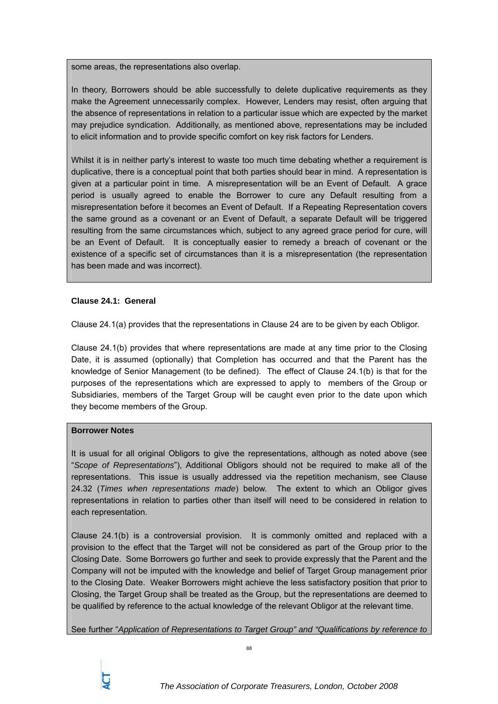some areas, the representations also overlap.

In theory, Borrowers should be able successfully to delete duplicative requirements as they make the Agreement unnecessarily complex. However, Lenders may resist, often arguing that the absence of representations in relation to a particular issue which are expected by the market may prejudice syndication. Additionally, as mentioned above, representations may be included to elicit information and to provide specific comfort on key risk factors for Lenders.

Whilst it is in neither party's interest to waste too much time debating whether a requirement is duplicative, there is a conceptual point that both parties should bear in mind. A representation is given at a particular point in time. A misrepresentation will be an Event of Default. A grace period is usually agreed to enable the Borrower to cure any Default resulting from a misrepresentation before it becomes an Event of Default. If a Repeating Representation covers the same ground as a covenant or an Event of Default, a separate Default will be triggered resulting from the same circumstances which, subject to any agreed grace period for cure, will be an Event of Default. It is conceptually easier to remedy a breach of covenant or the existence of a specific set of circumstances than it is a misrepresentation (the representation has been made and was incorrect).

# **Clause 24.1: General**

Clause 24.1(a) provides that the representations in Clause 24 are to be given by each Obligor.

Clause 24.1(b) provides that where representations are made at any time prior to the Closing Date, it is assumed (optionally) that Completion has occurred and that the Parent has the knowledge of Senior Management (to be defined). The effect of Clause 24.1(b) is that for the purposes of the representations which are expressed to apply to members of the Group or Subsidiaries, members of the Target Group will be caught even prior to the date upon which they become members of the Group.

# **Borrower Notes**

It is usual for all original Obligors to give the representations, although as noted above (see "*Scope of Representations*"), Additional Obligors should not be required to make all of the representations. This issue is usually addressed via the repetition mechanism, see Clause 24.32 (*Times when representations made*) below. The extent to which an Obligor gives representations in relation to parties other than itself will need to be considered in relation to each representation.

Clause 24.1(b) is a controversial provision. It is commonly omitted and replaced with a provision to the effect that the Target will not be considered as part of the Group prior to the Closing Date. Some Borrowers go further and seek to provide expressly that the Parent and the Company will not be imputed with the knowledge and belief of Target Group management prior to the Closing Date. Weaker Borrowers might achieve the less satisfactory position that prior to Closing, the Target Group shall be treated as the Group, but the representations are deemed to be qualified by reference to the actual knowledge of the relevant Obligor at the relevant time.

See further "*Application of Representations to Target Group" and "Qualifications by reference to*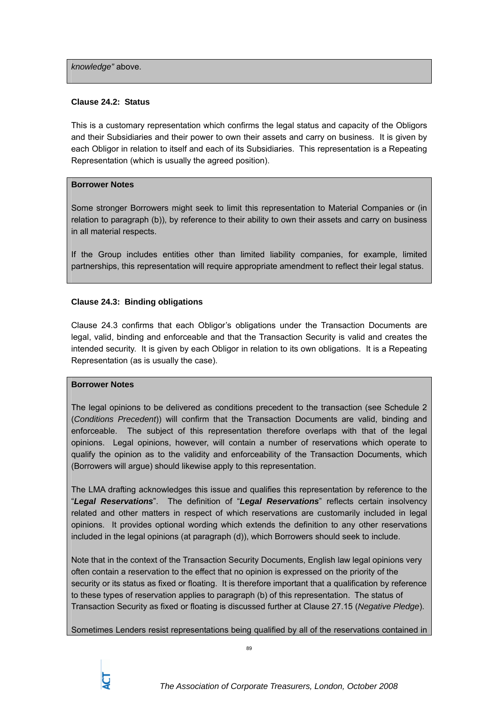*knowledge"* above.

### **Clause 24.2: Status**

This is a customary representation which confirms the legal status and capacity of the Obligors and their Subsidiaries and their power to own their assets and carry on business. It is given by each Obligor in relation to itself and each of its Subsidiaries. This representation is a Repeating Representation (which is usually the agreed position).

## **Borrower Notes**

Some stronger Borrowers might seek to limit this representation to Material Companies or (in relation to paragraph (b)), by reference to their ability to own their assets and carry on business in all material respects.

If the Group includes entities other than limited liability companies, for example, limited partnerships, this representation will require appropriate amendment to reflect their legal status.

# **Clause 24.3: Binding obligations**

Clause 24.3 confirms that each Obligor's obligations under the Transaction Documents are legal, valid, binding and enforceable and that the Transaction Security is valid and creates the intended security. It is given by each Obligor in relation to its own obligations. It is a Repeating Representation (as is usually the case).

### **Borrower Notes**

The legal opinions to be delivered as conditions precedent to the transaction (see Schedule 2 (*Conditions Precedent*)) will confirm that the Transaction Documents are valid, binding and enforceable. The subject of this representation therefore overlaps with that of the legal opinions. Legal opinions, however, will contain a number of reservations which operate to qualify the opinion as to the validity and enforceability of the Transaction Documents, which (Borrowers will argue) should likewise apply to this representation.

The LMA drafting acknowledges this issue and qualifies this representation by reference to the "*Legal Reservations*". The definition of "*Legal Reservations*" reflects certain insolvency related and other matters in respect of which reservations are customarily included in legal opinions. It provides optional wording which extends the definition to any other reservations included in the legal opinions (at paragraph (d)), which Borrowers should seek to include.

Note that in the context of the Transaction Security Documents, English law legal opinions very often contain a reservation to the effect that no opinion is expressed on the priority of the security or its status as fixed or floating. It is therefore important that a qualification by reference to these types of reservation applies to paragraph (b) of this representation. The status of Transaction Security as fixed or floating is discussed further at Clause 27.15 (*Negative Pledge*).

Sometimes Lenders resist representations being qualified by all of the reservations contained in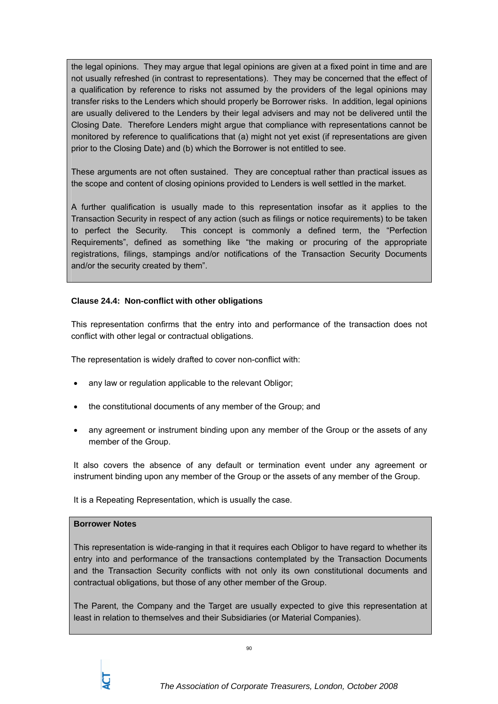the legal opinions. They may argue that legal opinions are given at a fixed point in time and are not usually refreshed (in contrast to representations). They may be concerned that the effect of a qualification by reference to risks not assumed by the providers of the legal opinions may transfer risks to the Lenders which should properly be Borrower risks. In addition, legal opinions are usually delivered to the Lenders by their legal advisers and may not be delivered until the Closing Date. Therefore Lenders might argue that compliance with representations cannot be monitored by reference to qualifications that (a) might not yet exist (if representations are given prior to the Closing Date) and (b) which the Borrower is not entitled to see.

These arguments are not often sustained. They are conceptual rather than practical issues as the scope and content of closing opinions provided to Lenders is well settled in the market.

A further qualification is usually made to this representation insofar as it applies to the Transaction Security in respect of any action (such as filings or notice requirements) to be taken to perfect the Security. This concept is commonly a defined term, the "Perfection Requirements", defined as something like "the making or procuring of the appropriate registrations, filings, stampings and/or notifications of the Transaction Security Documents and/or the security created by them".

# **Clause 24.4: Non-conflict with other obligations**

This representation confirms that the entry into and performance of the transaction does not conflict with other legal or contractual obligations.

The representation is widely drafted to cover non-conflict with:

- any law or regulation applicable to the relevant Obligor;
- the constitutional documents of any member of the Group; and
- any agreement or instrument binding upon any member of the Group or the assets of any member of the Group.

It also covers the absence of any default or termination event under any agreement or instrument binding upon any member of the Group or the assets of any member of the Group.

It is a Repeating Representation, which is usually the case.

### **Borrower Notes**

This representation is wide-ranging in that it requires each Obligor to have regard to whether its entry into and performance of the transactions contemplated by the Transaction Documents and the Transaction Security conflicts with not only its own constitutional documents and contractual obligations, but those of any other member of the Group.

The Parent, the Company and the Target are usually expected to give this representation at least in relation to themselves and their Subsidiaries (or Material Companies).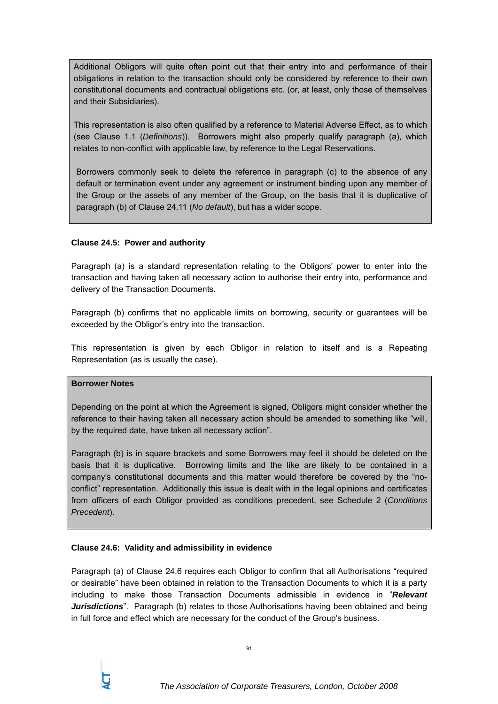Additional Obligors will quite often point out that their entry into and performance of their obligations in relation to the transaction should only be considered by reference to their own constitutional documents and contractual obligations etc. (or, at least, only those of themselves and their Subsidiaries).

This representation is also often qualified by a reference to Material Adverse Effect, as to which (see Clause 1.1 (*Definitions*)). Borrowers might also properly qualify paragraph (a), which relates to non-conflict with applicable law, by reference to the Legal Reservations.

Borrowers commonly seek to delete the reference in paragraph (c) to the absence of any default or termination event under any agreement or instrument binding upon any member of the Group or the assets of any member of the Group, on the basis that it is duplicative of paragraph (b) of Clause 24.11 (*No default*), but has a wider scope.

# **Clause 24.5: Power and authority**

Paragraph (a) is a standard representation relating to the Obligors' power to enter into the transaction and having taken all necessary action to authorise their entry into, performance and delivery of the Transaction Documents.

Paragraph (b) confirms that no applicable limits on borrowing, security or guarantees will be exceeded by the Obligor's entry into the transaction.

This representation is given by each Obligor in relation to itself and is a Repeating Representation (as is usually the case).

# **Borrower Notes**

Depending on the point at which the Agreement is signed, Obligors might consider whether the reference to their having taken all necessary action should be amended to something like "will, by the required date, have taken all necessary action".

Paragraph (b) is in square brackets and some Borrowers may feel it should be deleted on the basis that it is duplicative. Borrowing limits and the like are likely to be contained in a company's constitutional documents and this matter would therefore be covered by the "noconflict" representation. Additionally this issue is dealt with in the legal opinions and certificates from officers of each Obligor provided as conditions precedent, see Schedule 2 (*Conditions Precedent*).

# **Clause 24.6: Validity and admissibility in evidence**

Paragraph (a) of Clause 24.6 requires each Obligor to confirm that all Authorisations "required or desirable" have been obtained in relation to the Transaction Documents to which it is a party including to make those Transaction Documents admissible in evidence in "*Relevant Jurisdictions*". Paragraph (b) relates to those Authorisations having been obtained and being in full force and effect which are necessary for the conduct of the Group's business.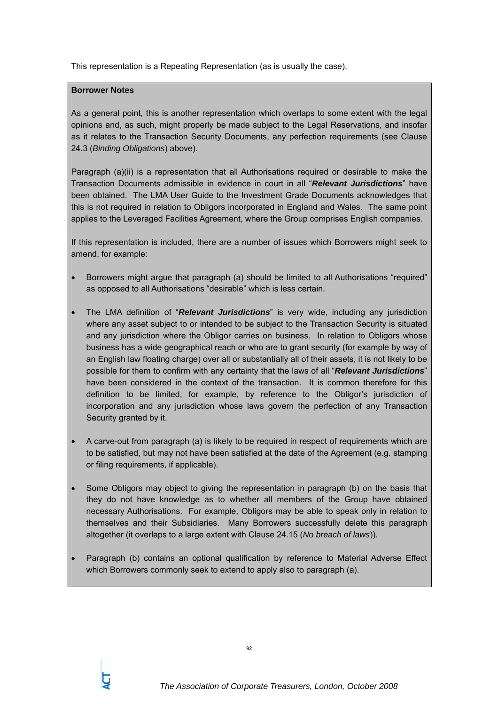This representation is a Repeating Representation (as is usually the case).

# **Borrower Notes**

As a general point, this is another representation which overlaps to some extent with the legal opinions and, as such, might properly be made subject to the Legal Reservations, and insofar as it relates to the Transaction Security Documents, any perfection requirements (see Clause 24.3 (*Binding Obligations*) above).

Paragraph (a)(ii) is a representation that all Authorisations required or desirable to make the Transaction Documents admissible in evidence in court in all "*Relevant Jurisdictions*" have been obtained. The LMA User Guide to the Investment Grade Documents acknowledges that this is not required in relation to Obligors incorporated in England and Wales. The same point applies to the Leveraged Facilities Agreement, where the Group comprises English companies.

If this representation is included, there are a number of issues which Borrowers might seek to amend, for example:

- Borrowers might argue that paragraph (a) should be limited to all Authorisations "required" as opposed to all Authorisations "desirable" which is less certain.
- The LMA definition of "*Relevant Jurisdictions*" is very wide, including any jurisdiction where any asset subject to or intended to be subject to the Transaction Security is situated and any jurisdiction where the Obligor carries on business. In relation to Obligors whose business has a wide geographical reach or who are to grant security (for example by way of an English law floating charge) over all or substantially all of their assets, it is not likely to be possible for them to confirm with any certainty that the laws of all "*Relevant Jurisdictions*" have been considered in the context of the transaction. It is common therefore for this definition to be limited, for example, by reference to the Obligor's jurisdiction of incorporation and any jurisdiction whose laws govern the perfection of any Transaction Security granted by it.
- A carve-out from paragraph (a) is likely to be required in respect of requirements which are to be satisfied, but may not have been satisfied at the date of the Agreement (e.g. stamping or filing requirements, if applicable).
- Some Obligors may object to giving the representation in paragraph (b) on the basis that they do not have knowledge as to whether all members of the Group have obtained necessary Authorisations. For example, Obligors may be able to speak only in relation to themselves and their Subsidiaries. Many Borrowers successfully delete this paragraph altogether (it overlaps to a large extent with Clause 24.15 (*No breach of laws*)).
- Paragraph (b) contains an optional qualification by reference to Material Adverse Effect which Borrowers commonly seek to extend to apply also to paragraph (a).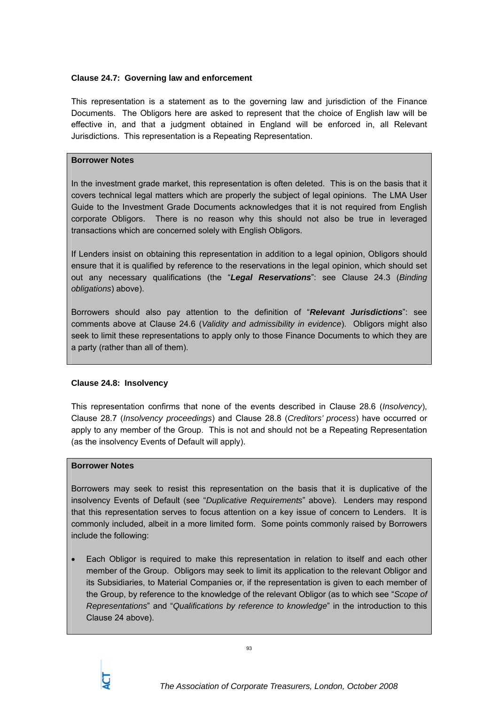# **Clause 24.7: Governing law and enforcement**

This representation is a statement as to the governing law and jurisdiction of the Finance Documents. The Obligors here are asked to represent that the choice of English law will be effective in, and that a judgment obtained in England will be enforced in, all Relevant Jurisdictions. This representation is a Repeating Representation.

# **Borrower Notes**

In the investment grade market, this representation is often deleted. This is on the basis that it covers technical legal matters which are properly the subject of legal opinions. The LMA User Guide to the Investment Grade Documents acknowledges that it is not required from English corporate Obligors. There is no reason why this should not also be true in leveraged transactions which are concerned solely with English Obligors.

If Lenders insist on obtaining this representation in addition to a legal opinion, Obligors should ensure that it is qualified by reference to the reservations in the legal opinion, which should set out any necessary qualifications (the "*Legal Reservations*": see Clause 24.3 (*Binding obligations*) above).

Borrowers should also pay attention to the definition of "*Relevant Jurisdictions*": see comments above at Clause 24.6 (*Validity and admissibility in evidence*). Obligors might also seek to limit these representations to apply only to those Finance Documents to which they are a party (rather than all of them).

# **Clause 24.8: Insolvency**

This representation confirms that none of the events described in Clause 28.6 (*Insolvency*), Clause 28.7 (*Insolvency proceedings*) and Clause 28.8 (*Creditors' process*) have occurred or apply to any member of the Group. This is not and should not be a Repeating Representation (as the insolvency Events of Default will apply).

## **Borrower Notes**

Borrowers may seek to resist this representation on the basis that it is duplicative of the insolvency Events of Default (see "*Duplicative Requirements*" above). Lenders may respond that this representation serves to focus attention on a key issue of concern to Lenders. It is commonly included, albeit in a more limited form. Some points commonly raised by Borrowers include the following:

• Each Obligor is required to make this representation in relation to itself and each other member of the Group. Obligors may seek to limit its application to the relevant Obligor and its Subsidiaries, to Material Companies or, if the representation is given to each member of the Group, by reference to the knowledge of the relevant Obligor (as to which see "*Scope of Representations*" and "*Qualifications by reference to knowledge*" in the introduction to this Clause 24 above).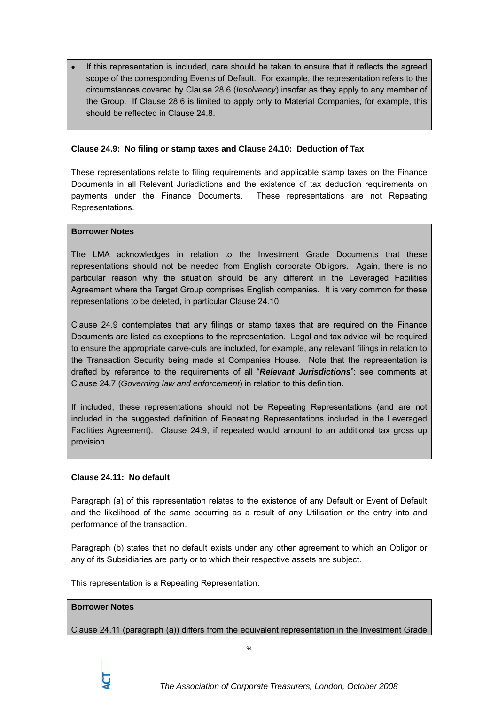• If this representation is included, care should be taken to ensure that it reflects the agreed scope of the corresponding Events of Default. For example, the representation refers to the circumstances covered by Clause 28.6 (*Insolvency*) insofar as they apply to any member of the Group. If Clause 28.6 is limited to apply only to Material Companies, for example, this should be reflected in Clause 24.8.

## **Clause 24.9: No filing or stamp taxes and Clause 24.10: Deduction of Tax**

These representations relate to filing requirements and applicable stamp taxes on the Finance Documents in all Relevant Jurisdictions and the existence of tax deduction requirements on payments under the Finance Documents. These representations are not Repeating Representations.

### **Borrower Notes**

The LMA acknowledges in relation to the Investment Grade Documents that these representations should not be needed from English corporate Obligors. Again, there is no particular reason why the situation should be any different in the Leveraged Facilities Agreement where the Target Group comprises English companies. It is very common for these representations to be deleted, in particular Clause 24.10.

Clause 24.9 contemplates that any filings or stamp taxes that are required on the Finance Documents are listed as exceptions to the representation. Legal and tax advice will be required to ensure the appropriate carve-outs are included, for example, any relevant filings in relation to the Transaction Security being made at Companies House. Note that the representation is drafted by reference to the requirements of all "*Relevant Jurisdictions*": see comments at Clause 24.7 (*Governing law and enforcement*) in relation to this definition.

If included, these representations should not be Repeating Representations (and are not included in the suggested definition of Repeating Representations included in the Leveraged Facilities Agreement). Clause 24.9, if repeated would amount to an additional tax gross up provision.

# **Clause 24.11: No default**

Paragraph (a) of this representation relates to the existence of any Default or Event of Default and the likelihood of the same occurring as a result of any Utilisation or the entry into and performance of the transaction.

Paragraph (b) states that no default exists under any other agreement to which an Obligor or any of its Subsidiaries are party or to which their respective assets are subject.

This representation is a Repeating Representation.

### **Borrower Notes**

Clause 24.11 (paragraph (a)) differs from the equivalent representation in the Investment Grade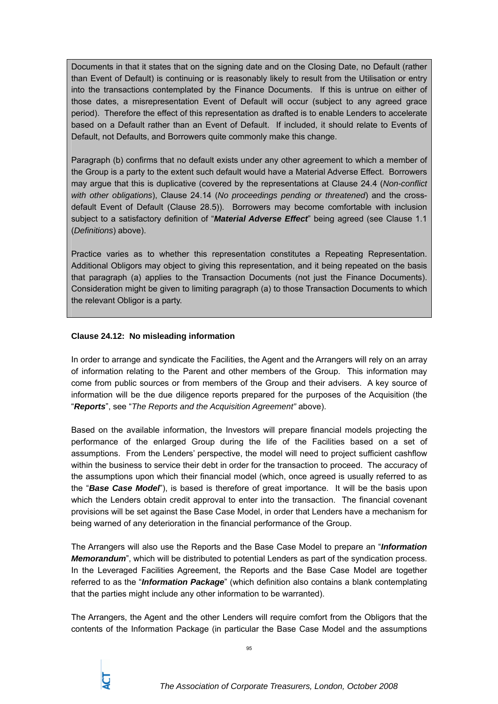Documents in that it states that on the signing date and on the Closing Date, no Default (rather than Event of Default) is continuing or is reasonably likely to result from the Utilisation or entry into the transactions contemplated by the Finance Documents. If this is untrue on either of those dates, a misrepresentation Event of Default will occur (subject to any agreed grace period). Therefore the effect of this representation as drafted is to enable Lenders to accelerate based on a Default rather than an Event of Default. If included, it should relate to Events of Default, not Defaults, and Borrowers quite commonly make this change.

Paragraph (b) confirms that no default exists under any other agreement to which a member of the Group is a party to the extent such default would have a Material Adverse Effect. Borrowers may argue that this is duplicative (covered by the representations at Clause 24.4 (*Non-conflict with other obligations*), Clause 24.14 (*No proceedings pending or threatened*) and the crossdefault Event of Default (Clause 28.5)). Borrowers may become comfortable with inclusion subject to a satisfactory definition of "*Material Adverse Effect*" being agreed (see Clause 1.1 (*Definitions*) above).

Practice varies as to whether this representation constitutes a Repeating Representation. Additional Obligors may object to giving this representation, and it being repeated on the basis that paragraph (a) applies to the Transaction Documents (not just the Finance Documents). Consideration might be given to limiting paragraph (a) to those Transaction Documents to which the relevant Obligor is a party.

# **Clause 24.12: No misleading information**

In order to arrange and syndicate the Facilities, the Agent and the Arrangers will rely on an array of information relating to the Parent and other members of the Group. This information may come from public sources or from members of the Group and their advisers. A key source of information will be the due diligence reports prepared for the purposes of the Acquisition (the "*Reports*", see "*The Reports and the Acquisition Agreement"* above).

Based on the available information, the Investors will prepare financial models projecting the performance of the enlarged Group during the life of the Facilities based on a set of assumptions. From the Lenders' perspective, the model will need to project sufficient cashflow within the business to service their debt in order for the transaction to proceed. The accuracy of the assumptions upon which their financial model (which, once agreed is usually referred to as the "*Base Case Model*"), is based is therefore of great importance. It will be the basis upon which the Lenders obtain credit approval to enter into the transaction. The financial covenant provisions will be set against the Base Case Model, in order that Lenders have a mechanism for being warned of any deterioration in the financial performance of the Group.

The Arrangers will also use the Reports and the Base Case Model to prepare an "*Information Memorandum*", which will be distributed to potential Lenders as part of the syndication process. In the Leveraged Facilities Agreement, the Reports and the Base Case Model are together referred to as the "*Information Package*" (which definition also contains a blank contemplating that the parties might include any other information to be warranted).

The Arrangers, the Agent and the other Lenders will require comfort from the Obligors that the contents of the Information Package (in particular the Base Case Model and the assumptions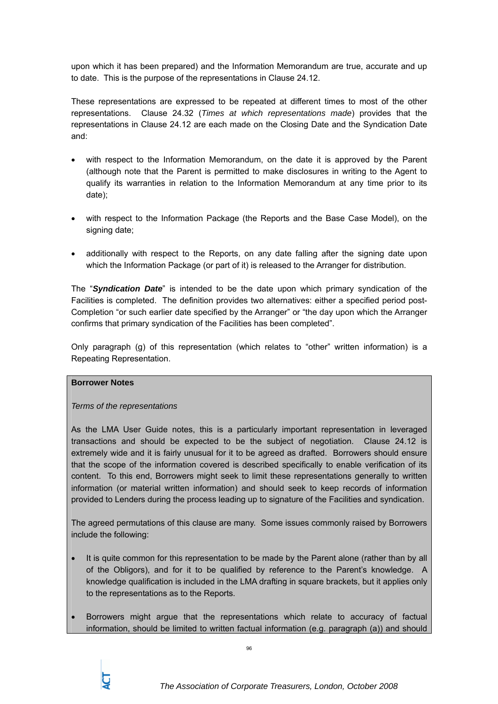upon which it has been prepared) and the Information Memorandum are true, accurate and up to date. This is the purpose of the representations in Clause 24.12.

These representations are expressed to be repeated at different times to most of the other representations. Clause 24.32 (*Times at which representations made*) provides that the representations in Clause 24.12 are each made on the Closing Date and the Syndication Date and:

- with respect to the Information Memorandum, on the date it is approved by the Parent (although note that the Parent is permitted to make disclosures in writing to the Agent to qualify its warranties in relation to the Information Memorandum at any time prior to its date);
- with respect to the Information Package (the Reports and the Base Case Model), on the signing date;
- additionally with respect to the Reports, on any date falling after the signing date upon which the Information Package (or part of it) is released to the Arranger for distribution.

The "*Syndication Date*" is intended to be the date upon which primary syndication of the Facilities is completed. The definition provides two alternatives: either a specified period post-Completion "or such earlier date specified by the Arranger" or "the day upon which the Arranger confirms that primary syndication of the Facilities has been completed".

Only paragraph (g) of this representation (which relates to "other" written information) is a Repeating Representation.

# **Borrower Notes**

# *Terms of the representations*

As the LMA User Guide notes, this is a particularly important representation in leveraged transactions and should be expected to be the subject of negotiation. Clause 24.12 is extremely wide and it is fairly unusual for it to be agreed as drafted. Borrowers should ensure that the scope of the information covered is described specifically to enable verification of its content. To this end, Borrowers might seek to limit these representations generally to written information (or material written information) and should seek to keep records of information provided to Lenders during the process leading up to signature of the Facilities and syndication.

The agreed permutations of this clause are many. Some issues commonly raised by Borrowers include the following:

- It is quite common for this representation to be made by the Parent alone (rather than by all of the Obligors), and for it to be qualified by reference to the Parent's knowledge. A knowledge qualification is included in the LMA drafting in square brackets, but it applies only to the representations as to the Reports.
- Borrowers might argue that the representations which relate to accuracy of factual information, should be limited to written factual information (e.g. paragraph (a)) and should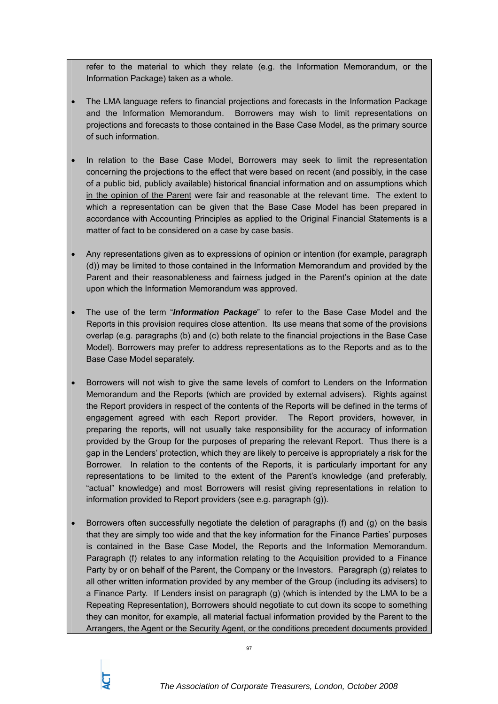refer to the material to which they relate (e.g. the Information Memorandum, or the Information Package) taken as a whole.

- The LMA language refers to financial projections and forecasts in the Information Package and the Information Memorandum. Borrowers may wish to limit representations on projections and forecasts to those contained in the Base Case Model, as the primary source of such information.
- In relation to the Base Case Model, Borrowers may seek to limit the representation concerning the projections to the effect that were based on recent (and possibly, in the case of a public bid, publicly available) historical financial information and on assumptions which in the opinion of the Parent were fair and reasonable at the relevant time. The extent to which a representation can be given that the Base Case Model has been prepared in accordance with Accounting Principles as applied to the Original Financial Statements is a matter of fact to be considered on a case by case basis.
- Any representations given as to expressions of opinion or intention (for example, paragraph (d)) may be limited to those contained in the Information Memorandum and provided by the Parent and their reasonableness and fairness judged in the Parent's opinion at the date upon which the Information Memorandum was approved.
- The use of the term "*Information Package*" to refer to the Base Case Model and the Reports in this provision requires close attention. Its use means that some of the provisions overlap (e.g. paragraphs (b) and (c) both relate to the financial projections in the Base Case Model). Borrowers may prefer to address representations as to the Reports and as to the Base Case Model separately.
- Borrowers will not wish to give the same levels of comfort to Lenders on the Information Memorandum and the Reports (which are provided by external advisers). Rights against the Report providers in respect of the contents of the Reports will be defined in the terms of engagement agreed with each Report provider. The Report providers, however, in preparing the reports, will not usually take responsibility for the accuracy of information provided by the Group for the purposes of preparing the relevant Report. Thus there is a gap in the Lenders' protection, which they are likely to perceive is appropriately a risk for the Borrower. In relation to the contents of the Reports, it is particularly important for any representations to be limited to the extent of the Parent's knowledge (and preferably, "actual" knowledge) and most Borrowers will resist giving representations in relation to information provided to Report providers (see e.g. paragraph (g)).
- Borrowers often successfully negotiate the deletion of paragraphs (f) and (g) on the basis that they are simply too wide and that the key information for the Finance Parties' purposes is contained in the Base Case Model, the Reports and the Information Memorandum. Paragraph (f) relates to any information relating to the Acquisition provided to a Finance Party by or on behalf of the Parent, the Company or the Investors. Paragraph (g) relates to all other written information provided by any member of the Group (including its advisers) to a Finance Party. If Lenders insist on paragraph (g) (which is intended by the LMA to be a Repeating Representation), Borrowers should negotiate to cut down its scope to something they can monitor, for example, all material factual information provided by the Parent to the Arrangers, the Agent or the Security Agent, or the conditions precedent documents provided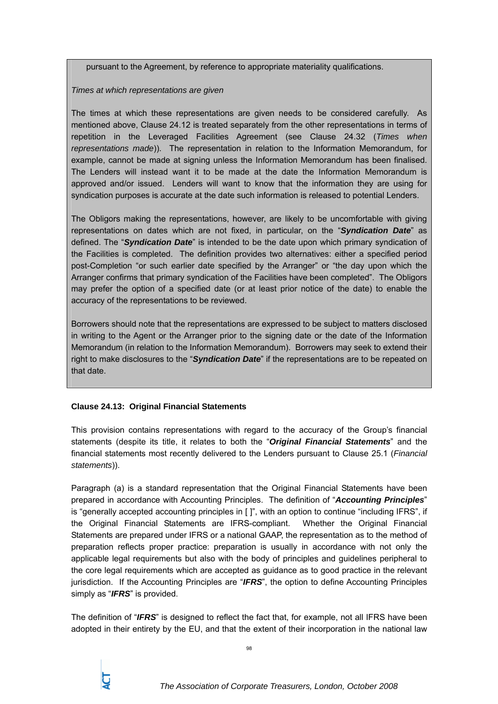pursuant to the Agreement, by reference to appropriate materiality qualifications.

*Times at which representations are given* 

The times at which these representations are given needs to be considered carefully. As mentioned above, Clause 24.12 is treated separately from the other representations in terms of repetition in the Leveraged Facilities Agreement (see Clause 24.32 (*Times when representations made*)). The representation in relation to the Information Memorandum, for example, cannot be made at signing unless the Information Memorandum has been finalised. The Lenders will instead want it to be made at the date the Information Memorandum is approved and/or issued. Lenders will want to know that the information they are using for syndication purposes is accurate at the date such information is released to potential Lenders.

The Obligors making the representations, however, are likely to be uncomfortable with giving representations on dates which are not fixed, in particular, on the "*Syndication Date*" as defined. The "*Syndication Date*" is intended to be the date upon which primary syndication of the Facilities is completed. The definition provides two alternatives: either a specified period post-Completion "or such earlier date specified by the Arranger" or "the day upon which the Arranger confirms that primary syndication of the Facilities have been completed". The Obligors may prefer the option of a specified date (or at least prior notice of the date) to enable the accuracy of the representations to be reviewed.

Borrowers should note that the representations are expressed to be subject to matters disclosed in writing to the Agent or the Arranger prior to the signing date or the date of the Information Memorandum (in relation to the Information Memorandum). Borrowers may seek to extend their right to make disclosures to the "*Syndication Date*" if the representations are to be repeated on that date.

# **Clause 24.13: Original Financial Statements**

This provision contains representations with regard to the accuracy of the Group's financial statements (despite its title, it relates to both the "*Original Financial Statements*" and the financial statements most recently delivered to the Lenders pursuant to Clause 25.1 (*Financial statements*)).

Paragraph (a) is a standard representation that the Original Financial Statements have been prepared in accordance with Accounting Principles. The definition of "*Accounting Principles*" is "generally accepted accounting principles in [ ]", with an option to continue "including IFRS", if the Original Financial Statements are IFRS-compliant. Whether the Original Financial Statements are prepared under IFRS or a national GAAP, the representation as to the method of preparation reflects proper practice: preparation is usually in accordance with not only the applicable legal requirements but also with the body of principles and guidelines peripheral to the core legal requirements which are accepted as guidance as to good practice in the relevant jurisdiction. If the Accounting Principles are "*IFRS*", the option to define Accounting Principles simply as "*IFRS*" is provided.

The definition of "*IFRS*" is designed to reflect the fact that, for example, not all IFRS have been adopted in their entirety by the EU, and that the extent of their incorporation in the national law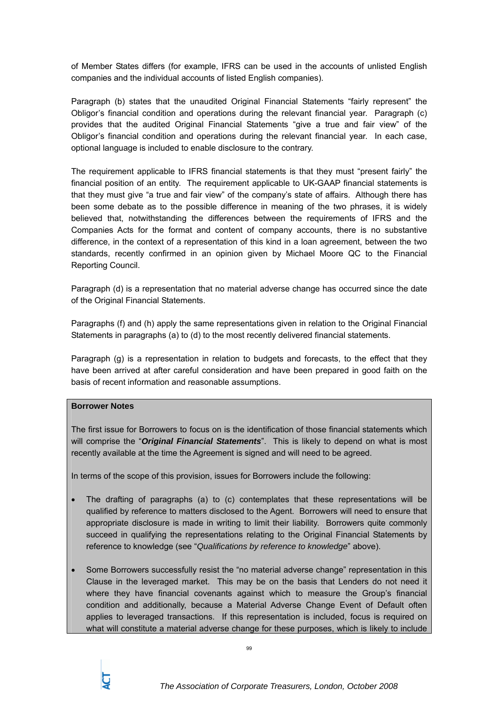of Member States differs (for example, IFRS can be used in the accounts of unlisted English companies and the individual accounts of listed English companies).

Paragraph (b) states that the unaudited Original Financial Statements "fairly represent" the Obligor's financial condition and operations during the relevant financial year. Paragraph (c) provides that the audited Original Financial Statements "give a true and fair view" of the Obligor's financial condition and operations during the relevant financial year. In each case, optional language is included to enable disclosure to the contrary.

The requirement applicable to IFRS financial statements is that they must "present fairly" the financial position of an entity. The requirement applicable to UK-GAAP financial statements is that they must give "a true and fair view" of the company's state of affairs. Although there has been some debate as to the possible difference in meaning of the two phrases, it is widely believed that, notwithstanding the differences between the requirements of IFRS and the Companies Acts for the format and content of company accounts, there is no substantive difference, in the context of a representation of this kind in a loan agreement, between the two standards, recently confirmed in an opinion given by Michael Moore QC to the Financial Reporting Council.

Paragraph (d) is a representation that no material adverse change has occurred since the date of the Original Financial Statements.

Paragraphs (f) and (h) apply the same representations given in relation to the Original Financial Statements in paragraphs (a) to (d) to the most recently delivered financial statements.

Paragraph (g) is a representation in relation to budgets and forecasts, to the effect that they have been arrived at after careful consideration and have been prepared in good faith on the basis of recent information and reasonable assumptions.

# **Borrower Notes**

The first issue for Borrowers to focus on is the identification of those financial statements which will comprise the "*Original Financial Statements*". This is likely to depend on what is most recently available at the time the Agreement is signed and will need to be agreed.

In terms of the scope of this provision, issues for Borrowers include the following:

- The drafting of paragraphs (a) to (c) contemplates that these representations will be qualified by reference to matters disclosed to the Agent. Borrowers will need to ensure that appropriate disclosure is made in writing to limit their liability. Borrowers quite commonly succeed in qualifying the representations relating to the Original Financial Statements by reference to knowledge (see "*Qualifications by reference to knowledge*" above).
- Some Borrowers successfully resist the "no material adverse change" representation in this Clause in the leveraged market. This may be on the basis that Lenders do not need it where they have financial covenants against which to measure the Group's financial condition and additionally, because a Material Adverse Change Event of Default often applies to leveraged transactions. If this representation is included, focus is required on what will constitute a material adverse change for these purposes, which is likely to include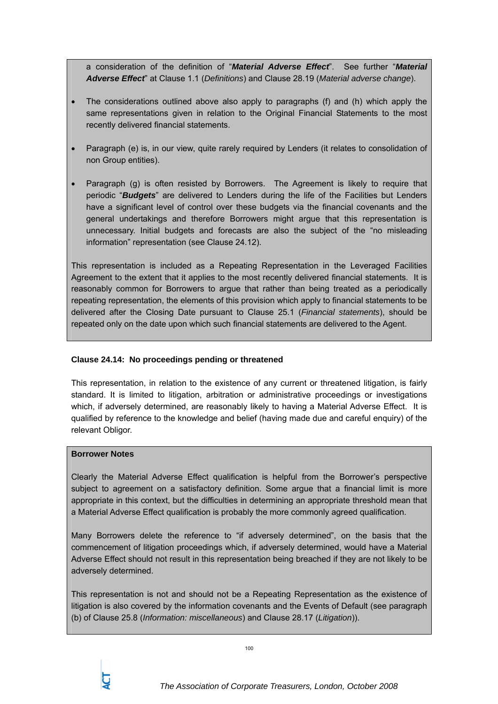a consideration of the definition of "*Material Adverse Effect*". See further "*Material Adverse Effect*" at Clause 1.1 (*Definitions*) and Clause 28.19 (*Material adverse change*).

- The considerations outlined above also apply to paragraphs (f) and (h) which apply the same representations given in relation to the Original Financial Statements to the most recently delivered financial statements.
- Paragraph (e) is, in our view, quite rarely required by Lenders (it relates to consolidation of non Group entities).
- Paragraph (g) is often resisted by Borrowers. The Agreement is likely to require that periodic "*Budgets*" are delivered to Lenders during the life of the Facilities but Lenders have a significant level of control over these budgets via the financial covenants and the general undertakings and therefore Borrowers might argue that this representation is unnecessary. Initial budgets and forecasts are also the subject of the "no misleading information" representation (see Clause 24.12).

This representation is included as a Repeating Representation in the Leveraged Facilities Agreement to the extent that it applies to the most recently delivered financial statements. It is reasonably common for Borrowers to argue that rather than being treated as a periodically repeating representation, the elements of this provision which apply to financial statements to be delivered after the Closing Date pursuant to Clause 25.1 (*Financial statements*), should be repeated only on the date upon which such financial statements are delivered to the Agent.

# **Clause 24.14: No proceedings pending or threatened**

This representation, in relation to the existence of any current or threatened litigation, is fairly standard. It is limited to litigation, arbitration or administrative proceedings or investigations which, if adversely determined, are reasonably likely to having a Material Adverse Effect. It is qualified by reference to the knowledge and belief (having made due and careful enquiry) of the relevant Obligor.

# **Borrower Notes**

Clearly the Material Adverse Effect qualification is helpful from the Borrower's perspective subject to agreement on a satisfactory definition. Some argue that a financial limit is more appropriate in this context, but the difficulties in determining an appropriate threshold mean that a Material Adverse Effect qualification is probably the more commonly agreed qualification.

Many Borrowers delete the reference to "if adversely determined", on the basis that the commencement of litigation proceedings which, if adversely determined, would have a Material Adverse Effect should not result in this representation being breached if they are not likely to be adversely determined.

This representation is not and should not be a Repeating Representation as the existence of litigation is also covered by the information covenants and the Events of Default (see paragraph (b) of Clause 25.8 (*Information: miscellaneous*) and Clause 28.17 (*Litigation*)).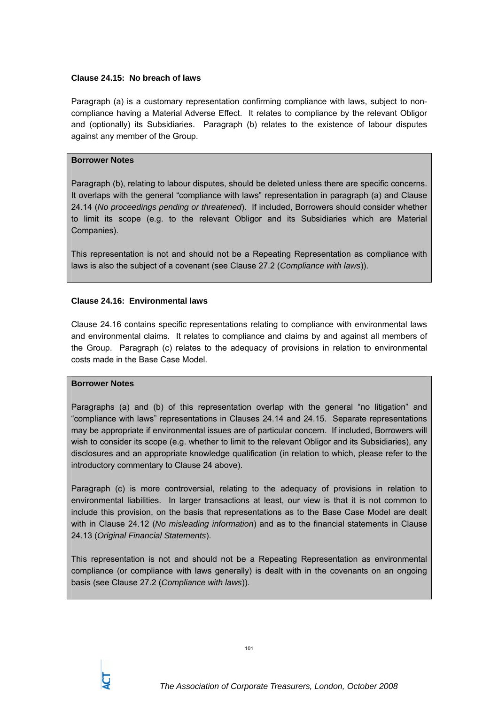## **Clause 24.15: No breach of laws**

Paragraph (a) is a customary representation confirming compliance with laws, subject to noncompliance having a Material Adverse Effect. It relates to compliance by the relevant Obligor and (optionally) its Subsidiaries. Paragraph (b) relates to the existence of labour disputes against any member of the Group.

## **Borrower Notes**

Paragraph (b), relating to labour disputes, should be deleted unless there are specific concerns. It overlaps with the general "compliance with laws" representation in paragraph (a) and Clause 24.14 (*No proceedings pending or threatened*). If included, Borrowers should consider whether to limit its scope (e.g. to the relevant Obligor and its Subsidiaries which are Material Companies).

This representation is not and should not be a Repeating Representation as compliance with laws is also the subject of a covenant (see Clause 27.2 (*Compliance with laws*)).

## **Clause 24.16: Environmental laws**

Clause 24.16 contains specific representations relating to compliance with environmental laws and environmental claims. It relates to compliance and claims by and against all members of the Group. Paragraph (c) relates to the adequacy of provisions in relation to environmental costs made in the Base Case Model.

### **Borrower Notes**

Paragraphs (a) and (b) of this representation overlap with the general "no litigation" and "compliance with laws" representations in Clauses 24.14 and 24.15. Separate representations may be appropriate if environmental issues are of particular concern. If included, Borrowers will wish to consider its scope (e.g. whether to limit to the relevant Obligor and its Subsidiaries), any disclosures and an appropriate knowledge qualification (in relation to which, please refer to the introductory commentary to Clause 24 above).

Paragraph (c) is more controversial, relating to the adequacy of provisions in relation to environmental liabilities. In larger transactions at least, our view is that it is not common to include this provision, on the basis that representations as to the Base Case Model are dealt with in Clause 24.12 (*No misleading information*) and as to the financial statements in Clause 24.13 (*Original Financial Statements*).

This representation is not and should not be a Repeating Representation as environmental compliance (or compliance with laws generally) is dealt with in the covenants on an ongoing basis (see Clause 27.2 (*Compliance with laws*)).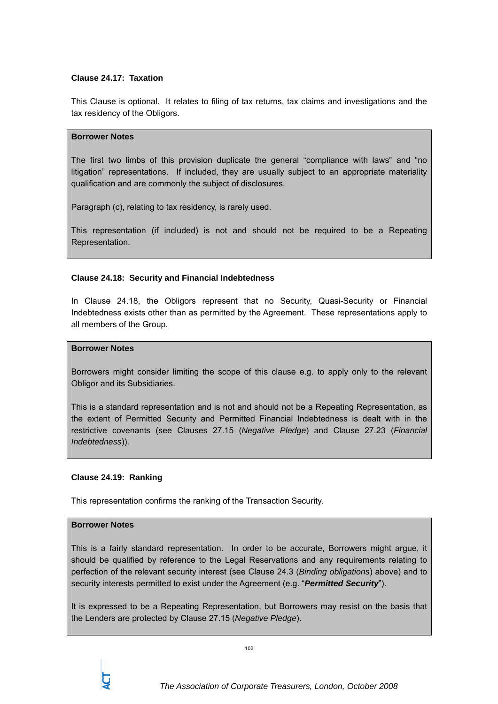## **Clause 24.17: Taxation**

This Clause is optional. It relates to filing of tax returns, tax claims and investigations and the tax residency of the Obligors.

## **Borrower Notes**

The first two limbs of this provision duplicate the general "compliance with laws" and "no litigation" representations. If included, they are usually subject to an appropriate materiality qualification and are commonly the subject of disclosures.

Paragraph (c), relating to tax residency, is rarely used.

This representation (if included) is not and should not be required to be a Repeating Representation.

### **Clause 24.18: Security and Financial Indebtedness**

In Clause 24.18, the Obligors represent that no Security, Quasi-Security or Financial Indebtedness exists other than as permitted by the Agreement. These representations apply to all members of the Group.

## **Borrower Notes**

Borrowers might consider limiting the scope of this clause e.g. to apply only to the relevant Obligor and its Subsidiaries.

This is a standard representation and is not and should not be a Repeating Representation, as the extent of Permitted Security and Permitted Financial Indebtedness is dealt with in the restrictive covenants (see Clauses 27.15 (*Negative Pledge*) and Clause 27.23 (*Financial Indebtedness*)).

### **Clause 24.19: Ranking**

This representation confirms the ranking of the Transaction Security.

### **Borrower Notes**

This is a fairly standard representation. In order to be accurate, Borrowers might argue, it should be qualified by reference to the Legal Reservations and any requirements relating to perfection of the relevant security interest (see Clause 24.3 (*Binding obligations*) above) and to security interests permitted to exist under the Agreement (e.g. "*Permitted Security*").

It is expressed to be a Repeating Representation, but Borrowers may resist on the basis that the Lenders are protected by Clause 27.15 (*Negative Pledge*).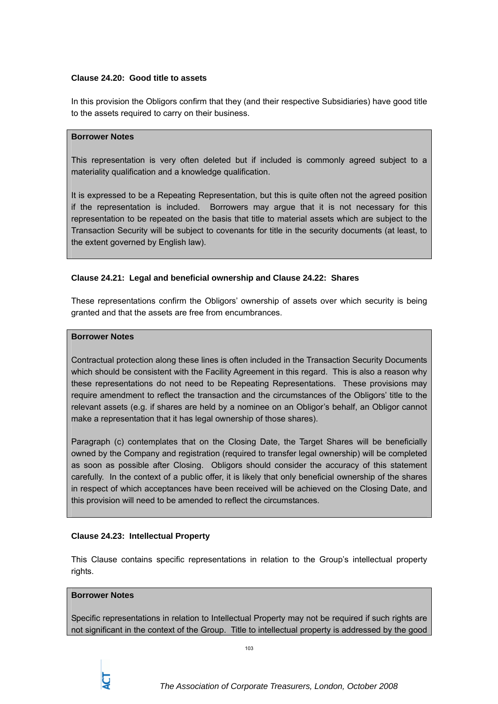## **Clause 24.20: Good title to assets**

In this provision the Obligors confirm that they (and their respective Subsidiaries) have good title to the assets required to carry on their business.

# **Borrower Notes**

This representation is very often deleted but if included is commonly agreed subject to a materiality qualification and a knowledge qualification.

It is expressed to be a Repeating Representation, but this is quite often not the agreed position if the representation is included. Borrowers may argue that it is not necessary for this representation to be repeated on the basis that title to material assets which are subject to the Transaction Security will be subject to covenants for title in the security documents (at least, to the extent governed by English law).

# **Clause 24.21: Legal and beneficial ownership and Clause 24.22: Shares**

These representations confirm the Obligors' ownership of assets over which security is being granted and that the assets are free from encumbrances.

# **Borrower Notes**

Contractual protection along these lines is often included in the Transaction Security Documents which should be consistent with the Facility Agreement in this regard. This is also a reason why these representations do not need to be Repeating Representations. These provisions may require amendment to reflect the transaction and the circumstances of the Obligors' title to the relevant assets (e.g. if shares are held by a nominee on an Obligor's behalf, an Obligor cannot make a representation that it has legal ownership of those shares).

Paragraph (c) contemplates that on the Closing Date, the Target Shares will be beneficially owned by the Company and registration (required to transfer legal ownership) will be completed as soon as possible after Closing. Obligors should consider the accuracy of this statement carefully. In the context of a public offer, it is likely that only beneficial ownership of the shares in respect of which acceptances have been received will be achieved on the Closing Date, and this provision will need to be amended to reflect the circumstances.

# **Clause 24.23: Intellectual Property**

This Clause contains specific representations in relation to the Group's intellectual property rights.

### **Borrower Notes**

Specific representations in relation to Intellectual Property may not be required if such rights are not significant in the context of the Group. Title to intellectual property is addressed by the good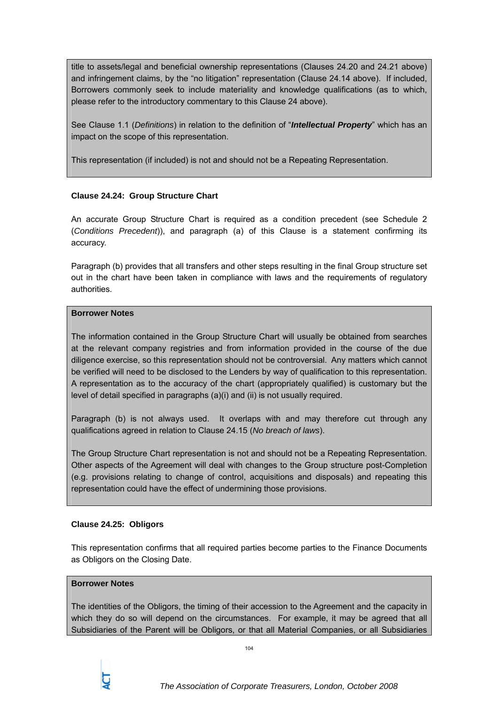title to assets/legal and beneficial ownership representations (Clauses 24.20 and 24.21 above) and infringement claims, by the "no litigation" representation (Clause 24.14 above). If included, Borrowers commonly seek to include materiality and knowledge qualifications (as to which, please refer to the introductory commentary to this Clause 24 above).

See Clause 1.1 (*Definitions*) in relation to the definition of "*Intellectual Property*" which has an impact on the scope of this representation.

This representation (if included) is not and should not be a Repeating Representation.

# **Clause 24.24: Group Structure Chart**

An accurate Group Structure Chart is required as a condition precedent (see Schedule 2 (*Conditions Precedent*)), and paragraph (a) of this Clause is a statement confirming its accuracy.

Paragraph (b) provides that all transfers and other steps resulting in the final Group structure set out in the chart have been taken in compliance with laws and the requirements of regulatory authorities.

# **Borrower Notes**

The information contained in the Group Structure Chart will usually be obtained from searches at the relevant company registries and from information provided in the course of the due diligence exercise, so this representation should not be controversial. Any matters which cannot be verified will need to be disclosed to the Lenders by way of qualification to this representation. A representation as to the accuracy of the chart (appropriately qualified) is customary but the level of detail specified in paragraphs (a)(i) and (ii) is not usually required.

Paragraph (b) is not always used. It overlaps with and may therefore cut through any qualifications agreed in relation to Clause 24.15 (*No breach of laws*).

The Group Structure Chart representation is not and should not be a Repeating Representation. Other aspects of the Agreement will deal with changes to the Group structure post-Completion (e.g. provisions relating to change of control, acquisitions and disposals) and repeating this representation could have the effect of undermining those provisions.

# **Clause 24.25: Obligors**

This representation confirms that all required parties become parties to the Finance Documents as Obligors on the Closing Date.

# **Borrower Notes**

The identities of the Obligors, the timing of their accession to the Agreement and the capacity in which they do so will depend on the circumstances. For example, it may be agreed that all Subsidiaries of the Parent will be Obligors, or that all Material Companies, or all Subsidiaries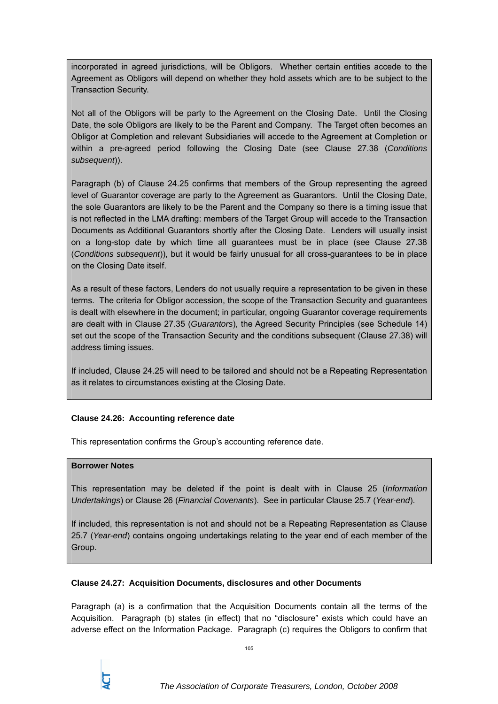incorporated in agreed jurisdictions, will be Obligors. Whether certain entities accede to the Agreement as Obligors will depend on whether they hold assets which are to be subject to the Transaction Security.

Not all of the Obligors will be party to the Agreement on the Closing Date. Until the Closing Date, the sole Obligors are likely to be the Parent and Company. The Target often becomes an Obligor at Completion and relevant Subsidiaries will accede to the Agreement at Completion or within a pre-agreed period following the Closing Date (see Clause 27.38 (*Conditions subsequent*)).

Paragraph (b) of Clause 24.25 confirms that members of the Group representing the agreed level of Guarantor coverage are party to the Agreement as Guarantors. Until the Closing Date, the sole Guarantors are likely to be the Parent and the Company so there is a timing issue that is not reflected in the LMA drafting: members of the Target Group will accede to the Transaction Documents as Additional Guarantors shortly after the Closing Date. Lenders will usually insist on a long-stop date by which time all guarantees must be in place (see Clause 27.38 (*Conditions subsequent*)), but it would be fairly unusual for all cross-guarantees to be in place on the Closing Date itself.

As a result of these factors, Lenders do not usually require a representation to be given in these terms. The criteria for Obligor accession, the scope of the Transaction Security and guarantees is dealt with elsewhere in the document; in particular, ongoing Guarantor coverage requirements are dealt with in Clause 27.35 (*Guarantors*), the Agreed Security Principles (see Schedule 14) set out the scope of the Transaction Security and the conditions subsequent (Clause 27.38) will address timing issues.

If included, Clause 24.25 will need to be tailored and should not be a Repeating Representation as it relates to circumstances existing at the Closing Date.

# **Clause 24.26: Accounting reference date**

This representation confirms the Group's accounting reference date.

# **Borrower Notes**

This representation may be deleted if the point is dealt with in Clause 25 (*Information Undertakings*) or Clause 26 (*Financial Covenants*). See in particular Clause 25.7 (*Year-end*).

If included, this representation is not and should not be a Repeating Representation as Clause 25.7 (*Year-end*) contains ongoing undertakings relating to the year end of each member of the Group.

# **Clause 24.27: Acquisition Documents, disclosures and other Documents**

Paragraph (a) is a confirmation that the Acquisition Documents contain all the terms of the Acquisition. Paragraph (b) states (in effect) that no "disclosure" exists which could have an adverse effect on the Information Package. Paragraph (c) requires the Obligors to confirm that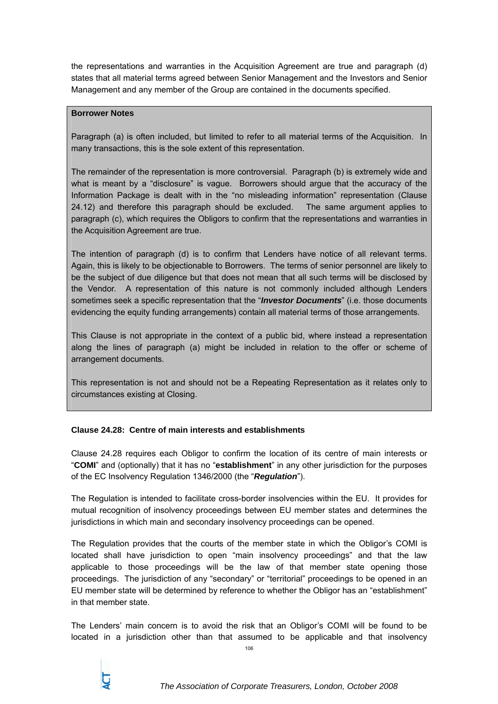the representations and warranties in the Acquisition Agreement are true and paragraph (d) states that all material terms agreed between Senior Management and the Investors and Senior Management and any member of the Group are contained in the documents specified.

# **Borrower Notes**

Paragraph (a) is often included, but limited to refer to all material terms of the Acquisition. In many transactions, this is the sole extent of this representation.

The remainder of the representation is more controversial. Paragraph (b) is extremely wide and what is meant by a "disclosure" is vague. Borrowers should argue that the accuracy of the Information Package is dealt with in the "no misleading information" representation (Clause 24.12) and therefore this paragraph should be excluded. The same argument applies to paragraph (c), which requires the Obligors to confirm that the representations and warranties in the Acquisition Agreement are true.

The intention of paragraph (d) is to confirm that Lenders have notice of all relevant terms. Again, this is likely to be objectionable to Borrowers. The terms of senior personnel are likely to be the subject of due diligence but that does not mean that all such terms will be disclosed by the Vendor. A representation of this nature is not commonly included although Lenders sometimes seek a specific representation that the "*Investor Documents*" (i.e. those documents evidencing the equity funding arrangements) contain all material terms of those arrangements.

This Clause is not appropriate in the context of a public bid, where instead a representation along the lines of paragraph (a) might be included in relation to the offer or scheme of arrangement documents.

This representation is not and should not be a Repeating Representation as it relates only to circumstances existing at Closing.

# **Clause 24.28: Centre of main interests and establishments**

Clause 24.28 requires each Obligor to confirm the location of its centre of main interests or "**COMI**" and (optionally) that it has no "**establishment**" in any other jurisdiction for the purposes of the EC Insolvency Regulation 1346/2000 (the "*Regulation*").

The Regulation is intended to facilitate cross-border insolvencies within the EU. It provides for mutual recognition of insolvency proceedings between EU member states and determines the jurisdictions in which main and secondary insolvency proceedings can be opened.

The Regulation provides that the courts of the member state in which the Obligor's COMI is located shall have jurisdiction to open "main insolvency proceedings" and that the law applicable to those proceedings will be the law of that member state opening those proceedings. The jurisdiction of any "secondary" or "territorial" proceedings to be opened in an EU member state will be determined by reference to whether the Obligor has an "establishment" in that member state.

The Lenders' main concern is to avoid the risk that an Obligor's COMI will be found to be located in a jurisdiction other than that assumed to be applicable and that insolvency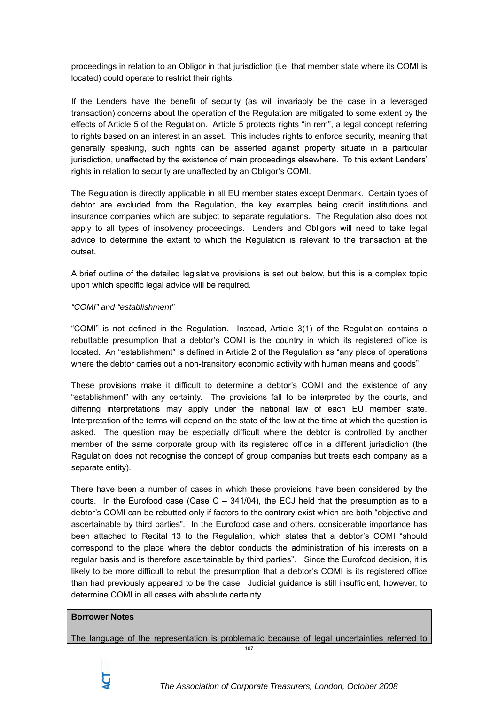proceedings in relation to an Obligor in that jurisdiction (i.e. that member state where its COMI is located) could operate to restrict their rights.

If the Lenders have the benefit of security (as will invariably be the case in a leveraged transaction) concerns about the operation of the Regulation are mitigated to some extent by the effects of Article 5 of the Regulation. Article 5 protects rights "in rem", a legal concept referring to rights based on an interest in an asset. This includes rights to enforce security, meaning that generally speaking, such rights can be asserted against property situate in a particular jurisdiction, unaffected by the existence of main proceedings elsewhere. To this extent Lenders' rights in relation to security are unaffected by an Obligor's COMI.

The Regulation is directly applicable in all EU member states except Denmark. Certain types of debtor are excluded from the Regulation, the key examples being credit institutions and insurance companies which are subject to separate regulations. The Regulation also does not apply to all types of insolvency proceedings. Lenders and Obligors will need to take legal advice to determine the extent to which the Regulation is relevant to the transaction at the outset.

A brief outline of the detailed legislative provisions is set out below, but this is a complex topic upon which specific legal advice will be required.

# *"COMI" and "establishment"*

"COMI" is not defined in the Regulation. Instead, Article 3(1) of the Regulation contains a rebuttable presumption that a debtor's COMI is the country in which its registered office is located. An "establishment" is defined in Article 2 of the Regulation as "any place of operations where the debtor carries out a non-transitory economic activity with human means and goods".

These provisions make it difficult to determine a debtor's COMI and the existence of any "establishment" with any certainty. The provisions fall to be interpreted by the courts, and differing interpretations may apply under the national law of each EU member state. Interpretation of the terms will depend on the state of the law at the time at which the question is asked. The question may be especially difficult where the debtor is controlled by another member of the same corporate group with its registered office in a different jurisdiction (the Regulation does not recognise the concept of group companies but treats each company as a separate entity).

There have been a number of cases in which these provisions have been considered by the courts. In the Eurofood case (Case  $C - 341/04$ ), the ECJ held that the presumption as to a debtor's COMI can be rebutted only if factors to the contrary exist which are both "objective and ascertainable by third parties". In the Eurofood case and others, considerable importance has been attached to Recital 13 to the Regulation, which states that a debtor's COMI "should correspond to the place where the debtor conducts the administration of his interests on a regular basis and is therefore ascertainable by third parties". Since the Eurofood decision, it is likely to be more difficult to rebut the presumption that a debtor's COMI is its registered office than had previously appeared to be the case. Judicial guidance is still insufficient, however, to determine COMI in all cases with absolute certainty.

## **Borrower Notes**

The language of the representation is problematic because of legal uncertainties referred to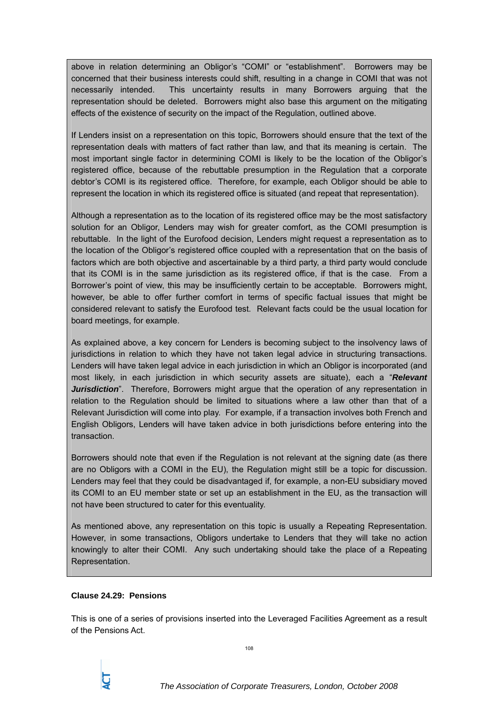above in relation determining an Obligor's "COMI" or "establishment". Borrowers may be concerned that their business interests could shift, resulting in a change in COMI that was not necessarily intended. This uncertainty results in many Borrowers arguing that the representation should be deleted. Borrowers might also base this argument on the mitigating effects of the existence of security on the impact of the Regulation, outlined above.

If Lenders insist on a representation on this topic, Borrowers should ensure that the text of the representation deals with matters of fact rather than law, and that its meaning is certain. The most important single factor in determining COMI is likely to be the location of the Obligor's registered office, because of the rebuttable presumption in the Regulation that a corporate debtor's COMI is its registered office. Therefore, for example, each Obligor should be able to represent the location in which its registered office is situated (and repeat that representation).

Although a representation as to the location of its registered office may be the most satisfactory solution for an Obligor, Lenders may wish for greater comfort, as the COMI presumption is rebuttable. In the light of the Eurofood decision, Lenders might request a representation as to the location of the Obligor's registered office coupled with a representation that on the basis of factors which are both objective and ascertainable by a third party, a third party would conclude that its COMI is in the same jurisdiction as its registered office, if that is the case. From a Borrower's point of view, this may be insufficiently certain to be acceptable. Borrowers might, however, be able to offer further comfort in terms of specific factual issues that might be considered relevant to satisfy the Eurofood test. Relevant facts could be the usual location for board meetings, for example.

As explained above, a key concern for Lenders is becoming subject to the insolvency laws of jurisdictions in relation to which they have not taken legal advice in structuring transactions. Lenders will have taken legal advice in each jurisdiction in which an Obligor is incorporated (and most likely, in each jurisdiction in which security assets are situate), each a "*Relevant Jurisdiction*". Therefore, Borrowers might argue that the operation of any representation in relation to the Regulation should be limited to situations where a law other than that of a Relevant Jurisdiction will come into play. For example, if a transaction involves both French and English Obligors, Lenders will have taken advice in both jurisdictions before entering into the transaction.

Borrowers should note that even if the Regulation is not relevant at the signing date (as there are no Obligors with a COMI in the EU), the Regulation might still be a topic for discussion. Lenders may feel that they could be disadvantaged if, for example, a non-EU subsidiary moved its COMI to an EU member state or set up an establishment in the EU, as the transaction will not have been structured to cater for this eventuality.

As mentioned above, any representation on this topic is usually a Repeating Representation. However, in some transactions, Obligors undertake to Lenders that they will take no action knowingly to alter their COMI. Any such undertaking should take the place of a Repeating Representation.

# **Clause 24.29: Pensions**

This is one of a series of provisions inserted into the Leveraged Facilities Agreement as a result of the Pensions Act.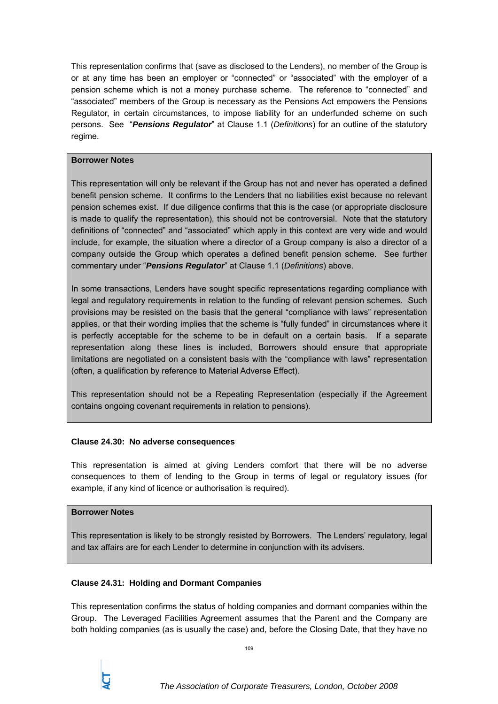This representation confirms that (save as disclosed to the Lenders), no member of the Group is or at any time has been an employer or "connected" or "associated" with the employer of a pension scheme which is not a money purchase scheme. The reference to "connected" and "associated" members of the Group is necessary as the Pensions Act empowers the Pensions Regulator, in certain circumstances, to impose liability for an underfunded scheme on such persons. See "*Pensions Regulator*" at Clause 1.1 (*Definitions*) for an outline of the statutory regime.

# **Borrower Notes**

This representation will only be relevant if the Group has not and never has operated a defined benefit pension scheme. It confirms to the Lenders that no liabilities exist because no relevant pension schemes exist. If due diligence confirms that this is the case (or appropriate disclosure is made to qualify the representation), this should not be controversial. Note that the statutory definitions of "connected" and "associated" which apply in this context are very wide and would include, for example, the situation where a director of a Group company is also a director of a company outside the Group which operates a defined benefit pension scheme. See further commentary under "*Pensions Regulator*" at Clause 1.1 (*Definitions*) above.

In some transactions, Lenders have sought specific representations regarding compliance with legal and regulatory requirements in relation to the funding of relevant pension schemes. Such provisions may be resisted on the basis that the general "compliance with laws" representation applies, or that their wording implies that the scheme is "fully funded" in circumstances where it is perfectly acceptable for the scheme to be in default on a certain basis. If a separate representation along these lines is included, Borrowers should ensure that appropriate limitations are negotiated on a consistent basis with the "compliance with laws" representation (often, a qualification by reference to Material Adverse Effect).

This representation should not be a Repeating Representation (especially if the Agreement contains ongoing covenant requirements in relation to pensions).

# **Clause 24.30: No adverse consequences**

This representation is aimed at giving Lenders comfort that there will be no adverse consequences to them of lending to the Group in terms of legal or regulatory issues (for example, if any kind of licence or authorisation is required).

# **Borrower Notes**

This representation is likely to be strongly resisted by Borrowers. The Lenders' regulatory, legal and tax affairs are for each Lender to determine in conjunction with its advisers.

# **Clause 24.31: Holding and Dormant Companies**

This representation confirms the status of holding companies and dormant companies within the Group. The Leveraged Facilities Agreement assumes that the Parent and the Company are both holding companies (as is usually the case) and, before the Closing Date, that they have no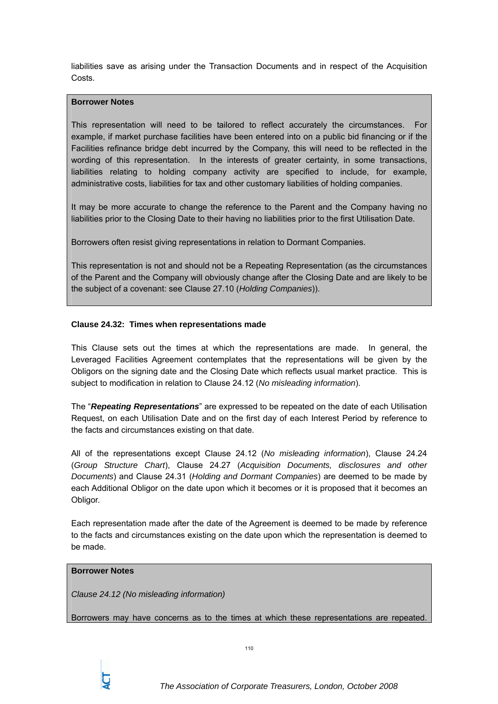liabilities save as arising under the Transaction Documents and in respect of the Acquisition Costs.

### **Borrower Notes**

This representation will need to be tailored to reflect accurately the circumstances. For example, if market purchase facilities have been entered into on a public bid financing or if the Facilities refinance bridge debt incurred by the Company, this will need to be reflected in the wording of this representation. In the interests of greater certainty, in some transactions, liabilities relating to holding company activity are specified to include, for example, administrative costs, liabilities for tax and other customary liabilities of holding companies.

It may be more accurate to change the reference to the Parent and the Company having no liabilities prior to the Closing Date to their having no liabilities prior to the first Utilisation Date.

Borrowers often resist giving representations in relation to Dormant Companies.

This representation is not and should not be a Repeating Representation (as the circumstances of the Parent and the Company will obviously change after the Closing Date and are likely to be the subject of a covenant: see Clause 27.10 (*Holding Companies*)).

### **Clause 24.32: Times when representations made**

This Clause sets out the times at which the representations are made. In general, the Leveraged Facilities Agreement contemplates that the representations will be given by the Obligors on the signing date and the Closing Date which reflects usual market practice. This is subject to modification in relation to Clause 24.12 (*No misleading information*).

The "*Repeating Representations*" are expressed to be repeated on the date of each Utilisation Request, on each Utilisation Date and on the first day of each Interest Period by reference to the facts and circumstances existing on that date.

All of the representations except Clause 24.12 (*No misleading information*), Clause 24.24 (*Group Structure Chart*), Clause 24.27 (*Acquisition Documents, disclosures and other Documents*) and Clause 24.31 (*Holding and Dormant Companies*) are deemed to be made by each Additional Obligor on the date upon which it becomes or it is proposed that it becomes an Obligor.

Each representation made after the date of the Agreement is deemed to be made by reference to the facts and circumstances existing on the date upon which the representation is deemed to be made.

#### **Borrower Notes**

*Clause 24.12 (No misleading information)* 

Borrowers may have concerns as to the times at which these representations are repeated.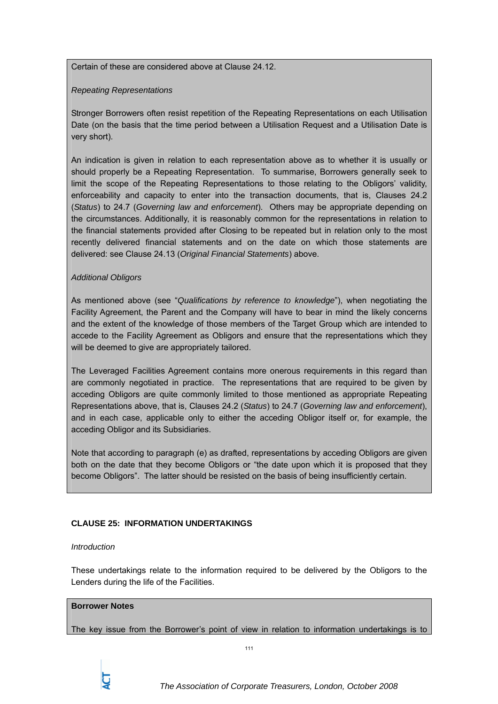Certain of these are considered above at Clause 24.12.

### *Repeating Representations*

Stronger Borrowers often resist repetition of the Repeating Representations on each Utilisation Date (on the basis that the time period between a Utilisation Request and a Utilisation Date is very short).

An indication is given in relation to each representation above as to whether it is usually or should properly be a Repeating Representation. To summarise, Borrowers generally seek to limit the scope of the Repeating Representations to those relating to the Obligors' validity, enforceability and capacity to enter into the transaction documents, that is, Clauses 24.2 (*Status*) to 24.7 (*Governing law and enforcement*). Others may be appropriate depending on the circumstances. Additionally, it is reasonably common for the representations in relation to the financial statements provided after Closing to be repeated but in relation only to the most recently delivered financial statements and on the date on which those statements are delivered: see Clause 24.13 (*Original Financial Statements*) above.

# *Additional Obligors*

As mentioned above (see "*Qualifications by reference to knowledge*"), when negotiating the Facility Agreement, the Parent and the Company will have to bear in mind the likely concerns and the extent of the knowledge of those members of the Target Group which are intended to accede to the Facility Agreement as Obligors and ensure that the representations which they will be deemed to give are appropriately tailored.

The Leveraged Facilities Agreement contains more onerous requirements in this regard than are commonly negotiated in practice. The representations that are required to be given by acceding Obligors are quite commonly limited to those mentioned as appropriate Repeating Representations above, that is, Clauses 24.2 (*Status*) to 24.7 (*Governing law and enforcement*), and in each case, applicable only to either the acceding Obligor itself or, for example, the acceding Obligor and its Subsidiaries.

Note that according to paragraph (e) as drafted, representations by acceding Obligors are given both on the date that they become Obligors or "the date upon which it is proposed that they become Obligors". The latter should be resisted on the basis of being insufficiently certain.

# **CLAUSE 25: INFORMATION UNDERTAKINGS**

#### *Introduction*

These undertakings relate to the information required to be delivered by the Obligors to the Lenders during the life of the Facilities.

#### **Borrower Notes**

The key issue from the Borrower's point of view in relation to information undertakings is to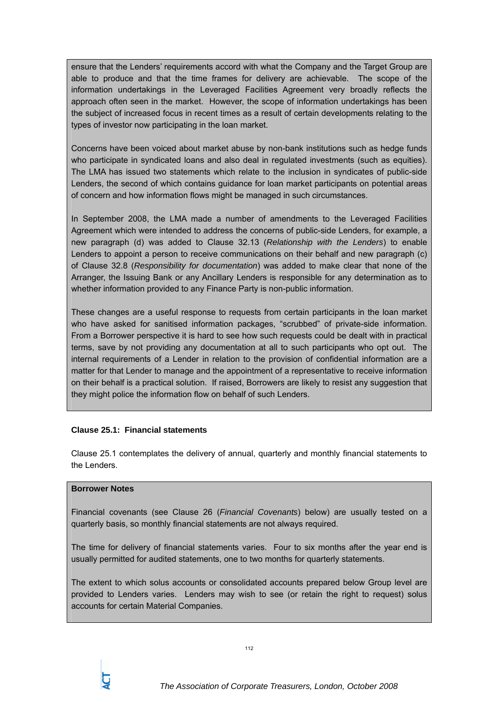ensure that the Lenders' requirements accord with what the Company and the Target Group are able to produce and that the time frames for delivery are achievable. The scope of the information undertakings in the Leveraged Facilities Agreement very broadly reflects the approach often seen in the market. However, the scope of information undertakings has been the subject of increased focus in recent times as a result of certain developments relating to the types of investor now participating in the loan market.

Concerns have been voiced about market abuse by non-bank institutions such as hedge funds who participate in syndicated loans and also deal in regulated investments (such as equities). The LMA has issued two statements which relate to the inclusion in syndicates of public-side Lenders, the second of which contains guidance for loan market participants on potential areas of concern and how information flows might be managed in such circumstances.

In September 2008, the LMA made a number of amendments to the Leveraged Facilities Agreement which were intended to address the concerns of public-side Lenders, for example, a new paragraph (d) was added to Clause 32.13 (*Relationship with the Lenders*) to enable Lenders to appoint a person to receive communications on their behalf and new paragraph (c) of Clause 32.8 (*Responsibility for documentation*) was added to make clear that none of the Arranger, the Issuing Bank or any Ancillary Lenders is responsible for any determination as to whether information provided to any Finance Party is non-public information.

These changes are a useful response to requests from certain participants in the loan market who have asked for sanitised information packages, "scrubbed" of private-side information. From a Borrower perspective it is hard to see how such requests could be dealt with in practical terms, save by not providing any documentation at all to such participants who opt out. The internal requirements of a Lender in relation to the provision of confidential information are a matter for that Lender to manage and the appointment of a representative to receive information on their behalf is a practical solution. If raised, Borrowers are likely to resist any suggestion that they might police the information flow on behalf of such Lenders.

# **Clause 25.1: Financial statements**

Clause 25.1 contemplates the delivery of annual, quarterly and monthly financial statements to the Lenders.

### **Borrower Notes**

Financial covenants (see Clause 26 (*Financial Covenants*) below) are usually tested on a quarterly basis, so monthly financial statements are not always required.

The time for delivery of financial statements varies. Four to six months after the year end is usually permitted for audited statements, one to two months for quarterly statements.

The extent to which solus accounts or consolidated accounts prepared below Group level are provided to Lenders varies. Lenders may wish to see (or retain the right to request) solus accounts for certain Material Companies.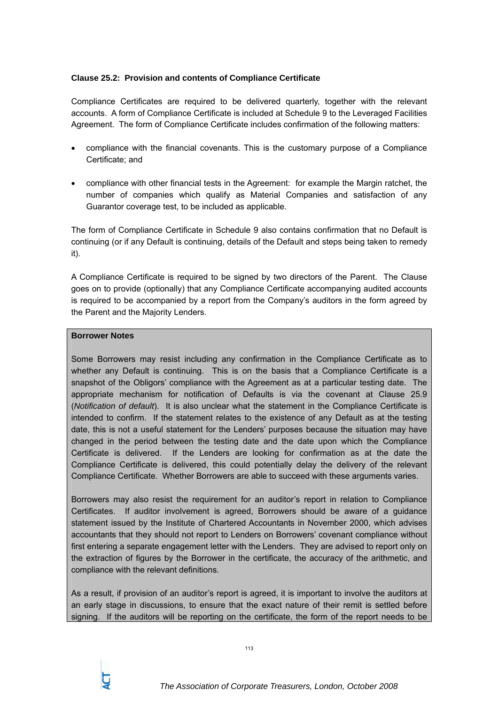# **Clause 25.2: Provision and contents of Compliance Certificate**

Compliance Certificates are required to be delivered quarterly, together with the relevant accounts. A form of Compliance Certificate is included at Schedule 9 to the Leveraged Facilities Agreement. The form of Compliance Certificate includes confirmation of the following matters:

- compliance with the financial covenants. This is the customary purpose of a Compliance Certificate; and
- compliance with other financial tests in the Agreement: for example the Margin ratchet, the number of companies which qualify as Material Companies and satisfaction of any Guarantor coverage test, to be included as applicable.

The form of Compliance Certificate in Schedule 9 also contains confirmation that no Default is continuing (or if any Default is continuing, details of the Default and steps being taken to remedy it).

A Compliance Certificate is required to be signed by two directors of the Parent. The Clause goes on to provide (optionally) that any Compliance Certificate accompanying audited accounts is required to be accompanied by a report from the Company's auditors in the form agreed by the Parent and the Majority Lenders.

### **Borrower Notes**

Some Borrowers may resist including any confirmation in the Compliance Certificate as to whether any Default is continuing. This is on the basis that a Compliance Certificate is a snapshot of the Obligors' compliance with the Agreement as at a particular testing date. The appropriate mechanism for notification of Defaults is via the covenant at Clause 25.9 (*Notification of default*). It is also unclear what the statement in the Compliance Certificate is intended to confirm. If the statement relates to the existence of any Default as at the testing date, this is not a useful statement for the Lenders' purposes because the situation may have changed in the period between the testing date and the date upon which the Compliance Certificate is delivered. If the Lenders are looking for confirmation as at the date the Compliance Certificate is delivered, this could potentially delay the delivery of the relevant Compliance Certificate. Whether Borrowers are able to succeed with these arguments varies.

Borrowers may also resist the requirement for an auditor's report in relation to Compliance Certificates. If auditor involvement is agreed, Borrowers should be aware of a guidance statement issued by the Institute of Chartered Accountants in November 2000, which advises accountants that they should not report to Lenders on Borrowers' covenant compliance without first entering a separate engagement letter with the Lenders. They are advised to report only on the extraction of figures by the Borrower in the certificate, the accuracy of the arithmetic, and compliance with the relevant definitions.

As a result, if provision of an auditor's report is agreed, it is important to involve the auditors at an early stage in discussions, to ensure that the exact nature of their remit is settled before signing. If the auditors will be reporting on the certificate, the form of the report needs to be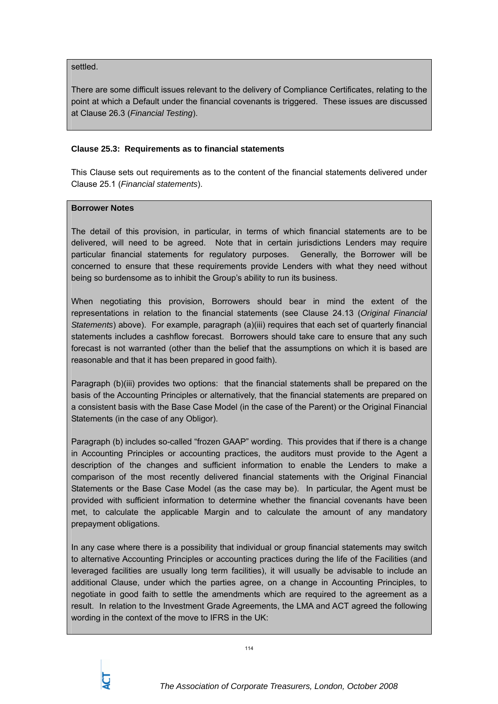settled.

There are some difficult issues relevant to the delivery of Compliance Certificates, relating to the point at which a Default under the financial covenants is triggered. These issues are discussed at Clause 26.3 (*Financial Testing*).

### **Clause 25.3: Requirements as to financial statements**

This Clause sets out requirements as to the content of the financial statements delivered under Clause 25.1 (*Financial statements*).

### **Borrower Notes**

The detail of this provision, in particular, in terms of which financial statements are to be delivered, will need to be agreed. Note that in certain jurisdictions Lenders may require particular financial statements for regulatory purposes. Generally, the Borrower will be concerned to ensure that these requirements provide Lenders with what they need without being so burdensome as to inhibit the Group's ability to run its business.

When negotiating this provision, Borrowers should bear in mind the extent of the representations in relation to the financial statements (see Clause 24.13 (*Original Financial Statements*) above). For example, paragraph (a)(iii) requires that each set of quarterly financial statements includes a cashflow forecast. Borrowers should take care to ensure that any such forecast is not warranted (other than the belief that the assumptions on which it is based are reasonable and that it has been prepared in good faith).

Paragraph (b)(iii) provides two options: that the financial statements shall be prepared on the basis of the Accounting Principles or alternatively, that the financial statements are prepared on a consistent basis with the Base Case Model (in the case of the Parent) or the Original Financial Statements (in the case of any Obligor).

Paragraph (b) includes so-called "frozen GAAP" wording. This provides that if there is a change in Accounting Principles or accounting practices, the auditors must provide to the Agent a description of the changes and sufficient information to enable the Lenders to make a comparison of the most recently delivered financial statements with the Original Financial Statements or the Base Case Model (as the case may be). In particular, the Agent must be provided with sufficient information to determine whether the financial covenants have been met, to calculate the applicable Margin and to calculate the amount of any mandatory prepayment obligations.

In any case where there is a possibility that individual or group financial statements may switch to alternative Accounting Principles or accounting practices during the life of the Facilities (and leveraged facilities are usually long term facilities), it will usually be advisable to include an additional Clause, under which the parties agree, on a change in Accounting Principles, to negotiate in good faith to settle the amendments which are required to the agreement as a result. In relation to the Investment Grade Agreements, the LMA and ACT agreed the following wording in the context of the move to IFRS in the UK: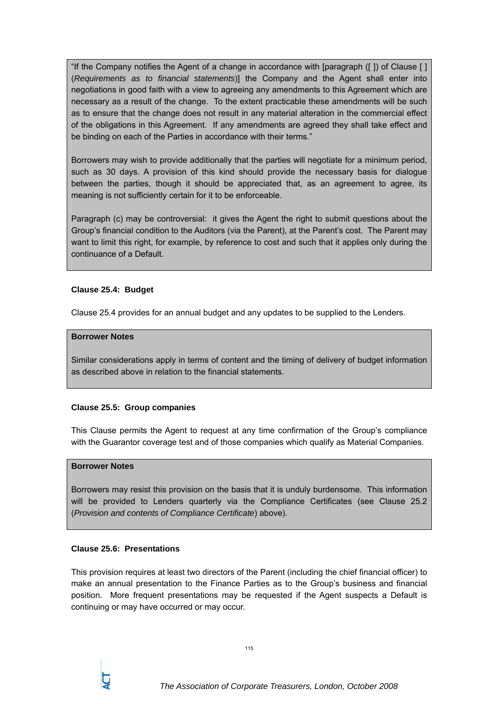"If the Company notifies the Agent of a change in accordance with [paragraph ([ ]) of Clause [ ] (*Requirements as to financial statements*)] the Company and the Agent shall enter into negotiations in good faith with a view to agreeing any amendments to this Agreement which are necessary as a result of the change. To the extent practicable these amendments will be such as to ensure that the change does not result in any material alteration in the commercial effect of the obligations in this Agreement. If any amendments are agreed they shall take effect and be binding on each of the Parties in accordance with their terms."

Borrowers may wish to provide additionally that the parties will negotiate for a minimum period, such as 30 days. A provision of this kind should provide the necessary basis for dialogue between the parties, though it should be appreciated that, as an agreement to agree, its meaning is not sufficiently certain for it to be enforceable.

Paragraph (c) may be controversial: it gives the Agent the right to submit questions about the Group's financial condition to the Auditors (via the Parent), at the Parent's cost. The Parent may want to limit this right, for example, by reference to cost and such that it applies only during the continuance of a Default.

# **Clause 25.4: Budget**

Clause 25.4 provides for an annual budget and any updates to be supplied to the Lenders.

#### **Borrower Notes**

Similar considerations apply in terms of content and the timing of delivery of budget information as described above in relation to the financial statements.

# **Clause 25.5: Group companies**

This Clause permits the Agent to request at any time confirmation of the Group's compliance with the Guarantor coverage test and of those companies which qualify as Material Companies.

#### **Borrower Notes**

Borrowers may resist this provision on the basis that it is unduly burdensome. This information will be provided to Lenders quarterly via the Compliance Certificates (see Clause 25.2 (*Provision and contents of Compliance Certificate*) above).

#### **Clause 25.6: Presentations**

This provision requires at least two directors of the Parent (including the chief financial officer) to make an annual presentation to the Finance Parties as to the Group's business and financial position. More frequent presentations may be requested if the Agent suspects a Default is continuing or may have occurred or may occur.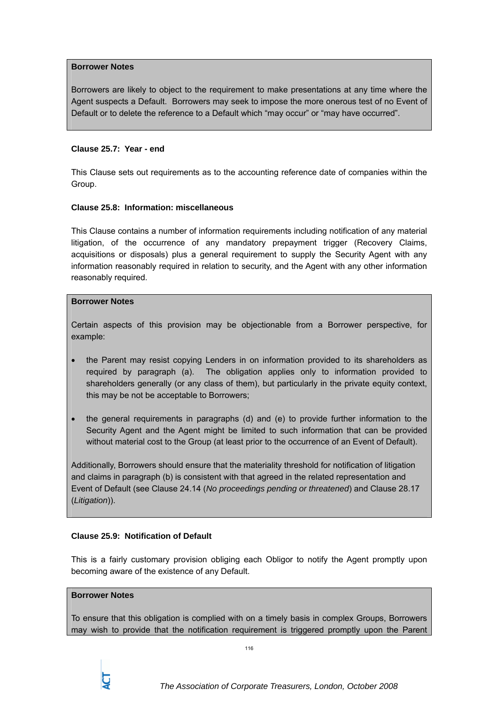### **Borrower Notes**

Borrowers are likely to object to the requirement to make presentations at any time where the Agent suspects a Default. Borrowers may seek to impose the more onerous test of no Event of Default or to delete the reference to a Default which "may occur" or "may have occurred".

### **Clause 25.7: Year - end**

This Clause sets out requirements as to the accounting reference date of companies within the Group.

### **Clause 25.8: Information: miscellaneous**

This Clause contains a number of information requirements including notification of any material litigation, of the occurrence of any mandatory prepayment trigger (Recovery Claims, acquisitions or disposals) plus a general requirement to supply the Security Agent with any information reasonably required in relation to security, and the Agent with any other information reasonably required.

### **Borrower Notes**

Certain aspects of this provision may be objectionable from a Borrower perspective, for example:

- the Parent may resist copying Lenders in on information provided to its shareholders as required by paragraph (a). The obligation applies only to information provided to shareholders generally (or any class of them), but particularly in the private equity context, this may be not be acceptable to Borrowers;
- the general requirements in paragraphs (d) and (e) to provide further information to the Security Agent and the Agent might be limited to such information that can be provided without material cost to the Group (at least prior to the occurrence of an Event of Default).

Additionally, Borrowers should ensure that the materiality threshold for notification of litigation and claims in paragraph (b) is consistent with that agreed in the related representation and Event of Default (see Clause 24.14 (*No proceedings pending or threatened*) and Clause 28.17 (*Litigation*)).

# **Clause 25.9: Notification of Default**

This is a fairly customary provision obliging each Obligor to notify the Agent promptly upon becoming aware of the existence of any Default.

# **Borrower Notes**

To ensure that this obligation is complied with on a timely basis in complex Groups, Borrowers may wish to provide that the notification requirement is triggered promptly upon the Parent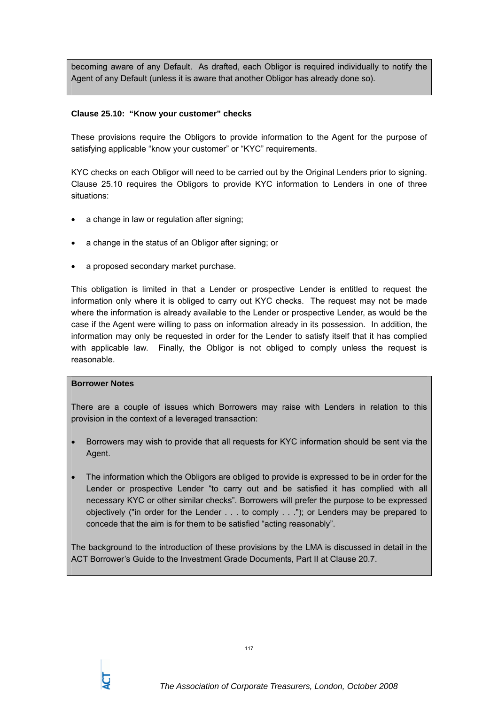becoming aware of any Default. As drafted, each Obligor is required individually to notify the Agent of any Default (unless it is aware that another Obligor has already done so).

# **Clause 25.10: "Know your customer" checks**

These provisions require the Obligors to provide information to the Agent for the purpose of satisfying applicable "know your customer" or "KYC" requirements.

KYC checks on each Obligor will need to be carried out by the Original Lenders prior to signing. Clause 25.10 requires the Obligors to provide KYC information to Lenders in one of three situations:

- a change in law or regulation after signing;
- a change in the status of an Obligor after signing; or
- a proposed secondary market purchase.

This obligation is limited in that a Lender or prospective Lender is entitled to request the information only where it is obliged to carry out KYC checks. The request may not be made where the information is already available to the Lender or prospective Lender, as would be the case if the Agent were willing to pass on information already in its possession. In addition, the information may only be requested in order for the Lender to satisfy itself that it has complied with applicable law. Finally, the Obligor is not obliged to comply unless the request is reasonable.

#### **Borrower Notes**

There are a couple of issues which Borrowers may raise with Lenders in relation to this provision in the context of a leveraged transaction:

- Borrowers may wish to provide that all requests for KYC information should be sent via the Agent.
- The information which the Obligors are obliged to provide is expressed to be in order for the Lender or prospective Lender "to carry out and be satisfied it has complied with all necessary KYC or other similar checks". Borrowers will prefer the purpose to be expressed objectively ("in order for the Lender . . . to comply . . ."); or Lenders may be prepared to concede that the aim is for them to be satisfied "acting reasonably".

The background to the introduction of these provisions by the LMA is discussed in detail in the ACT Borrower's Guide to the Investment Grade Documents, Part II at Clause 20.7.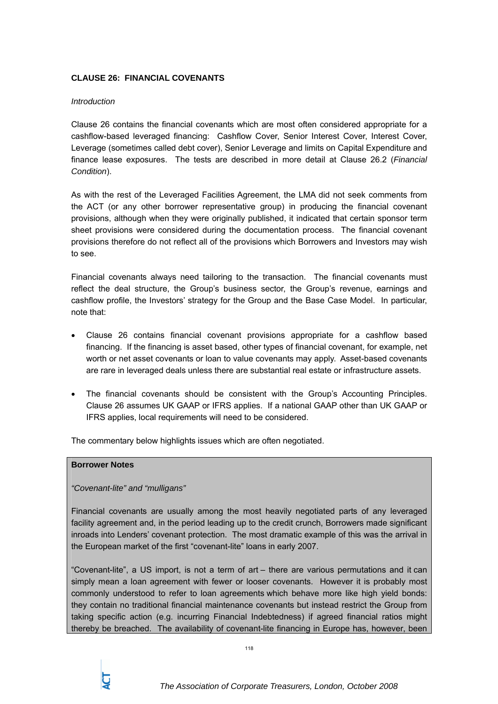# **CLAUSE 26: FINANCIAL COVENANTS**

### *Introduction*

Clause 26 contains the financial covenants which are most often considered appropriate for a cashflow-based leveraged financing: Cashflow Cover, Senior Interest Cover, Interest Cover, Leverage (sometimes called debt cover), Senior Leverage and limits on Capital Expenditure and finance lease exposures. The tests are described in more detail at Clause 26.2 (*Financial Condition*).

As with the rest of the Leveraged Facilities Agreement, the LMA did not seek comments from the ACT (or any other borrower representative group) in producing the financial covenant provisions, although when they were originally published, it indicated that certain sponsor term sheet provisions were considered during the documentation process. The financial covenant provisions therefore do not reflect all of the provisions which Borrowers and Investors may wish to see.

Financial covenants always need tailoring to the transaction. The financial covenants must reflect the deal structure, the Group's business sector, the Group's revenue, earnings and cashflow profile, the Investors' strategy for the Group and the Base Case Model. In particular, note that:

- Clause 26 contains financial covenant provisions appropriate for a cashflow based financing. If the financing is asset based, other types of financial covenant, for example, net worth or net asset covenants or loan to value covenants may apply. Asset-based covenants are rare in leveraged deals unless there are substantial real estate or infrastructure assets.
- The financial covenants should be consistent with the Group's Accounting Principles. Clause 26 assumes UK GAAP or IFRS applies. If a national GAAP other than UK GAAP or IFRS applies, local requirements will need to be considered.

The commentary below highlights issues which are often negotiated.

# **Borrower Notes**

*"Covenant-lite" and "mulligans"*

Financial covenants are usually among the most heavily negotiated parts of any leveraged facility agreement and, in the period leading up to the credit crunch, Borrowers made significant inroads into Lenders' covenant protection. The most dramatic example of this was the arrival in the European market of the first "covenant-lite" loans in early 2007.

"Covenant-lite", a US import, is not a term of art – there are various permutations and it can simply mean a loan agreement with fewer or looser covenants. However it is probably most commonly understood to refer to loan agreements which behave more like high yield bonds: they contain no traditional financial maintenance covenants but instead restrict the Group from taking specific action (e.g. incurring Financial Indebtedness) if agreed financial ratios might thereby be breached. The availability of covenant-lite financing in Europe has, however, been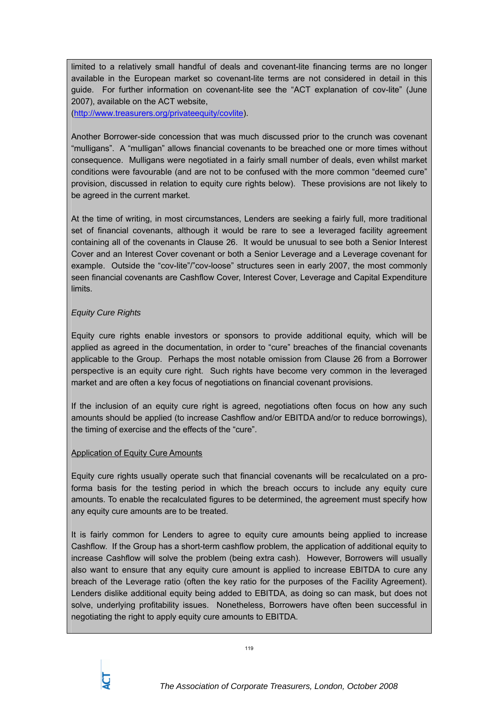limited to a relatively small handful of deals and covenant-lite financing terms are no longer available in the European market so covenant-lite terms are not considered in detail in this guide. For further information on covenant-lite see the "ACT explanation of cov-lite" (June 2007), available on the ACT website,

(http://www.treasurers.org/privateequity/covlite).

Another Borrower-side concession that was much discussed prior to the crunch was covenant "mulligans". A "mulligan" allows financial covenants to be breached one or more times without consequence. Mulligans were negotiated in a fairly small number of deals, even whilst market conditions were favourable (and are not to be confused with the more common "deemed cure" provision, discussed in relation to equity cure rights below). These provisions are not likely to be agreed in the current market.

At the time of writing, in most circumstances, Lenders are seeking a fairly full, more traditional set of financial covenants, although it would be rare to see a leveraged facility agreement containing all of the covenants in Clause 26. It would be unusual to see both a Senior Interest Cover and an Interest Cover covenant or both a Senior Leverage and a Leverage covenant for example. Outside the "cov-lite"/"cov-loose" structures seen in early 2007, the most commonly seen financial covenants are Cashflow Cover, Interest Cover, Leverage and Capital Expenditure limits.

# *Equity Cure Rights*

Equity cure rights enable investors or sponsors to provide additional equity, which will be applied as agreed in the documentation, in order to "cure" breaches of the financial covenants applicable to the Group. Perhaps the most notable omission from Clause 26 from a Borrower perspective is an equity cure right. Such rights have become very common in the leveraged market and are often a key focus of negotiations on financial covenant provisions.

If the inclusion of an equity cure right is agreed, negotiations often focus on how any such amounts should be applied (to increase Cashflow and/or EBITDA and/or to reduce borrowings), the timing of exercise and the effects of the "cure".

# Application of Equity Cure Amounts

Equity cure rights usually operate such that financial covenants will be recalculated on a proforma basis for the testing period in which the breach occurs to include any equity cure amounts. To enable the recalculated figures to be determined, the agreement must specify how any equity cure amounts are to be treated.

It is fairly common for Lenders to agree to equity cure amounts being applied to increase Cashflow. If the Group has a short-term cashflow problem, the application of additional equity to increase Cashflow will solve the problem (being extra cash). However, Borrowers will usually also want to ensure that any equity cure amount is applied to increase EBITDA to cure any breach of the Leverage ratio (often the key ratio for the purposes of the Facility Agreement). Lenders dislike additional equity being added to EBITDA, as doing so can mask, but does not solve, underlying profitability issues. Nonetheless, Borrowers have often been successful in negotiating the right to apply equity cure amounts to EBITDA.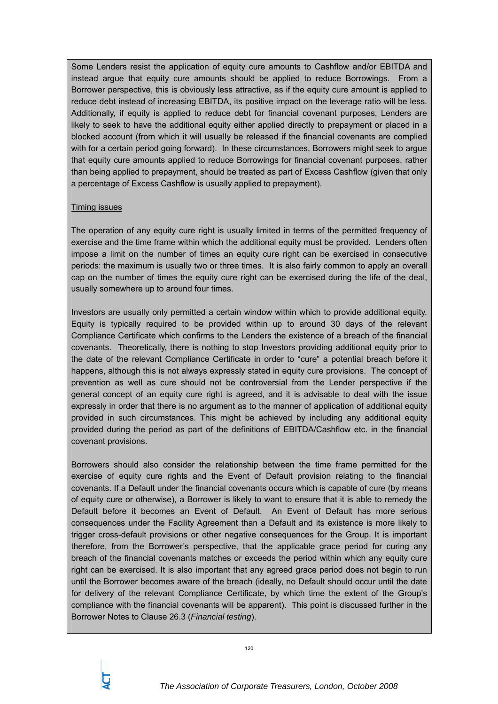Some Lenders resist the application of equity cure amounts to Cashflow and/or EBITDA and instead argue that equity cure amounts should be applied to reduce Borrowings. From a Borrower perspective, this is obviously less attractive, as if the equity cure amount is applied to reduce debt instead of increasing EBITDA, its positive impact on the leverage ratio will be less. Additionally, if equity is applied to reduce debt for financial covenant purposes, Lenders are likely to seek to have the additional equity either applied directly to prepayment or placed in a blocked account (from which it will usually be released if the financial covenants are complied with for a certain period going forward). In these circumstances, Borrowers might seek to argue that equity cure amounts applied to reduce Borrowings for financial covenant purposes, rather than being applied to prepayment, should be treated as part of Excess Cashflow (given that only a percentage of Excess Cashflow is usually applied to prepayment).

### Timing issues

The operation of any equity cure right is usually limited in terms of the permitted frequency of exercise and the time frame within which the additional equity must be provided. Lenders often impose a limit on the number of times an equity cure right can be exercised in consecutive periods: the maximum is usually two or three times. It is also fairly common to apply an overall cap on the number of times the equity cure right can be exercised during the life of the deal, usually somewhere up to around four times.

Investors are usually only permitted a certain window within which to provide additional equity. Equity is typically required to be provided within up to around 30 days of the relevant Compliance Certificate which confirms to the Lenders the existence of a breach of the financial covenants. Theoretically, there is nothing to stop Investors providing additional equity prior to the date of the relevant Compliance Certificate in order to "cure" a potential breach before it happens, although this is not always expressly stated in equity cure provisions. The concept of prevention as well as cure should not be controversial from the Lender perspective if the general concept of an equity cure right is agreed, and it is advisable to deal with the issue expressly in order that there is no argument as to the manner of application of additional equity provided in such circumstances. This might be achieved by including any additional equity provided during the period as part of the definitions of EBITDA/Cashflow etc. in the financial covenant provisions.

Borrowers should also consider the relationship between the time frame permitted for the exercise of equity cure rights and the Event of Default provision relating to the financial covenants. If a Default under the financial covenants occurs which is capable of cure (by means of equity cure or otherwise), a Borrower is likely to want to ensure that it is able to remedy the Default before it becomes an Event of Default. An Event of Default has more serious consequences under the Facility Agreement than a Default and its existence is more likely to trigger cross-default provisions or other negative consequences for the Group. It is important therefore, from the Borrower's perspective, that the applicable grace period for curing any breach of the financial covenants matches or exceeds the period within which any equity cure right can be exercised. It is also important that any agreed grace period does not begin to run until the Borrower becomes aware of the breach (ideally, no Default should occur until the date for delivery of the relevant Compliance Certificate, by which time the extent of the Group's compliance with the financial covenants will be apparent). This point is discussed further in the Borrower Notes to Clause 26.3 (*Financial testing*).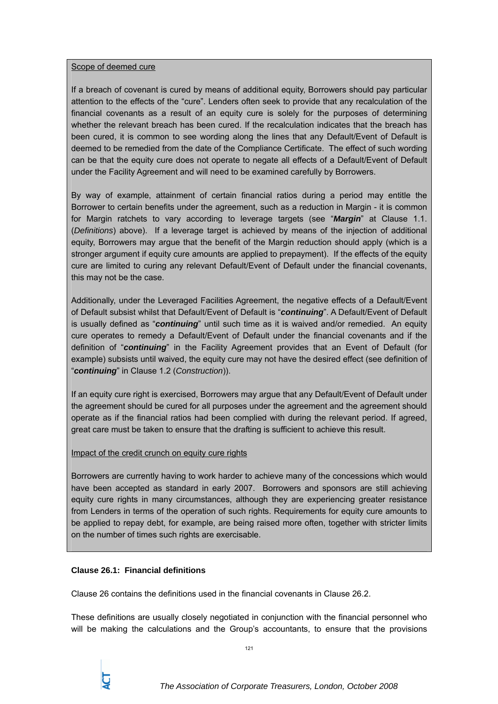### Scope of deemed cure

If a breach of covenant is cured by means of additional equity, Borrowers should pay particular attention to the effects of the "cure". Lenders often seek to provide that any recalculation of the financial covenants as a result of an equity cure is solely for the purposes of determining whether the relevant breach has been cured. If the recalculation indicates that the breach has been cured, it is common to see wording along the lines that any Default/Event of Default is deemed to be remedied from the date of the Compliance Certificate. The effect of such wording can be that the equity cure does not operate to negate all effects of a Default/Event of Default under the Facility Agreement and will need to be examined carefully by Borrowers.

By way of example, attainment of certain financial ratios during a period may entitle the Borrower to certain benefits under the agreement, such as a reduction in Margin - it is common for Margin ratchets to vary according to leverage targets (see "*Margin*" at Clause 1.1. (*Definitions*) above). If a leverage target is achieved by means of the injection of additional equity, Borrowers may argue that the benefit of the Margin reduction should apply (which is a stronger argument if equity cure amounts are applied to prepayment). If the effects of the equity cure are limited to curing any relevant Default/Event of Default under the financial covenants, this may not be the case.

Additionally, under the Leveraged Facilities Agreement, the negative effects of a Default/Event of Default subsist whilst that Default/Event of Default is "*continuing*". A Default/Event of Default is usually defined as "*continuing*" until such time as it is waived and/or remedied. An equity cure operates to remedy a Default/Event of Default under the financial covenants and if the definition of "*continuing*" in the Facility Agreement provides that an Event of Default (for example) subsists until waived, the equity cure may not have the desired effect (see definition of "*continuing*" in Clause 1.2 (*Construction*)).

If an equity cure right is exercised, Borrowers may argue that any Default/Event of Default under the agreement should be cured for all purposes under the agreement and the agreement should operate as if the financial ratios had been complied with during the relevant period. If agreed, great care must be taken to ensure that the drafting is sufficient to achieve this result.

# Impact of the credit crunch on equity cure rights

Borrowers are currently having to work harder to achieve many of the concessions which would have been accepted as standard in early 2007. Borrowers and sponsors are still achieving equity cure rights in many circumstances, although they are experiencing greater resistance from Lenders in terms of the operation of such rights. Requirements for equity cure amounts to be applied to repay debt, for example, are being raised more often, together with stricter limits on the number of times such rights are exercisable.

# **Clause 26.1: Financial definitions**

Clause 26 contains the definitions used in the financial covenants in Clause 26.2.

These definitions are usually closely negotiated in conjunction with the financial personnel who will be making the calculations and the Group's accountants, to ensure that the provisions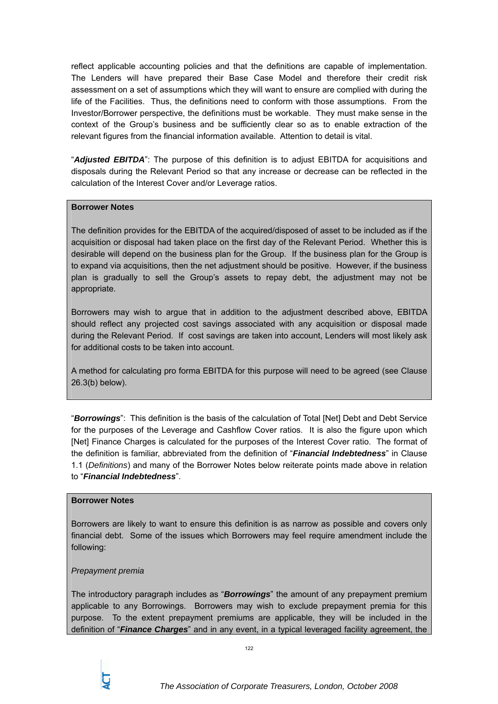reflect applicable accounting policies and that the definitions are capable of implementation. The Lenders will have prepared their Base Case Model and therefore their credit risk assessment on a set of assumptions which they will want to ensure are complied with during the life of the Facilities. Thus, the definitions need to conform with those assumptions. From the Investor/Borrower perspective, the definitions must be workable. They must make sense in the context of the Group's business and be sufficiently clear so as to enable extraction of the relevant figures from the financial information available. Attention to detail is vital.

"*Adjusted EBITDA*": The purpose of this definition is to adjust EBITDA for acquisitions and disposals during the Relevant Period so that any increase or decrease can be reflected in the calculation of the Interest Cover and/or Leverage ratios.

# **Borrower Notes**

The definition provides for the EBITDA of the acquired/disposed of asset to be included as if the acquisition or disposal had taken place on the first day of the Relevant Period. Whether this is desirable will depend on the business plan for the Group. If the business plan for the Group is to expand via acquisitions, then the net adjustment should be positive. However, if the business plan is gradually to sell the Group's assets to repay debt, the adjustment may not be appropriate.

Borrowers may wish to argue that in addition to the adjustment described above, EBITDA should reflect any projected cost savings associated with any acquisition or disposal made during the Relevant Period. If cost savings are taken into account, Lenders will most likely ask for additional costs to be taken into account.

A method for calculating pro forma EBITDA for this purpose will need to be agreed (see Clause 26.3(b) below).

"*Borrowings*": This definition is the basis of the calculation of Total [Net] Debt and Debt Service for the purposes of the Leverage and Cashflow Cover ratios. It is also the figure upon which [Net] Finance Charges is calculated for the purposes of the Interest Cover ratio. The format of the definition is familiar, abbreviated from the definition of "*Financial Indebtedness*" in Clause 1.1 (*Definitions*) and many of the Borrower Notes below reiterate points made above in relation to "*Financial Indebtedness*".

# **Borrower Notes**

Borrowers are likely to want to ensure this definition is as narrow as possible and covers only financial debt. Some of the issues which Borrowers may feel require amendment include the following:

# *Prepayment premia*

The introductory paragraph includes as "*Borrowings*" the amount of any prepayment premium applicable to any Borrowings. Borrowers may wish to exclude prepayment premia for this purpose. To the extent prepayment premiums are applicable, they will be included in the definition of "*Finance Charges*" and in any event, in a typical leveraged facility agreement, the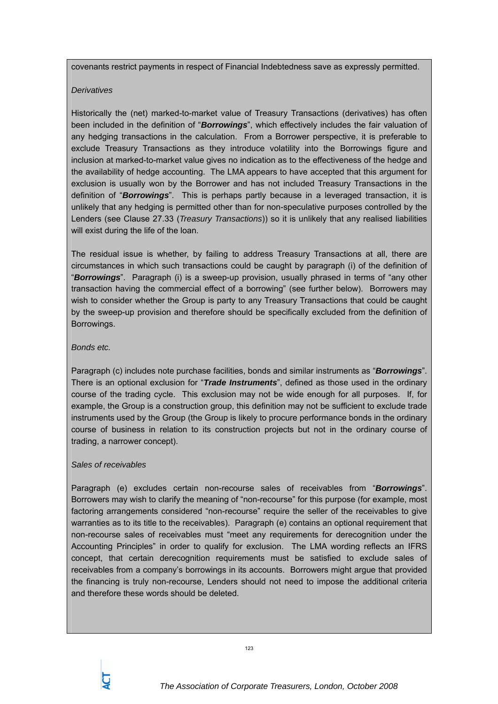covenants restrict payments in respect of Financial Indebtedness save as expressly permitted.

# *Derivatives*

Historically the (net) marked-to-market value of Treasury Transactions (derivatives) has often been included in the definition of "*Borrowings*", which effectively includes the fair valuation of any hedging transactions in the calculation. From a Borrower perspective, it is preferable to exclude Treasury Transactions as they introduce volatility into the Borrowings figure and inclusion at marked-to-market value gives no indication as to the effectiveness of the hedge and the availability of hedge accounting. The LMA appears to have accepted that this argument for exclusion is usually won by the Borrower and has not included Treasury Transactions in the definition of "*Borrowings*". This is perhaps partly because in a leveraged transaction, it is unlikely that any hedging is permitted other than for non-speculative purposes controlled by the Lenders (see Clause 27.33 (*Treasury Transactions*)) so it is unlikely that any realised liabilities will exist during the life of the loan.

The residual issue is whether, by failing to address Treasury Transactions at all, there are circumstances in which such transactions could be caught by paragraph (i) of the definition of "*Borrowings*". Paragraph (i) is a sweep-up provision, usually phrased in terms of "any other transaction having the commercial effect of a borrowing" (see further below). Borrowers may wish to consider whether the Group is party to any Treasury Transactions that could be caught by the sweep-up provision and therefore should be specifically excluded from the definition of Borrowings.

# *Bonds etc.*

Paragraph (c) includes note purchase facilities, bonds and similar instruments as "*Borrowings*". There is an optional exclusion for "*Trade Instruments*", defined as those used in the ordinary course of the trading cycle. This exclusion may not be wide enough for all purposes. If, for example, the Group is a construction group, this definition may not be sufficient to exclude trade instruments used by the Group (the Group is likely to procure performance bonds in the ordinary course of business in relation to its construction projects but not in the ordinary course of trading, a narrower concept).

# *Sales of receivables*

Paragraph (e) excludes certain non-recourse sales of receivables from "*Borrowings*". Borrowers may wish to clarify the meaning of "non-recourse" for this purpose (for example, most factoring arrangements considered "non-recourse" require the seller of the receivables to give warranties as to its title to the receivables). Paragraph (e) contains an optional requirement that non-recourse sales of receivables must "meet any requirements for derecognition under the Accounting Principles" in order to qualify for exclusion. The LMA wording reflects an IFRS concept, that certain derecognition requirements must be satisfied to exclude sales of receivables from a company's borrowings in its accounts. Borrowers might argue that provided the financing is truly non-recourse, Lenders should not need to impose the additional criteria and therefore these words should be deleted.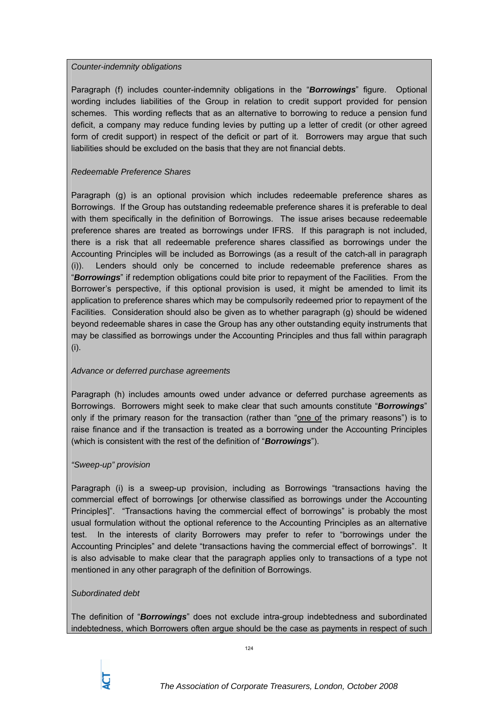# *Counter-indemnity obligations*

Paragraph (f) includes counter-indemnity obligations in the "*Borrowings*" figure. Optional wording includes liabilities of the Group in relation to credit support provided for pension schemes. This wording reflects that as an alternative to borrowing to reduce a pension fund deficit, a company may reduce funding levies by putting up a letter of credit (or other agreed form of credit support) in respect of the deficit or part of it. Borrowers may argue that such liabilities should be excluded on the basis that they are not financial debts.

# *Redeemable Preference Shares*

Paragraph (g) is an optional provision which includes redeemable preference shares as Borrowings. If the Group has outstanding redeemable preference shares it is preferable to deal with them specifically in the definition of Borrowings. The issue arises because redeemable preference shares are treated as borrowings under IFRS. If this paragraph is not included, there is a risk that all redeemable preference shares classified as borrowings under the Accounting Principles will be included as Borrowings (as a result of the catch-all in paragraph (i)). Lenders should only be concerned to include redeemable preference shares as "*Borrowings*" if redemption obligations could bite prior to repayment of the Facilities. From the Borrower's perspective, if this optional provision is used, it might be amended to limit its application to preference shares which may be compulsorily redeemed prior to repayment of the Facilities. Consideration should also be given as to whether paragraph (g) should be widened beyond redeemable shares in case the Group has any other outstanding equity instruments that may be classified as borrowings under the Accounting Principles and thus fall within paragraph (i).

# *Advance or deferred purchase agreements*

Paragraph (h) includes amounts owed under advance or deferred purchase agreements as Borrowings. Borrowers might seek to make clear that such amounts constitute "*Borrowings*" only if the primary reason for the transaction (rather than "one of the primary reasons") is to raise finance and if the transaction is treated as a borrowing under the Accounting Principles (which is consistent with the rest of the definition of "*Borrowings*").

# *"Sweep-up" provision*

Paragraph (i) is a sweep-up provision, including as Borrowings "transactions having the commercial effect of borrowings [or otherwise classified as borrowings under the Accounting Principles]". "Transactions having the commercial effect of borrowings" is probably the most usual formulation without the optional reference to the Accounting Principles as an alternative test. In the interests of clarity Borrowers may prefer to refer to "borrowings under the Accounting Principles" and delete "transactions having the commercial effect of borrowings". It is also advisable to make clear that the paragraph applies only to transactions of a type not mentioned in any other paragraph of the definition of Borrowings.

# *Subordinated debt*

The definition of "*Borrowings*" does not exclude intra-group indebtedness and subordinated indebtedness, which Borrowers often argue should be the case as payments in respect of such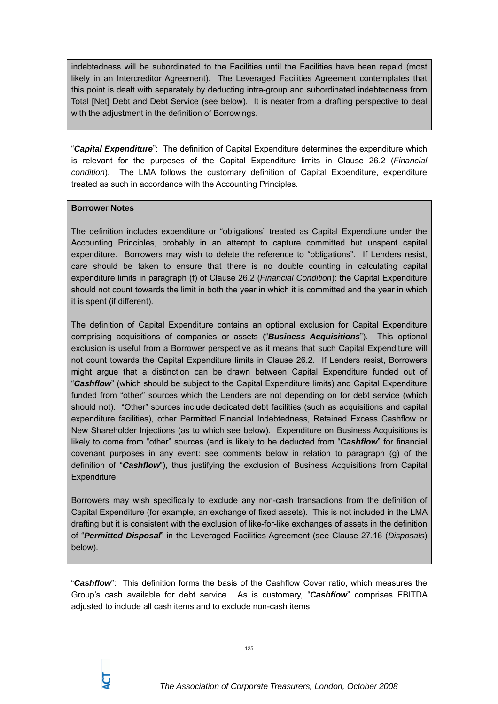indebtedness will be subordinated to the Facilities until the Facilities have been repaid (most likely in an Intercreditor Agreement). The Leveraged Facilities Agreement contemplates that this point is dealt with separately by deducting intra-group and subordinated indebtedness from Total [Net] Debt and Debt Service (see below). It is neater from a drafting perspective to deal with the adjustment in the definition of Borrowings.

"*Capital Expenditure*": The definition of Capital Expenditure determines the expenditure which is relevant for the purposes of the Capital Expenditure limits in Clause 26.2 (*Financial condition*). The LMA follows the customary definition of Capital Expenditure, expenditure treated as such in accordance with the Accounting Principles.

# **Borrower Notes**

The definition includes expenditure or "obligations" treated as Capital Expenditure under the Accounting Principles, probably in an attempt to capture committed but unspent capital expenditure. Borrowers may wish to delete the reference to "obligations". If Lenders resist, care should be taken to ensure that there is no double counting in calculating capital expenditure limits in paragraph (f) of Clause 26.2 (*Financial Condition*): the Capital Expenditure should not count towards the limit in both the year in which it is committed and the year in which it is spent (if different).

The definition of Capital Expenditure contains an optional exclusion for Capital Expenditure comprising acquisitions of companies or assets ("*Business Acquisitions*"). This optional exclusion is useful from a Borrower perspective as it means that such Capital Expenditure will not count towards the Capital Expenditure limits in Clause 26.2. If Lenders resist, Borrowers might argue that a distinction can be drawn between Capital Expenditure funded out of "*Cashflow*" (which should be subject to the Capital Expenditure limits) and Capital Expenditure funded from "other" sources which the Lenders are not depending on for debt service (which should not). "Other" sources include dedicated debt facilities (such as acquisitions and capital expenditure facilities), other Permitted Financial Indebtedness, Retained Excess Cashflow or New Shareholder Injections (as to which see below). Expenditure on Business Acquisitions is likely to come from "other" sources (and is likely to be deducted from "*Cashflow*" for financial covenant purposes in any event: see comments below in relation to paragraph (g) of the definition of "*Cashflow*"), thus justifying the exclusion of Business Acquisitions from Capital Expenditure.

Borrowers may wish specifically to exclude any non-cash transactions from the definition of Capital Expenditure (for example, an exchange of fixed assets). This is not included in the LMA drafting but it is consistent with the exclusion of like-for-like exchanges of assets in the definition of "*Permitted Disposal*" in the Leveraged Facilities Agreement (see Clause 27.16 (*Disposals*) below).

"*Cashflow*": This definition forms the basis of the Cashflow Cover ratio, which measures the Group's cash available for debt service. As is customary, "*Cashflow*" comprises EBITDA adjusted to include all cash items and to exclude non-cash items.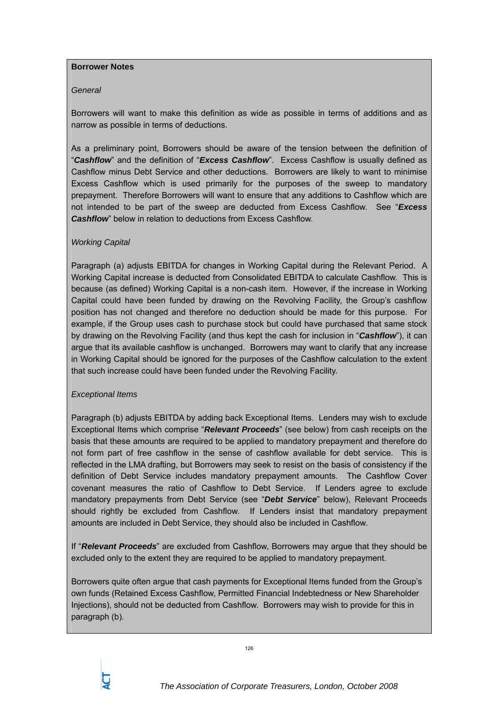### **Borrower Notes**

# *General*

Borrowers will want to make this definition as wide as possible in terms of additions and as narrow as possible in terms of deductions.

As a preliminary point, Borrowers should be aware of the tension between the definition of "*Cashflow*" and the definition of "*Excess Cashflow*". Excess Cashflow is usually defined as Cashflow minus Debt Service and other deductions. Borrowers are likely to want to minimise Excess Cashflow which is used primarily for the purposes of the sweep to mandatory prepayment. Therefore Borrowers will want to ensure that any additions to Cashflow which are not intended to be part of the sweep are deducted from Excess Cashflow. See "*Excess Cashflow*" below in relation to deductions from Excess Cashflow.

# *Working Capital*

Paragraph (a) adjusts EBITDA for changes in Working Capital during the Relevant Period. A Working Capital increase is deducted from Consolidated EBITDA to calculate Cashflow. This is because (as defined) Working Capital is a non-cash item. However, if the increase in Working Capital could have been funded by drawing on the Revolving Facility, the Group's cashflow position has not changed and therefore no deduction should be made for this purpose. For example, if the Group uses cash to purchase stock but could have purchased that same stock by drawing on the Revolving Facility (and thus kept the cash for inclusion in "*Cashflow*"), it can argue that its available cashflow is unchanged. Borrowers may want to clarify that any increase in Working Capital should be ignored for the purposes of the Cashflow calculation to the extent that such increase could have been funded under the Revolving Facility.

# *Exceptional Items*

Paragraph (b) adjusts EBITDA by adding back Exceptional Items. Lenders may wish to exclude Exceptional Items which comprise "*Relevant Proceeds*" (see below) from cash receipts on the basis that these amounts are required to be applied to mandatory prepayment and therefore do not form part of free cashflow in the sense of cashflow available for debt service. This is reflected in the LMA drafting, but Borrowers may seek to resist on the basis of consistency if the definition of Debt Service includes mandatory prepayment amounts. The Cashflow Cover covenant measures the ratio of Cashflow to Debt Service. If Lenders agree to exclude mandatory prepayments from Debt Service (see "*Debt Service*" below), Relevant Proceeds should rightly be excluded from Cashflow. If Lenders insist that mandatory prepayment amounts are included in Debt Service, they should also be included in Cashflow.

If "*Relevant Proceeds*" are excluded from Cashflow, Borrowers may argue that they should be excluded only to the extent they are required to be applied to mandatory prepayment.

Borrowers quite often argue that cash payments for Exceptional Items funded from the Group's own funds (Retained Excess Cashflow, Permitted Financial Indebtedness or New Shareholder Injections), should not be deducted from Cashflow. Borrowers may wish to provide for this in paragraph (b).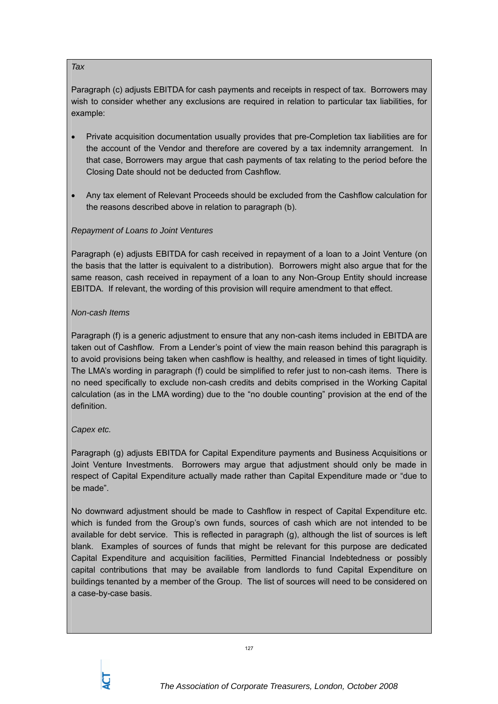### *Tax*

Paragraph (c) adjusts EBITDA for cash payments and receipts in respect of tax. Borrowers may wish to consider whether any exclusions are required in relation to particular tax liabilities, for example:

- Private acquisition documentation usually provides that pre-Completion tax liabilities are for the account of the Vendor and therefore are covered by a tax indemnity arrangement. In that case, Borrowers may argue that cash payments of tax relating to the period before the Closing Date should not be deducted from Cashflow.
- Any tax element of Relevant Proceeds should be excluded from the Cashflow calculation for the reasons described above in relation to paragraph (b).

# *Repayment of Loans to Joint Ventures*

Paragraph (e) adjusts EBITDA for cash received in repayment of a loan to a Joint Venture (on the basis that the latter is equivalent to a distribution). Borrowers might also argue that for the same reason, cash received in repayment of a loan to any Non-Group Entity should increase EBITDA. If relevant, the wording of this provision will require amendment to that effect.

# *Non-cash Items*

Paragraph (f) is a generic adjustment to ensure that any non-cash items included in EBITDA are taken out of Cashflow. From a Lender's point of view the main reason behind this paragraph is to avoid provisions being taken when cashflow is healthy, and released in times of tight liquidity. The LMA's wording in paragraph (f) could be simplified to refer just to non-cash items. There is no need specifically to exclude non-cash credits and debits comprised in the Working Capital calculation (as in the LMA wording) due to the "no double counting" provision at the end of the definition.

# *Capex etc.*

Paragraph (g) adjusts EBITDA for Capital Expenditure payments and Business Acquisitions or Joint Venture Investments. Borrowers may argue that adjustment should only be made in respect of Capital Expenditure actually made rather than Capital Expenditure made or "due to be made".

No downward adjustment should be made to Cashflow in respect of Capital Expenditure etc. which is funded from the Group's own funds, sources of cash which are not intended to be available for debt service. This is reflected in paragraph (g), although the list of sources is left blank. Examples of sources of funds that might be relevant for this purpose are dedicated Capital Expenditure and acquisition facilities, Permitted Financial Indebtedness or possibly capital contributions that may be available from landlords to fund Capital Expenditure on buildings tenanted by a member of the Group. The list of sources will need to be considered on a case-by-case basis.

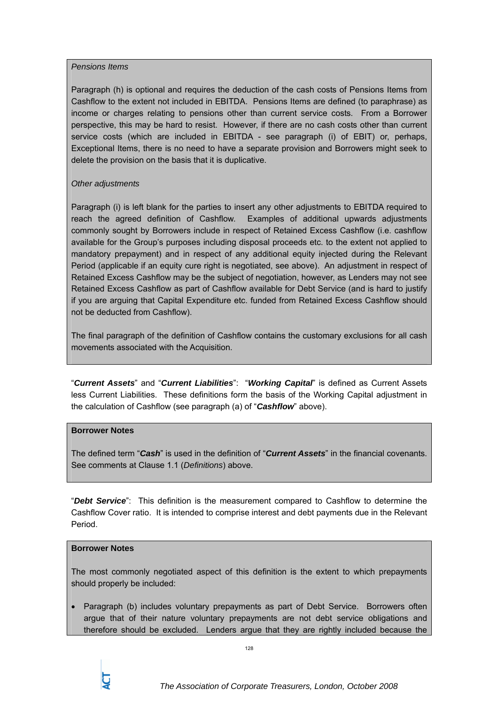### *Pensions Items*

Paragraph (h) is optional and requires the deduction of the cash costs of Pensions Items from Cashflow to the extent not included in EBITDA. Pensions Items are defined (to paraphrase) as income or charges relating to pensions other than current service costs. From a Borrower perspective, this may be hard to resist. However, if there are no cash costs other than current service costs (which are included in EBITDA - see paragraph (i) of EBIT) or, perhaps, Exceptional Items, there is no need to have a separate provision and Borrowers might seek to delete the provision on the basis that it is duplicative.

# *Other adjustments*

Paragraph (i) is left blank for the parties to insert any other adjustments to EBITDA required to reach the agreed definition of Cashflow. Examples of additional upwards adjustments commonly sought by Borrowers include in respect of Retained Excess Cashflow (i.e. cashflow available for the Group's purposes including disposal proceeds etc. to the extent not applied to mandatory prepayment) and in respect of any additional equity injected during the Relevant Period (applicable if an equity cure right is negotiated, see above). An adjustment in respect of Retained Excess Cashflow may be the subject of negotiation, however, as Lenders may not see Retained Excess Cashflow as part of Cashflow available for Debt Service (and is hard to justify if you are arguing that Capital Expenditure etc. funded from Retained Excess Cashflow should not be deducted from Cashflow).

The final paragraph of the definition of Cashflow contains the customary exclusions for all cash movements associated with the Acquisition.

"*Current Assets*" and "*Current Liabilities*": "*Working Capital*" is defined as Current Assets less Current Liabilities. These definitions form the basis of the Working Capital adjustment in the calculation of Cashflow (see paragraph (a) of "*Cashflow*" above).

# **Borrower Notes**

The defined term "*Cash*" is used in the definition of "*Current Assets*" in the financial covenants. See comments at Clause 1.1 (*Definitions*) above.

"*Debt Service*": This definition is the measurement compared to Cashflow to determine the Cashflow Cover ratio. It is intended to comprise interest and debt payments due in the Relevant Period.

# **Borrower Notes**

The most commonly negotiated aspect of this definition is the extent to which prepayments should properly be included:

• Paragraph (b) includes voluntary prepayments as part of Debt Service. Borrowers often argue that of their nature voluntary prepayments are not debt service obligations and therefore should be excluded. Lenders argue that they are rightly included because the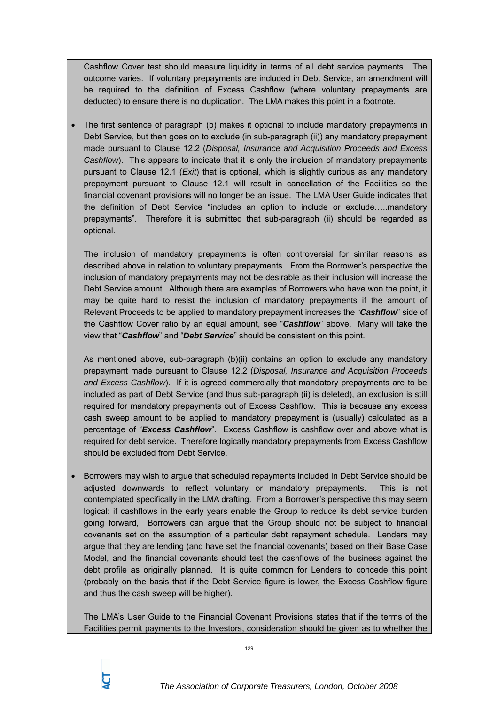Cashflow Cover test should measure liquidity in terms of all debt service payments. The outcome varies. If voluntary prepayments are included in Debt Service, an amendment will be required to the definition of Excess Cashflow (where voluntary prepayments are deducted) to ensure there is no duplication. The LMA makes this point in a footnote.

• The first sentence of paragraph (b) makes it optional to include mandatory prepayments in Debt Service, but then goes on to exclude (in sub-paragraph (ii)) any mandatory prepayment made pursuant to Clause 12.2 (*Disposal, Insurance and Acquisition Proceeds and Excess Cashflow*). This appears to indicate that it is only the inclusion of mandatory prepayments pursuant to Clause 12.1 (*Exit*) that is optional, which is slightly curious as any mandatory prepayment pursuant to Clause 12.1 will result in cancellation of the Facilities so the financial covenant provisions will no longer be an issue. The LMA User Guide indicates that the definition of Debt Service "includes an option to include or exclude…..mandatory prepayments". Therefore it is submitted that sub-paragraph (ii) should be regarded as optional.

The inclusion of mandatory prepayments is often controversial for similar reasons as described above in relation to voluntary prepayments. From the Borrower's perspective the inclusion of mandatory prepayments may not be desirable as their inclusion will increase the Debt Service amount. Although there are examples of Borrowers who have won the point, it may be quite hard to resist the inclusion of mandatory prepayments if the amount of Relevant Proceeds to be applied to mandatory prepayment increases the "*Cashflow*" side of the Cashflow Cover ratio by an equal amount, see "*Cashflow*" above. Many will take the view that "*Cashflow*" and "*Debt Service*" should be consistent on this point.

As mentioned above, sub-paragraph (b)(ii) contains an option to exclude any mandatory prepayment made pursuant to Clause 12.2 (*Disposal, Insurance and Acquisition Proceeds and Excess Cashflow*). If it is agreed commercially that mandatory prepayments are to be included as part of Debt Service (and thus sub-paragraph (ii) is deleted), an exclusion is still required for mandatory prepayments out of Excess Cashflow. This is because any excess cash sweep amount to be applied to mandatory prepayment is (usually) calculated as a percentage of "*Excess Cashflow*". Excess Cashflow is cashflow over and above what is required for debt service. Therefore logically mandatory prepayments from Excess Cashflow should be excluded from Debt Service.

• Borrowers may wish to argue that scheduled repayments included in Debt Service should be adjusted downwards to reflect voluntary or mandatory prepayments. This is not contemplated specifically in the LMA drafting. From a Borrower's perspective this may seem logical: if cashflows in the early years enable the Group to reduce its debt service burden going forward, Borrowers can argue that the Group should not be subject to financial covenants set on the assumption of a particular debt repayment schedule. Lenders may argue that they are lending (and have set the financial covenants) based on their Base Case Model, and the financial covenants should test the cashflows of the business against the debt profile as originally planned. It is quite common for Lenders to concede this point (probably on the basis that if the Debt Service figure is lower, the Excess Cashflow figure and thus the cash sweep will be higher).

The LMA's User Guide to the Financial Covenant Provisions states that if the terms of the Facilities permit payments to the Investors, consideration should be given as to whether the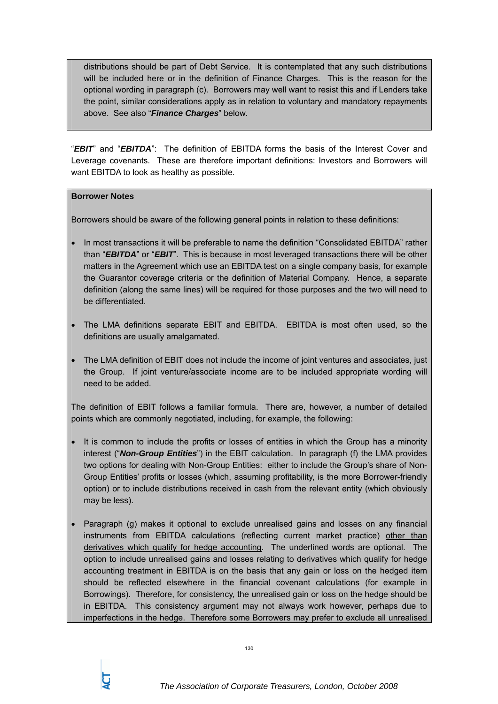distributions should be part of Debt Service. It is contemplated that any such distributions will be included here or in the definition of Finance Charges. This is the reason for the optional wording in paragraph (c). Borrowers may well want to resist this and if Lenders take the point, similar considerations apply as in relation to voluntary and mandatory repayments above. See also "*Finance Charges*" below.

"*EBIT*" and "*EBITDA*": The definition of EBITDA forms the basis of the Interest Cover and Leverage covenants. These are therefore important definitions: Investors and Borrowers will want EBITDA to look as healthy as possible.

# **Borrower Notes**

Borrowers should be aware of the following general points in relation to these definitions:

- In most transactions it will be preferable to name the definition "Consolidated EBITDA" rather than "*EBITDA*" or "*EBIT*". This is because in most leveraged transactions there will be other matters in the Agreement which use an EBITDA test on a single company basis, for example the Guarantor coverage criteria or the definition of Material Company. Hence, a separate definition (along the same lines) will be required for those purposes and the two will need to be differentiated.
- The LMA definitions separate EBIT and EBITDA. EBITDA is most often used, so the definitions are usually amalgamated.
- The LMA definition of EBIT does not include the income of joint ventures and associates, just the Group. If joint venture/associate income are to be included appropriate wording will need to be added.

The definition of EBIT follows a familiar formula. There are, however, a number of detailed points which are commonly negotiated, including, for example, the following:

- It is common to include the profits or losses of entities in which the Group has a minority interest ("*Non-Group Entities*") in the EBIT calculation. In paragraph (f) the LMA provides two options for dealing with Non-Group Entities: either to include the Group's share of Non-Group Entities' profits or losses (which, assuming profitability, is the more Borrower-friendly option) or to include distributions received in cash from the relevant entity (which obviously may be less).
- Paragraph (g) makes it optional to exclude unrealised gains and losses on any financial instruments from EBITDA calculations (reflecting current market practice) other than derivatives which qualify for hedge accounting. The underlined words are optional. The option to include unrealised gains and losses relating to derivatives which qualify for hedge accounting treatment in EBITDA is on the basis that any gain or loss on the hedged item should be reflected elsewhere in the financial covenant calculations (for example in Borrowings). Therefore, for consistency, the unrealised gain or loss on the hedge should be in EBITDA. This consistency argument may not always work however, perhaps due to imperfections in the hedge. Therefore some Borrowers may prefer to exclude all unrealised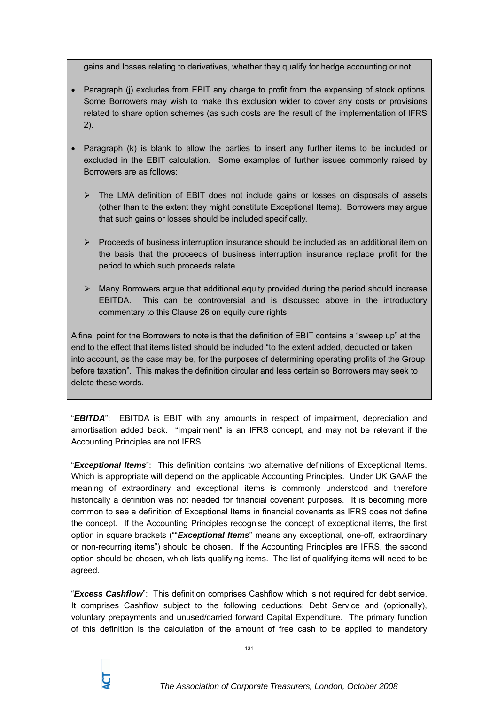gains and losses relating to derivatives, whether they qualify for hedge accounting or not.

- Paragraph (i) excludes from EBIT any charge to profit from the expensing of stock options. Some Borrowers may wish to make this exclusion wider to cover any costs or provisions related to share option schemes (as such costs are the result of the implementation of IFRS 2).
- Paragraph (k) is blank to allow the parties to insert any further items to be included or excluded in the EBIT calculation. Some examples of further issues commonly raised by Borrowers are as follows:
	- $\triangleright$  The LMA definition of EBIT does not include gains or losses on disposals of assets (other than to the extent they might constitute Exceptional Items). Borrowers may argue that such gains or losses should be included specifically.
	- $\triangleright$  Proceeds of business interruption insurance should be included as an additional item on the basis that the proceeds of business interruption insurance replace profit for the period to which such proceeds relate.
	- $\triangleright$  Many Borrowers argue that additional equity provided during the period should increase EBITDA. This can be controversial and is discussed above in the introductory commentary to this Clause 26 on equity cure rights.

A final point for the Borrowers to note is that the definition of EBIT contains a "sweep up" at the end to the effect that items listed should be included "to the extent added, deducted or taken into account, as the case may be, for the purposes of determining operating profits of the Group before taxation". This makes the definition circular and less certain so Borrowers may seek to delete these words.

"*EBITDA*": EBITDA is EBIT with any amounts in respect of impairment, depreciation and amortisation added back. "Impairment" is an IFRS concept, and may not be relevant if the Accounting Principles are not IFRS.

"*Exceptional Items*": This definition contains two alternative definitions of Exceptional Items. Which is appropriate will depend on the applicable Accounting Principles. Under UK GAAP the meaning of extraordinary and exceptional items is commonly understood and therefore historically a definition was not needed for financial covenant purposes. It is becoming more common to see a definition of Exceptional Items in financial covenants as IFRS does not define the concept. If the Accounting Principles recognise the concept of exceptional items, the first option in square brackets (""*Exceptional Items*" means any exceptional, one-off, extraordinary or non-recurring items") should be chosen. If the Accounting Principles are IFRS, the second option should be chosen, which lists qualifying items. The list of qualifying items will need to be agreed.

"*Excess Cashflow*": This definition comprises Cashflow which is not required for debt service. It comprises Cashflow subject to the following deductions: Debt Service and (optionally), voluntary prepayments and unused/carried forward Capital Expenditure. The primary function of this definition is the calculation of the amount of free cash to be applied to mandatory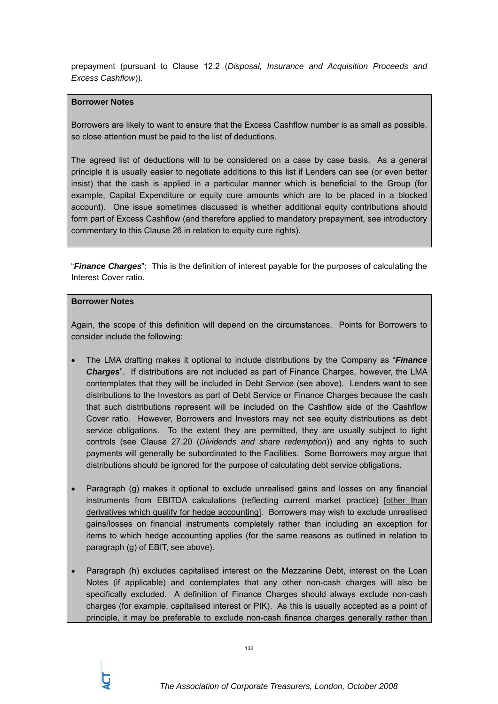prepayment (pursuant to Clause 12.2 (*Disposal, Insurance and Acquisition Proceeds and Excess Cashflow*)).

### **Borrower Notes**

Borrowers are likely to want to ensure that the Excess Cashflow number is as small as possible, so close attention must be paid to the list of deductions.

The agreed list of deductions will to be considered on a case by case basis. As a general principle it is usually easier to negotiate additions to this list if Lenders can see (or even better insist) that the cash is applied in a particular manner which is beneficial to the Group (for example, Capital Expenditure or equity cure amounts which are to be placed in a blocked account). One issue sometimes discussed is whether additional equity contributions should form part of Excess Cashflow (and therefore applied to mandatory prepayment, see introductory commentary to this Clause 26 in relation to equity cure rights).

"*Finance Charges*": This is the definition of interest payable for the purposes of calculating the Interest Cover ratio.

#### **Borrower Notes**

Again, the scope of this definition will depend on the circumstances. Points for Borrowers to consider include the following:

- The LMA drafting makes it optional to include distributions by the Company as "*Finance Charges*". If distributions are not included as part of Finance Charges, however, the LMA contemplates that they will be included in Debt Service (see above). Lenders want to see distributions to the Investors as part of Debt Service or Finance Charges because the cash that such distributions represent will be included on the Cashflow side of the Cashflow Cover ratio. However, Borrowers and Investors may not see equity distributions as debt service obligations. To the extent they are permitted, they are usually subject to tight controls (see Clause 27.20 (*Dividends and share redemption*)) and any rights to such payments will generally be subordinated to the Facilities. Some Borrowers may argue that distributions should be ignored for the purpose of calculating debt service obligations.
- Paragraph (g) makes it optional to exclude unrealised gains and losses on any financial instruments from EBITDA calculations (reflecting current market practice) [other than derivatives which qualify for hedge accounting]. Borrowers may wish to exclude unrealised gains/losses on financial instruments completely rather than including an exception for items to which hedge accounting applies (for the same reasons as outlined in relation to paragraph (g) of EBIT, see above).
- Paragraph (h) excludes capitalised interest on the Mezzanine Debt, interest on the Loan Notes (if applicable) and contemplates that any other non-cash charges will also be specifically excluded. A definition of Finance Charges should always exclude non-cash charges (for example, capitalised interest or PIK). As this is usually accepted as a point of principle, it may be preferable to exclude non-cash finance charges generally rather than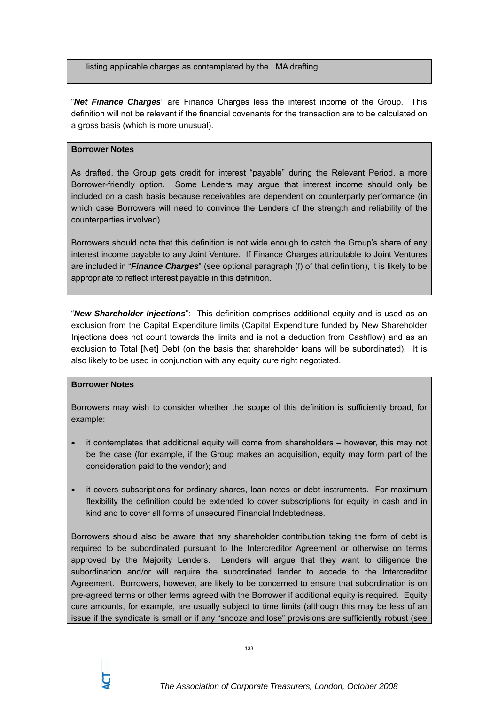listing applicable charges as contemplated by the LMA drafting.

"*Net Finance Charges*" are Finance Charges less the interest income of the Group. This definition will not be relevant if the financial covenants for the transaction are to be calculated on a gross basis (which is more unusual).

# **Borrower Notes**

As drafted, the Group gets credit for interest "payable" during the Relevant Period, a more Borrower-friendly option. Some Lenders may argue that interest income should only be included on a cash basis because receivables are dependent on counterparty performance (in which case Borrowers will need to convince the Lenders of the strength and reliability of the counterparties involved).

Borrowers should note that this definition is not wide enough to catch the Group's share of any interest income payable to any Joint Venture. If Finance Charges attributable to Joint Ventures are included in "*Finance Charges*" (see optional paragraph (f) of that definition), it is likely to be appropriate to reflect interest payable in this definition.

"*New Shareholder Injections*": This definition comprises additional equity and is used as an exclusion from the Capital Expenditure limits (Capital Expenditure funded by New Shareholder Injections does not count towards the limits and is not a deduction from Cashflow) and as an exclusion to Total [Net] Debt (on the basis that shareholder loans will be subordinated). It is also likely to be used in conjunction with any equity cure right negotiated.

# **Borrower Notes**

Borrowers may wish to consider whether the scope of this definition is sufficiently broad, for example:

- it contemplates that additional equity will come from shareholders however, this may not be the case (for example, if the Group makes an acquisition, equity may form part of the consideration paid to the vendor); and
- it covers subscriptions for ordinary shares, loan notes or debt instruments. For maximum flexibility the definition could be extended to cover subscriptions for equity in cash and in kind and to cover all forms of unsecured Financial Indebtedness.

Borrowers should also be aware that any shareholder contribution taking the form of debt is required to be subordinated pursuant to the Intercreditor Agreement or otherwise on terms approved by the Majority Lenders. Lenders will argue that they want to diligence the subordination and/or will require the subordinated lender to accede to the Intercreditor Agreement. Borrowers, however, are likely to be concerned to ensure that subordination is on pre-agreed terms or other terms agreed with the Borrower if additional equity is required. Equity cure amounts, for example, are usually subject to time limits (although this may be less of an issue if the syndicate is small or if any "snooze and lose" provisions are sufficiently robust (see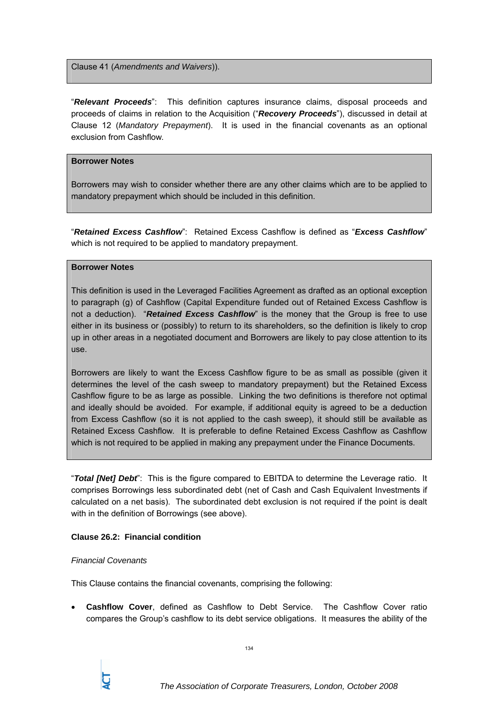Clause 41 (*Amendments and Waivers*)).

"*Relevant Proceeds*": This definition captures insurance claims, disposal proceeds and proceeds of claims in relation to the Acquisition ("*Recovery Proceeds*"), discussed in detail at Clause 12 (*Mandatory Prepayment*). It is used in the financial covenants as an optional exclusion from Cashflow.

### **Borrower Notes**

Borrowers may wish to consider whether there are any other claims which are to be applied to mandatory prepayment which should be included in this definition.

"*Retained Excess Cashflow*": Retained Excess Cashflow is defined as "*Excess Cashflow*" which is not required to be applied to mandatory prepayment.

# **Borrower Notes**

This definition is used in the Leveraged Facilities Agreement as drafted as an optional exception to paragraph (g) of Cashflow (Capital Expenditure funded out of Retained Excess Cashflow is not a deduction). "*Retained Excess Cashflow*" is the money that the Group is free to use either in its business or (possibly) to return to its shareholders, so the definition is likely to crop up in other areas in a negotiated document and Borrowers are likely to pay close attention to its use.

Borrowers are likely to want the Excess Cashflow figure to be as small as possible (given it determines the level of the cash sweep to mandatory prepayment) but the Retained Excess Cashflow figure to be as large as possible. Linking the two definitions is therefore not optimal and ideally should be avoided. For example, if additional equity is agreed to be a deduction from Excess Cashflow (so it is not applied to the cash sweep), it should still be available as Retained Excess Cashflow. It is preferable to define Retained Excess Cashflow as Cashflow which is not required to be applied in making any prepayment under the Finance Documents.

"*Total [Net] Debt*": This is the figure compared to EBITDA to determine the Leverage ratio. It comprises Borrowings less subordinated debt (net of Cash and Cash Equivalent Investments if calculated on a net basis). The subordinated debt exclusion is not required if the point is dealt with in the definition of Borrowings (see above).

# **Clause 26.2: Financial condition**

#### *Financial Covenants*

This Clause contains the financial covenants, comprising the following:

• **Cashflow Cover**, defined as Cashflow to Debt Service. The Cashflow Cover ratio compares the Group's cashflow to its debt service obligations. It measures the ability of the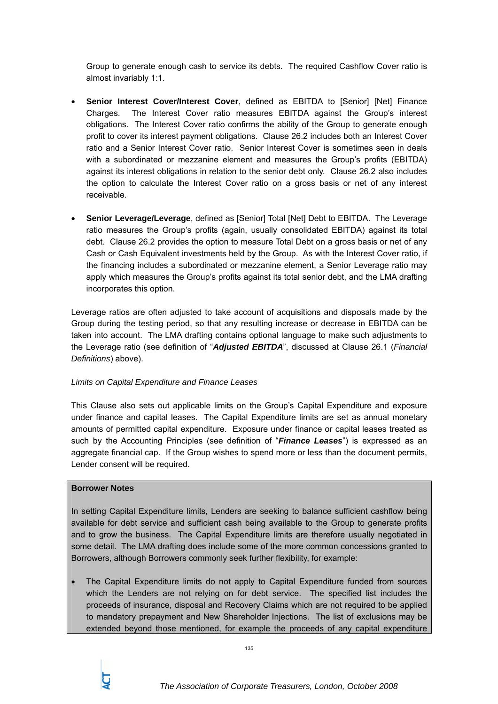Group to generate enough cash to service its debts. The required Cashflow Cover ratio is almost invariably 1:1.

- **Senior Interest Cover/Interest Cover**, defined as EBITDA to [Senior] [Net] Finance Charges. The Interest Cover ratio measures EBITDA against the Group's interest obligations. The Interest Cover ratio confirms the ability of the Group to generate enough profit to cover its interest payment obligations. Clause 26.2 includes both an Interest Cover ratio and a Senior Interest Cover ratio. Senior Interest Cover is sometimes seen in deals with a subordinated or mezzanine element and measures the Group's profits (EBITDA) against its interest obligations in relation to the senior debt only. Clause 26.2 also includes the option to calculate the Interest Cover ratio on a gross basis or net of any interest receivable.
- **Senior Leverage/Leverage**, defined as [Senior] Total [Net] Debt to EBITDA. The Leverage ratio measures the Group's profits (again, usually consolidated EBITDA) against its total debt. Clause 26.2 provides the option to measure Total Debt on a gross basis or net of any Cash or Cash Equivalent investments held by the Group. As with the Interest Cover ratio, if the financing includes a subordinated or mezzanine element, a Senior Leverage ratio may apply which measures the Group's profits against its total senior debt, and the LMA drafting incorporates this option.

Leverage ratios are often adjusted to take account of acquisitions and disposals made by the Group during the testing period, so that any resulting increase or decrease in EBITDA can be taken into account. The LMA drafting contains optional language to make such adjustments to the Leverage ratio (see definition of "*Adjusted EBITDA*", discussed at Clause 26.1 (*Financial Definitions*) above).

# *Limits on Capital Expenditure and Finance Leases*

This Clause also sets out applicable limits on the Group's Capital Expenditure and exposure under finance and capital leases. The Capital Expenditure limits are set as annual monetary amounts of permitted capital expenditure. Exposure under finance or capital leases treated as such by the Accounting Principles (see definition of "*Finance Leases*") is expressed as an aggregate financial cap. If the Group wishes to spend more or less than the document permits, Lender consent will be required.

# **Borrower Notes**

In setting Capital Expenditure limits, Lenders are seeking to balance sufficient cashflow being available for debt service and sufficient cash being available to the Group to generate profits and to grow the business. The Capital Expenditure limits are therefore usually negotiated in some detail. The LMA drafting does include some of the more common concessions granted to Borrowers, although Borrowers commonly seek further flexibility, for example:

• The Capital Expenditure limits do not apply to Capital Expenditure funded from sources which the Lenders are not relying on for debt service. The specified list includes the proceeds of insurance, disposal and Recovery Claims which are not required to be applied to mandatory prepayment and New Shareholder Injections. The list of exclusions may be extended beyond those mentioned, for example the proceeds of any capital expenditure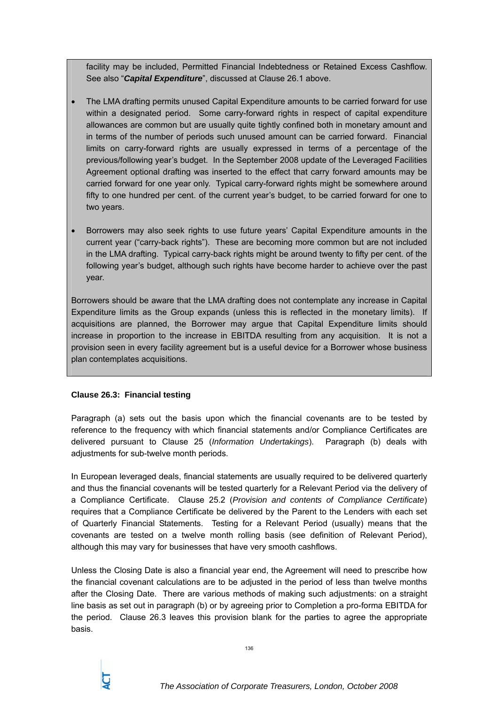facility may be included, Permitted Financial Indebtedness or Retained Excess Cashflow. See also "*Capital Expenditure*", discussed at Clause 26.1 above.

- The LMA drafting permits unused Capital Expenditure amounts to be carried forward for use within a designated period. Some carry-forward rights in respect of capital expenditure allowances are common but are usually quite tightly confined both in monetary amount and in terms of the number of periods such unused amount can be carried forward. Financial limits on carry-forward rights are usually expressed in terms of a percentage of the previous/following year's budget. In the September 2008 update of the Leveraged Facilities Agreement optional drafting was inserted to the effect that carry forward amounts may be carried forward for one year only. Typical carry-forward rights might be somewhere around fifty to one hundred per cent. of the current year's budget, to be carried forward for one to two years.
- Borrowers may also seek rights to use future years' Capital Expenditure amounts in the current year ("carry-back rights"). These are becoming more common but are not included in the LMA drafting. Typical carry-back rights might be around twenty to fifty per cent. of the following year's budget, although such rights have become harder to achieve over the past year.

Borrowers should be aware that the LMA drafting does not contemplate any increase in Capital Expenditure limits as the Group expands (unless this is reflected in the monetary limits). If acquisitions are planned, the Borrower may argue that Capital Expenditure limits should increase in proportion to the increase in EBITDA resulting from any acquisition. It is not a provision seen in every facility agreement but is a useful device for a Borrower whose business plan contemplates acquisitions.

# **Clause 26.3: Financial testing**

Paragraph (a) sets out the basis upon which the financial covenants are to be tested by reference to the frequency with which financial statements and/or Compliance Certificates are delivered pursuant to Clause 25 (*Information Undertakings*). Paragraph (b) deals with adjustments for sub-twelve month periods.

In European leveraged deals, financial statements are usually required to be delivered quarterly and thus the financial covenants will be tested quarterly for a Relevant Period via the delivery of a Compliance Certificate. Clause 25.2 (*Provision and contents of Compliance Certificate*) requires that a Compliance Certificate be delivered by the Parent to the Lenders with each set of Quarterly Financial Statements. Testing for a Relevant Period (usually) means that the covenants are tested on a twelve month rolling basis (see definition of Relevant Period), although this may vary for businesses that have very smooth cashflows.

Unless the Closing Date is also a financial year end, the Agreement will need to prescribe how the financial covenant calculations are to be adjusted in the period of less than twelve months after the Closing Date. There are various methods of making such adjustments: on a straight line basis as set out in paragraph (b) or by agreeing prior to Completion a pro-forma EBITDA for the period. Clause 26.3 leaves this provision blank for the parties to agree the appropriate basis.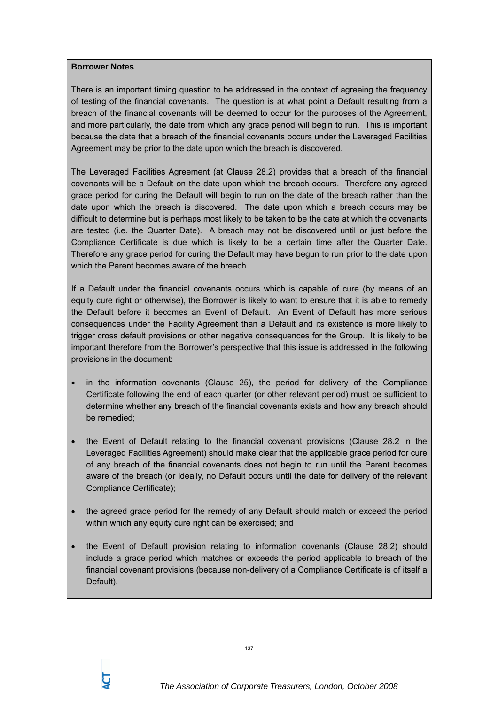#### **Borrower Notes**

There is an important timing question to be addressed in the context of agreeing the frequency of testing of the financial covenants. The question is at what point a Default resulting from a breach of the financial covenants will be deemed to occur for the purposes of the Agreement, and more particularly, the date from which any grace period will begin to run. This is important because the date that a breach of the financial covenants occurs under the Leveraged Facilities Agreement may be prior to the date upon which the breach is discovered.

The Leveraged Facilities Agreement (at Clause 28.2) provides that a breach of the financial covenants will be a Default on the date upon which the breach occurs. Therefore any agreed grace period for curing the Default will begin to run on the date of the breach rather than the date upon which the breach is discovered. The date upon which a breach occurs may be difficult to determine but is perhaps most likely to be taken to be the date at which the covenants are tested (i.e. the Quarter Date). A breach may not be discovered until or just before the Compliance Certificate is due which is likely to be a certain time after the Quarter Date. Therefore any grace period for curing the Default may have begun to run prior to the date upon which the Parent becomes aware of the breach.

If a Default under the financial covenants occurs which is capable of cure (by means of an equity cure right or otherwise), the Borrower is likely to want to ensure that it is able to remedy the Default before it becomes an Event of Default. An Event of Default has more serious consequences under the Facility Agreement than a Default and its existence is more likely to trigger cross default provisions or other negative consequences for the Group. It is likely to be important therefore from the Borrower's perspective that this issue is addressed in the following provisions in the document:

- in the information covenants (Clause 25), the period for delivery of the Compliance Certificate following the end of each quarter (or other relevant period) must be sufficient to determine whether any breach of the financial covenants exists and how any breach should be remedied;
- the Event of Default relating to the financial covenant provisions (Clause 28.2 in the Leveraged Facilities Agreement) should make clear that the applicable grace period for cure of any breach of the financial covenants does not begin to run until the Parent becomes aware of the breach (or ideally, no Default occurs until the date for delivery of the relevant Compliance Certificate);
- the agreed grace period for the remedy of any Default should match or exceed the period within which any equity cure right can be exercised; and
- the Event of Default provision relating to information covenants (Clause 28.2) should include a grace period which matches or exceeds the period applicable to breach of the financial covenant provisions (because non-delivery of a Compliance Certificate is of itself a Default).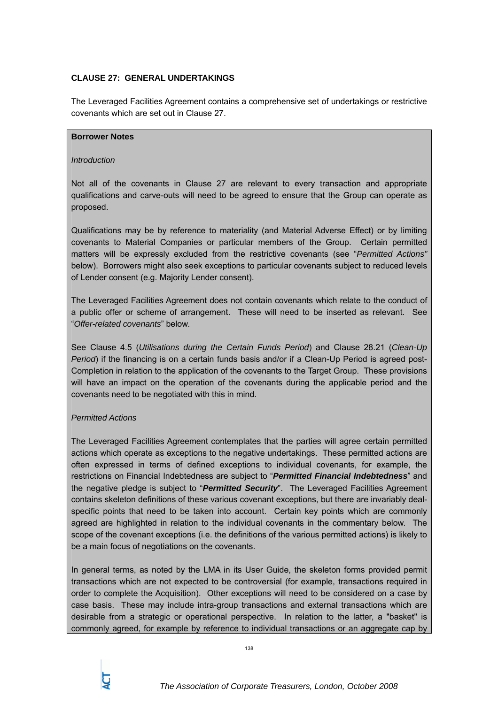# **CLAUSE 27: GENERAL UNDERTAKINGS**

The Leveraged Facilities Agreement contains a comprehensive set of undertakings or restrictive covenants which are set out in Clause 27.

### **Borrower Notes**

### *Introduction*

Not all of the covenants in Clause 27 are relevant to every transaction and appropriate qualifications and carve-outs will need to be agreed to ensure that the Group can operate as proposed.

Qualifications may be by reference to materiality (and Material Adverse Effect) or by limiting covenants to Material Companies or particular members of the Group. Certain permitted matters will be expressly excluded from the restrictive covenants (see "*Permitted Actions"*  below). Borrowers might also seek exceptions to particular covenants subject to reduced levels of Lender consent (e.g. Majority Lender consent).

The Leveraged Facilities Agreement does not contain covenants which relate to the conduct of a public offer or scheme of arrangement. These will need to be inserted as relevant. See "*Offer-related covenants*" below.

See Clause 4.5 (*Utilisations during the Certain Funds Period*) and Clause 28.21 (*Clean-Up Period*) if the financing is on a certain funds basis and/or if a Clean-Up Period is agreed post-Completion in relation to the application of the covenants to the Target Group. These provisions will have an impact on the operation of the covenants during the applicable period and the covenants need to be negotiated with this in mind.

# *Permitted Actions*

The Leveraged Facilities Agreement contemplates that the parties will agree certain permitted actions which operate as exceptions to the negative undertakings. These permitted actions are often expressed in terms of defined exceptions to individual covenants, for example, the restrictions on Financial Indebtedness are subject to "*Permitted Financial Indebtedness*" and the negative pledge is subject to "*Permitted Security*". The Leveraged Facilities Agreement contains skeleton definitions of these various covenant exceptions, but there are invariably dealspecific points that need to be taken into account. Certain key points which are commonly agreed are highlighted in relation to the individual covenants in the commentary below. The scope of the covenant exceptions (i.e. the definitions of the various permitted actions) is likely to be a main focus of negotiations on the covenants.

In general terms, as noted by the LMA in its User Guide, the skeleton forms provided permit transactions which are not expected to be controversial (for example, transactions required in order to complete the Acquisition). Other exceptions will need to be considered on a case by case basis. These may include intra-group transactions and external transactions which are desirable from a strategic or operational perspective. In relation to the latter, a "basket" is commonly agreed, for example by reference to individual transactions or an aggregate cap by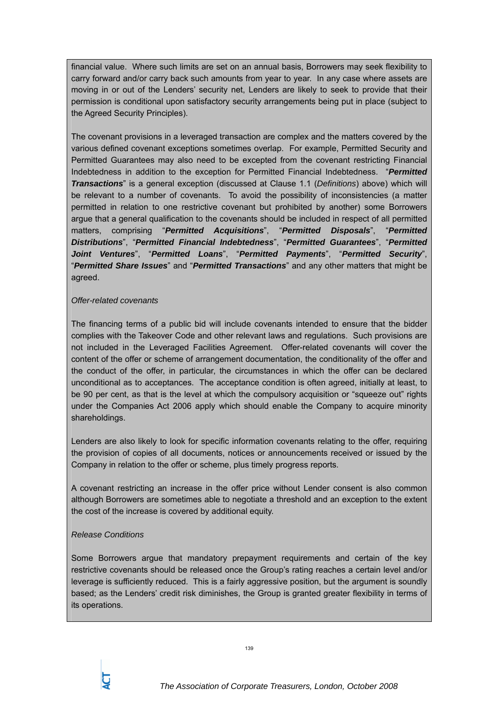financial value. Where such limits are set on an annual basis, Borrowers may seek flexibility to carry forward and/or carry back such amounts from year to year. In any case where assets are moving in or out of the Lenders' security net, Lenders are likely to seek to provide that their permission is conditional upon satisfactory security arrangements being put in place (subject to the Agreed Security Principles).

The covenant provisions in a leveraged transaction are complex and the matters covered by the various defined covenant exceptions sometimes overlap. For example, Permitted Security and Permitted Guarantees may also need to be excepted from the covenant restricting Financial Indebtedness in addition to the exception for Permitted Financial Indebtedness. "*Permitted Transactions*" is a general exception (discussed at Clause 1.1 (*Definitions*) above) which will be relevant to a number of covenants. To avoid the possibility of inconsistencies (a matter permitted in relation to one restrictive covenant but prohibited by another) some Borrowers argue that a general qualification to the covenants should be included in respect of all permitted matters, comprising "*Permitted Acquisitions*", "*Permitted Disposals*", "*Permitted Distributions*", "*Permitted Financial Indebtedness*", "*Permitted Guarantees*", "*Permitted Joint Ventures*", "*Permitted Loans*", "*Permitted Payments*", "*Permitted Security*", "*Permitted Share Issues*" and "*Permitted Transactions*" and any other matters that might be agreed.

### *Offer-related covenants*

The financing terms of a public bid will include covenants intended to ensure that the bidder complies with the Takeover Code and other relevant laws and regulations. Such provisions are not included in the Leveraged Facilities Agreement. Offer-related covenants will cover the content of the offer or scheme of arrangement documentation, the conditionality of the offer and the conduct of the offer, in particular, the circumstances in which the offer can be declared unconditional as to acceptances. The acceptance condition is often agreed, initially at least, to be 90 per cent, as that is the level at which the compulsory acquisition or "squeeze out" rights under the Companies Act 2006 apply which should enable the Company to acquire minority shareholdings.

Lenders are also likely to look for specific information covenants relating to the offer, requiring the provision of copies of all documents, notices or announcements received or issued by the Company in relation to the offer or scheme, plus timely progress reports.

A covenant restricting an increase in the offer price without Lender consent is also common although Borrowers are sometimes able to negotiate a threshold and an exception to the extent the cost of the increase is covered by additional equity.

# *Release Conditions*

Some Borrowers argue that mandatory prepayment requirements and certain of the key restrictive covenants should be released once the Group's rating reaches a certain level and/or leverage is sufficiently reduced. This is a fairly aggressive position, but the argument is soundly based; as the Lenders' credit risk diminishes, the Group is granted greater flexibility in terms of its operations.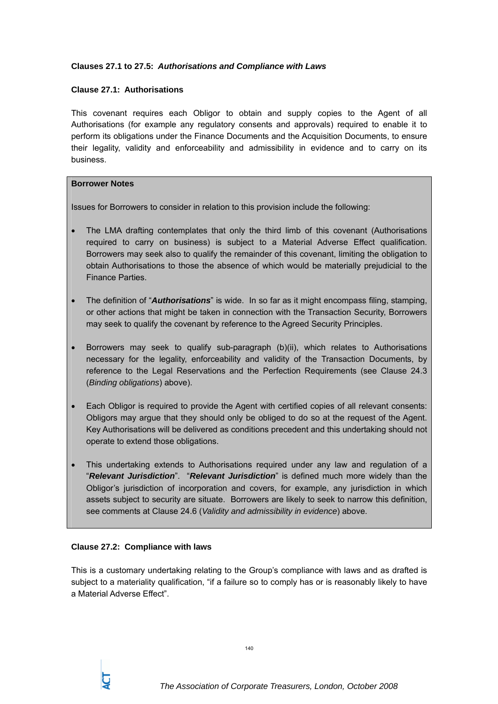# **Clauses 27.1 to 27.5:** *Authorisations and Compliance with Laws*

# **Clause 27.1: Authorisations**

This covenant requires each Obligor to obtain and supply copies to the Agent of all Authorisations (for example any regulatory consents and approvals) required to enable it to perform its obligations under the Finance Documents and the Acquisition Documents, to ensure their legality, validity and enforceability and admissibility in evidence and to carry on its business.

# **Borrower Notes**

Issues for Borrowers to consider in relation to this provision include the following:

- The LMA drafting contemplates that only the third limb of this covenant (Authorisations required to carry on business) is subject to a Material Adverse Effect qualification. Borrowers may seek also to qualify the remainder of this covenant, limiting the obligation to obtain Authorisations to those the absence of which would be materially prejudicial to the Finance Parties.
- The definition of "*Authorisations*" is wide. In so far as it might encompass filing, stamping, or other actions that might be taken in connection with the Transaction Security, Borrowers may seek to qualify the covenant by reference to the Agreed Security Principles.
- Borrowers may seek to qualify sub-paragraph (b)(ii), which relates to Authorisations necessary for the legality, enforceability and validity of the Transaction Documents, by reference to the Legal Reservations and the Perfection Requirements (see Clause 24.3 (*Binding obligations*) above).
- Each Obligor is required to provide the Agent with certified copies of all relevant consents: Obligors may argue that they should only be obliged to do so at the request of the Agent. Key Authorisations will be delivered as conditions precedent and this undertaking should not operate to extend those obligations.
- This undertaking extends to Authorisations required under any law and regulation of a "*Relevant Jurisdiction*". "*Relevant Jurisdiction*" is defined much more widely than the Obligor's jurisdiction of incorporation and covers, for example, any jurisdiction in which assets subject to security are situate. Borrowers are likely to seek to narrow this definition, see comments at Clause 24.6 (*Validity and admissibility in evidence*) above.

# **Clause 27.2: Compliance with laws**

This is a customary undertaking relating to the Group's compliance with laws and as drafted is subject to a materiality qualification, "if a failure so to comply has or is reasonably likely to have a Material Adverse Effect".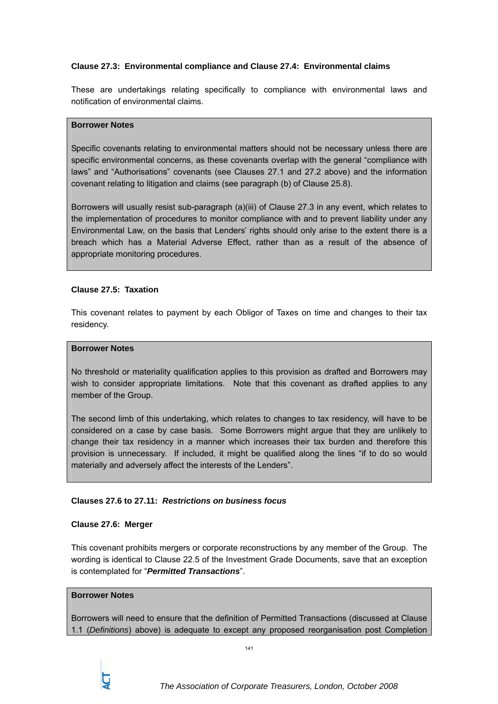# **Clause 27.3: Environmental compliance and Clause 27.4: Environmental claims**

These are undertakings relating specifically to compliance with environmental laws and notification of environmental claims.

### **Borrower Notes**

Specific covenants relating to environmental matters should not be necessary unless there are specific environmental concerns, as these covenants overlap with the general "compliance with laws" and "Authorisations" covenants (see Clauses 27.1 and 27.2 above) and the information covenant relating to litigation and claims (see paragraph (b) of Clause 25.8).

Borrowers will usually resist sub-paragraph (a)(iii) of Clause 27.3 in any event, which relates to the implementation of procedures to monitor compliance with and to prevent liability under any Environmental Law, on the basis that Lenders' rights should only arise to the extent there is a breach which has a Material Adverse Effect, rather than as a result of the absence of appropriate monitoring procedures.

# **Clause 27.5: Taxation**

This covenant relates to payment by each Obligor of Taxes on time and changes to their tax residency.

### **Borrower Notes**

No threshold or materiality qualification applies to this provision as drafted and Borrowers may wish to consider appropriate limitations. Note that this covenant as drafted applies to any member of the Group.

The second limb of this undertaking, which relates to changes to tax residency, will have to be considered on a case by case basis. Some Borrowers might argue that they are unlikely to change their tax residency in a manner which increases their tax burden and therefore this provision is unnecessary. If included, it might be qualified along the lines "if to do so would materially and adversely affect the interests of the Lenders".

# **Clauses 27.6 to 27.11:** *Restrictions on business focus*

# **Clause 27.6: Merger**

This covenant prohibits mergers or corporate reconstructions by any member of the Group. The wording is identical to Clause 22.5 of the Investment Grade Documents, save that an exception is contemplated for "*Permitted Transactions*".

# **Borrower Notes**

Borrowers will need to ensure that the definition of Permitted Transactions (discussed at Clause 1.1 (*Definitions*) above) is adequate to except any proposed reorganisation post Completion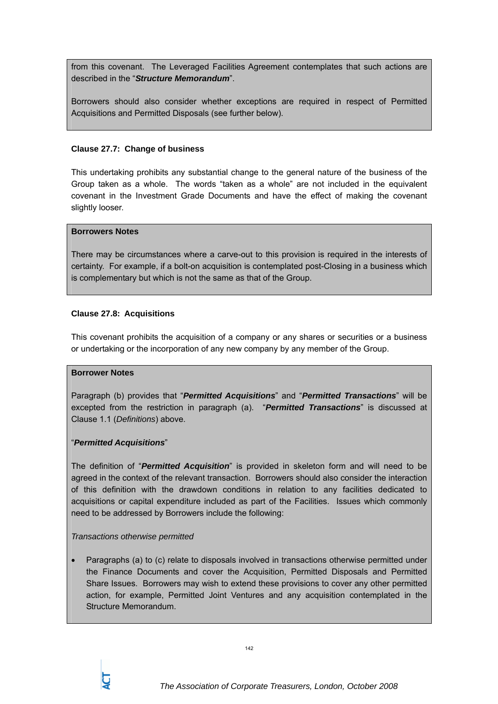from this covenant. The Leveraged Facilities Agreement contemplates that such actions are described in the "*Structure Memorandum*".

Borrowers should also consider whether exceptions are required in respect of Permitted Acquisitions and Permitted Disposals (see further below).

### **Clause 27.7: Change of business**

This undertaking prohibits any substantial change to the general nature of the business of the Group taken as a whole. The words "taken as a whole" are not included in the equivalent covenant in the Investment Grade Documents and have the effect of making the covenant slightly looser.

#### **Borrowers Notes**

There may be circumstances where a carve-out to this provision is required in the interests of certainty. For example, if a bolt-on acquisition is contemplated post-Closing in a business which is complementary but which is not the same as that of the Group.

# **Clause 27.8: Acquisitions**

This covenant prohibits the acquisition of a company or any shares or securities or a business or undertaking or the incorporation of any new company by any member of the Group.

# **Borrower Notes**

Paragraph (b) provides that "*Permitted Acquisitions*" and "*Permitted Transactions*" will be excepted from the restriction in paragraph (a). "*Permitted Transactions*" is discussed at Clause 1.1 (*Definitions*) above.

# "*Permitted Acquisitions*"

The definition of "*Permitted Acquisition*" is provided in skeleton form and will need to be agreed in the context of the relevant transaction. Borrowers should also consider the interaction of this definition with the drawdown conditions in relation to any facilities dedicated to acquisitions or capital expenditure included as part of the Facilities. Issues which commonly need to be addressed by Borrowers include the following:

#### *Transactions otherwise permitted*

• Paragraphs (a) to (c) relate to disposals involved in transactions otherwise permitted under the Finance Documents and cover the Acquisition, Permitted Disposals and Permitted Share Issues. Borrowers may wish to extend these provisions to cover any other permitted action, for example, Permitted Joint Ventures and any acquisition contemplated in the Structure Memorandum.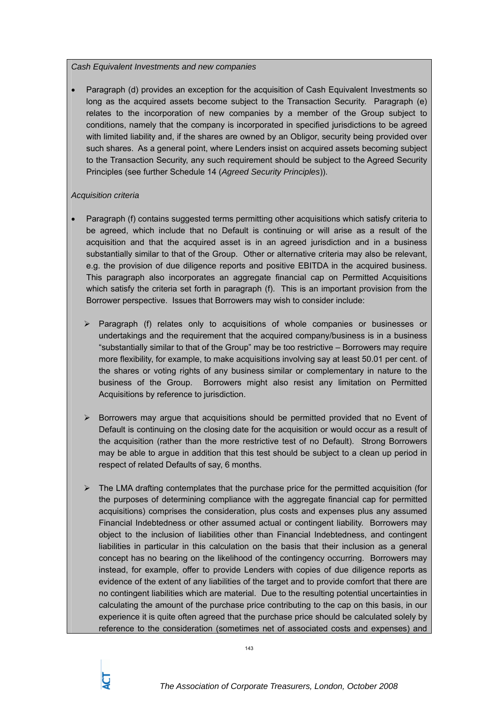# *Cash Equivalent Investments and new companies*

• Paragraph (d) provides an exception for the acquisition of Cash Equivalent Investments so long as the acquired assets become subject to the Transaction Security. Paragraph (e) relates to the incorporation of new companies by a member of the Group subject to conditions, namely that the company is incorporated in specified jurisdictions to be agreed with limited liability and, if the shares are owned by an Obligor, security being provided over such shares. As a general point, where Lenders insist on acquired assets becoming subject to the Transaction Security, any such requirement should be subject to the Agreed Security Principles (see further Schedule 14 (*Agreed Security Principles*)).

# *Acquisition criteria*

- Paragraph (f) contains suggested terms permitting other acquisitions which satisfy criteria to be agreed, which include that no Default is continuing or will arise as a result of the acquisition and that the acquired asset is in an agreed jurisdiction and in a business substantially similar to that of the Group. Other or alternative criteria may also be relevant, e.g. the provision of due diligence reports and positive EBITDA in the acquired business. This paragraph also incorporates an aggregate financial cap on Permitted Acquisitions which satisfy the criteria set forth in paragraph (f). This is an important provision from the Borrower perspective. Issues that Borrowers may wish to consider include:
	- $\triangleright$  Paragraph (f) relates only to acquisitions of whole companies or businesses or undertakings and the requirement that the acquired company/business is in a business "substantially similar to that of the Group" may be too restrictive – Borrowers may require more flexibility, for example, to make acquisitions involving say at least 50.01 per cent. of the shares or voting rights of any business similar or complementary in nature to the business of the Group. Borrowers might also resist any limitation on Permitted Acquisitions by reference to jurisdiction.
	- $\triangleright$  Borrowers may argue that acquisitions should be permitted provided that no Event of Default is continuing on the closing date for the acquisition or would occur as a result of the acquisition (rather than the more restrictive test of no Default). Strong Borrowers may be able to argue in addition that this test should be subject to a clean up period in respect of related Defaults of say, 6 months.
	- $\triangleright$  The LMA drafting contemplates that the purchase price for the permitted acquisition (for the purposes of determining compliance with the aggregate financial cap for permitted acquisitions) comprises the consideration, plus costs and expenses plus any assumed Financial Indebtedness or other assumed actual or contingent liability. Borrowers may object to the inclusion of liabilities other than Financial Indebtedness, and contingent liabilities in particular in this calculation on the basis that their inclusion as a general concept has no bearing on the likelihood of the contingency occurring. Borrowers may instead, for example, offer to provide Lenders with copies of due diligence reports as evidence of the extent of any liabilities of the target and to provide comfort that there are no contingent liabilities which are material. Due to the resulting potential uncertainties in calculating the amount of the purchase price contributing to the cap on this basis, in our experience it is quite often agreed that the purchase price should be calculated solely by reference to the consideration (sometimes net of associated costs and expenses) and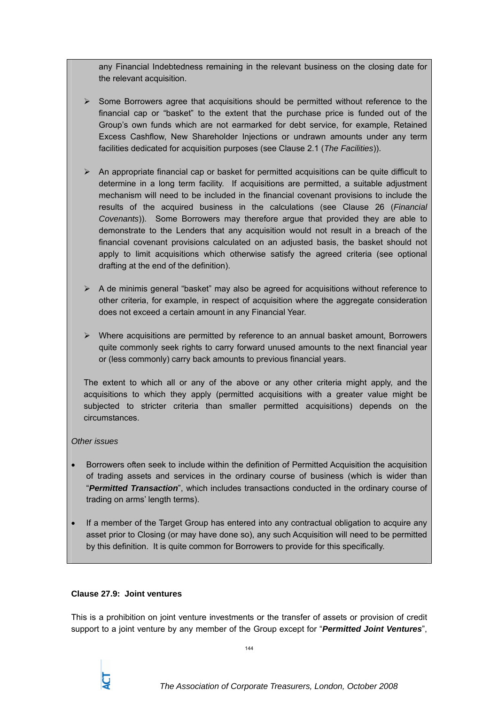any Financial Indebtedness remaining in the relevant business on the closing date for the relevant acquisition.

- $\triangleright$  Some Borrowers agree that acquisitions should be permitted without reference to the financial cap or "basket" to the extent that the purchase price is funded out of the Group's own funds which are not earmarked for debt service, for example, Retained Excess Cashflow, New Shareholder Injections or undrawn amounts under any term facilities dedicated for acquisition purposes (see Clause 2.1 (*The Facilities*)).
- $\triangleright$  An appropriate financial cap or basket for permitted acquisitions can be quite difficult to determine in a long term facility. If acquisitions are permitted, a suitable adjustment mechanism will need to be included in the financial covenant provisions to include the results of the acquired business in the calculations (see Clause 26 (*Financial Covenants*)). Some Borrowers may therefore argue that provided they are able to demonstrate to the Lenders that any acquisition would not result in a breach of the financial covenant provisions calculated on an adjusted basis, the basket should not apply to limit acquisitions which otherwise satisfy the agreed criteria (see optional drafting at the end of the definition).
- $\triangleright$  A de minimis general "basket" may also be agreed for acquisitions without reference to other criteria, for example, in respect of acquisition where the aggregate consideration does not exceed a certain amount in any Financial Year.
- $\triangleright$  Where acquisitions are permitted by reference to an annual basket amount. Borrowers quite commonly seek rights to carry forward unused amounts to the next financial year or (less commonly) carry back amounts to previous financial years.

The extent to which all or any of the above or any other criteria might apply, and the acquisitions to which they apply (permitted acquisitions with a greater value might be subjected to stricter criteria than smaller permitted acquisitions) depends on the circumstances.

# *Other issues*

- Borrowers often seek to include within the definition of Permitted Acquisition the acquisition of trading assets and services in the ordinary course of business (which is wider than "*Permitted Transaction*", which includes transactions conducted in the ordinary course of trading on arms' length terms).
- If a member of the Target Group has entered into any contractual obligation to acquire any asset prior to Closing (or may have done so), any such Acquisition will need to be permitted by this definition. It is quite common for Borrowers to provide for this specifically.

# **Clause 27.9: Joint ventures**

This is a prohibition on joint venture investments or the transfer of assets or provision of credit support to a joint venture by any member of the Group except for "*Permitted Joint Ventures*",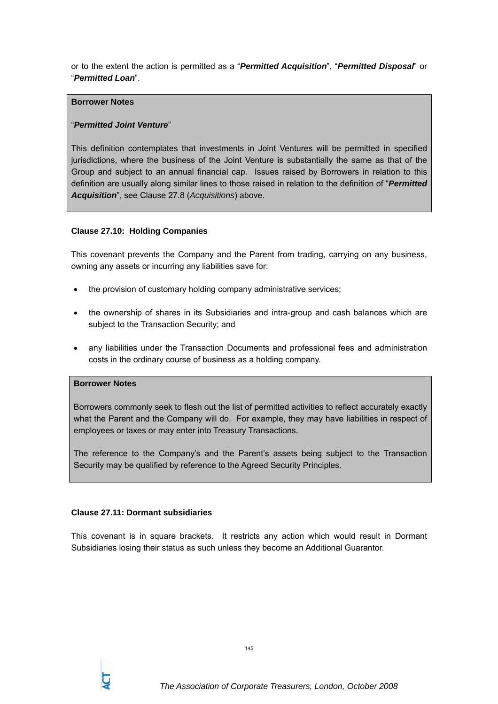or to the extent the action is permitted as a "*Permitted Acquisition*", "*Permitted Disposal*" or "*Permitted Loan*".

### **Borrower Notes**

## "*Permitted Joint Venture*"

This definition contemplates that investments in Joint Ventures will be permitted in specified jurisdictions, where the business of the Joint Venture is substantially the same as that of the Group and subject to an annual financial cap. Issues raised by Borrowers in relation to this definition are usually along similar lines to those raised in relation to the definition of "*Permitted Acquisition*", see Clause 27.8 (*Acquisitions*) above.

#### **Clause 27.10: Holding Companies**

This covenant prevents the Company and the Parent from trading, carrying on any business, owning any assets or incurring any liabilities save for:

- the provision of customary holding company administrative services:
- the ownership of shares in its Subsidiaries and intra-group and cash balances which are subject to the Transaction Security; and
- any liabilities under the Transaction Documents and professional fees and administration costs in the ordinary course of business as a holding company.

### **Borrower Notes**

Borrowers commonly seek to flesh out the list of permitted activities to reflect accurately exactly what the Parent and the Company will do. For example, they may have liabilities in respect of employees or taxes or may enter into Treasury Transactions.

The reference to the Company's and the Parent's assets being subject to the Transaction Security may be qualified by reference to the Agreed Security Principles.

## **Clause 27.11: Dormant subsidiaries**

This covenant is in square brackets. It restricts any action which would result in Dormant Subsidiaries losing their status as such unless they become an Additional Guarantor.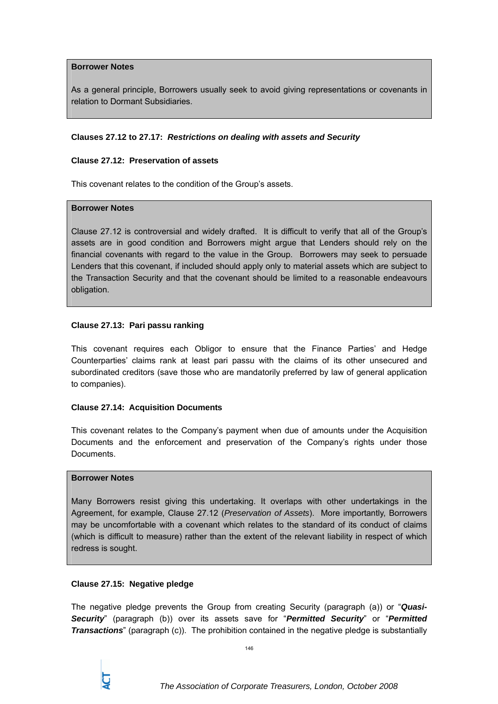### **Borrower Notes**

As a general principle, Borrowers usually seek to avoid giving representations or covenants in relation to Dormant Subsidiaries.

#### **Clauses 27.12 to 27.17:** *Restrictions on dealing with assets and Security*

## **Clause 27.12: Preservation of assets**

This covenant relates to the condition of the Group's assets.

### **Borrower Notes**

Clause 27.12 is controversial and widely drafted. It is difficult to verify that all of the Group's assets are in good condition and Borrowers might argue that Lenders should rely on the financial covenants with regard to the value in the Group. Borrowers may seek to persuade Lenders that this covenant, if included should apply only to material assets which are subject to the Transaction Security and that the covenant should be limited to a reasonable endeavours obligation.

#### **Clause 27.13: Pari passu ranking**

This covenant requires each Obligor to ensure that the Finance Parties' and Hedge Counterparties' claims rank at least pari passu with the claims of its other unsecured and subordinated creditors (save those who are mandatorily preferred by law of general application to companies).

## **Clause 27.14: Acquisition Documents**

This covenant relates to the Company's payment when due of amounts under the Acquisition Documents and the enforcement and preservation of the Company's rights under those **Documents** 

## **Borrower Notes**

Many Borrowers resist giving this undertaking. It overlaps with other undertakings in the Agreement, for example, Clause 27.12 (*Preservation of Assets*). More importantly, Borrowers may be uncomfortable with a covenant which relates to the standard of its conduct of claims (which is difficult to measure) rather than the extent of the relevant liability in respect of which redress is sought.

#### **Clause 27.15: Negative pledge**

The negative pledge prevents the Group from creating Security (paragraph (a)) or "*Quasi-Security*" (paragraph (b)) over its assets save for "*Permitted Security*" or "*Permitted Transactions*" (paragraph (c)). The prohibition contained in the negative pledge is substantially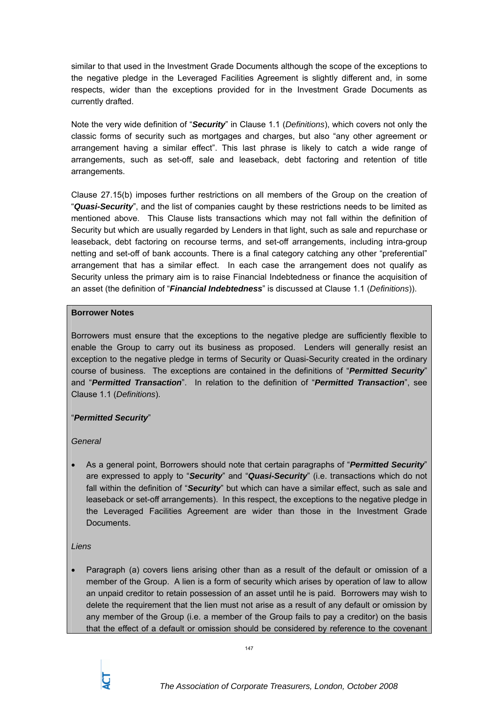similar to that used in the Investment Grade Documents although the scope of the exceptions to the negative pledge in the Leveraged Facilities Agreement is slightly different and, in some respects, wider than the exceptions provided for in the Investment Grade Documents as currently drafted.

Note the very wide definition of "*Security*" in Clause 1.1 (*Definitions*), which covers not only the classic forms of security such as mortgages and charges, but also "any other agreement or arrangement having a similar effect". This last phrase is likely to catch a wide range of arrangements, such as set-off, sale and leaseback, debt factoring and retention of title arrangements.

Clause 27.15(b) imposes further restrictions on all members of the Group on the creation of "*Quasi-Security*", and the list of companies caught by these restrictions needs to be limited as mentioned above. This Clause lists transactions which may not fall within the definition of Security but which are usually regarded by Lenders in that light, such as sale and repurchase or leaseback, debt factoring on recourse terms, and set-off arrangements, including intra-group netting and set-off of bank accounts. There is a final category catching any other "preferential" arrangement that has a similar effect. In each case the arrangement does not qualify as Security unless the primary aim is to raise Financial Indebtedness or finance the acquisition of an asset (the definition of "*Financial Indebtedness*" is discussed at Clause 1.1 (*Definitions*)).

## **Borrower Notes**

Borrowers must ensure that the exceptions to the negative pledge are sufficiently flexible to enable the Group to carry out its business as proposed. Lenders will generally resist an exception to the negative pledge in terms of Security or Quasi-Security created in the ordinary course of business. The exceptions are contained in the definitions of "*Permitted Security*" and "*Permitted Transaction*". In relation to the definition of "*Permitted Transaction*", see Clause 1.1 (*Definitions*).

## "*Permitted Security*"

# *General*

• As a general point, Borrowers should note that certain paragraphs of "*Permitted Security*" are expressed to apply to "*Security*" and "*Quasi-Security*" (i.e. transactions which do not fall within the definition of "*Security*" but which can have a similar effect, such as sale and leaseback or set-off arrangements). In this respect, the exceptions to the negative pledge in the Leveraged Facilities Agreement are wider than those in the Investment Grade Documents.

## *Liens*

• Paragraph (a) covers liens arising other than as a result of the default or omission of a member of the Group. A lien is a form of security which arises by operation of law to allow an unpaid creditor to retain possession of an asset until he is paid. Borrowers may wish to delete the requirement that the lien must not arise as a result of any default or omission by any member of the Group (i.e. a member of the Group fails to pay a creditor) on the basis that the effect of a default or omission should be considered by reference to the covenant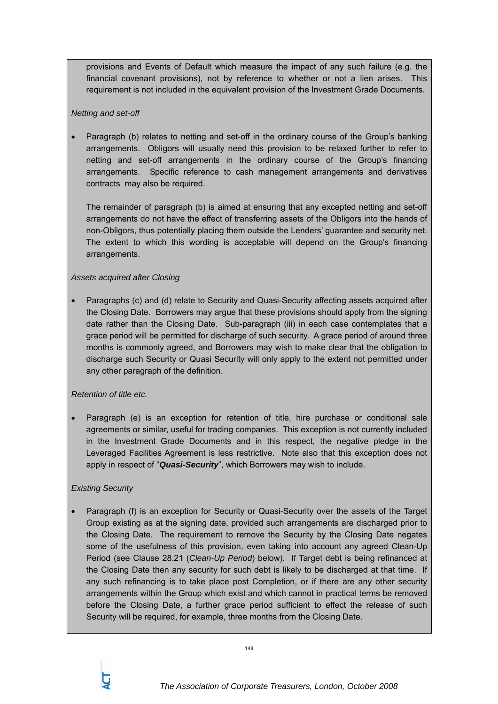provisions and Events of Default which measure the impact of any such failure (e.g. the financial covenant provisions), not by reference to whether or not a lien arises. This requirement is not included in the equivalent provision of the Investment Grade Documents.

## *Netting and set-off*

• Paragraph (b) relates to netting and set-off in the ordinary course of the Group's banking arrangements. Obligors will usually need this provision to be relaxed further to refer to netting and set-off arrangements in the ordinary course of the Group's financing arrangements. Specific reference to cash management arrangements and derivatives contracts may also be required.

The remainder of paragraph (b) is aimed at ensuring that any excepted netting and set-off arrangements do not have the effect of transferring assets of the Obligors into the hands of non-Obligors, thus potentially placing them outside the Lenders' guarantee and security net. The extent to which this wording is acceptable will depend on the Group's financing arrangements.

## *Assets acquired after Closing*

• Paragraphs (c) and (d) relate to Security and Quasi-Security affecting assets acquired after the Closing Date. Borrowers may argue that these provisions should apply from the signing date rather than the Closing Date. Sub-paragraph (iii) in each case contemplates that a grace period will be permitted for discharge of such security. A grace period of around three months is commonly agreed, and Borrowers may wish to make clear that the obligation to discharge such Security or Quasi Security will only apply to the extent not permitted under any other paragraph of the definition.

# *Retention of title etc.*

• Paragraph (e) is an exception for retention of title, hire purchase or conditional sale agreements or similar, useful for trading companies. This exception is not currently included in the Investment Grade Documents and in this respect, the negative pledge in the Leveraged Facilities Agreement is less restrictive. Note also that this exception does not apply in respect of "*Quasi-Security*", which Borrowers may wish to include.

## *Existing Security*

• Paragraph (f) is an exception for Security or Quasi-Security over the assets of the Target Group existing as at the signing date, provided such arrangements are discharged prior to the Closing Date. The requirement to remove the Security by the Closing Date negates some of the usefulness of this provision, even taking into account any agreed Clean-Up Period (see Clause 28.21 (*Clean-Up Period*) below). If Target debt is being refinanced at the Closing Date then any security for such debt is likely to be discharged at that time. If any such refinancing is to take place post Completion, or if there are any other security arrangements within the Group which exist and which cannot in practical terms be removed before the Closing Date, a further grace period sufficient to effect the release of such Security will be required, for example, three months from the Closing Date.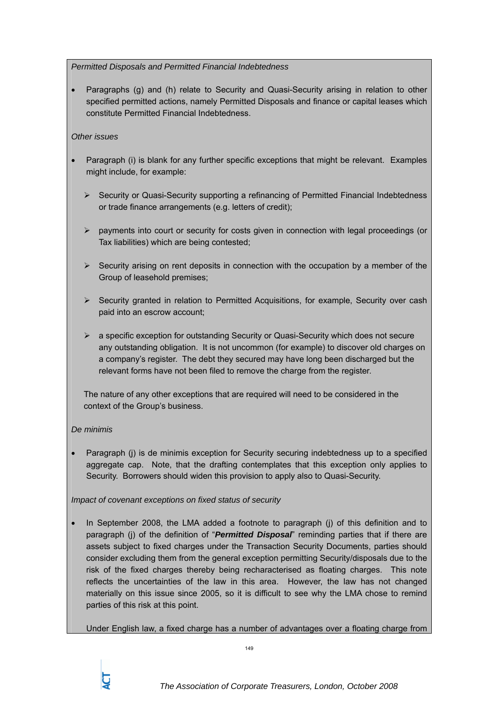# *Permitted Disposals and Permitted Financial Indebtedness*

• Paragraphs (g) and (h) relate to Security and Quasi-Security arising in relation to other specified permitted actions, namely Permitted Disposals and finance or capital leases which constitute Permitted Financial Indebtedness.

# *Other issues*

- Paragraph (i) is blank for any further specific exceptions that might be relevant. Examples might include, for example:
	- ¾ Security or Quasi-Security supporting a refinancing of Permitted Financial Indebtedness or trade finance arrangements (e.g. letters of credit);
	- $\triangleright$  payments into court or security for costs given in connection with legal proceedings (or Tax liabilities) which are being contested;
	- $\triangleright$  Security arising on rent deposits in connection with the occupation by a member of the Group of leasehold premises;
	- $\triangleright$  Security granted in relation to Permitted Acquisitions, for example, Security over cash paid into an escrow account;
	- $\triangleright$  a specific exception for outstanding Security or Quasi-Security which does not secure any outstanding obligation. It is not uncommon (for example) to discover old charges on a company's register. The debt they secured may have long been discharged but the relevant forms have not been filed to remove the charge from the register.

The nature of any other exceptions that are required will need to be considered in the context of the Group's business.

# *De minimis*

• Paragraph (j) is de minimis exception for Security securing indebtedness up to a specified aggregate cap. Note, that the drafting contemplates that this exception only applies to Security. Borrowers should widen this provision to apply also to Quasi-Security.

# *Impact of covenant exceptions on fixed status of security*

• In September 2008, the LMA added a footnote to paragraph (j) of this definition and to paragraph (j) of the definition of "**Permitted Disposal**" reminding parties that if there are assets subject to fixed charges under the Transaction Security Documents, parties should consider excluding them from the general exception permitting Security/disposals due to the risk of the fixed charges thereby being recharacterised as floating charges. This note reflects the uncertainties of the law in this area. However, the law has not changed materially on this issue since 2005, so it is difficult to see why the LMA chose to remind parties of this risk at this point.

Under English law, a fixed charge has a number of advantages over a floating charge from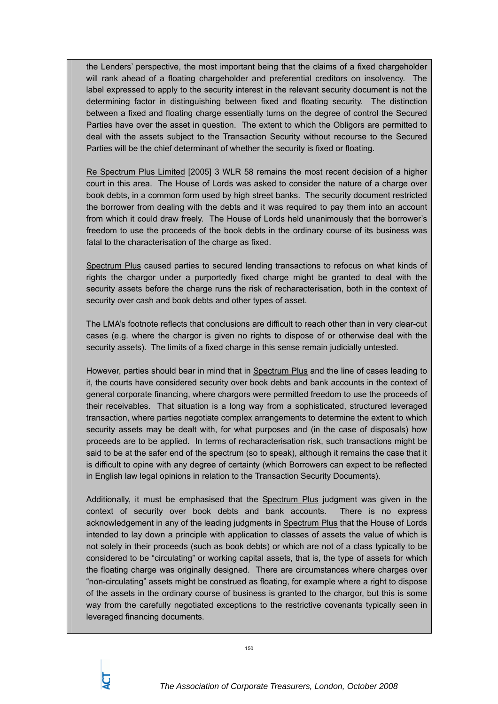the Lenders' perspective, the most important being that the claims of a fixed chargeholder will rank ahead of a floating chargeholder and preferential creditors on insolvency. The label expressed to apply to the security interest in the relevant security document is not the determining factor in distinguishing between fixed and floating security. The distinction between a fixed and floating charge essentially turns on the degree of control the Secured Parties have over the asset in question. The extent to which the Obligors are permitted to deal with the assets subject to the Transaction Security without recourse to the Secured Parties will be the chief determinant of whether the security is fixed or floating.

Re Spectrum Plus Limited [2005] 3 WLR 58 remains the most recent decision of a higher court in this area. The House of Lords was asked to consider the nature of a charge over book debts, in a common form used by high street banks. The security document restricted the borrower from dealing with the debts and it was required to pay them into an account from which it could draw freely. The House of Lords held unanimously that the borrower's freedom to use the proceeds of the book debts in the ordinary course of its business was fatal to the characterisation of the charge as fixed.

Spectrum Plus caused parties to secured lending transactions to refocus on what kinds of rights the chargor under a purportedly fixed charge might be granted to deal with the security assets before the charge runs the risk of recharacterisation, both in the context of security over cash and book debts and other types of asset.

The LMA's footnote reflects that conclusions are difficult to reach other than in very clear-cut cases (e.g. where the chargor is given no rights to dispose of or otherwise deal with the security assets). The limits of a fixed charge in this sense remain judicially untested.

However, parties should bear in mind that in Spectrum Plus and the line of cases leading to it, the courts have considered security over book debts and bank accounts in the context of general corporate financing, where chargors were permitted freedom to use the proceeds of their receivables. That situation is a long way from a sophisticated, structured leveraged transaction, where parties negotiate complex arrangements to determine the extent to which security assets may be dealt with, for what purposes and (in the case of disposals) how proceeds are to be applied. In terms of recharacterisation risk, such transactions might be said to be at the safer end of the spectrum (so to speak), although it remains the case that it is difficult to opine with any degree of certainty (which Borrowers can expect to be reflected in English law legal opinions in relation to the Transaction Security Documents).

Additionally, it must be emphasised that the Spectrum Plus judgment was given in the context of security over book debts and bank accounts. There is no express acknowledgement in any of the leading judgments in Spectrum Plus that the House of Lords intended to lay down a principle with application to classes of assets the value of which is not solely in their proceeds (such as book debts) or which are not of a class typically to be considered to be "circulating" or working capital assets, that is, the type of assets for which the floating charge was originally designed. There are circumstances where charges over "non-circulating" assets might be construed as floating, for example where a right to dispose of the assets in the ordinary course of business is granted to the chargor, but this is some way from the carefully negotiated exceptions to the restrictive covenants typically seen in leveraged financing documents.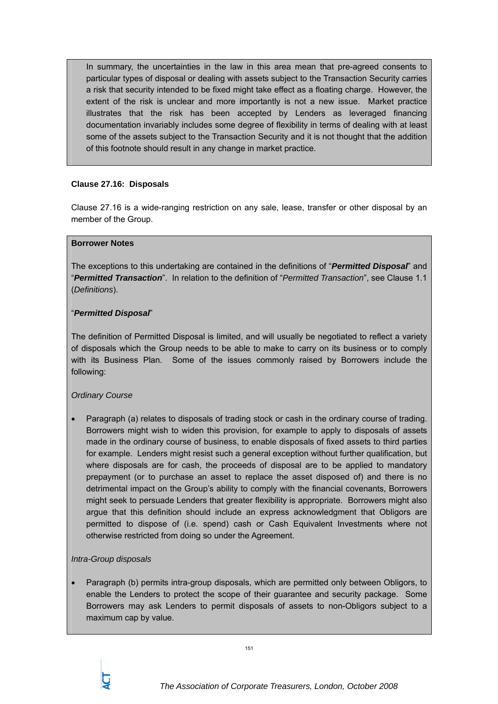In summary, the uncertainties in the law in this area mean that pre-agreed consents to particular types of disposal or dealing with assets subject to the Transaction Security carries a risk that security intended to be fixed might take effect as a floating charge. However, the extent of the risk is unclear and more importantly is not a new issue. Market practice illustrates that the risk has been accepted by Lenders as leveraged financing documentation invariably includes some degree of flexibility in terms of dealing with at least some of the assets subject to the Transaction Security and it is not thought that the addition of this footnote should result in any change in market practice.

## **Clause 27.16: Disposals**

Clause 27.16 is a wide-ranging restriction on any sale, lease, transfer or other disposal by an member of the Group.

#### **Borrower Notes**

The exceptions to this undertaking are contained in the definitions of "*Permitted Disposal*" and "*Permitted Transaction*". In relation to the definition of "*Permitted Transaction*", see Clause 1.1 (*Definitions*).

## "*Permitted Disposal*"

The definition of Permitted Disposal is limited, and will usually be negotiated to reflect a variety of disposals which the Group needs to be able to make to carry on its business or to comply with its Business Plan. Some of the issues commonly raised by Borrowers include the following:

# *Ordinary Course*

• Paragraph (a) relates to disposals of trading stock or cash in the ordinary course of trading. Borrowers might wish to widen this provision, for example to apply to disposals of assets made in the ordinary course of business, to enable disposals of fixed assets to third parties for example. Lenders might resist such a general exception without further qualification, but where disposals are for cash, the proceeds of disposal are to be applied to mandatory prepayment (or to purchase an asset to replace the asset disposed of) and there is no detrimental impact on the Group's ability to comply with the financial covenants, Borrowers might seek to persuade Lenders that greater flexibility is appropriate. Borrowers might also argue that this definition should include an express acknowledgment that Obligors are permitted to dispose of (i.e. spend) cash or Cash Equivalent Investments where not otherwise restricted from doing so under the Agreement.

## *Intra-Group disposals*

• Paragraph (b) permits intra-group disposals, which are permitted only between Obligors, to enable the Lenders to protect the scope of their guarantee and security package. Some Borrowers may ask Lenders to permit disposals of assets to non-Obligors subject to a maximum cap by value.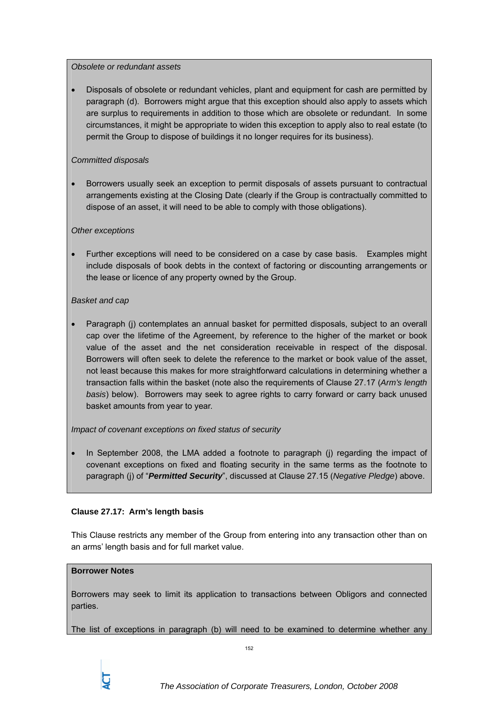## *Obsolete or redundant assets*

• Disposals of obsolete or redundant vehicles, plant and equipment for cash are permitted by paragraph (d). Borrowers might argue that this exception should also apply to assets which are surplus to requirements in addition to those which are obsolete or redundant. In some circumstances, it might be appropriate to widen this exception to apply also to real estate (to permit the Group to dispose of buildings it no longer requires for its business).

## *Committed disposals*

• Borrowers usually seek an exception to permit disposals of assets pursuant to contractual arrangements existing at the Closing Date (clearly if the Group is contractually committed to dispose of an asset, it will need to be able to comply with those obligations).

## *Other exceptions*

• Further exceptions will need to be considered on a case by case basis. Examples might include disposals of book debts in the context of factoring or discounting arrangements or the lease or licence of any property owned by the Group.

## *Basket and cap*

• Paragraph (j) contemplates an annual basket for permitted disposals, subject to an overall cap over the lifetime of the Agreement, by reference to the higher of the market or book value of the asset and the net consideration receivable in respect of the disposal. Borrowers will often seek to delete the reference to the market or book value of the asset, not least because this makes for more straightforward calculations in determining whether a transaction falls within the basket (note also the requirements of Clause 27.17 (*Arm's length basis*) below). Borrowers may seek to agree rights to carry forward or carry back unused basket amounts from year to year.

## *Impact of covenant exceptions on fixed status of security*

• In September 2008, the LMA added a footnote to paragraph (j) regarding the impact of covenant exceptions on fixed and floating security in the same terms as the footnote to paragraph (j) of "*Permitted Security*", discussed at Clause 27.15 (*Negative Pledge*) above.

# **Clause 27.17: Arm's length basis**

This Clause restricts any member of the Group from entering into any transaction other than on an arms' length basis and for full market value.

## **Borrower Notes**

Borrowers may seek to limit its application to transactions between Obligors and connected parties.

The list of exceptions in paragraph (b) will need to be examined to determine whether any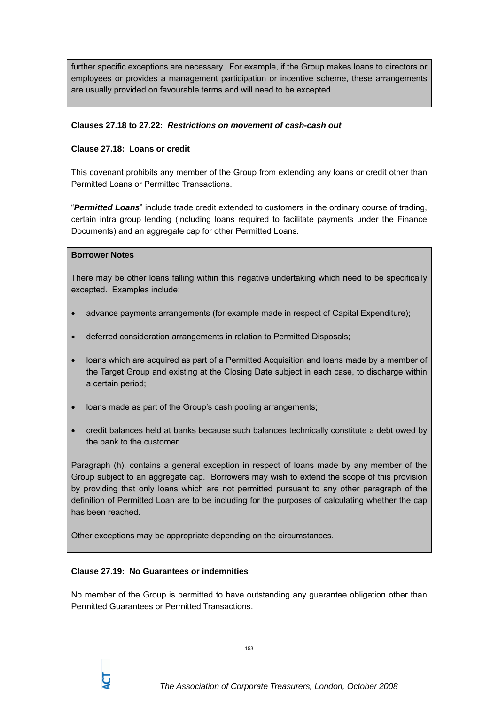further specific exceptions are necessary. For example, if the Group makes loans to directors or employees or provides a management participation or incentive scheme, these arrangements are usually provided on favourable terms and will need to be excepted.

### **Clauses 27.18 to 27.22:** *Restrictions on movement of cash-cash out*

#### **Clause 27.18: Loans or credit**

This covenant prohibits any member of the Group from extending any loans or credit other than Permitted Loans or Permitted Transactions.

"*Permitted Loans*" include trade credit extended to customers in the ordinary course of trading, certain intra group lending (including loans required to facilitate payments under the Finance Documents) and an aggregate cap for other Permitted Loans.

#### **Borrower Notes**

There may be other loans falling within this negative undertaking which need to be specifically excepted. Examples include:

- advance payments arrangements (for example made in respect of Capital Expenditure);
- deferred consideration arrangements in relation to Permitted Disposals;
- loans which are acquired as part of a Permitted Acquisition and loans made by a member of the Target Group and existing at the Closing Date subject in each case, to discharge within a certain period;
- loans made as part of the Group's cash pooling arrangements;
- credit balances held at banks because such balances technically constitute a debt owed by the bank to the customer.

Paragraph (h), contains a general exception in respect of loans made by any member of the Group subject to an aggregate cap. Borrowers may wish to extend the scope of this provision by providing that only loans which are not permitted pursuant to any other paragraph of the definition of Permitted Loan are to be including for the purposes of calculating whether the cap has been reached.

Other exceptions may be appropriate depending on the circumstances.

## **Clause 27.19: No Guarantees or indemnities**

No member of the Group is permitted to have outstanding any guarantee obligation other than Permitted Guarantees or Permitted Transactions.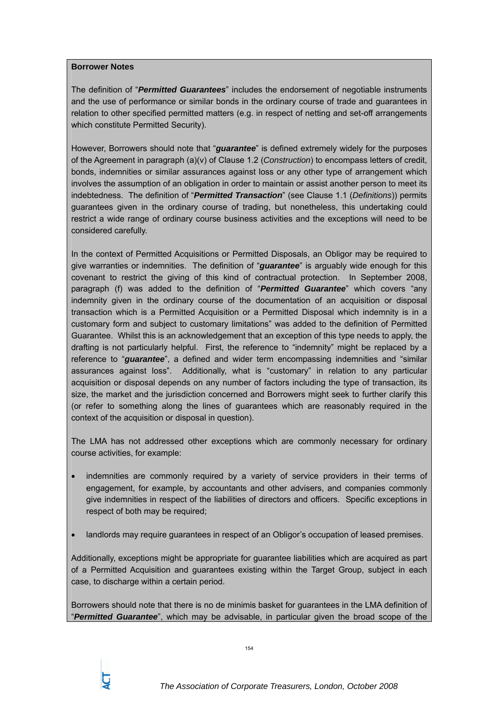### **Borrower Notes**

The definition of "*Permitted Guarantees*" includes the endorsement of negotiable instruments and the use of performance or similar bonds in the ordinary course of trade and guarantees in relation to other specified permitted matters (e.g. in respect of netting and set-off arrangements which constitute Permitted Security).

However, Borrowers should note that "*guarantee*" is defined extremely widely for the purposes of the Agreement in paragraph (a)(v) of Clause 1.2 (*Construction*) to encompass letters of credit, bonds, indemnities or similar assurances against loss or any other type of arrangement which involves the assumption of an obligation in order to maintain or assist another person to meet its indebtedness. The definition of "*Permitted Transaction*" (see Clause 1.1 (*Definitions*)) permits guarantees given in the ordinary course of trading, but nonetheless, this undertaking could restrict a wide range of ordinary course business activities and the exceptions will need to be considered carefully.

In the context of Permitted Acquisitions or Permitted Disposals, an Obligor may be required to give warranties or indemnities. The definition of "*guarantee*" is arguably wide enough for this covenant to restrict the giving of this kind of contractual protection. In September 2008, paragraph (f) was added to the definition of "*Permitted Guarantee*" which covers "any indemnity given in the ordinary course of the documentation of an acquisition or disposal transaction which is a Permitted Acquisition or a Permitted Disposal which indemnity is in a customary form and subject to customary limitations" was added to the definition of Permitted Guarantee. Whilst this is an acknowledgement that an exception of this type needs to apply, the drafting is not particularly helpful. First, the reference to "indemnity" might be replaced by a reference to "*guarantee*", a defined and wider term encompassing indemnities and "similar assurances against loss". Additionally, what is "customary" in relation to any particular acquisition or disposal depends on any number of factors including the type of transaction, its size, the market and the jurisdiction concerned and Borrowers might seek to further clarify this (or refer to something along the lines of guarantees which are reasonably required in the context of the acquisition or disposal in question).

The LMA has not addressed other exceptions which are commonly necessary for ordinary course activities, for example:

- indemnities are commonly required by a variety of service providers in their terms of engagement, for example, by accountants and other advisers, and companies commonly give indemnities in respect of the liabilities of directors and officers. Specific exceptions in respect of both may be required:
- landlords may require guarantees in respect of an Obligor's occupation of leased premises.

Additionally, exceptions might be appropriate for guarantee liabilities which are acquired as part of a Permitted Acquisition and guarantees existing within the Target Group, subject in each case, to discharge within a certain period.

Borrowers should note that there is no de minimis basket for guarantees in the LMA definition of "*Permitted Guarantee*", which may be advisable, in particular given the broad scope of the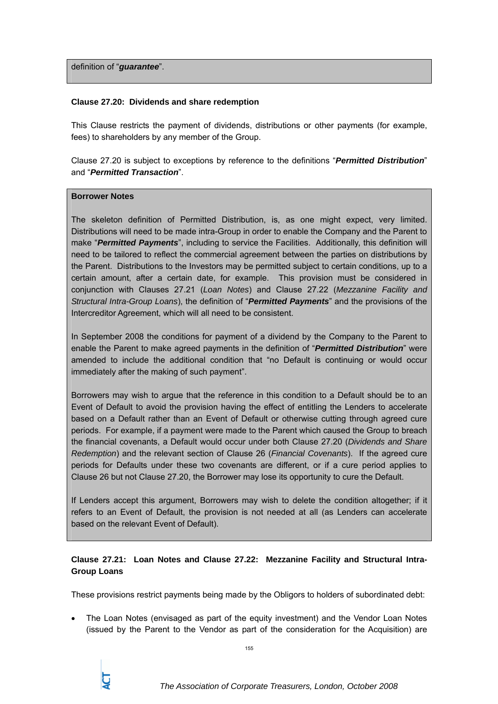definition of "*guarantee*".

### **Clause 27.20: Dividends and share redemption**

This Clause restricts the payment of dividends, distributions or other payments (for example, fees) to shareholders by any member of the Group.

Clause 27.20 is subject to exceptions by reference to the definitions "*Permitted Distribution*" and "*Permitted Transaction*".

#### **Borrower Notes**

The skeleton definition of Permitted Distribution, is, as one might expect, very limited. Distributions will need to be made intra-Group in order to enable the Company and the Parent to make "*Permitted Payments*", including to service the Facilities. Additionally, this definition will need to be tailored to reflect the commercial agreement between the parties on distributions by the Parent. Distributions to the Investors may be permitted subject to certain conditions, up to a certain amount, after a certain date, for example. This provision must be considered in conjunction with Clauses 27.21 (*Loan Notes*) and Clause 27.22 (*Mezzanine Facility and Structural Intra-Group Loans*), the definition of "*Permitted Payments*" and the provisions of the Intercreditor Agreement, which will all need to be consistent.

In September 2008 the conditions for payment of a dividend by the Company to the Parent to enable the Parent to make agreed payments in the definition of "*Permitted Distribution*" were amended to include the additional condition that "no Default is continuing or would occur immediately after the making of such payment".

Borrowers may wish to argue that the reference in this condition to a Default should be to an Event of Default to avoid the provision having the effect of entitling the Lenders to accelerate based on a Default rather than an Event of Default or otherwise cutting through agreed cure periods. For example, if a payment were made to the Parent which caused the Group to breach the financial covenants, a Default would occur under both Clause 27.20 (*Dividends and Share Redemption*) and the relevant section of Clause 26 (*Financial Covenants*). If the agreed cure periods for Defaults under these two covenants are different, or if a cure period applies to Clause 26 but not Clause 27.20, the Borrower may lose its opportunity to cure the Default.

If Lenders accept this argument, Borrowers may wish to delete the condition altogether; if it refers to an Event of Default, the provision is not needed at all (as Lenders can accelerate based on the relevant Event of Default).

## **Clause 27.21: Loan Notes and Clause 27.22: Mezzanine Facility and Structural Intra-Group Loans**

These provisions restrict payments being made by the Obligors to holders of subordinated debt:

• The Loan Notes (envisaged as part of the equity investment) and the Vendor Loan Notes (issued by the Parent to the Vendor as part of the consideration for the Acquisition) are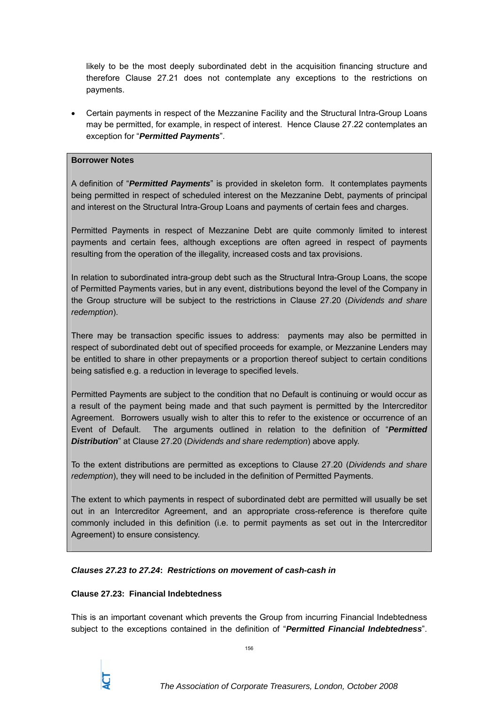likely to be the most deeply subordinated debt in the acquisition financing structure and therefore Clause 27.21 does not contemplate any exceptions to the restrictions on payments.

• Certain payments in respect of the Mezzanine Facility and the Structural Intra-Group Loans may be permitted, for example, in respect of interest. Hence Clause 27.22 contemplates an exception for "*Permitted Payments*".

### **Borrower Notes**

A definition of "*Permitted Payments*" is provided in skeleton form. It contemplates payments being permitted in respect of scheduled interest on the Mezzanine Debt, payments of principal and interest on the Structural Intra-Group Loans and payments of certain fees and charges.

Permitted Payments in respect of Mezzanine Debt are quite commonly limited to interest payments and certain fees, although exceptions are often agreed in respect of payments resulting from the operation of the illegality, increased costs and tax provisions.

In relation to subordinated intra-group debt such as the Structural Intra-Group Loans, the scope of Permitted Payments varies, but in any event, distributions beyond the level of the Company in the Group structure will be subject to the restrictions in Clause 27.20 (*Dividends and share redemption*).

There may be transaction specific issues to address: payments may also be permitted in respect of subordinated debt out of specified proceeds for example, or Mezzanine Lenders may be entitled to share in other prepayments or a proportion thereof subject to certain conditions being satisfied e.g. a reduction in leverage to specified levels.

Permitted Payments are subject to the condition that no Default is continuing or would occur as a result of the payment being made and that such payment is permitted by the Intercreditor Agreement. Borrowers usually wish to alter this to refer to the existence or occurrence of an Event of Default. The arguments outlined in relation to the definition of "*Permitted Distribution*" at Clause 27.20 (*Dividends and share redemption*) above apply.

To the extent distributions are permitted as exceptions to Clause 27.20 (*Dividends and share redemption*), they will need to be included in the definition of Permitted Payments.

The extent to which payments in respect of subordinated debt are permitted will usually be set out in an Intercreditor Agreement, and an appropriate cross-reference is therefore quite commonly included in this definition (i.e. to permit payments as set out in the Intercreditor Agreement) to ensure consistency.

## *Clauses 27.23 to 27.24***:** *Restrictions on movement of cash-cash in*

## **Clause 27.23: Financial Indebtedness**

This is an important covenant which prevents the Group from incurring Financial Indebtedness subject to the exceptions contained in the definition of "*Permitted Financial Indebtedness*".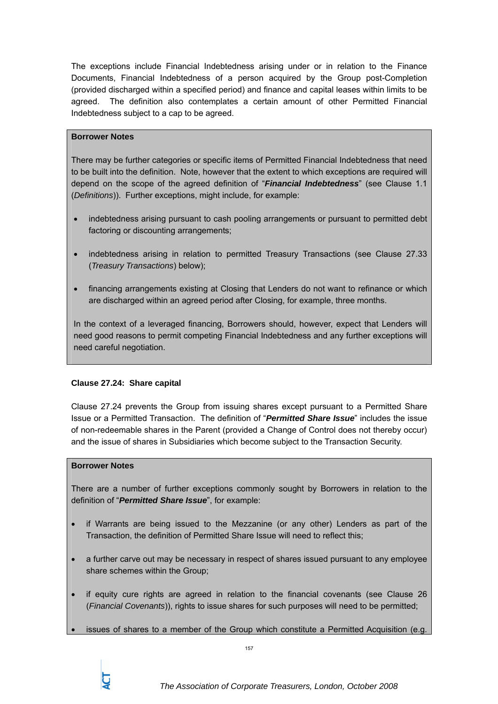The exceptions include Financial Indebtedness arising under or in relation to the Finance Documents, Financial Indebtedness of a person acquired by the Group post-Completion (provided discharged within a specified period) and finance and capital leases within limits to be agreed. The definition also contemplates a certain amount of other Permitted Financial Indebtedness subject to a cap to be agreed.

## **Borrower Notes**

There may be further categories or specific items of Permitted Financial Indebtedness that need to be built into the definition. Note, however that the extent to which exceptions are required will depend on the scope of the agreed definition of "*Financial Indebtedness*" (see Clause 1.1 (*Definitions*)). Further exceptions, might include, for example:

- indebtedness arising pursuant to cash pooling arrangements or pursuant to permitted debt factoring or discounting arrangements;
- indebtedness arising in relation to permitted Treasury Transactions (see Clause 27.33 (*Treasury Transactions*) below);
- financing arrangements existing at Closing that Lenders do not want to refinance or which are discharged within an agreed period after Closing, for example, three months.

In the context of a leveraged financing, Borrowers should, however, expect that Lenders will need good reasons to permit competing Financial Indebtedness and any further exceptions will need careful negotiation.

# **Clause 27.24: Share capital**

Clause 27.24 prevents the Group from issuing shares except pursuant to a Permitted Share Issue or a Permitted Transaction. The definition of "*Permitted Share Issue*" includes the issue of non-redeemable shares in the Parent (provided a Change of Control does not thereby occur) and the issue of shares in Subsidiaries which become subject to the Transaction Security.

## **Borrower Notes**

There are a number of further exceptions commonly sought by Borrowers in relation to the definition of "*Permitted Share Issue*", for example:

- if Warrants are being issued to the Mezzanine (or any other) Lenders as part of the Transaction, the definition of Permitted Share Issue will need to reflect this;
- a further carve out may be necessary in respect of shares issued pursuant to any employee share schemes within the Group;
- if equity cure rights are agreed in relation to the financial covenants (see Clause 26 (*Financial Covenants*)), rights to issue shares for such purposes will need to be permitted;
- issues of shares to a member of the Group which constitute a Permitted Acquisition (e.g.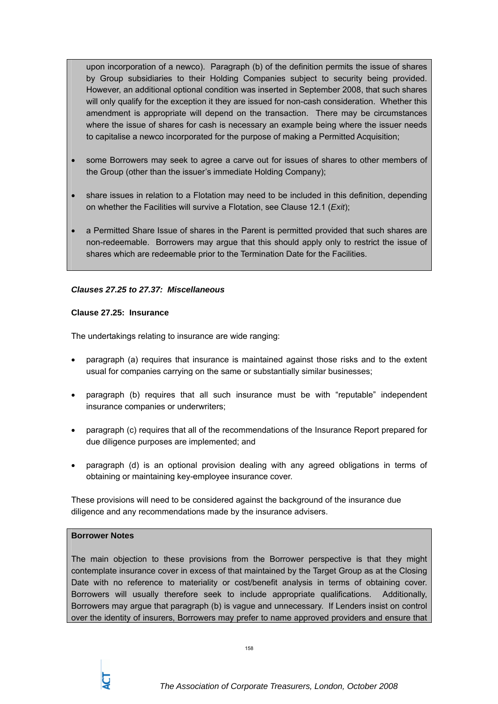upon incorporation of a newco). Paragraph (b) of the definition permits the issue of shares by Group subsidiaries to their Holding Companies subject to security being provided. However, an additional optional condition was inserted in September 2008, that such shares will only qualify for the exception it they are issued for non-cash consideration. Whether this amendment is appropriate will depend on the transaction. There may be circumstances where the issue of shares for cash is necessary an example being where the issuer needs to capitalise a newco incorporated for the purpose of making a Permitted Acquisition;

- some Borrowers may seek to agree a carve out for issues of shares to other members of the Group (other than the issuer's immediate Holding Company);
- share issues in relation to a Flotation may need to be included in this definition, depending on whether the Facilities will survive a Flotation, see Clause 12.1 (*Exit*);
- a Permitted Share Issue of shares in the Parent is permitted provided that such shares are non-redeemable. Borrowers may argue that this should apply only to restrict the issue of shares which are redeemable prior to the Termination Date for the Facilities.

## *Clauses 27.25 to 27.37: Miscellaneous*

#### **Clause 27.25: Insurance**

The undertakings relating to insurance are wide ranging:

- paragraph (a) requires that insurance is maintained against those risks and to the extent usual for companies carrying on the same or substantially similar businesses;
- paragraph (b) requires that all such insurance must be with "reputable" independent insurance companies or underwriters;
- paragraph (c) requires that all of the recommendations of the Insurance Report prepared for due diligence purposes are implemented; and
- paragraph (d) is an optional provision dealing with any agreed obligations in terms of obtaining or maintaining key-employee insurance cover.

These provisions will need to be considered against the background of the insurance due diligence and any recommendations made by the insurance advisers.

#### **Borrower Notes**

The main objection to these provisions from the Borrower perspective is that they might contemplate insurance cover in excess of that maintained by the Target Group as at the Closing Date with no reference to materiality or cost/benefit analysis in terms of obtaining cover. Borrowers will usually therefore seek to include appropriate qualifications. Additionally, Borrowers may argue that paragraph (b) is vague and unnecessary. If Lenders insist on control over the identity of insurers, Borrowers may prefer to name approved providers and ensure that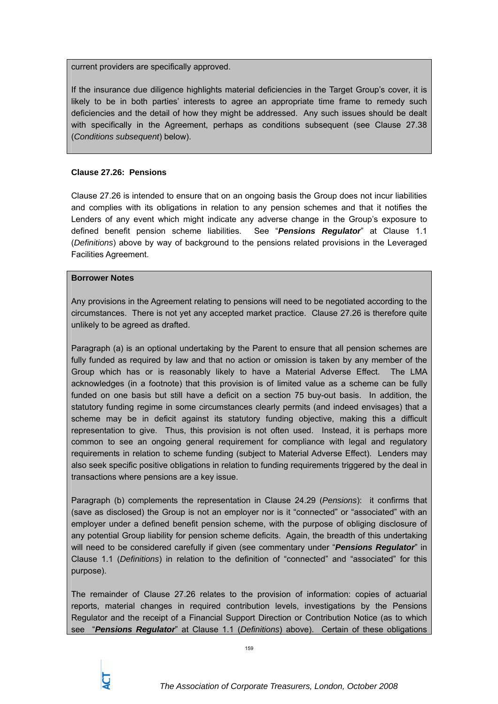current providers are specifically approved.

If the insurance due diligence highlights material deficiencies in the Target Group's cover, it is likely to be in both parties' interests to agree an appropriate time frame to remedy such deficiencies and the detail of how they might be addressed. Any such issues should be dealt with specifically in the Agreement, perhaps as conditions subsequent (see Clause 27.38 (*Conditions subsequent*) below).

### **Clause 27.26: Pensions**

Clause 27.26 is intended to ensure that on an ongoing basis the Group does not incur liabilities and complies with its obligations in relation to any pension schemes and that it notifies the Lenders of any event which might indicate any adverse change in the Group's exposure to defined benefit pension scheme liabilities. See "*Pensions Regulator*" at Clause 1.1 (*Definitions*) above by way of background to the pensions related provisions in the Leveraged Facilities Agreement.

#### **Borrower Notes**

Any provisions in the Agreement relating to pensions will need to be negotiated according to the circumstances. There is not yet any accepted market practice. Clause 27.26 is therefore quite unlikely to be agreed as drafted.

Paragraph (a) is an optional undertaking by the Parent to ensure that all pension schemes are fully funded as required by law and that no action or omission is taken by any member of the Group which has or is reasonably likely to have a Material Adverse Effect. The LMA acknowledges (in a footnote) that this provision is of limited value as a scheme can be fully funded on one basis but still have a deficit on a section 75 buy-out basis. In addition, the statutory funding regime in some circumstances clearly permits (and indeed envisages) that a scheme may be in deficit against its statutory funding objective, making this a difficult representation to give. Thus, this provision is not often used. Instead, it is perhaps more common to see an ongoing general requirement for compliance with legal and regulatory requirements in relation to scheme funding (subject to Material Adverse Effect). Lenders may also seek specific positive obligations in relation to funding requirements triggered by the deal in transactions where pensions are a key issue.

Paragraph (b) complements the representation in Clause 24.29 (*Pensions*): it confirms that (save as disclosed) the Group is not an employer nor is it "connected" or "associated" with an employer under a defined benefit pension scheme, with the purpose of obliging disclosure of any potential Group liability for pension scheme deficits. Again, the breadth of this undertaking will need to be considered carefully if given (see commentary under "*Pensions Regulator*" in Clause 1.1 (*Definitions*) in relation to the definition of "connected" and "associated" for this purpose).

The remainder of Clause 27.26 relates to the provision of information: copies of actuarial reports, material changes in required contribution levels, investigations by the Pensions Regulator and the receipt of a Financial Support Direction or Contribution Notice (as to which see "*Pensions Regulator*" at Clause 1.1 (*Definitions*) above). Certain of these obligations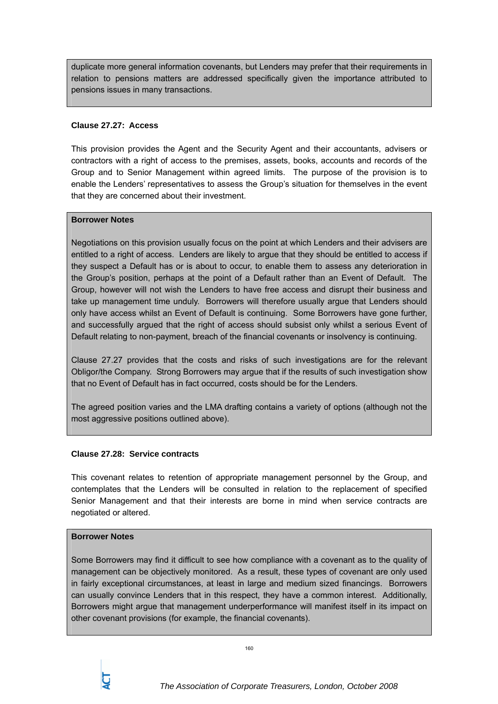duplicate more general information covenants, but Lenders may prefer that their requirements in relation to pensions matters are addressed specifically given the importance attributed to pensions issues in many transactions.

## **Clause 27.27: Access**

This provision provides the Agent and the Security Agent and their accountants, advisers or contractors with a right of access to the premises, assets, books, accounts and records of the Group and to Senior Management within agreed limits. The purpose of the provision is to enable the Lenders' representatives to assess the Group's situation for themselves in the event that they are concerned about their investment.

## **Borrower Notes**

Negotiations on this provision usually focus on the point at which Lenders and their advisers are entitled to a right of access. Lenders are likely to argue that they should be entitled to access if they suspect a Default has or is about to occur, to enable them to assess any deterioration in the Group's position, perhaps at the point of a Default rather than an Event of Default. The Group, however will not wish the Lenders to have free access and disrupt their business and take up management time unduly. Borrowers will therefore usually argue that Lenders should only have access whilst an Event of Default is continuing. Some Borrowers have gone further, and successfully argued that the right of access should subsist only whilst a serious Event of Default relating to non-payment, breach of the financial covenants or insolvency is continuing.

Clause 27.27 provides that the costs and risks of such investigations are for the relevant Obligor/the Company. Strong Borrowers may argue that if the results of such investigation show that no Event of Default has in fact occurred, costs should be for the Lenders.

The agreed position varies and the LMA drafting contains a variety of options (although not the most aggressive positions outlined above).

# **Clause 27.28: Service contracts**

This covenant relates to retention of appropriate management personnel by the Group, and contemplates that the Lenders will be consulted in relation to the replacement of specified Senior Management and that their interests are borne in mind when service contracts are negotiated or altered.

## **Borrower Notes**

Some Borrowers may find it difficult to see how compliance with a covenant as to the quality of management can be objectively monitored. As a result, these types of covenant are only used in fairly exceptional circumstances, at least in large and medium sized financings. Borrowers can usually convince Lenders that in this respect, they have a common interest. Additionally, Borrowers might argue that management underperformance will manifest itself in its impact on other covenant provisions (for example, the financial covenants).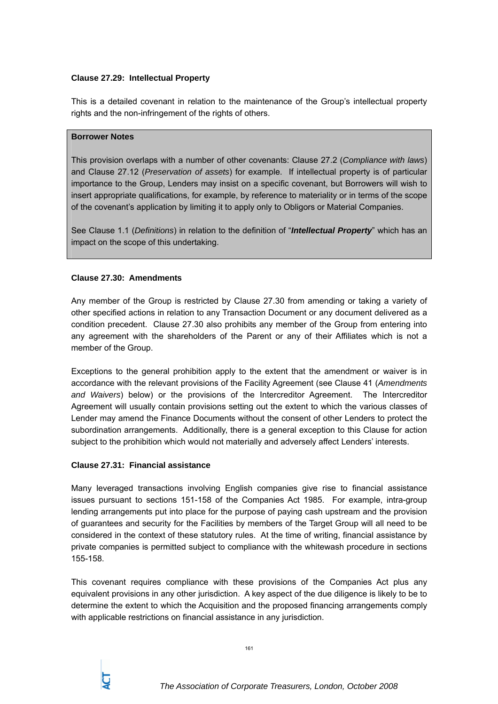## **Clause 27.29: Intellectual Property**

This is a detailed covenant in relation to the maintenance of the Group's intellectual property rights and the non-infringement of the rights of others.

### **Borrower Notes**

This provision overlaps with a number of other covenants: Clause 27.2 (*Compliance with laws*) and Clause 27.12 (*Preservation of assets*) for example. If intellectual property is of particular importance to the Group, Lenders may insist on a specific covenant, but Borrowers will wish to insert appropriate qualifications, for example, by reference to materiality or in terms of the scope of the covenant's application by limiting it to apply only to Obligors or Material Companies.

See Clause 1.1 (*Definitions*) in relation to the definition of "*Intellectual Property*" which has an impact on the scope of this undertaking.

## **Clause 27.30: Amendments**

Any member of the Group is restricted by Clause 27.30 from amending or taking a variety of other specified actions in relation to any Transaction Document or any document delivered as a condition precedent. Clause 27.30 also prohibits any member of the Group from entering into any agreement with the shareholders of the Parent or any of their Affiliates which is not a member of the Group.

Exceptions to the general prohibition apply to the extent that the amendment or waiver is in accordance with the relevant provisions of the Facility Agreement (see Clause 41 (*Amendments and Waivers*) below) or the provisions of the Intercreditor Agreement. The Intercreditor Agreement will usually contain provisions setting out the extent to which the various classes of Lender may amend the Finance Documents without the consent of other Lenders to protect the subordination arrangements. Additionally, there is a general exception to this Clause for action subject to the prohibition which would not materially and adversely affect Lenders' interests.

## **Clause 27.31: Financial assistance**

Many leveraged transactions involving English companies give rise to financial assistance issues pursuant to sections 151-158 of the Companies Act 1985. For example, intra-group lending arrangements put into place for the purpose of paying cash upstream and the provision of guarantees and security for the Facilities by members of the Target Group will all need to be considered in the context of these statutory rules. At the time of writing, financial assistance by private companies is permitted subject to compliance with the whitewash procedure in sections 155-158.

This covenant requires compliance with these provisions of the Companies Act plus any equivalent provisions in any other jurisdiction. A key aspect of the due diligence is likely to be to determine the extent to which the Acquisition and the proposed financing arrangements comply with applicable restrictions on financial assistance in any jurisdiction.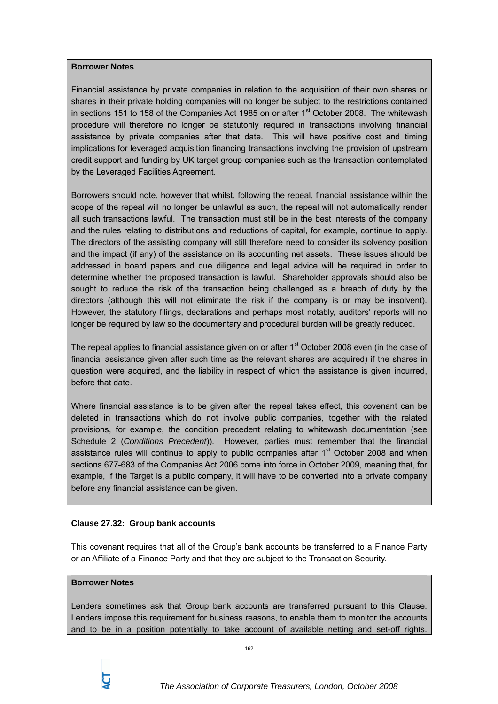### **Borrower Notes**

Financial assistance by private companies in relation to the acquisition of their own shares or shares in their private holding companies will no longer be subject to the restrictions contained in sections 151 to 158 of the Companies Act 1985 on or after  $1<sup>st</sup>$  October 2008. The whitewash procedure will therefore no longer be statutorily required in transactions involving financial assistance by private companies after that date. This will have positive cost and timing implications for leveraged acquisition financing transactions involving the provision of upstream credit support and funding by UK target group companies such as the transaction contemplated by the Leveraged Facilities Agreement.

Borrowers should note, however that whilst, following the repeal, financial assistance within the scope of the repeal will no longer be unlawful as such, the repeal will not automatically render all such transactions lawful. The transaction must still be in the best interests of the company and the rules relating to distributions and reductions of capital, for example, continue to apply. The directors of the assisting company will still therefore need to consider its solvency position and the impact (if any) of the assistance on its accounting net assets. These issues should be addressed in board papers and due diligence and legal advice will be required in order to determine whether the proposed transaction is lawful. Shareholder approvals should also be sought to reduce the risk of the transaction being challenged as a breach of duty by the directors (although this will not eliminate the risk if the company is or may be insolvent). However, the statutory filings, declarations and perhaps most notably, auditors' reports will no longer be required by law so the documentary and procedural burden will be greatly reduced.

The repeal applies to financial assistance given on or after  $1<sup>st</sup>$  October 2008 even (in the case of financial assistance given after such time as the relevant shares are acquired) if the shares in question were acquired, and the liability in respect of which the assistance is given incurred, before that date.

Where financial assistance is to be given after the repeal takes effect, this covenant can be deleted in transactions which do not involve public companies, together with the related provisions, for example, the condition precedent relating to whitewash documentation (see Schedule 2 (*Conditions Precedent*)). However, parties must remember that the financial assistance rules will continue to apply to public companies after  $1<sup>st</sup>$  October 2008 and when sections 677-683 of the Companies Act 2006 come into force in October 2009, meaning that, for example, if the Target is a public company, it will have to be converted into a private company before any financial assistance can be given.

## **Clause 27.32: Group bank accounts**

This covenant requires that all of the Group's bank accounts be transferred to a Finance Party or an Affiliate of a Finance Party and that they are subject to the Transaction Security.

## **Borrower Notes**

Lenders sometimes ask that Group bank accounts are transferred pursuant to this Clause. Lenders impose this requirement for business reasons, to enable them to monitor the accounts and to be in a position potentially to take account of available netting and set-off rights.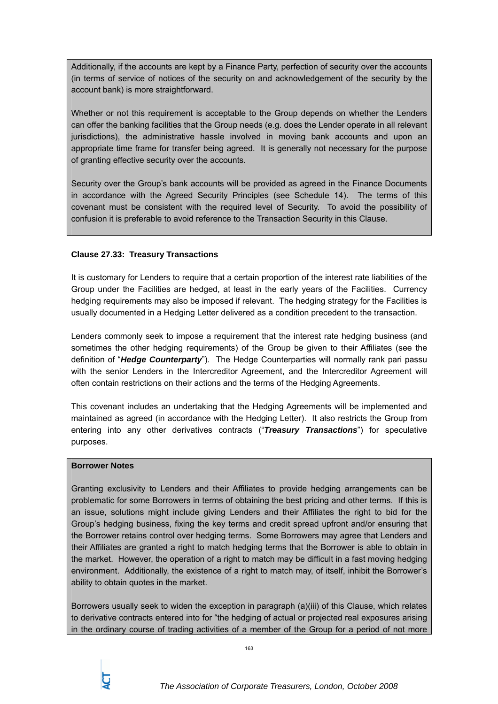Additionally, if the accounts are kept by a Finance Party, perfection of security over the accounts (in terms of service of notices of the security on and acknowledgement of the security by the account bank) is more straightforward.

Whether or not this requirement is acceptable to the Group depends on whether the Lenders can offer the banking facilities that the Group needs (e.g. does the Lender operate in all relevant jurisdictions), the administrative hassle involved in moving bank accounts and upon an appropriate time frame for transfer being agreed. It is generally not necessary for the purpose of granting effective security over the accounts.

Security over the Group's bank accounts will be provided as agreed in the Finance Documents in accordance with the Agreed Security Principles (see Schedule 14). The terms of this covenant must be consistent with the required level of Security. To avoid the possibility of confusion it is preferable to avoid reference to the Transaction Security in this Clause.

## **Clause 27.33: Treasury Transactions**

It is customary for Lenders to require that a certain proportion of the interest rate liabilities of the Group under the Facilities are hedged, at least in the early years of the Facilities. Currency hedging requirements may also be imposed if relevant. The hedging strategy for the Facilities is usually documented in a Hedging Letter delivered as a condition precedent to the transaction.

Lenders commonly seek to impose a requirement that the interest rate hedging business (and sometimes the other hedging requirements) of the Group be given to their Affiliates (see the definition of "*Hedge Counterparty*"). The Hedge Counterparties will normally rank pari passu with the senior Lenders in the Intercreditor Agreement, and the Intercreditor Agreement will often contain restrictions on their actions and the terms of the Hedging Agreements.

This covenant includes an undertaking that the Hedging Agreements will be implemented and maintained as agreed (in accordance with the Hedging Letter). It also restricts the Group from entering into any other derivatives contracts ("*Treasury Transactions*") for speculative purposes.

### **Borrower Notes**

Granting exclusivity to Lenders and their Affiliates to provide hedging arrangements can be problematic for some Borrowers in terms of obtaining the best pricing and other terms. If this is an issue, solutions might include giving Lenders and their Affiliates the right to bid for the Group's hedging business, fixing the key terms and credit spread upfront and/or ensuring that the Borrower retains control over hedging terms. Some Borrowers may agree that Lenders and their Affiliates are granted a right to match hedging terms that the Borrower is able to obtain in the market. However, the operation of a right to match may be difficult in a fast moving hedging environment. Additionally, the existence of a right to match may, of itself, inhibit the Borrower's ability to obtain quotes in the market.

Borrowers usually seek to widen the exception in paragraph (a)(iii) of this Clause, which relates to derivative contracts entered into for "the hedging of actual or projected real exposures arising in the ordinary course of trading activities of a member of the Group for a period of not more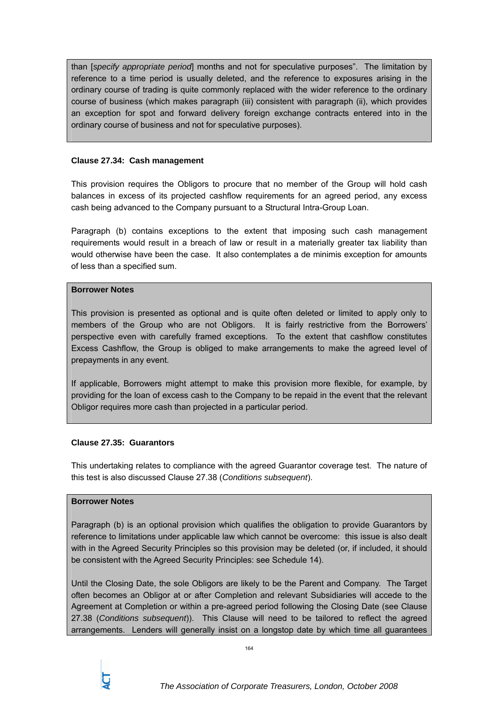than [*specify appropriate period*] months and not for speculative purposes". The limitation by reference to a time period is usually deleted, and the reference to exposures arising in the ordinary course of trading is quite commonly replaced with the wider reference to the ordinary course of business (which makes paragraph (iii) consistent with paragraph (ii), which provides an exception for spot and forward delivery foreign exchange contracts entered into in the ordinary course of business and not for speculative purposes).

### **Clause 27.34: Cash management**

This provision requires the Obligors to procure that no member of the Group will hold cash balances in excess of its projected cashflow requirements for an agreed period, any excess cash being advanced to the Company pursuant to a Structural Intra-Group Loan.

Paragraph (b) contains exceptions to the extent that imposing such cash management requirements would result in a breach of law or result in a materially greater tax liability than would otherwise have been the case. It also contemplates a de minimis exception for amounts of less than a specified sum.

#### **Borrower Notes**

This provision is presented as optional and is quite often deleted or limited to apply only to members of the Group who are not Obligors. It is fairly restrictive from the Borrowers' perspective even with carefully framed exceptions. To the extent that cashflow constitutes Excess Cashflow, the Group is obliged to make arrangements to make the agreed level of prepayments in any event.

If applicable, Borrowers might attempt to make this provision more flexible, for example, by providing for the loan of excess cash to the Company to be repaid in the event that the relevant Obligor requires more cash than projected in a particular period.

## **Clause 27.35: Guarantors**

This undertaking relates to compliance with the agreed Guarantor coverage test. The nature of this test is also discussed Clause 27.38 (*Conditions subsequent*).

## **Borrower Notes**

Paragraph (b) is an optional provision which qualifies the obligation to provide Guarantors by reference to limitations under applicable law which cannot be overcome: this issue is also dealt with in the Agreed Security Principles so this provision may be deleted (or, if included, it should be consistent with the Agreed Security Principles: see Schedule 14).

Until the Closing Date, the sole Obligors are likely to be the Parent and Company. The Target often becomes an Obligor at or after Completion and relevant Subsidiaries will accede to the Agreement at Completion or within a pre-agreed period following the Closing Date (see Clause 27.38 (*Conditions subsequent*)). This Clause will need to be tailored to reflect the agreed arrangements. Lenders will generally insist on a longstop date by which time all guarantees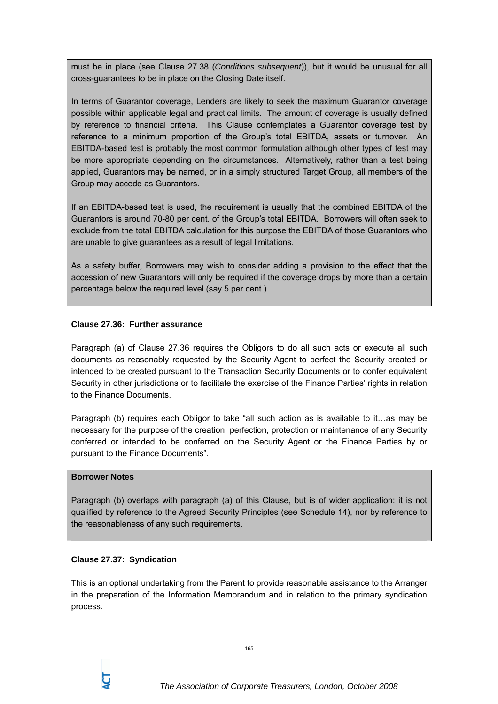must be in place (see Clause 27.38 (*Conditions subsequent*)), but it would be unusual for all cross-guarantees to be in place on the Closing Date itself.

In terms of Guarantor coverage, Lenders are likely to seek the maximum Guarantor coverage possible within applicable legal and practical limits. The amount of coverage is usually defined by reference to financial criteria. This Clause contemplates a Guarantor coverage test by reference to a minimum proportion of the Group's total EBITDA, assets or turnover. An EBITDA-based test is probably the most common formulation although other types of test may be more appropriate depending on the circumstances. Alternatively, rather than a test being applied, Guarantors may be named, or in a simply structured Target Group, all members of the Group may accede as Guarantors.

If an EBITDA-based test is used, the requirement is usually that the combined EBITDA of the Guarantors is around 70-80 per cent. of the Group's total EBITDA. Borrowers will often seek to exclude from the total EBITDA calculation for this purpose the EBITDA of those Guarantors who are unable to give guarantees as a result of legal limitations.

As a safety buffer, Borrowers may wish to consider adding a provision to the effect that the accession of new Guarantors will only be required if the coverage drops by more than a certain percentage below the required level (say 5 per cent.).

## **Clause 27.36: Further assurance**

Paragraph (a) of Clause 27.36 requires the Obligors to do all such acts or execute all such documents as reasonably requested by the Security Agent to perfect the Security created or intended to be created pursuant to the Transaction Security Documents or to confer equivalent Security in other jurisdictions or to facilitate the exercise of the Finance Parties' rights in relation to the Finance Documents.

Paragraph (b) requires each Obligor to take "all such action as is available to it…as may be necessary for the purpose of the creation, perfection, protection or maintenance of any Security conferred or intended to be conferred on the Security Agent or the Finance Parties by or pursuant to the Finance Documents".

## **Borrower Notes**

Paragraph (b) overlaps with paragraph (a) of this Clause, but is of wider application: it is not qualified by reference to the Agreed Security Principles (see Schedule 14), nor by reference to the reasonableness of any such requirements.

## **Clause 27.37: Syndication**

This is an optional undertaking from the Parent to provide reasonable assistance to the Arranger in the preparation of the Information Memorandum and in relation to the primary syndication process.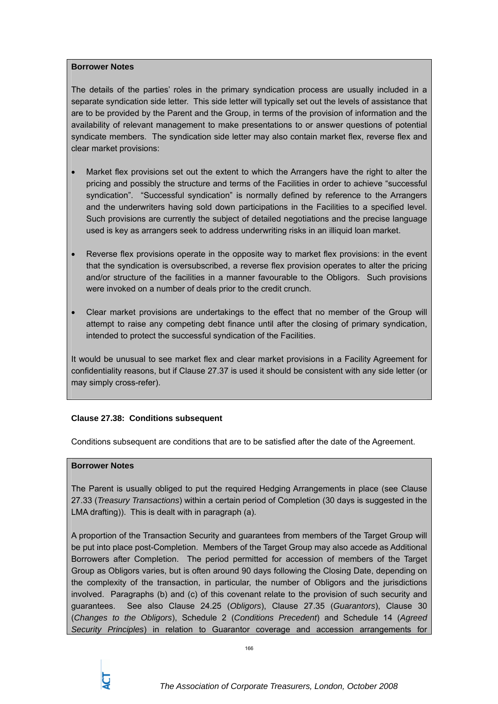### **Borrower Notes**

The details of the parties' roles in the primary syndication process are usually included in a separate syndication side letter. This side letter will typically set out the levels of assistance that are to be provided by the Parent and the Group, in terms of the provision of information and the availability of relevant management to make presentations to or answer questions of potential syndicate members. The syndication side letter may also contain market flex, reverse flex and clear market provisions:

- Market flex provisions set out the extent to which the Arrangers have the right to alter the pricing and possibly the structure and terms of the Facilities in order to achieve "successful syndication". "Successful syndication" is normally defined by reference to the Arrangers and the underwriters having sold down participations in the Facilities to a specified level. Such provisions are currently the subject of detailed negotiations and the precise language used is key as arrangers seek to address underwriting risks in an illiquid loan market.
- Reverse flex provisions operate in the opposite way to market flex provisions: in the event that the syndication is oversubscribed, a reverse flex provision operates to alter the pricing and/or structure of the facilities in a manner favourable to the Obligors. Such provisions were invoked on a number of deals prior to the credit crunch.
- Clear market provisions are undertakings to the effect that no member of the Group will attempt to raise any competing debt finance until after the closing of primary syndication, intended to protect the successful syndication of the Facilities.

It would be unusual to see market flex and clear market provisions in a Facility Agreement for confidentiality reasons, but if Clause 27.37 is used it should be consistent with any side letter (or may simply cross-refer).

# **Clause 27.38: Conditions subsequent**

Conditions subsequent are conditions that are to be satisfied after the date of the Agreement.

## **Borrower Notes**

The Parent is usually obliged to put the required Hedging Arrangements in place (see Clause 27.33 (*Treasury Transactions*) within a certain period of Completion (30 days is suggested in the LMA drafting)). This is dealt with in paragraph (a).

A proportion of the Transaction Security and guarantees from members of the Target Group will be put into place post-Completion. Members of the Target Group may also accede as Additional Borrowers after Completion. The period permitted for accession of members of the Target Group as Obligors varies, but is often around 90 days following the Closing Date, depending on the complexity of the transaction, in particular, the number of Obligors and the jurisdictions involved. Paragraphs (b) and (c) of this covenant relate to the provision of such security and guarantees. See also Clause 24.25 (*Obligors*), Clause 27.35 (*Guarantors*), Clause 30 (*Changes to the Obligors*), Schedule 2 (*Conditions Precedent*) and Schedule 14 (*Agreed Security Principles*) in relation to Guarantor coverage and accession arrangements for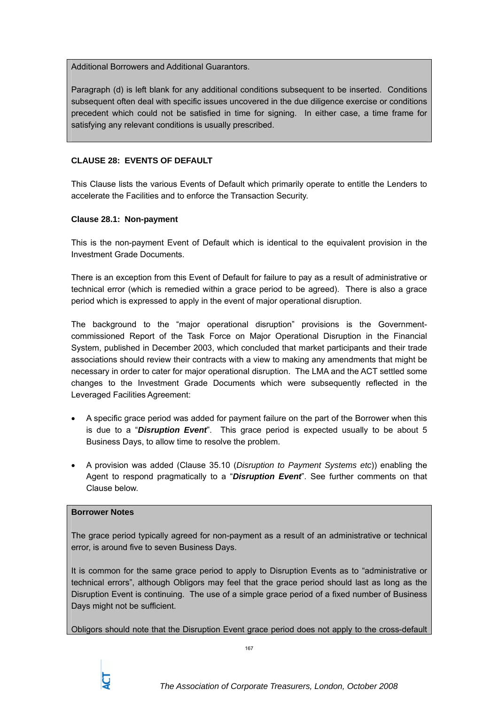Additional Borrowers and Additional Guarantors.

Paragraph (d) is left blank for any additional conditions subsequent to be inserted. Conditions subsequent often deal with specific issues uncovered in the due diligence exercise or conditions precedent which could not be satisfied in time for signing. In either case, a time frame for satisfying any relevant conditions is usually prescribed.

# **CLAUSE 28: EVENTS OF DEFAULT**

This Clause lists the various Events of Default which primarily operate to entitle the Lenders to accelerate the Facilities and to enforce the Transaction Security.

## **Clause 28.1: Non-payment**

This is the non-payment Event of Default which is identical to the equivalent provision in the Investment Grade Documents.

There is an exception from this Event of Default for failure to pay as a result of administrative or technical error (which is remedied within a grace period to be agreed). There is also a grace period which is expressed to apply in the event of major operational disruption.

The background to the "major operational disruption" provisions is the Governmentcommissioned Report of the Task Force on Major Operational Disruption in the Financial System, published in December 2003, which concluded that market participants and their trade associations should review their contracts with a view to making any amendments that might be necessary in order to cater for major operational disruption. The LMA and the ACT settled some changes to the Investment Grade Documents which were subsequently reflected in the Leveraged Facilities Agreement:

- A specific grace period was added for payment failure on the part of the Borrower when this is due to a "*Disruption Event*". This grace period is expected usually to be about 5 Business Days, to allow time to resolve the problem.
- A provision was added (Clause 35.10 (*Disruption to Payment Systems etc*)) enabling the Agent to respond pragmatically to a "*Disruption Event*". See further comments on that Clause below.

## **Borrower Notes**

The grace period typically agreed for non-payment as a result of an administrative or technical error, is around five to seven Business Days.

It is common for the same grace period to apply to Disruption Events as to "administrative or technical errors", although Obligors may feel that the grace period should last as long as the Disruption Event is continuing. The use of a simple grace period of a fixed number of Business Days might not be sufficient.

Obligors should note that the Disruption Event grace period does not apply to the cross-default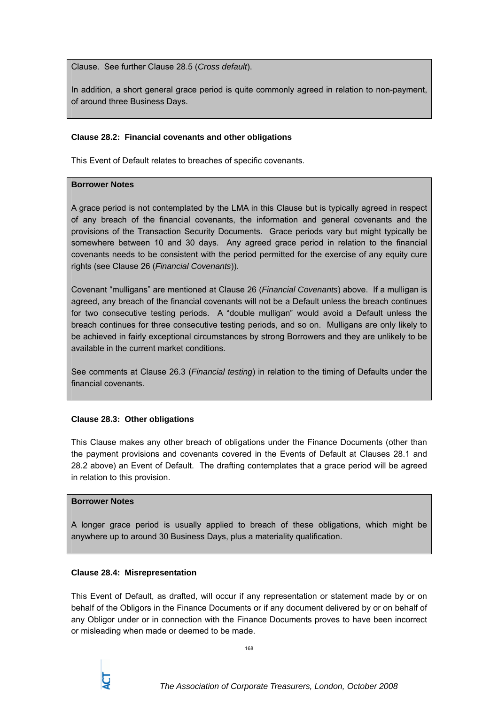Clause. See further Clause 28.5 (*Cross default*).

In addition, a short general grace period is quite commonly agreed in relation to non-payment, of around three Business Days.

## **Clause 28.2: Financial covenants and other obligations**

This Event of Default relates to breaches of specific covenants.

## **Borrower Notes**

A grace period is not contemplated by the LMA in this Clause but is typically agreed in respect of any breach of the financial covenants, the information and general covenants and the provisions of the Transaction Security Documents. Grace periods vary but might typically be somewhere between 10 and 30 days. Any agreed grace period in relation to the financial covenants needs to be consistent with the period permitted for the exercise of any equity cure rights (see Clause 26 (*Financial Covenants*)).

Covenant "mulligans" are mentioned at Clause 26 (*Financial Covenants*) above. If a mulligan is agreed, any breach of the financial covenants will not be a Default unless the breach continues for two consecutive testing periods. A "double mulligan" would avoid a Default unless the breach continues for three consecutive testing periods, and so on. Mulligans are only likely to be achieved in fairly exceptional circumstances by strong Borrowers and they are unlikely to be available in the current market conditions.

See comments at Clause 26.3 (*Financial testing*) in relation to the timing of Defaults under the financial covenants.

## **Clause 28.3: Other obligations**

This Clause makes any other breach of obligations under the Finance Documents (other than the payment provisions and covenants covered in the Events of Default at Clauses 28.1 and 28.2 above) an Event of Default. The drafting contemplates that a grace period will be agreed in relation to this provision.

## **Borrower Notes**

A longer grace period is usually applied to breach of these obligations, which might be anywhere up to around 30 Business Days, plus a materiality qualification.

## **Clause 28.4: Misrepresentation**

This Event of Default, as drafted, will occur if any representation or statement made by or on behalf of the Obligors in the Finance Documents or if any document delivered by or on behalf of any Obligor under or in connection with the Finance Documents proves to have been incorrect or misleading when made or deemed to be made.

168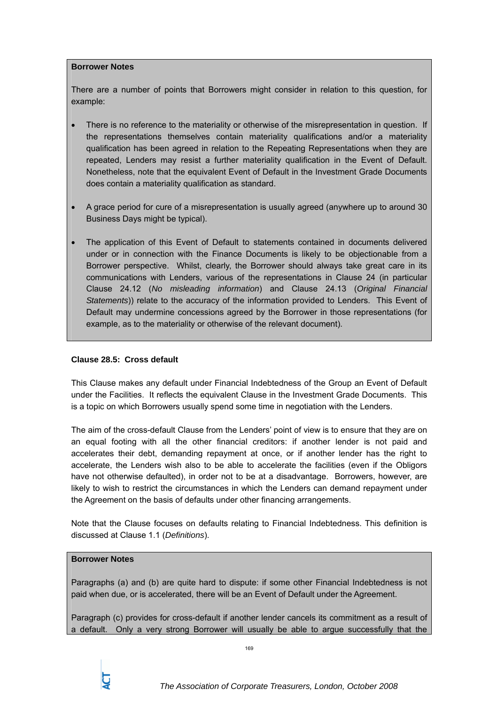## **Borrower Notes**

There are a number of points that Borrowers might consider in relation to this question, for example:

- There is no reference to the materiality or otherwise of the misrepresentation in question. If the representations themselves contain materiality qualifications and/or a materiality qualification has been agreed in relation to the Repeating Representations when they are repeated, Lenders may resist a further materiality qualification in the Event of Default. Nonetheless, note that the equivalent Event of Default in the Investment Grade Documents does contain a materiality qualification as standard.
- A grace period for cure of a misrepresentation is usually agreed (anywhere up to around 30 Business Days might be typical).
- The application of this Event of Default to statements contained in documents delivered under or in connection with the Finance Documents is likely to be objectionable from a Borrower perspective. Whilst, clearly, the Borrower should always take great care in its communications with Lenders, various of the representations in Clause 24 (in particular Clause 24.12 (*No misleading information*) and Clause 24.13 (*Original Financial Statements*)) relate to the accuracy of the information provided to Lenders. This Event of Default may undermine concessions agreed by the Borrower in those representations (for example, as to the materiality or otherwise of the relevant document).

## **Clause 28.5: Cross default**

This Clause makes any default under Financial Indebtedness of the Group an Event of Default under the Facilities. It reflects the equivalent Clause in the Investment Grade Documents. This is a topic on which Borrowers usually spend some time in negotiation with the Lenders.

The aim of the cross-default Clause from the Lenders' point of view is to ensure that they are on an equal footing with all the other financial creditors: if another lender is not paid and accelerates their debt, demanding repayment at once, or if another lender has the right to accelerate, the Lenders wish also to be able to accelerate the facilities (even if the Obligors have not otherwise defaulted), in order not to be at a disadvantage. Borrowers, however, are likely to wish to restrict the circumstances in which the Lenders can demand repayment under the Agreement on the basis of defaults under other financing arrangements.

Note that the Clause focuses on defaults relating to Financial Indebtedness. This definition is discussed at Clause 1.1 (*Definitions*).

## **Borrower Notes**

Paragraphs (a) and (b) are quite hard to dispute: if some other Financial Indebtedness is not paid when due, or is accelerated, there will be an Event of Default under the Agreement.

Paragraph (c) provides for cross-default if another lender cancels its commitment as a result of a default. Only a very strong Borrower will usually be able to argue successfully that the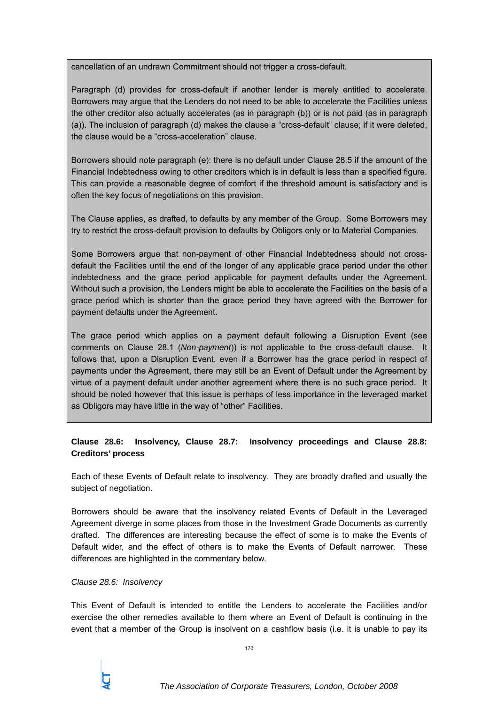cancellation of an undrawn Commitment should not trigger a cross-default.

Paragraph (d) provides for cross-default if another lender is merely entitled to accelerate. Borrowers may argue that the Lenders do not need to be able to accelerate the Facilities unless the other creditor also actually accelerates (as in paragraph (b)) or is not paid (as in paragraph (a)). The inclusion of paragraph (d) makes the clause a "cross-default" clause; if it were deleted, the clause would be a "cross-acceleration" clause.

Borrowers should note paragraph (e): there is no default under Clause 28.5 if the amount of the Financial Indebtedness owing to other creditors which is in default is less than a specified figure. This can provide a reasonable degree of comfort if the threshold amount is satisfactory and is often the key focus of negotiations on this provision.

The Clause applies, as drafted, to defaults by any member of the Group. Some Borrowers may try to restrict the cross-default provision to defaults by Obligors only or to Material Companies.

Some Borrowers argue that non-payment of other Financial Indebtedness should not crossdefault the Facilities until the end of the longer of any applicable grace period under the other indebtedness and the grace period applicable for payment defaults under the Agreement. Without such a provision, the Lenders might be able to accelerate the Facilities on the basis of a grace period which is shorter than the grace period they have agreed with the Borrower for payment defaults under the Agreement.

The grace period which applies on a payment default following a Disruption Event (see comments on Clause 28.1 (*Non-payment*)) is not applicable to the cross-default clause. It follows that, upon a Disruption Event, even if a Borrower has the grace period in respect of payments under the Agreement, there may still be an Event of Default under the Agreement by virtue of a payment default under another agreement where there is no such grace period. It should be noted however that this issue is perhaps of less importance in the leveraged market as Obligors may have little in the way of "other" Facilities.

# **Clause 28.6: Insolvency, Clause 28.7: Insolvency proceedings and Clause 28.8: Creditors' process**

Each of these Events of Default relate to insolvency. They are broadly drafted and usually the subject of negotiation.

Borrowers should be aware that the insolvency related Events of Default in the Leveraged Agreement diverge in some places from those in the Investment Grade Documents as currently drafted. The differences are interesting because the effect of some is to make the Events of Default wider, and the effect of others is to make the Events of Default narrower. These differences are highlighted in the commentary below.

#### *Clause 28.6: Insolvency*

This Event of Default is intended to entitle the Lenders to accelerate the Facilities and/or exercise the other remedies available to them where an Event of Default is continuing in the event that a member of the Group is insolvent on a cashflow basis (i.e. it is unable to pay its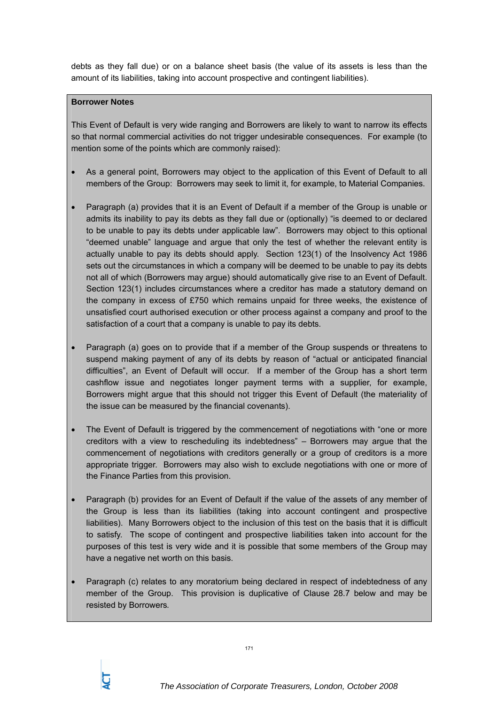debts as they fall due) or on a balance sheet basis (the value of its assets is less than the amount of its liabilities, taking into account prospective and contingent liabilities).

## **Borrower Notes**

This Event of Default is very wide ranging and Borrowers are likely to want to narrow its effects so that normal commercial activities do not trigger undesirable consequences. For example (to mention some of the points which are commonly raised):

- As a general point, Borrowers may object to the application of this Event of Default to all members of the Group: Borrowers may seek to limit it, for example, to Material Companies.
- Paragraph (a) provides that it is an Event of Default if a member of the Group is unable or admits its inability to pay its debts as they fall due or (optionally) "is deemed to or declared to be unable to pay its debts under applicable law". Borrowers may object to this optional "deemed unable" language and argue that only the test of whether the relevant entity is actually unable to pay its debts should apply. Section 123(1) of the Insolvency Act 1986 sets out the circumstances in which a company will be deemed to be unable to pay its debts not all of which (Borrowers may argue) should automatically give rise to an Event of Default. Section 123(1) includes circumstances where a creditor has made a statutory demand on the company in excess of £750 which remains unpaid for three weeks, the existence of unsatisfied court authorised execution or other process against a company and proof to the satisfaction of a court that a company is unable to pay its debts.
- Paragraph (a) goes on to provide that if a member of the Group suspends or threatens to suspend making payment of any of its debts by reason of "actual or anticipated financial difficulties", an Event of Default will occur. If a member of the Group has a short term cashflow issue and negotiates longer payment terms with a supplier, for example, Borrowers might argue that this should not trigger this Event of Default (the materiality of the issue can be measured by the financial covenants).
- The Event of Default is triggered by the commencement of negotiations with "one or more" creditors with a view to rescheduling its indebtedness" – Borrowers may argue that the commencement of negotiations with creditors generally or a group of creditors is a more appropriate trigger. Borrowers may also wish to exclude negotiations with one or more of the Finance Parties from this provision.
- Paragraph (b) provides for an Event of Default if the value of the assets of any member of the Group is less than its liabilities (taking into account contingent and prospective liabilities). Many Borrowers object to the inclusion of this test on the basis that it is difficult to satisfy. The scope of contingent and prospective liabilities taken into account for the purposes of this test is very wide and it is possible that some members of the Group may have a negative net worth on this basis.
- Paragraph (c) relates to any moratorium being declared in respect of indebtedness of any member of the Group. This provision is duplicative of Clause 28.7 below and may be resisted by Borrowers*.*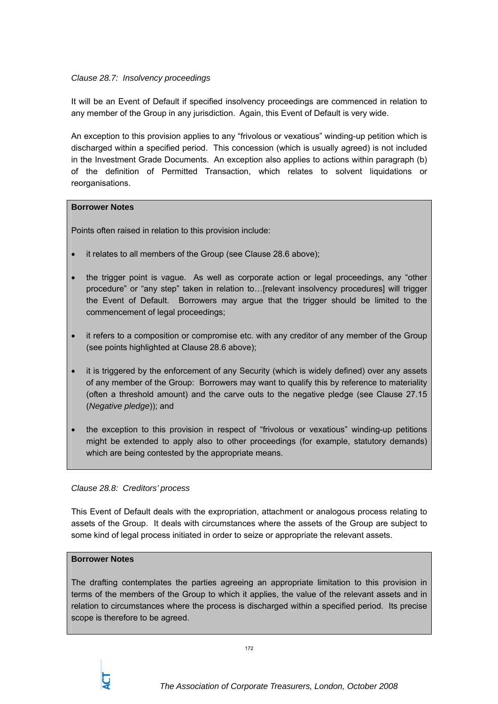## *Clause 28.7: Insolvency proceedings*

It will be an Event of Default if specified insolvency proceedings are commenced in relation to any member of the Group in any jurisdiction. Again, this Event of Default is very wide.

An exception to this provision applies to any "frivolous or vexatious" winding-up petition which is discharged within a specified period. This concession (which is usually agreed) is not included in the Investment Grade Documents. An exception also applies to actions within paragraph (b) of the definition of Permitted Transaction, which relates to solvent liquidations or reorganisations.

## **Borrower Notes**

Points often raised in relation to this provision include:

- it relates to all members of the Group (see Clause 28.6 above);
- the trigger point is vague. As well as corporate action or legal proceedings, any "other procedure" or "any step" taken in relation to…[relevant insolvency procedures] will trigger the Event of Default. Borrowers may argue that the trigger should be limited to the commencement of legal proceedings;
- it refers to a composition or compromise etc. with any creditor of any member of the Group (see points highlighted at Clause 28.6 above);
- it is triggered by the enforcement of any Security (which is widely defined) over any assets of any member of the Group: Borrowers may want to qualify this by reference to materiality (often a threshold amount) and the carve outs to the negative pledge (see Clause 27.15 (*Negative pledge*)); and
- the exception to this provision in respect of "frivolous or vexatious" winding-up petitions might be extended to apply also to other proceedings (for example, statutory demands) which are being contested by the appropriate means.

## *Clause 28.8: Creditors' process*

This Event of Default deals with the expropriation, attachment or analogous process relating to assets of the Group. It deals with circumstances where the assets of the Group are subject to some kind of legal process initiated in order to seize or appropriate the relevant assets.

## **Borrower Notes**

The drafting contemplates the parties agreeing an appropriate limitation to this provision in terms of the members of the Group to which it applies, the value of the relevant assets and in relation to circumstances where the process is discharged within a specified period. Its precise scope is therefore to be agreed.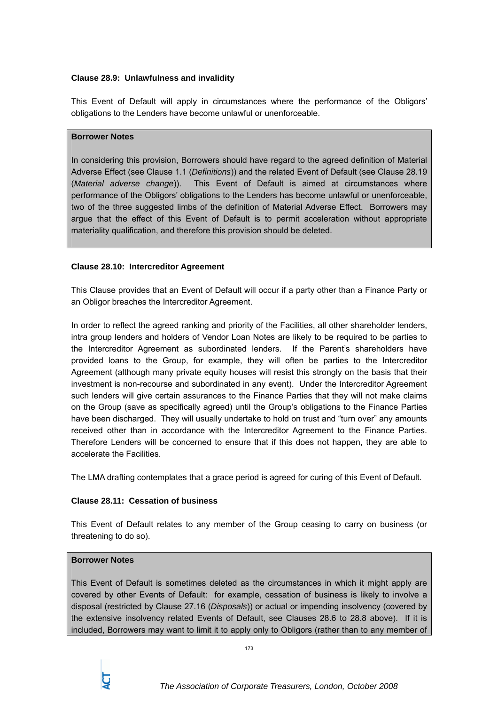## **Clause 28.9: Unlawfulness and invalidity**

This Event of Default will apply in circumstances where the performance of the Obligors' obligations to the Lenders have become unlawful or unenforceable.

#### **Borrower Notes**

In considering this provision, Borrowers should have regard to the agreed definition of Material Adverse Effect (see Clause 1.1 (*Definitions*)) and the related Event of Default (see Clause 28.19 (*Material adverse change*)). This Event of Default is aimed at circumstances where performance of the Obligors' obligations to the Lenders has become unlawful or unenforceable, two of the three suggested limbs of the definition of Material Adverse Effect. Borrowers may argue that the effect of this Event of Default is to permit acceleration without appropriate materiality qualification, and therefore this provision should be deleted.

#### **Clause 28.10: Intercreditor Agreement**

This Clause provides that an Event of Default will occur if a party other than a Finance Party or an Obligor breaches the Intercreditor Agreement.

In order to reflect the agreed ranking and priority of the Facilities, all other shareholder lenders, intra group lenders and holders of Vendor Loan Notes are likely to be required to be parties to the Intercreditor Agreement as subordinated lenders. If the Parent's shareholders have provided loans to the Group, for example, they will often be parties to the Intercreditor Agreement (although many private equity houses will resist this strongly on the basis that their investment is non-recourse and subordinated in any event). Under the Intercreditor Agreement such lenders will give certain assurances to the Finance Parties that they will not make claims on the Group (save as specifically agreed) until the Group's obligations to the Finance Parties have been discharged. They will usually undertake to hold on trust and "turn over" any amounts received other than in accordance with the Intercreditor Agreement to the Finance Parties. Therefore Lenders will be concerned to ensure that if this does not happen, they are able to accelerate the Facilities.

The LMA drafting contemplates that a grace period is agreed for curing of this Event of Default.

## **Clause 28.11: Cessation of business**

This Event of Default relates to any member of the Group ceasing to carry on business (or threatening to do so).

#### **Borrower Notes**

This Event of Default is sometimes deleted as the circumstances in which it might apply are covered by other Events of Default: for example, cessation of business is likely to involve a disposal (restricted by Clause 27.16 (*Disposals*)) or actual or impending insolvency (covered by the extensive insolvency related Events of Default, see Clauses 28.6 to 28.8 above). If it is included, Borrowers may want to limit it to apply only to Obligors (rather than to any member of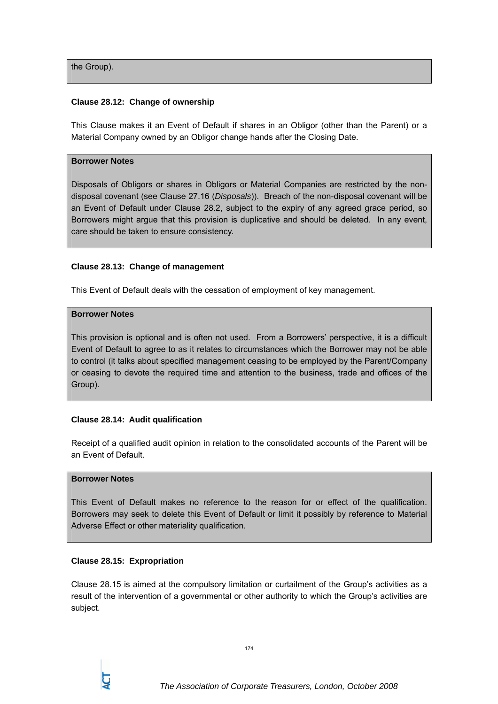the Group).

### **Clause 28.12: Change of ownership**

This Clause makes it an Event of Default if shares in an Obligor (other than the Parent) or a Material Company owned by an Obligor change hands after the Closing Date.

#### **Borrower Notes**

Disposals of Obligors or shares in Obligors or Material Companies are restricted by the nondisposal covenant (see Clause 27.16 (*Disposals*)). Breach of the non-disposal covenant will be an Event of Default under Clause 28.2, subject to the expiry of any agreed grace period, so Borrowers might argue that this provision is duplicative and should be deleted. In any event, care should be taken to ensure consistency.

#### **Clause 28.13: Change of management**

This Event of Default deals with the cessation of employment of key management.

#### **Borrower Notes**

This provision is optional and is often not used. From a Borrowers' perspective, it is a difficult Event of Default to agree to as it relates to circumstances which the Borrower may not be able to control (it talks about specified management ceasing to be employed by the Parent/Company or ceasing to devote the required time and attention to the business, trade and offices of the Group).

## **Clause 28.14: Audit qualification**

Receipt of a qualified audit opinion in relation to the consolidated accounts of the Parent will be an Event of Default.

#### **Borrower Notes**

This Event of Default makes no reference to the reason for or effect of the qualification. Borrowers may seek to delete this Event of Default or limit it possibly by reference to Material Adverse Effect or other materiality qualification.

#### **Clause 28.15: Expropriation**

Clause 28.15 is aimed at the compulsory limitation or curtailment of the Group's activities as a result of the intervention of a governmental or other authority to which the Group's activities are subject.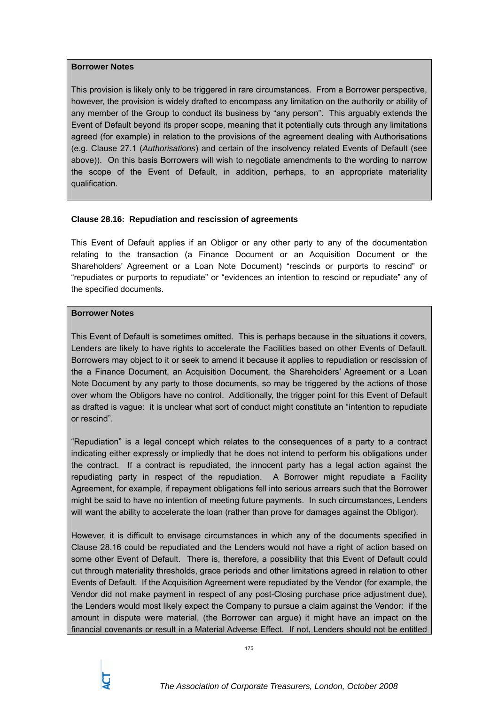#### **Borrower Notes**

This provision is likely only to be triggered in rare circumstances. From a Borrower perspective, however, the provision is widely drafted to encompass any limitation on the authority or ability of any member of the Group to conduct its business by "any person". This arguably extends the Event of Default beyond its proper scope, meaning that it potentially cuts through any limitations agreed (for example) in relation to the provisions of the agreement dealing with Authorisations (e.g. Clause 27.1 (*Authorisations*) and certain of the insolvency related Events of Default (see above)). On this basis Borrowers will wish to negotiate amendments to the wording to narrow the scope of the Event of Default, in addition, perhaps, to an appropriate materiality qualification.

## **Clause 28.16: Repudiation and rescission of agreements**

This Event of Default applies if an Obligor or any other party to any of the documentation relating to the transaction (a Finance Document or an Acquisition Document or the Shareholders' Agreement or a Loan Note Document) "rescinds or purports to rescind" or "repudiates or purports to repudiate" or "evidences an intention to rescind or repudiate" any of the specified documents.

## **Borrower Notes**

This Event of Default is sometimes omitted. This is perhaps because in the situations it covers, Lenders are likely to have rights to accelerate the Facilities based on other Events of Default. Borrowers may object to it or seek to amend it because it applies to repudiation or rescission of the a Finance Document, an Acquisition Document, the Shareholders' Agreement or a Loan Note Document by any party to those documents, so may be triggered by the actions of those over whom the Obligors have no control. Additionally, the trigger point for this Event of Default as drafted is vague: it is unclear what sort of conduct might constitute an "intention to repudiate or rescind".

"Repudiation" is a legal concept which relates to the consequences of a party to a contract indicating either expressly or impliedly that he does not intend to perform his obligations under the contract. If a contract is repudiated, the innocent party has a legal action against the repudiating party in respect of the repudiation. A Borrower might repudiate a Facility Agreement, for example, if repayment obligations fell into serious arrears such that the Borrower might be said to have no intention of meeting future payments. In such circumstances, Lenders will want the ability to accelerate the loan (rather than prove for damages against the Obligor).

However, it is difficult to envisage circumstances in which any of the documents specified in Clause 28.16 could be repudiated and the Lenders would not have a right of action based on some other Event of Default. There is, therefore, a possibility that this Event of Default could cut through materiality thresholds, grace periods and other limitations agreed in relation to other Events of Default. If the Acquisition Agreement were repudiated by the Vendor (for example, the Vendor did not make payment in respect of any post-Closing purchase price adjustment due), the Lenders would most likely expect the Company to pursue a claim against the Vendor: if the amount in dispute were material, (the Borrower can argue) it might have an impact on the financial covenants or result in a Material Adverse Effect. If not, Lenders should not be entitled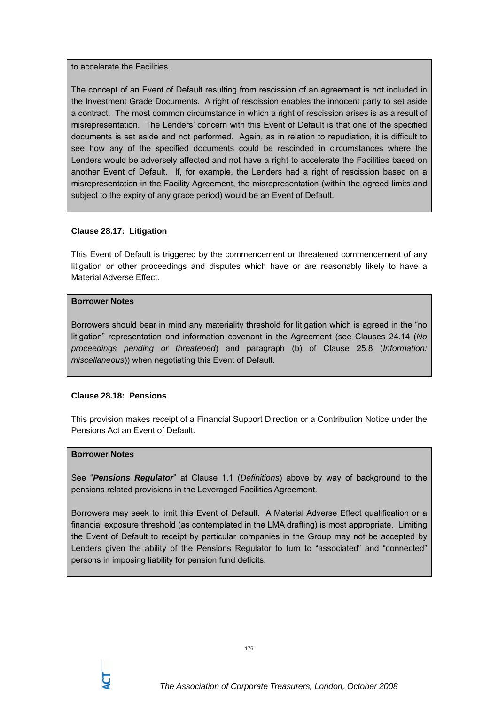to accelerate the Facilities.

The concept of an Event of Default resulting from rescission of an agreement is not included in the Investment Grade Documents. A right of rescission enables the innocent party to set aside a contract. The most common circumstance in which a right of rescission arises is as a result of misrepresentation. The Lenders' concern with this Event of Default is that one of the specified documents is set aside and not performed. Again, as in relation to repudiation, it is difficult to see how any of the specified documents could be rescinded in circumstances where the Lenders would be adversely affected and not have a right to accelerate the Facilities based on another Event of Default. If, for example, the Lenders had a right of rescission based on a misrepresentation in the Facility Agreement, the misrepresentation (within the agreed limits and subject to the expiry of any grace period) would be an Event of Default.

## **Clause 28.17: Litigation**

This Event of Default is triggered by the commencement or threatened commencement of any litigation or other proceedings and disputes which have or are reasonably likely to have a Material Adverse Effect.

## **Borrower Notes**

Borrowers should bear in mind any materiality threshold for litigation which is agreed in the "no litigation" representation and information covenant in the Agreement (see Clauses 24.14 (*No proceedings pending or threatened*) and paragraph (b) of Clause 25.8 (*Information: miscellaneous*)) when negotiating this Event of Default.

## **Clause 28.18: Pensions**

This provision makes receipt of a Financial Support Direction or a Contribution Notice under the Pensions Act an Event of Default.

## **Borrower Notes**

See "*Pensions Regulator*" at Clause 1.1 (*Definitions*) above by way of background to the pensions related provisions in the Leveraged Facilities Agreement.

Borrowers may seek to limit this Event of Default. A Material Adverse Effect qualification or a financial exposure threshold (as contemplated in the LMA drafting) is most appropriate. Limiting the Event of Default to receipt by particular companies in the Group may not be accepted by Lenders given the ability of the Pensions Regulator to turn to "associated" and "connected" persons in imposing liability for pension fund deficits.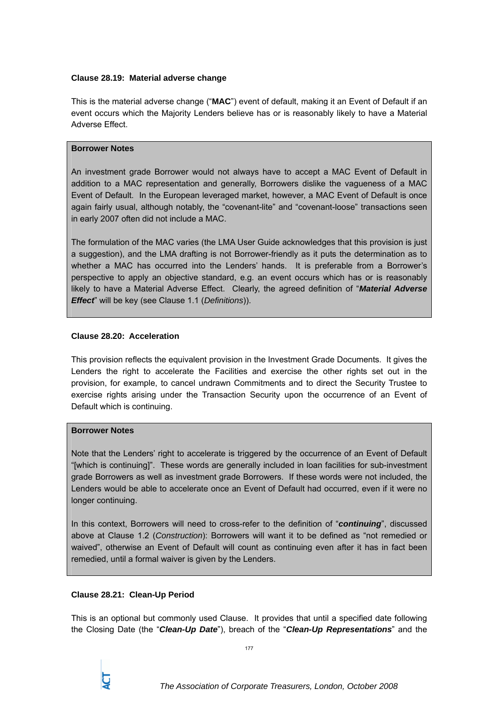### **Clause 28.19: Material adverse change**

This is the material adverse change ("**MAC**") event of default, making it an Event of Default if an event occurs which the Majority Lenders believe has or is reasonably likely to have a Material Adverse Effect.

### **Borrower Notes**

An investment grade Borrower would not always have to accept a MAC Event of Default in addition to a MAC representation and generally, Borrowers dislike the vagueness of a MAC Event of Default. In the European leveraged market, however, a MAC Event of Default is once again fairly usual, although notably, the "covenant-lite" and "covenant-loose" transactions seen in early 2007 often did not include a MAC.

The formulation of the MAC varies (the LMA User Guide acknowledges that this provision is just a suggestion), and the LMA drafting is not Borrower-friendly as it puts the determination as to whether a MAC has occurred into the Lenders' hands. It is preferable from a Borrower's perspective to apply an objective standard, e.g. an event occurs which has or is reasonably likely to have a Material Adverse Effect. Clearly, the agreed definition of "*Material Adverse Effect*" will be key (see Clause 1.1 (*Definitions*)).

#### **Clause 28.20: Acceleration**

This provision reflects the equivalent provision in the Investment Grade Documents. It gives the Lenders the right to accelerate the Facilities and exercise the other rights set out in the provision, for example, to cancel undrawn Commitments and to direct the Security Trustee to exercise rights arising under the Transaction Security upon the occurrence of an Event of Default which is continuing.

#### **Borrower Notes**

Note that the Lenders' right to accelerate is triggered by the occurrence of an Event of Default "[which is continuing]". These words are generally included in loan facilities for sub-investment grade Borrowers as well as investment grade Borrowers. If these words were not included, the Lenders would be able to accelerate once an Event of Default had occurred, even if it were no longer continuing.

In this context, Borrowers will need to cross-refer to the definition of "*continuing*", discussed above at Clause 1.2 (*Construction*): Borrowers will want it to be defined as "not remedied or waived", otherwise an Event of Default will count as continuing even after it has in fact been remedied, until a formal waiver is given by the Lenders.

## **Clause 28.21: Clean-Up Period**

This is an optional but commonly used Clause. It provides that until a specified date following the Closing Date (the "*Clean-Up Date*"), breach of the "*Clean-Up Representations*" and the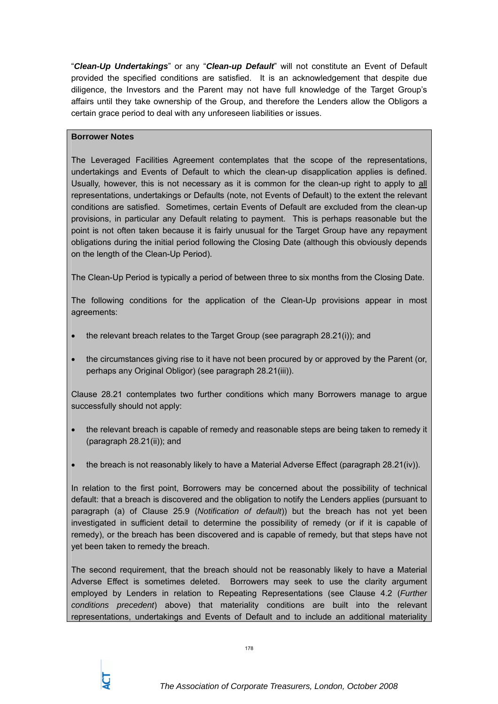"*Clean-Up Undertakings*" or any "*Clean-up Default*" will not constitute an Event of Default provided the specified conditions are satisfied. It is an acknowledgement that despite due diligence, the Investors and the Parent may not have full knowledge of the Target Group's affairs until they take ownership of the Group, and therefore the Lenders allow the Obligors a certain grace period to deal with any unforeseen liabilities or issues.

## **Borrower Notes**

The Leveraged Facilities Agreement contemplates that the scope of the representations, undertakings and Events of Default to which the clean-up disapplication applies is defined. Usually, however, this is not necessary as it is common for the clean-up right to apply to all representations, undertakings or Defaults (note, not Events of Default) to the extent the relevant conditions are satisfied. Sometimes, certain Events of Default are excluded from the clean-up provisions, in particular any Default relating to payment. This is perhaps reasonable but the point is not often taken because it is fairly unusual for the Target Group have any repayment obligations during the initial period following the Closing Date (although this obviously depends on the length of the Clean-Up Period).

The Clean-Up Period is typically a period of between three to six months from the Closing Date.

The following conditions for the application of the Clean-Up provisions appear in most agreements:

- the relevant breach relates to the Target Group (see paragraph 28.21(i)); and
- the circumstances giving rise to it have not been procured by or approved by the Parent (or, perhaps any Original Obligor) (see paragraph 28.21(iii)).

Clause 28.21 contemplates two further conditions which many Borrowers manage to argue successfully should not apply:

- the relevant breach is capable of remedy and reasonable steps are being taken to remedy it (paragraph 28.21(ii)); and
- the breach is not reasonably likely to have a Material Adverse Effect (paragraph 28.21(iv)).

In relation to the first point, Borrowers may be concerned about the possibility of technical default: that a breach is discovered and the obligation to notify the Lenders applies (pursuant to paragraph (a) of Clause 25.9 (*Notification of default*)) but the breach has not yet been investigated in sufficient detail to determine the possibility of remedy (or if it is capable of remedy), or the breach has been discovered and is capable of remedy, but that steps have not yet been taken to remedy the breach.

The second requirement, that the breach should not be reasonably likely to have a Material Adverse Effect is sometimes deleted. Borrowers may seek to use the clarity argument employed by Lenders in relation to Repeating Representations (see Clause 4.2 (*Further conditions precedent*) above) that materiality conditions are built into the relevant representations, undertakings and Events of Default and to include an additional materiality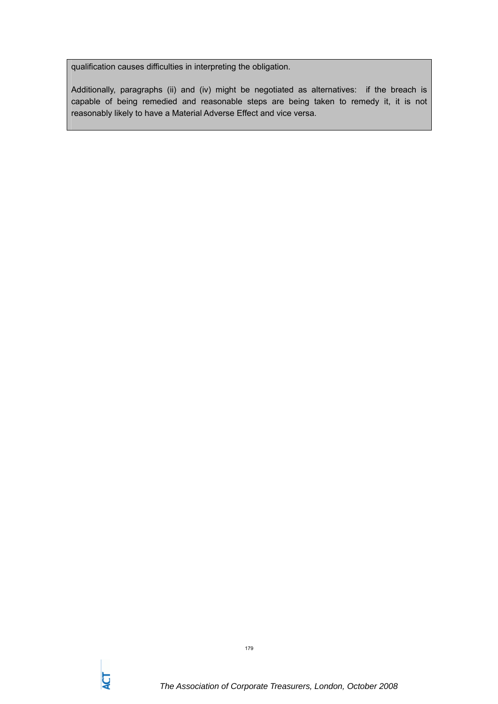qualification causes difficulties in interpreting the obligation.

Additionally, paragraphs (ii) and (iv) might be negotiated as alternatives: if the breach is capable of being remedied and reasonable steps are being taken to remedy it, it is not reasonably likely to have a Material Adverse Effect and vice versa.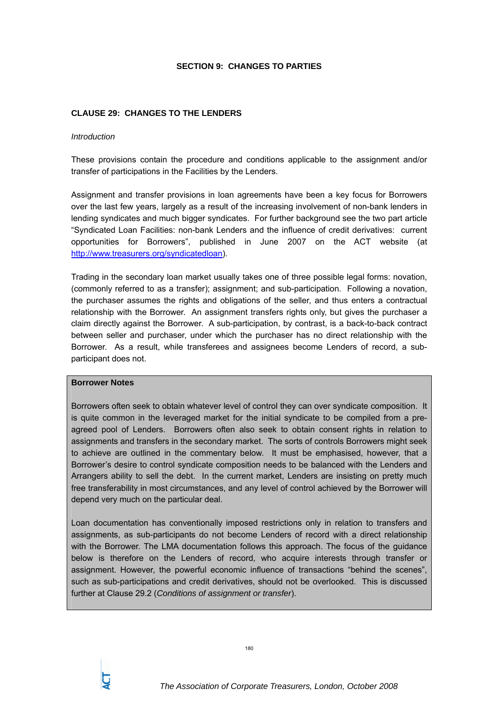#### **SECTION 9: CHANGES TO PARTIES**

### **CLAUSE 29: CHANGES TO THE LENDERS**

#### *Introduction*

These provisions contain the procedure and conditions applicable to the assignment and/or transfer of participations in the Facilities by the Lenders.

Assignment and transfer provisions in loan agreements have been a key focus for Borrowers over the last few years, largely as a result of the increasing involvement of non-bank lenders in lending syndicates and much bigger syndicates. For further background see the two part article "Syndicated Loan Facilities: non-bank Lenders and the influence of credit derivatives: current opportunities for Borrowers", published in June 2007 on the ACT website (at http://www.treasurers.org/syndicatedloan).

Trading in the secondary loan market usually takes one of three possible legal forms: novation, (commonly referred to as a transfer); assignment; and sub-participation. Following a novation, the purchaser assumes the rights and obligations of the seller, and thus enters a contractual relationship with the Borrower. An assignment transfers rights only, but gives the purchaser a claim directly against the Borrower. A sub-participation, by contrast, is a back-to-back contract between seller and purchaser, under which the purchaser has no direct relationship with the Borrower. As a result, while transferees and assignees become Lenders of record, a subparticipant does not.

#### **Borrower Notes**

Borrowers often seek to obtain whatever level of control they can over syndicate composition. It is quite common in the leveraged market for the initial syndicate to be compiled from a preagreed pool of Lenders. Borrowers often also seek to obtain consent rights in relation to assignments and transfers in the secondary market. The sorts of controls Borrowers might seek to achieve are outlined in the commentary below. It must be emphasised, however, that a Borrower's desire to control syndicate composition needs to be balanced with the Lenders and Arrangers ability to sell the debt. In the current market, Lenders are insisting on pretty much free transferability in most circumstances, and any level of control achieved by the Borrower will depend very much on the particular deal.

Loan documentation has conventionally imposed restrictions only in relation to transfers and assignments, as sub-participants do not become Lenders of record with a direct relationship with the Borrower. The LMA documentation follows this approach. The focus of the guidance below is therefore on the Lenders of record, who acquire interests through transfer or assignment. However, the powerful economic influence of transactions "behind the scenes", such as sub-participations and credit derivatives, should not be overlooked. This is discussed further at Clause 29.2 (*Conditions of assignment or transfer*).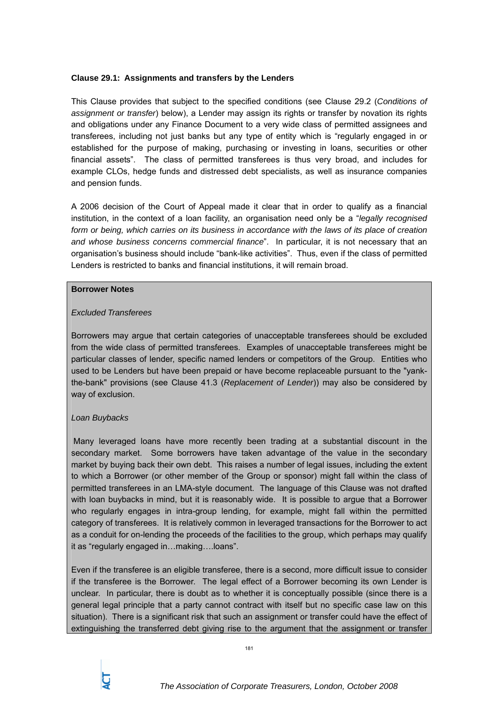#### **Clause 29.1: Assignments and transfers by the Lenders**

This Clause provides that subject to the specified conditions (see Clause 29.2 (*Conditions of assignment or transfer*) below), a Lender may assign its rights or transfer by novation its rights and obligations under any Finance Document to a very wide class of permitted assignees and transferees, including not just banks but any type of entity which is "regularly engaged in or established for the purpose of making, purchasing or investing in loans, securities or other financial assets". The class of permitted transferees is thus very broad, and includes for example CLOs, hedge funds and distressed debt specialists, as well as insurance companies and pension funds.

A 2006 decision of the Court of Appeal made it clear that in order to qualify as a financial institution, in the context of a loan facility, an organisation need only be a "*legally recognised*  form or being, which carries on its business in accordance with the laws of its place of creation *and whose business concerns commercial finance*". In particular, it is not necessary that an organisation's business should include "bank-like activities". Thus, even if the class of permitted Lenders is restricted to banks and financial institutions, it will remain broad.

#### **Borrower Notes**

#### *Excluded Transferees*

Borrowers may argue that certain categories of unacceptable transferees should be excluded from the wide class of permitted transferees. Examples of unacceptable transferees might be particular classes of lender, specific named lenders or competitors of the Group. Entities who used to be Lenders but have been prepaid or have become replaceable pursuant to the "yankthe-bank" provisions (see Clause 41.3 (*Replacement of Lender*)) may also be considered by way of exclusion.

### *Loan Buybacks*

 Many leveraged loans have more recently been trading at a substantial discount in the secondary market. Some borrowers have taken advantage of the value in the secondary market by buying back their own debt. This raises a number of legal issues, including the extent to which a Borrower (or other member of the Group or sponsor) might fall within the class of permitted transferees in an LMA-style document. The language of this Clause was not drafted with loan buybacks in mind, but it is reasonably wide. It is possible to argue that a Borrower who regularly engages in intra-group lending, for example, might fall within the permitted category of transferees. It is relatively common in leveraged transactions for the Borrower to act as a conduit for on-lending the proceeds of the facilities to the group, which perhaps may qualify it as "regularly engaged in…making….loans".

Even if the transferee is an eligible transferee, there is a second, more difficult issue to consider if the transferee is the Borrower. The legal effect of a Borrower becoming its own Lender is unclear. In particular, there is doubt as to whether it is conceptually possible (since there is a general legal principle that a party cannot contract with itself but no specific case law on this situation). There is a significant risk that such an assignment or transfer could have the effect of extinguishing the transferred debt giving rise to the argument that the assignment or transfer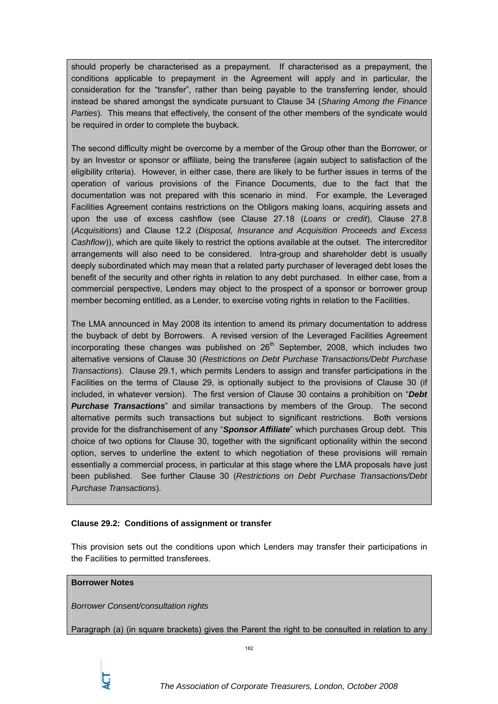should properly be characterised as a prepayment. If characterised as a prepayment, the conditions applicable to prepayment in the Agreement will apply and in particular, the consideration for the "transfer", rather than being payable to the transferring lender, should instead be shared amongst the syndicate pursuant to Clause 34 (*Sharing Among the Finance Parties*). This means that effectively, the consent of the other members of the syndicate would be required in order to complete the buyback.

The second difficulty might be overcome by a member of the Group other than the Borrower, or by an Investor or sponsor or affiliate, being the transferee (again subject to satisfaction of the eligibility criteria). However, in either case, there are likely to be further issues in terms of the operation of various provisions of the Finance Documents, due to the fact that the documentation was not prepared with this scenario in mind. For example, the Leveraged Facilities Agreement contains restrictions on the Obligors making loans, acquiring assets and upon the use of excess cashflow (see Clause 27.18 (*Loans or credit*), Clause 27.8 (*Acquisitions*) and Clause 12.2 (*Disposal, Insurance and Acquisition Proceeds and Excess Cashflow*)), which are quite likely to restrict the options available at the outset. The intercreditor arrangements will also need to be considered. Intra-group and shareholder debt is usually deeply subordinated which may mean that a related party purchaser of leveraged debt loses the benefit of the security and other rights in relation to any debt purchased. In either case, from a commercial perspective, Lenders may object to the prospect of a sponsor or borrower group member becoming entitled, as a Lender, to exercise voting rights in relation to the Facilities.

The LMA announced in May 2008 its intention to amend its primary documentation to address the buyback of debt by Borrowers. A revised version of the Leveraged Facilities Agreement incorporating these changes was published on  $26<sup>th</sup>$  September, 2008, which includes two alternative versions of Clause 30 (*Restrictions on Debt Purchase Transactions/Debt Purchase Transactions*). Clause 29.1, which permits Lenders to assign and transfer participations in the Facilities on the terms of Clause 29, is optionally subject to the provisions of Clause 30 (if included, in whatever version). The first version of Clause 30 contains a prohibition on "*Debt Purchase Transactions*" and similar transactions by members of the Group. The second alternative permits such transactions but subject to significant restrictions. Both versions provide for the disfranchisement of any "*Sponsor Affiliate*" which purchases Group debt. This choice of two options for Clause 30, together with the significant optionality within the second option, serves to underline the extent to which negotiation of these provisions will remain essentially a commercial process, in particular at this stage where the LMA proposals have just been published. See further Clause 30 (*Restrictions on Debt Purchase Transactions/Debt Purchase Transactions*).

### **Clause 29.2: Conditions of assignment or transfer**

This provision sets out the conditions upon which Lenders may transfer their participations in the Facilities to permitted transferees.

## **Borrower Notes**

*Borrower Consent/consultation rights* 

Paragraph (a) (in square brackets) gives the Parent the right to be consulted in relation to any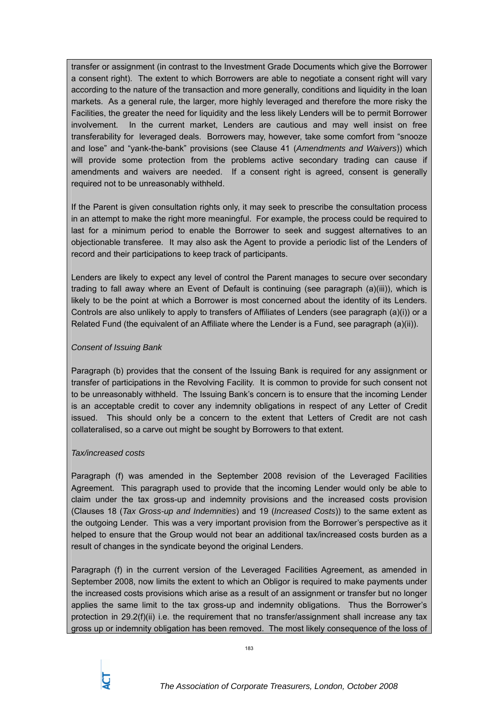transfer or assignment (in contrast to the Investment Grade Documents which give the Borrower a consent right). The extent to which Borrowers are able to negotiate a consent right will vary according to the nature of the transaction and more generally, conditions and liquidity in the loan markets. As a general rule, the larger, more highly leveraged and therefore the more risky the Facilities, the greater the need for liquidity and the less likely Lenders will be to permit Borrower involvement. In the current market, Lenders are cautious and may well insist on free transferability for leveraged deals. Borrowers may, however, take some comfort from "snooze and lose" and "yank-the-bank" provisions (see Clause 41 (*Amendments and Waivers*)) which will provide some protection from the problems active secondary trading can cause if amendments and waivers are needed. If a consent right is agreed, consent is generally required not to be unreasonably withheld.

If the Parent is given consultation rights only, it may seek to prescribe the consultation process in an attempt to make the right more meaningful. For example, the process could be required to last for a minimum period to enable the Borrower to seek and suggest alternatives to an objectionable transferee. It may also ask the Agent to provide a periodic list of the Lenders of record and their participations to keep track of participants.

Lenders are likely to expect any level of control the Parent manages to secure over secondary trading to fall away where an Event of Default is continuing (see paragraph (a)(iii)), which is likely to be the point at which a Borrower is most concerned about the identity of its Lenders. Controls are also unlikely to apply to transfers of Affiliates of Lenders (see paragraph (a)(i)) or a Related Fund (the equivalent of an Affiliate where the Lender is a Fund, see paragraph (a)(ii)).

# *Consent of Issuing Bank*

Paragraph (b) provides that the consent of the Issuing Bank is required for any assignment or transfer of participations in the Revolving Facility. It is common to provide for such consent not to be unreasonably withheld. The Issuing Bank's concern is to ensure that the incoming Lender is an acceptable credit to cover any indemnity obligations in respect of any Letter of Credit issued. This should only be a concern to the extent that Letters of Credit are not cash collateralised, so a carve out might be sought by Borrowers to that extent.

### *Tax/increased costs*

Paragraph (f) was amended in the September 2008 revision of the Leveraged Facilities Agreement. This paragraph used to provide that the incoming Lender would only be able to claim under the tax gross-up and indemnity provisions and the increased costs provision (Clauses 18 (*Tax Gross-up and Indemnities*) and 19 (*Increased Costs*)) to the same extent as the outgoing Lender. This was a very important provision from the Borrower's perspective as it helped to ensure that the Group would not bear an additional tax/increased costs burden as a result of changes in the syndicate beyond the original Lenders.

Paragraph (f) in the current version of the Leveraged Facilities Agreement, as amended in September 2008, now limits the extent to which an Obligor is required to make payments under the increased costs provisions which arise as a result of an assignment or transfer but no longer applies the same limit to the tax gross-up and indemnity obligations. Thus the Borrower's protection in 29.2(f)(ii) i.e. the requirement that no transfer/assignment shall increase any tax gross up or indemnity obligation has been removed. The most likely consequence of the loss of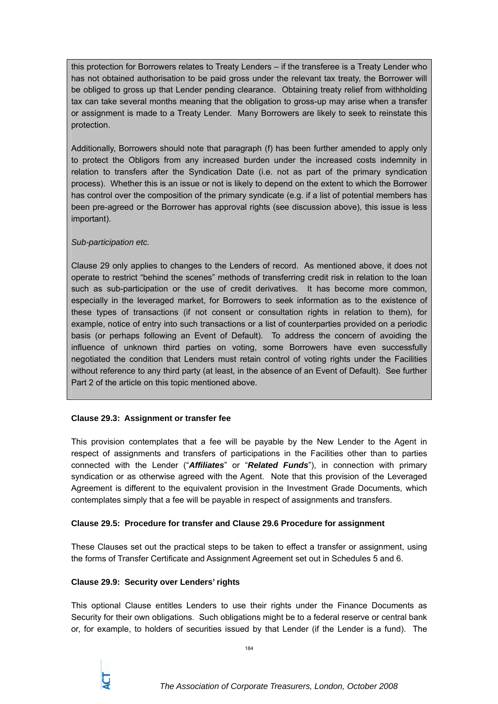this protection for Borrowers relates to Treaty Lenders – if the transferee is a Treaty Lender who has not obtained authorisation to be paid gross under the relevant tax treaty, the Borrower will be obliged to gross up that Lender pending clearance. Obtaining treaty relief from withholding tax can take several months meaning that the obligation to gross-up may arise when a transfer or assignment is made to a Treaty Lender. Many Borrowers are likely to seek to reinstate this protection.

Additionally, Borrowers should note that paragraph (f) has been further amended to apply only to protect the Obligors from any increased burden under the increased costs indemnity in relation to transfers after the Syndication Date (i.e. not as part of the primary syndication process). Whether this is an issue or not is likely to depend on the extent to which the Borrower has control over the composition of the primary syndicate (e.g. if a list of potential members has been pre-agreed or the Borrower has approval rights (see discussion above), this issue is less important).

# *Sub-participation etc.*

Clause 29 only applies to changes to the Lenders of record. As mentioned above, it does not operate to restrict "behind the scenes" methods of transferring credit risk in relation to the loan such as sub-participation or the use of credit derivatives. It has become more common, especially in the leveraged market, for Borrowers to seek information as to the existence of these types of transactions (if not consent or consultation rights in relation to them), for example, notice of entry into such transactions or a list of counterparties provided on a periodic basis (or perhaps following an Event of Default). To address the concern of avoiding the influence of unknown third parties on voting, some Borrowers have even successfully negotiated the condition that Lenders must retain control of voting rights under the Facilities without reference to any third party (at least, in the absence of an Event of Default). See further Part 2 of the article on this topic mentioned above.

# **Clause 29.3: Assignment or transfer fee**

This provision contemplates that a fee will be payable by the New Lender to the Agent in respect of assignments and transfers of participations in the Facilities other than to parties connected with the Lender ("*Affiliates*" or "*Related Funds*"), in connection with primary syndication or as otherwise agreed with the Agent. Note that this provision of the Leveraged Agreement is different to the equivalent provision in the Investment Grade Documents, which contemplates simply that a fee will be payable in respect of assignments and transfers.

# **Clause 29.5: Procedure for transfer and Clause 29.6 Procedure for assignment**

These Clauses set out the practical steps to be taken to effect a transfer or assignment, using the forms of Transfer Certificate and Assignment Agreement set out in Schedules 5 and 6.

### **Clause 29.9: Security over Lenders' rights**

This optional Clause entitles Lenders to use their rights under the Finance Documents as Security for their own obligations. Such obligations might be to a federal reserve or central bank or, for example, to holders of securities issued by that Lender (if the Lender is a fund). The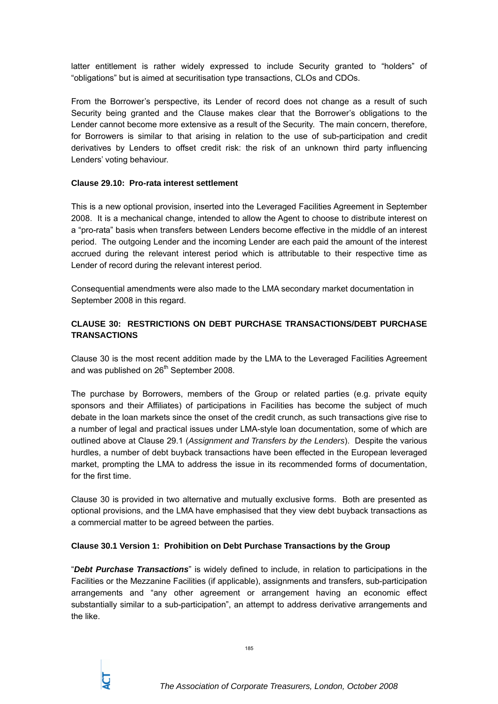latter entitlement is rather widely expressed to include Security granted to "holders" of "obligations" but is aimed at securitisation type transactions, CLOs and CDOs.

From the Borrower's perspective, its Lender of record does not change as a result of such Security being granted and the Clause makes clear that the Borrower's obligations to the Lender cannot become more extensive as a result of the Security. The main concern, therefore, for Borrowers is similar to that arising in relation to the use of sub-participation and credit derivatives by Lenders to offset credit risk: the risk of an unknown third party influencing Lenders' voting behaviour.

### **Clause 29.10: Pro-rata interest settlement**

This is a new optional provision, inserted into the Leveraged Facilities Agreement in September 2008. It is a mechanical change, intended to allow the Agent to choose to distribute interest on a "pro-rata" basis when transfers between Lenders become effective in the middle of an interest period. The outgoing Lender and the incoming Lender are each paid the amount of the interest accrued during the relevant interest period which is attributable to their respective time as Lender of record during the relevant interest period.

Consequential amendments were also made to the LMA secondary market documentation in September 2008 in this regard.

# **CLAUSE 30: RESTRICTIONS ON DEBT PURCHASE TRANSACTIONS/DEBT PURCHASE TRANSACTIONS**

Clause 30 is the most recent addition made by the LMA to the Leveraged Facilities Agreement and was published on 26<sup>th</sup> September 2008.

The purchase by Borrowers, members of the Group or related parties (e.g. private equity sponsors and their Affiliates) of participations in Facilities has become the subject of much debate in the loan markets since the onset of the credit crunch, as such transactions give rise to a number of legal and practical issues under LMA-style loan documentation, some of which are outlined above at Clause 29.1 (*Assignment and Transfers by the Lenders*). Despite the various hurdles, a number of debt buyback transactions have been effected in the European leveraged market, prompting the LMA to address the issue in its recommended forms of documentation, for the first time.

Clause 30 is provided in two alternative and mutually exclusive forms. Both are presented as optional provisions, and the LMA have emphasised that they view debt buyback transactions as a commercial matter to be agreed between the parties.

### **Clause 30.1 Version 1: Prohibition on Debt Purchase Transactions by the Group**

"*Debt Purchase Transactions*" is widely defined to include, in relation to participations in the Facilities or the Mezzanine Facilities (if applicable), assignments and transfers, sub-participation arrangements and "any other agreement or arrangement having an economic effect substantially similar to a sub-participation", an attempt to address derivative arrangements and the like.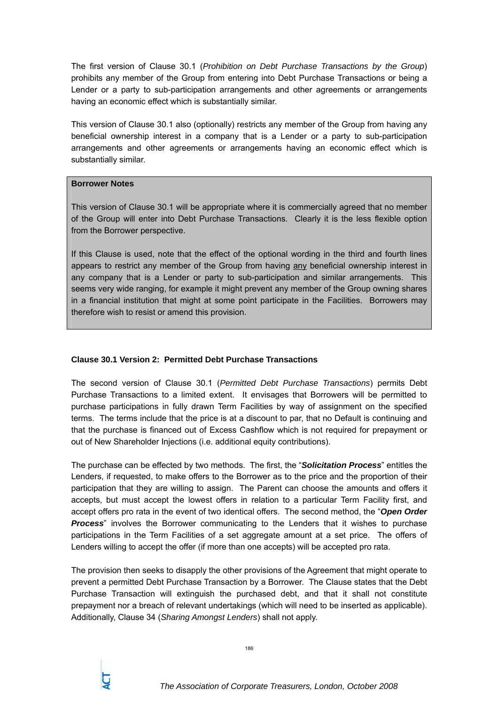The first version of Clause 30.1 (*Prohibition on Debt Purchase Transactions by the Group*) prohibits any member of the Group from entering into Debt Purchase Transactions or being a Lender or a party to sub-participation arrangements and other agreements or arrangements having an economic effect which is substantially similar.

This version of Clause 30.1 also (optionally) restricts any member of the Group from having any beneficial ownership interest in a company that is a Lender or a party to sub-participation arrangements and other agreements or arrangements having an economic effect which is substantially similar.

#### **Borrower Notes**

This version of Clause 30.1 will be appropriate where it is commercially agreed that no member of the Group will enter into Debt Purchase Transactions. Clearly it is the less flexible option from the Borrower perspective.

If this Clause is used, note that the effect of the optional wording in the third and fourth lines appears to restrict any member of the Group from having any beneficial ownership interest in any company that is a Lender or party to sub-participation and similar arrangements. This seems very wide ranging, for example it might prevent any member of the Group owning shares in a financial institution that might at some point participate in the Facilities. Borrowers may therefore wish to resist or amend this provision.

### **Clause 30.1 Version 2: Permitted Debt Purchase Transactions**

The second version of Clause 30.1 (*Permitted Debt Purchase Transactions*) permits Debt Purchase Transactions to a limited extent. It envisages that Borrowers will be permitted to purchase participations in fully drawn Term Facilities by way of assignment on the specified terms. The terms include that the price is at a discount to par, that no Default is continuing and that the purchase is financed out of Excess Cashflow which is not required for prepayment or out of New Shareholder Injections (i.e. additional equity contributions).

The purchase can be effected by two methods. The first, the "*Solicitation Process*" entitles the Lenders, if requested, to make offers to the Borrower as to the price and the proportion of their participation that they are willing to assign. The Parent can choose the amounts and offers it accepts, but must accept the lowest offers in relation to a particular Term Facility first, and accept offers pro rata in the event of two identical offers. The second method, the "*Open Order Process*" involves the Borrower communicating to the Lenders that it wishes to purchase participations in the Term Facilities of a set aggregate amount at a set price. The offers of Lenders willing to accept the offer (if more than one accepts) will be accepted pro rata.

The provision then seeks to disapply the other provisions of the Agreement that might operate to prevent a permitted Debt Purchase Transaction by a Borrower. The Clause states that the Debt Purchase Transaction will extinguish the purchased debt, and that it shall not constitute prepayment nor a breach of relevant undertakings (which will need to be inserted as applicable). Additionally, Clause 34 (*Sharing Amongst Lenders*) shall not apply.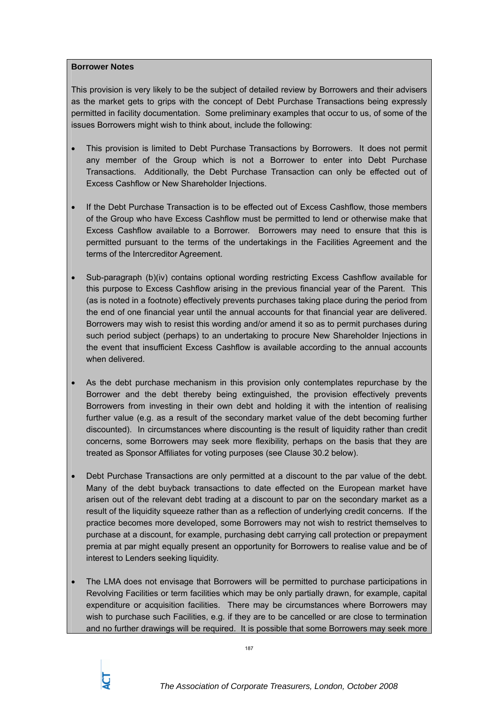#### **Borrower Notes**

This provision is very likely to be the subject of detailed review by Borrowers and their advisers as the market gets to grips with the concept of Debt Purchase Transactions being expressly permitted in facility documentation. Some preliminary examples that occur to us, of some of the issues Borrowers might wish to think about, include the following:

- This provision is limited to Debt Purchase Transactions by Borrowers. It does not permit any member of the Group which is not a Borrower to enter into Debt Purchase Transactions. Additionally, the Debt Purchase Transaction can only be effected out of Excess Cashflow or New Shareholder Injections.
- If the Debt Purchase Transaction is to be effected out of Excess Cashflow, those members of the Group who have Excess Cashflow must be permitted to lend or otherwise make that Excess Cashflow available to a Borrower. Borrowers may need to ensure that this is permitted pursuant to the terms of the undertakings in the Facilities Agreement and the terms of the Intercreditor Agreement.
- Sub-paragraph (b)(iv) contains optional wording restricting Excess Cashflow available for this purpose to Excess Cashflow arising in the previous financial year of the Parent. This (as is noted in a footnote) effectively prevents purchases taking place during the period from the end of one financial year until the annual accounts for that financial year are delivered. Borrowers may wish to resist this wording and/or amend it so as to permit purchases during such period subject (perhaps) to an undertaking to procure New Shareholder Injections in the event that insufficient Excess Cashflow is available according to the annual accounts when delivered.
- As the debt purchase mechanism in this provision only contemplates repurchase by the Borrower and the debt thereby being extinguished, the provision effectively prevents Borrowers from investing in their own debt and holding it with the intention of realising further value (e.g. as a result of the secondary market value of the debt becoming further discounted). In circumstances where discounting is the result of liquidity rather than credit concerns, some Borrowers may seek more flexibility, perhaps on the basis that they are treated as Sponsor Affiliates for voting purposes (see Clause 30.2 below).
- Debt Purchase Transactions are only permitted at a discount to the par value of the debt. Many of the debt buyback transactions to date effected on the European market have arisen out of the relevant debt trading at a discount to par on the secondary market as a result of the liquidity squeeze rather than as a reflection of underlying credit concerns. If the practice becomes more developed, some Borrowers may not wish to restrict themselves to purchase at a discount, for example, purchasing debt carrying call protection or prepayment premia at par might equally present an opportunity for Borrowers to realise value and be of interest to Lenders seeking liquidity.
- The LMA does not envisage that Borrowers will be permitted to purchase participations in Revolving Facilities or term facilities which may be only partially drawn, for example, capital expenditure or acquisition facilities. There may be circumstances where Borrowers may wish to purchase such Facilities, e.g. if they are to be cancelled or are close to termination and no further drawings will be required. It is possible that some Borrowers may seek more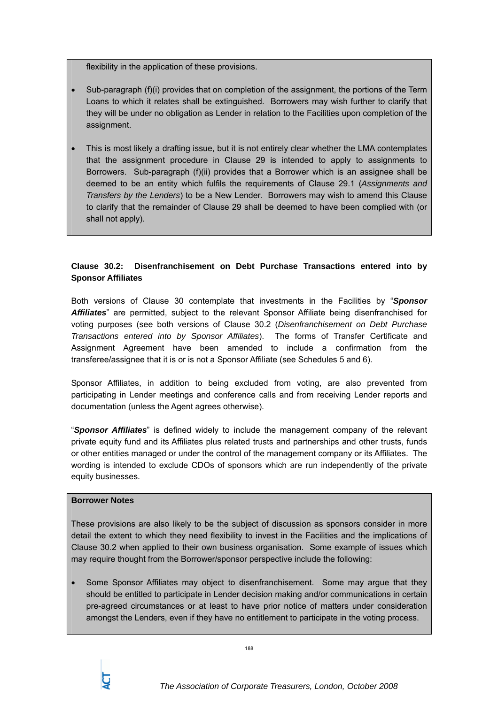flexibility in the application of these provisions.

- Sub-paragraph (f)(i) provides that on completion of the assignment, the portions of the Term Loans to which it relates shall be extinguished. Borrowers may wish further to clarify that they will be under no obligation as Lender in relation to the Facilities upon completion of the assignment.
- This is most likely a drafting issue, but it is not entirely clear whether the LMA contemplates that the assignment procedure in Clause 29 is intended to apply to assignments to Borrowers. Sub-paragraph (f)(ii) provides that a Borrower which is an assignee shall be deemed to be an entity which fulfils the requirements of Clause 29.1 (*Assignments and Transfers by the Lenders*) to be a New Lender. Borrowers may wish to amend this Clause to clarify that the remainder of Clause 29 shall be deemed to have been complied with (or shall not apply).

# **Clause 30.2: Disenfranchisement on Debt Purchase Transactions entered into by Sponsor Affiliates**

Both versions of Clause 30 contemplate that investments in the Facilities by "*Sponsor Affiliates*" are permitted, subject to the relevant Sponsor Affiliate being disenfranchised for voting purposes (see both versions of Clause 30.2 (*Disenfranchisement on Debt Purchase Transactions entered into by Sponsor Affiliates*). The forms of Transfer Certificate and Assignment Agreement have been amended to include a confirmation from the transferee/assignee that it is or is not a Sponsor Affiliate (see Schedules 5 and 6).

Sponsor Affiliates, in addition to being excluded from voting, are also prevented from participating in Lender meetings and conference calls and from receiving Lender reports and documentation (unless the Agent agrees otherwise).

"*Sponsor Affiliates*" is defined widely to include the management company of the relevant private equity fund and its Affiliates plus related trusts and partnerships and other trusts, funds or other entities managed or under the control of the management company or its Affiliates. The wording is intended to exclude CDOs of sponsors which are run independently of the private equity businesses.

## **Borrower Notes**

These provisions are also likely to be the subject of discussion as sponsors consider in more detail the extent to which they need flexibility to invest in the Facilities and the implications of Clause 30.2 when applied to their own business organisation. Some example of issues which may require thought from the Borrower/sponsor perspective include the following:

• Some Sponsor Affiliates may object to disenfranchisement. Some may argue that they should be entitled to participate in Lender decision making and/or communications in certain pre-agreed circumstances or at least to have prior notice of matters under consideration amongst the Lenders, even if they have no entitlement to participate in the voting process.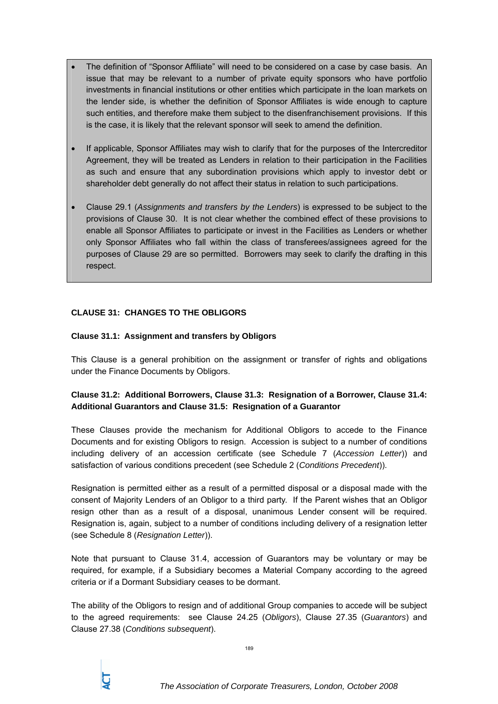- The definition of "Sponsor Affiliate" will need to be considered on a case by case basis. An issue that may be relevant to a number of private equity sponsors who have portfolio investments in financial institutions or other entities which participate in the loan markets on the lender side, is whether the definition of Sponsor Affiliates is wide enough to capture such entities, and therefore make them subject to the disenfranchisement provisions. If this is the case, it is likely that the relevant sponsor will seek to amend the definition.
- If applicable, Sponsor Affiliates may wish to clarify that for the purposes of the Intercreditor Agreement, they will be treated as Lenders in relation to their participation in the Facilities as such and ensure that any subordination provisions which apply to investor debt or shareholder debt generally do not affect their status in relation to such participations.
- Clause 29.1 (*Assignments and transfers by the Lenders*) is expressed to be subject to the provisions of Clause 30. It is not clear whether the combined effect of these provisions to enable all Sponsor Affiliates to participate or invest in the Facilities as Lenders or whether only Sponsor Affiliates who fall within the class of transferees/assignees agreed for the purposes of Clause 29 are so permitted. Borrowers may seek to clarify the drafting in this respect.

# **CLAUSE 31: CHANGES TO THE OBLIGORS**

### **Clause 31.1: Assignment and transfers by Obligors**

This Clause is a general prohibition on the assignment or transfer of rights and obligations under the Finance Documents by Obligors.

# **Clause 31.2: Additional Borrowers, Clause 31.3: Resignation of a Borrower, Clause 31.4: Additional Guarantors and Clause 31.5: Resignation of a Guarantor**

These Clauses provide the mechanism for Additional Obligors to accede to the Finance Documents and for existing Obligors to resign. Accession is subject to a number of conditions including delivery of an accession certificate (see Schedule 7 (*Accession Letter*)) and satisfaction of various conditions precedent (see Schedule 2 (*Conditions Precedent*)).

Resignation is permitted either as a result of a permitted disposal or a disposal made with the consent of Majority Lenders of an Obligor to a third party. If the Parent wishes that an Obligor resign other than as a result of a disposal, unanimous Lender consent will be required. Resignation is, again, subject to a number of conditions including delivery of a resignation letter (see Schedule 8 (*Resignation Letter*)).

Note that pursuant to Clause 31.4, accession of Guarantors may be voluntary or may be required, for example, if a Subsidiary becomes a Material Company according to the agreed criteria or if a Dormant Subsidiary ceases to be dormant.

The ability of the Obligors to resign and of additional Group companies to accede will be subject to the agreed requirements: see Clause 24.25 (*Obligors*), Clause 27.35 (*Guarantors*) and Clause 27.38 (*Conditions subsequent*).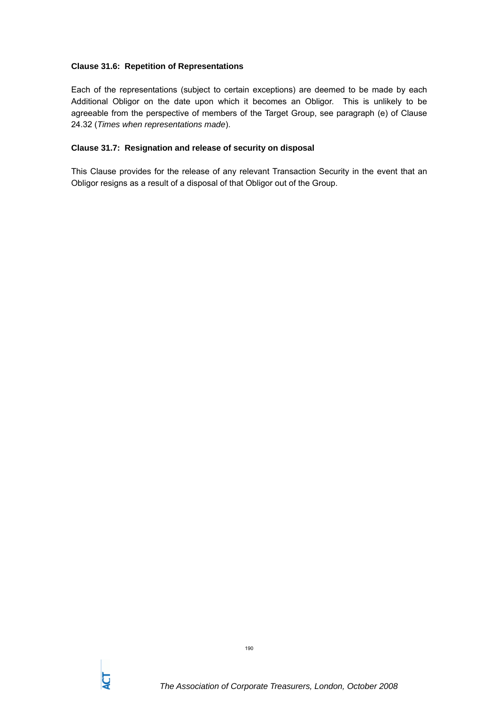### **Clause 31.6: Repetition of Representations**

Each of the representations (subject to certain exceptions) are deemed to be made by each Additional Obligor on the date upon which it becomes an Obligor. This is unlikely to be agreeable from the perspective of members of the Target Group, see paragraph (e) of Clause 24.32 (*Times when representations made*).

#### **Clause 31.7: Resignation and release of security on disposal**

This Clause provides for the release of any relevant Transaction Security in the event that an Obligor resigns as a result of a disposal of that Obligor out of the Group.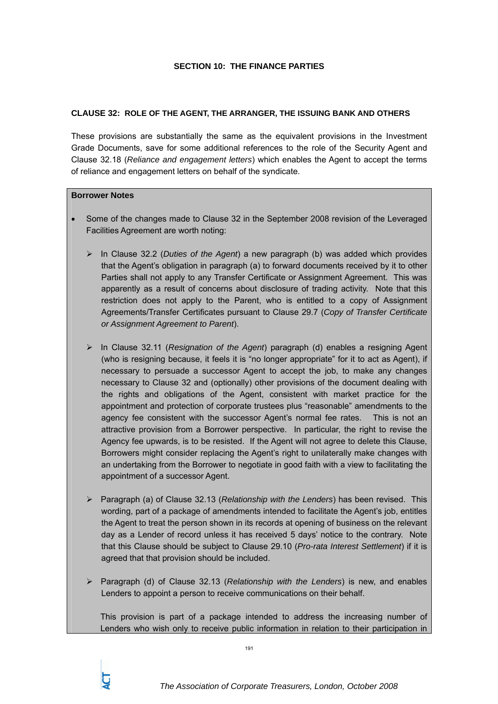#### **SECTION 10: THE FINANCE PARTIES**

### **CLAUSE 32: ROLE OF THE AGENT, THE ARRANGER, THE ISSUING BANK AND OTHERS**

These provisions are substantially the same as the equivalent provisions in the Investment Grade Documents, save for some additional references to the role of the Security Agent and Clause 32.18 (*Reliance and engagement letters*) which enables the Agent to accept the terms of reliance and engagement letters on behalf of the syndicate.

#### **Borrower Notes**

- Some of the changes made to Clause 32 in the September 2008 revision of the Leveraged Facilities Agreement are worth noting:
	- ¾ In Clause 32.2 (*Duties of the Agent*) a new paragraph (b) was added which provides that the Agent's obligation in paragraph (a) to forward documents received by it to other Parties shall not apply to any Transfer Certificate or Assignment Agreement. This was apparently as a result of concerns about disclosure of trading activity. Note that this restriction does not apply to the Parent, who is entitled to a copy of Assignment Agreements/Transfer Certificates pursuant to Clause 29.7 (*Copy of Transfer Certificate or Assignment Agreement to Parent*).
	- ¾ In Clause 32.11 (*Resignation of the Agent*) paragraph (d) enables a resigning Agent (who is resigning because, it feels it is "no longer appropriate" for it to act as Agent), if necessary to persuade a successor Agent to accept the job, to make any changes necessary to Clause 32 and (optionally) other provisions of the document dealing with the rights and obligations of the Agent, consistent with market practice for the appointment and protection of corporate trustees plus "reasonable" amendments to the agency fee consistent with the successor Agent's normal fee rates. This is not an attractive provision from a Borrower perspective. In particular, the right to revise the Agency fee upwards, is to be resisted. If the Agent will not agree to delete this Clause, Borrowers might consider replacing the Agent's right to unilaterally make changes with an undertaking from the Borrower to negotiate in good faith with a view to facilitating the appointment of a successor Agent.
	- ¾ Paragraph (a) of Clause 32.13 (*Relationship with the Lenders*) has been revised. This wording, part of a package of amendments intended to facilitate the Agent's job, entitles the Agent to treat the person shown in its records at opening of business on the relevant day as a Lender of record unless it has received 5 days' notice to the contrary. Note that this Clause should be subject to Clause 29.10 (*Pro-rata Interest Settlement*) if it is agreed that that provision should be included.
	- ¾ Paragraph (d) of Clause 32.13 (*Relationship with the Lenders*) is new, and enables Lenders to appoint a person to receive communications on their behalf.

This provision is part of a package intended to address the increasing number of Lenders who wish only to receive public information in relation to their participation in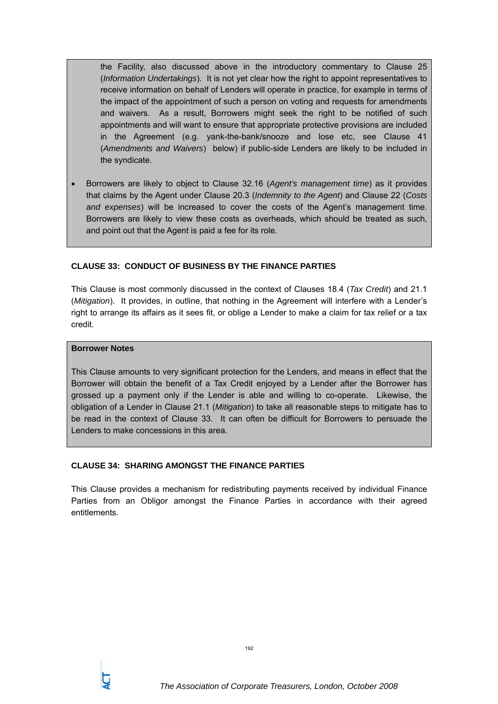the Facility, also discussed above in the introductory commentary to Clause 25 (*Information Undertakings*). It is not yet clear how the right to appoint representatives to receive information on behalf of Lenders will operate in practice, for example in terms of the impact of the appointment of such a person on voting and requests for amendments and waivers. As a result, Borrowers might seek the right to be notified of such appointments and will want to ensure that appropriate protective provisions are included in the Agreement (e.g. yank-the-bank/snooze and lose etc, see Clause 41 (*Amendments and Waivers*) below) if public-side Lenders are likely to be included in the syndicate.

• Borrowers are likely to object to Clause 32.16 (*Agent's management time*) as it provides that claims by the Agent under Clause 20.3 (*Indemnity to the Agent*) and Clause 22 (*Costs and expenses*) will be increased to cover the costs of the Agent's management time. Borrowers are likely to view these costs as overheads, which should be treated as such, and point out that the Agent is paid a fee for its role.

### **CLAUSE 33: CONDUCT OF BUSINESS BY THE FINANCE PARTIES**

This Clause is most commonly discussed in the context of Clauses 18.4 (*Tax Credit*) and 21.1 (*Mitigation*). It provides, in outline, that nothing in the Agreement will interfere with a Lender's right to arrange its affairs as it sees fit, or oblige a Lender to make a claim for tax relief or a tax credit.

#### **Borrower Notes**

This Clause amounts to very significant protection for the Lenders, and means in effect that the Borrower will obtain the benefit of a Tax Credit enjoyed by a Lender after the Borrower has grossed up a payment only if the Lender is able and willing to co-operate. Likewise, the obligation of a Lender in Clause 21.1 (*Mitigation*) to take all reasonable steps to mitigate has to be read in the context of Clause 33. It can often be difficult for Borrowers to persuade the Lenders to make concessions in this area.

### **CLAUSE 34: SHARING AMONGST THE FINANCE PARTIES**

This Clause provides a mechanism for redistributing payments received by individual Finance Parties from an Obligor amongst the Finance Parties in accordance with their agreed entitlements.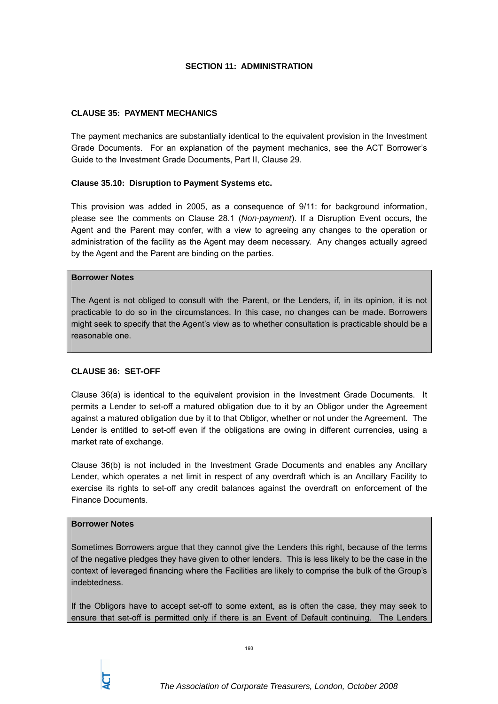### **SECTION 11: ADMINISTRATION**

#### **CLAUSE 35: PAYMENT MECHANICS**

The payment mechanics are substantially identical to the equivalent provision in the Investment Grade Documents. For an explanation of the payment mechanics, see the ACT Borrower's Guide to the Investment Grade Documents, Part II, Clause 29.

#### **Clause 35.10: Disruption to Payment Systems etc.**

This provision was added in 2005, as a consequence of 9/11: for background information, please see the comments on Clause 28.1 (*Non-payment*). If a Disruption Event occurs, the Agent and the Parent may confer, with a view to agreeing any changes to the operation or administration of the facility as the Agent may deem necessary. Any changes actually agreed by the Agent and the Parent are binding on the parties.

#### **Borrower Notes**

The Agent is not obliged to consult with the Parent, or the Lenders, if, in its opinion, it is not practicable to do so in the circumstances. In this case, no changes can be made. Borrowers might seek to specify that the Agent's view as to whether consultation is practicable should be a reasonable one.

### **CLAUSE 36: SET-OFF**

Clause 36(a) is identical to the equivalent provision in the Investment Grade Documents. It permits a Lender to set-off a matured obligation due to it by an Obligor under the Agreement against a matured obligation due by it to that Obligor, whether or not under the Agreement. The Lender is entitled to set-off even if the obligations are owing in different currencies, using a market rate of exchange.

Clause 36(b) is not included in the Investment Grade Documents and enables any Ancillary Lender, which operates a net limit in respect of any overdraft which is an Ancillary Facility to exercise its rights to set-off any credit balances against the overdraft on enforcement of the Finance Documents.

#### **Borrower Notes**

Sometimes Borrowers argue that they cannot give the Lenders this right, because of the terms of the negative pledges they have given to other lenders. This is less likely to be the case in the context of leveraged financing where the Facilities are likely to comprise the bulk of the Group's indebtedness.

If the Obligors have to accept set-off to some extent, as is often the case, they may seek to ensure that set-off is permitted only if there is an Event of Default continuing. The Lenders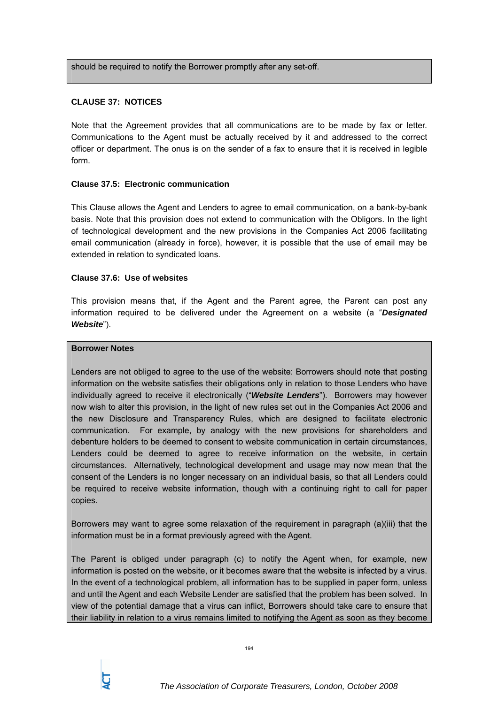should be required to notify the Borrower promptly after any set-off.

### **CLAUSE 37: NOTICES**

Note that the Agreement provides that all communications are to be made by fax or letter. Communications to the Agent must be actually received by it and addressed to the correct officer or department. The onus is on the sender of a fax to ensure that it is received in legible form.

#### **Clause 37.5: Electronic communication**

This Clause allows the Agent and Lenders to agree to email communication, on a bank-by-bank basis. Note that this provision does not extend to communication with the Obligors. In the light of technological development and the new provisions in the Companies Act 2006 facilitating email communication (already in force), however, it is possible that the use of email may be extended in relation to syndicated loans.

#### **Clause 37.6: Use of websites**

This provision means that, if the Agent and the Parent agree, the Parent can post any information required to be delivered under the Agreement on a website (a "*Designated Website*").

#### **Borrower Notes**

Lenders are not obliged to agree to the use of the website: Borrowers should note that posting information on the website satisfies their obligations only in relation to those Lenders who have individually agreed to receive it electronically ("*Website Lenders*"). Borrowers may however now wish to alter this provision, in the light of new rules set out in the Companies Act 2006 and the new Disclosure and Transparency Rules, which are designed to facilitate electronic communication. For example, by analogy with the new provisions for shareholders and debenture holders to be deemed to consent to website communication in certain circumstances, Lenders could be deemed to agree to receive information on the website, in certain circumstances. Alternatively, technological development and usage may now mean that the consent of the Lenders is no longer necessary on an individual basis, so that all Lenders could be required to receive website information, though with a continuing right to call for paper copies.

Borrowers may want to agree some relaxation of the requirement in paragraph (a)(iii) that the information must be in a format previously agreed with the Agent.

The Parent is obliged under paragraph (c) to notify the Agent when, for example, new information is posted on the website, or it becomes aware that the website is infected by a virus. In the event of a technological problem, all information has to be supplied in paper form, unless and until the Agent and each Website Lender are satisfied that the problem has been solved. In view of the potential damage that a virus can inflict, Borrowers should take care to ensure that their liability in relation to a virus remains limited to notifying the Agent as soon as they become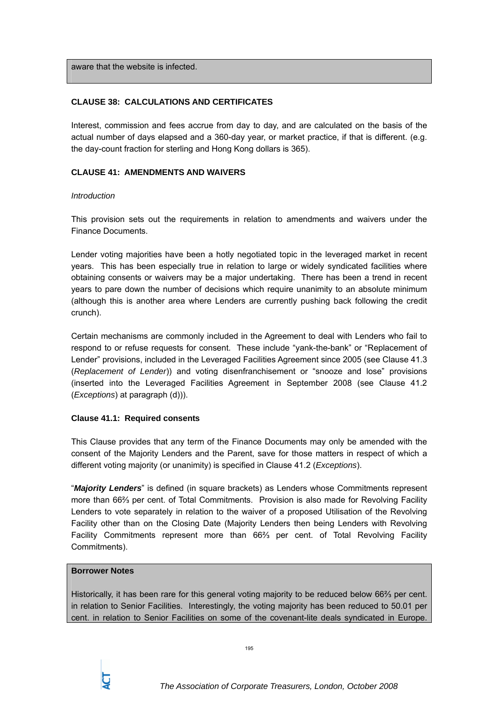aware that the website is infected.

## **CLAUSE 38: CALCULATIONS AND CERTIFICATES**

Interest, commission and fees accrue from day to day, and are calculated on the basis of the actual number of days elapsed and a 360-day year, or market practice, if that is different. (e.g. the day-count fraction for sterling and Hong Kong dollars is 365).

## **CLAUSE 41: AMENDMENTS AND WAIVERS**

### *Introduction*

This provision sets out the requirements in relation to amendments and waivers under the Finance Documents.

Lender voting majorities have been a hotly negotiated topic in the leveraged market in recent years. This has been especially true in relation to large or widely syndicated facilities where obtaining consents or waivers may be a major undertaking. There has been a trend in recent years to pare down the number of decisions which require unanimity to an absolute minimum (although this is another area where Lenders are currently pushing back following the credit crunch).

Certain mechanisms are commonly included in the Agreement to deal with Lenders who fail to respond to or refuse requests for consent. These include "yank-the-bank" or "Replacement of Lender" provisions, included in the Leveraged Facilities Agreement since 2005 (see Clause 41.3 (*Replacement of Lender*)) and voting disenfranchisement or "snooze and lose" provisions (inserted into the Leveraged Facilities Agreement in September 2008 (see Clause 41.2 (*Exceptions*) at paragraph (d))).

### **Clause 41.1: Required consents**

This Clause provides that any term of the Finance Documents may only be amended with the consent of the Majority Lenders and the Parent, save for those matters in respect of which a different voting majority (or unanimity) is specified in Clause 41.2 (*Exceptions*).

"*Majority Lenders*" is defined (in square brackets) as Lenders whose Commitments represent more than 66⅔ per cent. of Total Commitments. Provision is also made for Revolving Facility Lenders to vote separately in relation to the waiver of a proposed Utilisation of the Revolving Facility other than on the Closing Date (Majority Lenders then being Lenders with Revolving Facility Commitments represent more than 66⅔ per cent. of Total Revolving Facility Commitments).

#### **Borrower Notes**

Historically, it has been rare for this general voting majority to be reduced below 66⅔ per cent. in relation to Senior Facilities. Interestingly, the voting majority has been reduced to 50.01 per cent. in relation to Senior Facilities on some of the covenant-lite deals syndicated in Europe.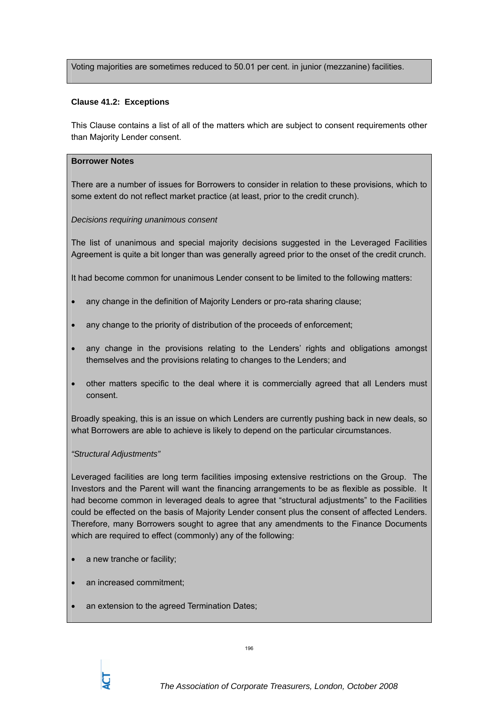Voting majorities are sometimes reduced to 50.01 per cent. in junior (mezzanine) facilities.

#### **Clause 41.2: Exceptions**

This Clause contains a list of all of the matters which are subject to consent requirements other than Majority Lender consent.

#### **Borrower Notes**

There are a number of issues for Borrowers to consider in relation to these provisions, which to some extent do not reflect market practice (at least, prior to the credit crunch).

#### *Decisions requiring unanimous consent*

The list of unanimous and special majority decisions suggested in the Leveraged Facilities Agreement is quite a bit longer than was generally agreed prior to the onset of the credit crunch.

It had become common for unanimous Lender consent to be limited to the following matters:

- any change in the definition of Majority Lenders or pro-rata sharing clause;
- any change to the priority of distribution of the proceeds of enforcement;
- any change in the provisions relating to the Lenders' rights and obligations amongst themselves and the provisions relating to changes to the Lenders; and
- other matters specific to the deal where it is commercially agreed that all Lenders must consent.

Broadly speaking, this is an issue on which Lenders are currently pushing back in new deals, so what Borrowers are able to achieve is likely to depend on the particular circumstances.

### *"Structural Adjustments"*

Leveraged facilities are long term facilities imposing extensive restrictions on the Group. The Investors and the Parent will want the financing arrangements to be as flexible as possible. It had become common in leveraged deals to agree that "structural adjustments" to the Facilities could be effected on the basis of Majority Lender consent plus the consent of affected Lenders. Therefore, many Borrowers sought to agree that any amendments to the Finance Documents which are required to effect (commonly) any of the following:

- a new tranche or facility;
- an increased commitment;
- an extension to the agreed Termination Dates;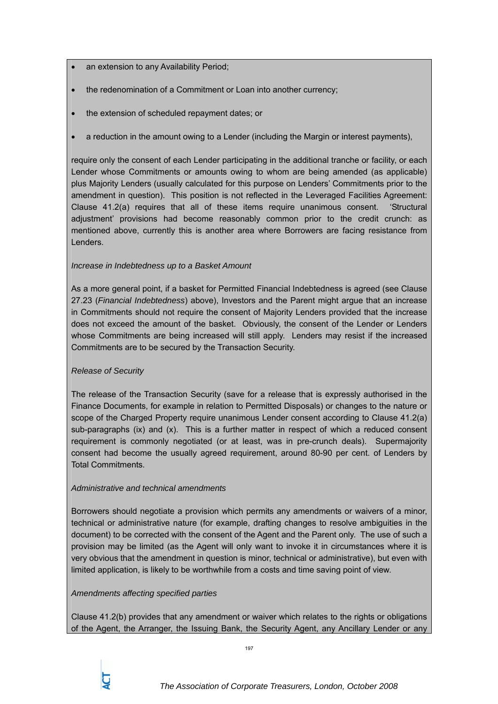- an extension to any Availability Period;
- the redenomination of a Commitment or Loan into another currency;
- the extension of scheduled repayment dates; or
- a reduction in the amount owing to a Lender (including the Margin or interest payments),

require only the consent of each Lender participating in the additional tranche or facility, or each Lender whose Commitments or amounts owing to whom are being amended (as applicable) plus Majority Lenders (usually calculated for this purpose on Lenders' Commitments prior to the amendment in question). This position is not reflected in the Leveraged Facilities Agreement: Clause 41.2(a) requires that all of these items require unanimous consent. 'Structural adjustment' provisions had become reasonably common prior to the credit crunch: as mentioned above, currently this is another area where Borrowers are facing resistance from Lenders.

### *Increase in Indebtedness up to a Basket Amount*

As a more general point, if a basket for Permitted Financial Indebtedness is agreed (see Clause 27.23 (*Financial Indebtedness*) above), Investors and the Parent might argue that an increase in Commitments should not require the consent of Majority Lenders provided that the increase does not exceed the amount of the basket. Obviously, the consent of the Lender or Lenders whose Commitments are being increased will still apply. Lenders may resist if the increased Commitments are to be secured by the Transaction Security.

### *Release of Security*

The release of the Transaction Security (save for a release that is expressly authorised in the Finance Documents, for example in relation to Permitted Disposals) or changes to the nature or scope of the Charged Property require unanimous Lender consent according to Clause 41.2(a) sub-paragraphs (ix) and (x). This is a further matter in respect of which a reduced consent requirement is commonly negotiated (or at least, was in pre-crunch deals). Supermajority consent had become the usually agreed requirement, around 80-90 per cent. of Lenders by Total Commitments.

### *Administrative and technical amendments*

Borrowers should negotiate a provision which permits any amendments or waivers of a minor, technical or administrative nature (for example, drafting changes to resolve ambiguities in the document) to be corrected with the consent of the Agent and the Parent only. The use of such a provision may be limited (as the Agent will only want to invoke it in circumstances where it is very obvious that the amendment in question is minor, technical or administrative), but even with limited application, is likely to be worthwhile from a costs and time saving point of view.

### *Amendments affecting specified parties*

Clause 41.2(b) provides that any amendment or waiver which relates to the rights or obligations of the Agent, the Arranger, the Issuing Bank, the Security Agent, any Ancillary Lender or any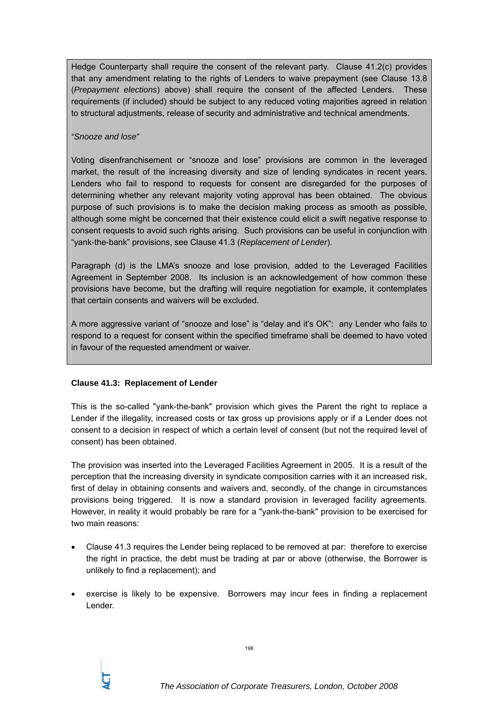Hedge Counterparty shall require the consent of the relevant party. Clause 41.2(c) provides that any amendment relating to the rights of Lenders to waive prepayment (see Clause 13.8 (*Prepayment elections*) above) shall require the consent of the affected Lenders. These requirements (if included) should be subject to any reduced voting majorities agreed in relation to structural adjustments, release of security and administrative and technical amendments.

#### *"Snooze and lose"*

Voting disenfranchisement or "snooze and lose" provisions are common in the leveraged market, the result of the increasing diversity and size of lending syndicates in recent years. Lenders who fail to respond to requests for consent are disregarded for the purposes of determining whether any relevant majority voting approval has been obtained. The obvious purpose of such provisions is to make the decision making process as smooth as possible, although some might be concerned that their existence could elicit a swift negative response to consent requests to avoid such rights arising. Such provisions can be useful in conjunction with "yank-the-bank" provisions, see Clause 41.3 (*Replacement of Lender*).

Paragraph (d) is the LMA's snooze and lose provision, added to the Leveraged Facilities Agreement in September 2008. Its inclusion is an acknowledgement of how common these provisions have become, but the drafting will require negotiation for example, it contemplates that certain consents and waivers will be excluded.

A more aggressive variant of "snooze and lose" is "delay and it's OK": any Lender who fails to respond to a request for consent within the specified timeframe shall be deemed to have voted in favour of the requested amendment or waiver.

### **Clause 41.3: Replacement of Lender**

This is the so-called "yank-the-bank" provision which gives the Parent the right to replace a Lender if the illegality, increased costs or tax gross up provisions apply or if a Lender does not consent to a decision in respect of which a certain level of consent (but not the required level of consent) has been obtained.

The provision was inserted into the Leveraged Facilities Agreement in 2005. It is a result of the perception that the increasing diversity in syndicate composition carries with it an increased risk, first of delay in obtaining consents and waivers and, secondly, of the change in circumstances provisions being triggered. It is now a standard provision in leveraged facility agreements. However, in reality it would probably be rare for a "yank-the-bank" provision to be exercised for two main reasons:

- Clause 41.3 requires the Lender being replaced to be removed at par: therefore to exercise the right in practice, the debt must be trading at par or above (otherwise, the Borrower is unlikely to find a replacement); and
- exercise is likely to be expensive. Borrowers may incur fees in finding a replacement Lender.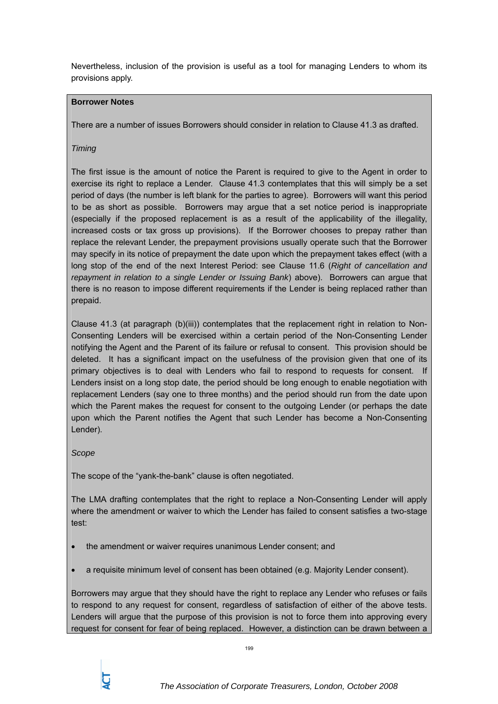Nevertheless, inclusion of the provision is useful as a tool for managing Lenders to whom its provisions apply.

# **Borrower Notes**

There are a number of issues Borrowers should consider in relation to Clause 41.3 as drafted.

## *Timing*

The first issue is the amount of notice the Parent is required to give to the Agent in order to exercise its right to replace a Lender. Clause 41.3 contemplates that this will simply be a set period of days (the number is left blank for the parties to agree). Borrowers will want this period to be as short as possible. Borrowers may argue that a set notice period is inappropriate (especially if the proposed replacement is as a result of the applicability of the illegality, increased costs or tax gross up provisions). If the Borrower chooses to prepay rather than replace the relevant Lender, the prepayment provisions usually operate such that the Borrower may specify in its notice of prepayment the date upon which the prepayment takes effect (with a long stop of the end of the next Interest Period: see Clause 11.6 (*Right of cancellation and repayment in relation to a single Lender or Issuing Bank*) above). Borrowers can argue that there is no reason to impose different requirements if the Lender is being replaced rather than prepaid.

Clause 41.3 (at paragraph (b)(iii)) contemplates that the replacement right in relation to Non-Consenting Lenders will be exercised within a certain period of the Non-Consenting Lender notifying the Agent and the Parent of its failure or refusal to consent. This provision should be deleted. It has a significant impact on the usefulness of the provision given that one of its primary objectives is to deal with Lenders who fail to respond to requests for consent. If Lenders insist on a long stop date, the period should be long enough to enable negotiation with replacement Lenders (say one to three months) and the period should run from the date upon which the Parent makes the request for consent to the outgoing Lender (or perhaps the date upon which the Parent notifies the Agent that such Lender has become a Non-Consenting Lender).

### *Scope*

The scope of the "yank-the-bank" clause is often negotiated.

The LMA drafting contemplates that the right to replace a Non-Consenting Lender will apply where the amendment or waiver to which the Lender has failed to consent satisfies a two-stage test:

- the amendment or waiver requires unanimous Lender consent; and
- a requisite minimum level of consent has been obtained (e.g. Majority Lender consent).

Borrowers may argue that they should have the right to replace any Lender who refuses or fails to respond to any request for consent, regardless of satisfaction of either of the above tests. Lenders will argue that the purpose of this provision is not to force them into approving every request for consent for fear of being replaced. However, a distinction can be drawn between a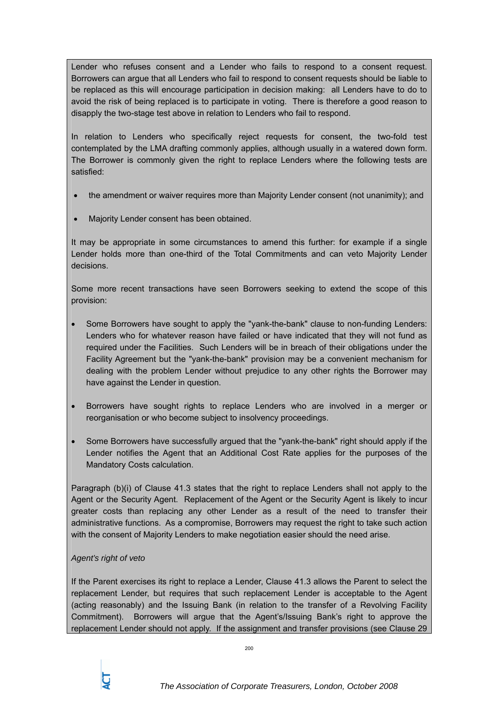Lender who refuses consent and a Lender who fails to respond to a consent request. Borrowers can argue that all Lenders who fail to respond to consent requests should be liable to be replaced as this will encourage participation in decision making: all Lenders have to do to avoid the risk of being replaced is to participate in voting. There is therefore a good reason to disapply the two-stage test above in relation to Lenders who fail to respond.

In relation to Lenders who specifically reject requests for consent, the two-fold test contemplated by the LMA drafting commonly applies, although usually in a watered down form. The Borrower is commonly given the right to replace Lenders where the following tests are satisfied:

- the amendment or waiver requires more than Majority Lender consent (not unanimity); and
- Majority Lender consent has been obtained.

It may be appropriate in some circumstances to amend this further: for example if a single Lender holds more than one-third of the Total Commitments and can veto Majority Lender decisions.

Some more recent transactions have seen Borrowers seeking to extend the scope of this provision:

- Some Borrowers have sought to apply the "yank-the-bank" clause to non-funding Lenders: Lenders who for whatever reason have failed or have indicated that they will not fund as required under the Facilities. Such Lenders will be in breach of their obligations under the Facility Agreement but the "yank-the-bank" provision may be a convenient mechanism for dealing with the problem Lender without prejudice to any other rights the Borrower may have against the Lender in question.
- Borrowers have sought rights to replace Lenders who are involved in a merger or reorganisation or who become subject to insolvency proceedings.
- Some Borrowers have successfully argued that the "yank-the-bank" right should apply if the Lender notifies the Agent that an Additional Cost Rate applies for the purposes of the Mandatory Costs calculation.

Paragraph (b)(i) of Clause 41.3 states that the right to replace Lenders shall not apply to the Agent or the Security Agent. Replacement of the Agent or the Security Agent is likely to incur greater costs than replacing any other Lender as a result of the need to transfer their administrative functions. As a compromise, Borrowers may request the right to take such action with the consent of Majority Lenders to make negotiation easier should the need arise.

# *Agent's right of veto*

If the Parent exercises its right to replace a Lender, Clause 41.3 allows the Parent to select the replacement Lender, but requires that such replacement Lender is acceptable to the Agent (acting reasonably) and the Issuing Bank (in relation to the transfer of a Revolving Facility Commitment). Borrowers will argue that the Agent's/Issuing Bank's right to approve the replacement Lender should not apply. If the assignment and transfer provisions (see Clause 29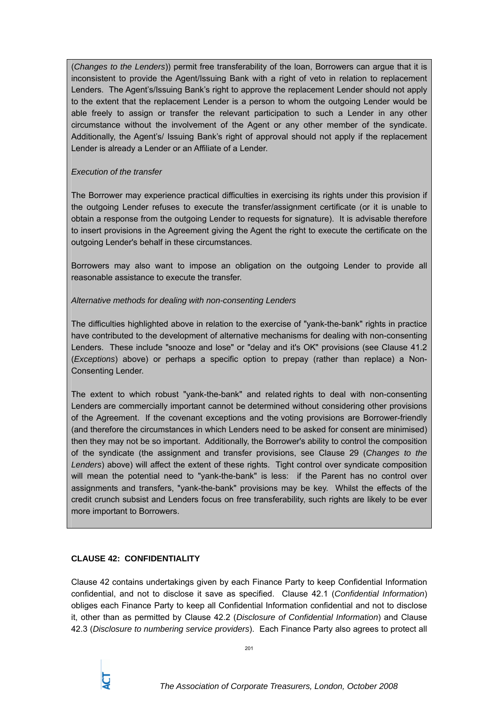(*Changes to the Lenders*)) permit free transferability of the loan, Borrowers can argue that it is inconsistent to provide the Agent/Issuing Bank with a right of veto in relation to replacement Lenders. The Agent's/Issuing Bank's right to approve the replacement Lender should not apply to the extent that the replacement Lender is a person to whom the outgoing Lender would be able freely to assign or transfer the relevant participation to such a Lender in any other circumstance without the involvement of the Agent or any other member of the syndicate. Additionally, the Agent's/ Issuing Bank's right of approval should not apply if the replacement Lender is already a Lender or an Affiliate of a Lender.

## *Execution of the transfer*

The Borrower may experience practical difficulties in exercising its rights under this provision if the outgoing Lender refuses to execute the transfer/assignment certificate (or it is unable to obtain a response from the outgoing Lender to requests for signature). It is advisable therefore to insert provisions in the Agreement giving the Agent the right to execute the certificate on the outgoing Lender's behalf in these circumstances.

Borrowers may also want to impose an obligation on the outgoing Lender to provide all reasonable assistance to execute the transfer.

# *Alternative methods for dealing with non-consenting Lenders*

The difficulties highlighted above in relation to the exercise of "yank-the-bank" rights in practice have contributed to the development of alternative mechanisms for dealing with non-consenting Lenders. These include "snooze and lose" or "delay and it's OK" provisions (see Clause 41.2 (*Exceptions*) above) or perhaps a specific option to prepay (rather than replace) a Non-Consenting Lender.

The extent to which robust "yank-the-bank" and related rights to deal with non-consenting Lenders are commercially important cannot be determined without considering other provisions of the Agreement. If the covenant exceptions and the voting provisions are Borrower-friendly (and therefore the circumstances in which Lenders need to be asked for consent are minimised) then they may not be so important. Additionally, the Borrower's ability to control the composition of the syndicate (the assignment and transfer provisions, see Clause 29 (*Changes to the Lenders*) above) will affect the extent of these rights. Tight control over syndicate composition will mean the potential need to "yank-the-bank" is less: if the Parent has no control over assignments and transfers, "yank-the-bank" provisions may be key. Whilst the effects of the credit crunch subsist and Lenders focus on free transferability, such rights are likely to be ever more important to Borrowers.

# **CLAUSE 42: CONFIDENTIALITY**

Clause 42 contains undertakings given by each Finance Party to keep Confidential Information confidential, and not to disclose it save as specified. Clause 42.1 (*Confidential Information*) obliges each Finance Party to keep all Confidential Information confidential and not to disclose it, other than as permitted by Clause 42.2 (*Disclosure of Confidential Information*) and Clause 42.3 (*Disclosure to numbering service providers*). Each Finance Party also agrees to protect all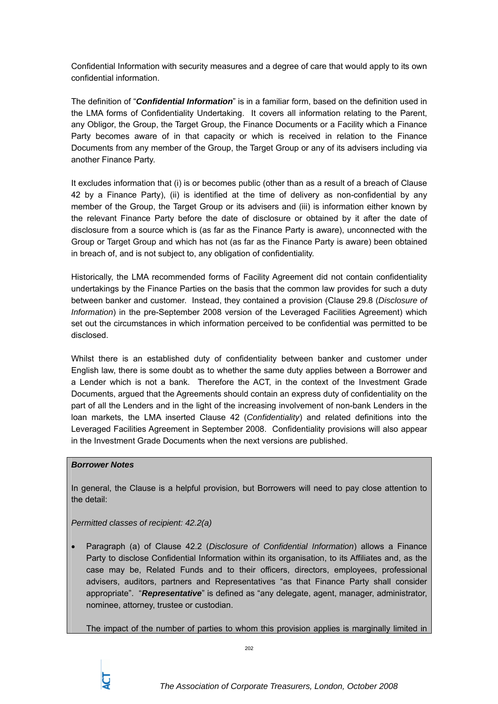Confidential Information with security measures and a degree of care that would apply to its own confidential information.

The definition of "*Confidential Information*" is in a familiar form, based on the definition used in the LMA forms of Confidentiality Undertaking. It covers all information relating to the Parent, any Obligor, the Group, the Target Group, the Finance Documents or a Facility which a Finance Party becomes aware of in that capacity or which is received in relation to the Finance Documents from any member of the Group, the Target Group or any of its advisers including via another Finance Party.

It excludes information that (i) is or becomes public (other than as a result of a breach of Clause 42 by a Finance Party), (ii) is identified at the time of delivery as non-confidential by any member of the Group, the Target Group or its advisers and (iii) is information either known by the relevant Finance Party before the date of disclosure or obtained by it after the date of disclosure from a source which is (as far as the Finance Party is aware), unconnected with the Group or Target Group and which has not (as far as the Finance Party is aware) been obtained in breach of, and is not subject to, any obligation of confidentiality.

Historically, the LMA recommended forms of Facility Agreement did not contain confidentiality undertakings by the Finance Parties on the basis that the common law provides for such a duty between banker and customer. Instead, they contained a provision (Clause 29.8 (*Disclosure of Information*) in the pre-September 2008 version of the Leveraged Facilities Agreement) which set out the circumstances in which information perceived to be confidential was permitted to be disclosed.

Whilst there is an established duty of confidentiality between banker and customer under English law, there is some doubt as to whether the same duty applies between a Borrower and a Lender which is not a bank. Therefore the ACT, in the context of the Investment Grade Documents, argued that the Agreements should contain an express duty of confidentiality on the part of all the Lenders and in the light of the increasing involvement of non-bank Lenders in the loan markets, the LMA inserted Clause 42 (*Confidentiality*) and related definitions into the Leveraged Facilities Agreement in September 2008. Confidentiality provisions will also appear in the Investment Grade Documents when the next versions are published.

### *Borrower Notes*

In general, the Clause is a helpful provision, but Borrowers will need to pay close attention to the detail:

*Permitted classes of recipient: 42.2(a)* 

• Paragraph (a) of Clause 42.2 (*Disclosure of Confidential Information*) allows a Finance Party to disclose Confidential Information within its organisation, to its Affiliates and, as the case may be, Related Funds and to their officers, directors, employees, professional advisers, auditors, partners and Representatives "as that Finance Party shall consider appropriate". "*Representative*" is defined as "any delegate, agent, manager, administrator, nominee, attorney, trustee or custodian.

The impact of the number of parties to whom this provision applies is marginally limited in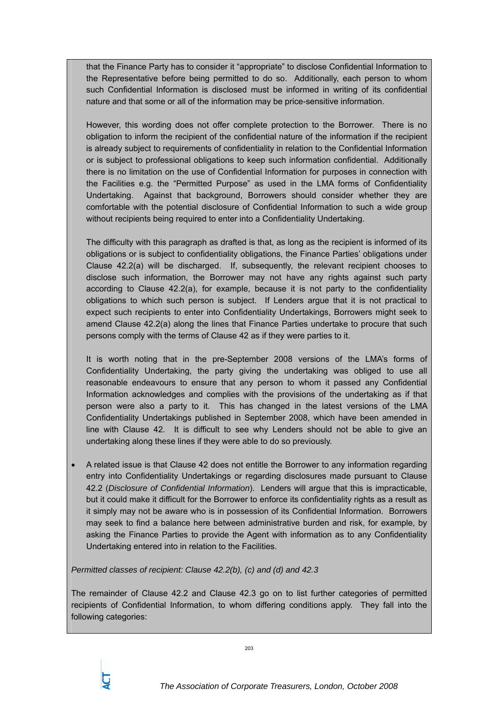that the Finance Party has to consider it "appropriate" to disclose Confidential Information to the Representative before being permitted to do so. Additionally, each person to whom such Confidential Information is disclosed must be informed in writing of its confidential nature and that some or all of the information may be price-sensitive information.

However, this wording does not offer complete protection to the Borrower. There is no obligation to inform the recipient of the confidential nature of the information if the recipient is already subject to requirements of confidentiality in relation to the Confidential Information or is subject to professional obligations to keep such information confidential. Additionally there is no limitation on the use of Confidential Information for purposes in connection with the Facilities e.g. the "Permitted Purpose" as used in the LMA forms of Confidentiality Undertaking. Against that background, Borrowers should consider whether they are comfortable with the potential disclosure of Confidential Information to such a wide group without recipients being required to enter into a Confidentiality Undertaking.

The difficulty with this paragraph as drafted is that, as long as the recipient is informed of its obligations or is subject to confidentiality obligations, the Finance Parties' obligations under Clause 42.2(a) will be discharged. If, subsequently, the relevant recipient chooses to disclose such information, the Borrower may not have any rights against such party according to Clause 42.2(a), for example, because it is not party to the confidentiality obligations to which such person is subject. If Lenders argue that it is not practical to expect such recipients to enter into Confidentiality Undertakings, Borrowers might seek to amend Clause 42.2(a) along the lines that Finance Parties undertake to procure that such persons comply with the terms of Clause 42 as if they were parties to it.

It is worth noting that in the pre-September 2008 versions of the LMA's forms of Confidentiality Undertaking, the party giving the undertaking was obliged to use all reasonable endeavours to ensure that any person to whom it passed any Confidential Information acknowledges and complies with the provisions of the undertaking as if that person were also a party to it. This has changed in the latest versions of the LMA Confidentiality Undertakings published in September 2008, which have been amended in line with Clause 42. It is difficult to see why Lenders should not be able to give an undertaking along these lines if they were able to do so previously.

• A related issue is that Clause 42 does not entitle the Borrower to any information regarding entry into Confidentiality Undertakings or regarding disclosures made pursuant to Clause 42.2 (*Disclosure of Confidential Information*). Lenders will argue that this is impracticable, but it could make it difficult for the Borrower to enforce its confidentiality rights as a result as it simply may not be aware who is in possession of its Confidential Information. Borrowers may seek to find a balance here between administrative burden and risk, for example, by asking the Finance Parties to provide the Agent with information as to any Confidentiality Undertaking entered into in relation to the Facilities.

*Permitted classes of recipient: Clause 42.2(b), (c) and (d) and 42.3* 

The remainder of Clause 42.2 and Clause 42.3 go on to list further categories of permitted recipients of Confidential Information, to whom differing conditions apply. They fall into the following categories:

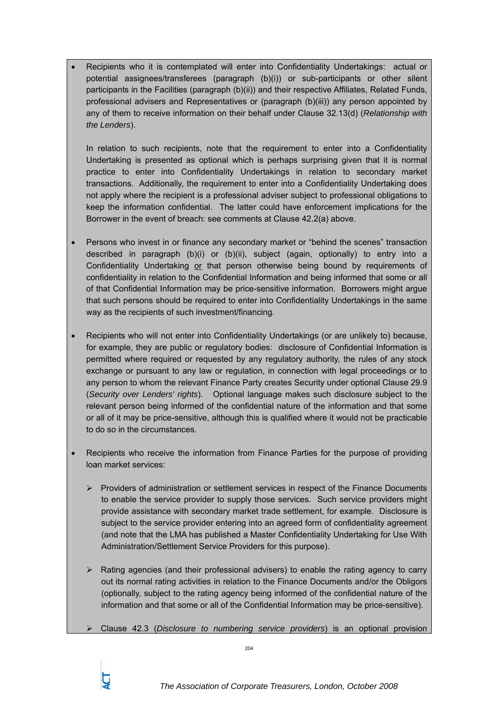• Recipients who it is contemplated will enter into Confidentiality Undertakings: actual or potential assignees/transferees (paragraph (b)(i)) or sub-participants or other silent participants in the Facilities (paragraph (b)(ii)) and their respective Affiliates, Related Funds, professional advisers and Representatives or (paragraph (b)(iii)) any person appointed by any of them to receive information on their behalf under Clause 32.13(d) (*Relationship with the Lenders*).

In relation to such recipients, note that the requirement to enter into a Confidentiality Undertaking is presented as optional which is perhaps surprising given that it is normal practice to enter into Confidentiality Undertakings in relation to secondary market transactions. Additionally, the requirement to enter into a Confidentiality Undertaking does not apply where the recipient is a professional adviser subject to professional obligations to keep the information confidential. The latter could have enforcement implications for the Borrower in the event of breach: see comments at Clause 42.2(a) above.

- Persons who invest in or finance any secondary market or "behind the scenes" transaction described in paragraph (b)(i) or (b)(ii), subject (again, optionally) to entry into a Confidentiality Undertaking or that person otherwise being bound by requirements of confidentiality in relation to the Confidential Information and being informed that some or all of that Confidential Information may be price-sensitive information. Borrowers might argue that such persons should be required to enter into Confidentiality Undertakings in the same way as the recipients of such investment/financing.
- Recipients who will not enter into Confidentiality Undertakings (or are unlikely to) because, for example, they are public or regulatory bodies: disclosure of Confidential Information is permitted where required or requested by any regulatory authority, the rules of any stock exchange or pursuant to any law or regulation, in connection with legal proceedings or to any person to whom the relevant Finance Party creates Security under optional Clause 29.9 (*Security over Lenders' rights*). Optional language makes such disclosure subject to the relevant person being informed of the confidential nature of the information and that some or all of it may be price-sensitive, although this is qualified where it would not be practicable to do so in the circumstances.
- Recipients who receive the information from Finance Parties for the purpose of providing loan market services:
	- ¾ Providers of administration or settlement services in respect of the Finance Documents to enable the service provider to supply those services. Such service providers might provide assistance with secondary market trade settlement, for example. Disclosure is subject to the service provider entering into an agreed form of confidentiality agreement (and note that the LMA has published a Master Confidentiality Undertaking for Use With Administration/Settlement Service Providers for this purpose).
	- $\triangleright$  Rating agencies (and their professional advisers) to enable the rating agency to carry out its normal rating activities in relation to the Finance Documents and/or the Obligors (optionally, subject to the rating agency being informed of the confidential nature of the information and that some or all of the Confidential Information may be price-sensitive).
	- ¾ Clause 42.3 (*Disclosure to numbering service providers*) is an optional provision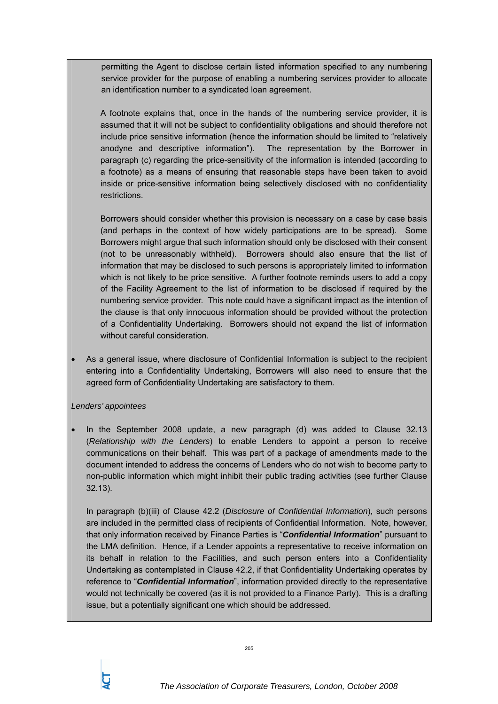permitting the Agent to disclose certain listed information specified to any numbering service provider for the purpose of enabling a numbering services provider to allocate an identification number to a syndicated loan agreement.

A footnote explains that, once in the hands of the numbering service provider, it is assumed that it will not be subject to confidentiality obligations and should therefore not include price sensitive information (hence the information should be limited to "relatively anodyne and descriptive information"). The representation by the Borrower in paragraph (c) regarding the price-sensitivity of the information is intended (according to a footnote) as a means of ensuring that reasonable steps have been taken to avoid inside or price-sensitive information being selectively disclosed with no confidentiality restrictions.

Borrowers should consider whether this provision is necessary on a case by case basis (and perhaps in the context of how widely participations are to be spread). Some Borrowers might argue that such information should only be disclosed with their consent (not to be unreasonably withheld). Borrowers should also ensure that the list of information that may be disclosed to such persons is appropriately limited to information which is not likely to be price sensitive. A further footnote reminds users to add a copy of the Facility Agreement to the list of information to be disclosed if required by the numbering service provider. This note could have a significant impact as the intention of the clause is that only innocuous information should be provided without the protection of a Confidentiality Undertaking. Borrowers should not expand the list of information without careful consideration.

• As a general issue, where disclosure of Confidential Information is subject to the recipient entering into a Confidentiality Undertaking, Borrowers will also need to ensure that the agreed form of Confidentiality Undertaking are satisfactory to them.

### *Lenders' appointees*

• In the September 2008 update, a new paragraph (d) was added to Clause 32.13 (*Relationship with the Lenders*) to enable Lenders to appoint a person to receive communications on their behalf. This was part of a package of amendments made to the document intended to address the concerns of Lenders who do not wish to become party to non-public information which might inhibit their public trading activities (see further Clause 32.13).

In paragraph (b)(iii) of Clause 42.2 (*Disclosure of Confidential Information*), such persons are included in the permitted class of recipients of Confidential Information. Note, however, that only information received by Finance Parties is "*Confidential Information*" pursuant to the LMA definition. Hence, if a Lender appoints a representative to receive information on its behalf in relation to the Facilities, and such person enters into a Confidentiality Undertaking as contemplated in Clause 42.2, if that Confidentiality Undertaking operates by reference to "*Confidential Information*", information provided directly to the representative would not technically be covered (as it is not provided to a Finance Party). This is a drafting issue, but a potentially significant one which should be addressed.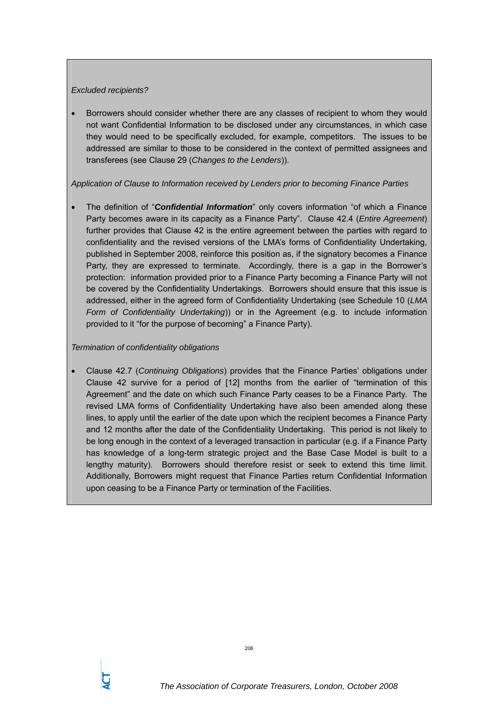#### *Excluded recipients?*

• Borrowers should consider whether there are any classes of recipient to whom they would not want Confidential Information to be disclosed under any circumstances, in which case they would need to be specifically excluded, for example, competitors. The issues to be addressed are similar to those to be considered in the context of permitted assignees and transferees (see Clause 29 (*Changes to the Lenders*)).

### *Application of Clause to Information received by Lenders prior to becoming Finance Parties*

• The definition of "*Confidential Information*" only covers information "of which a Finance Party becomes aware in its capacity as a Finance Party". Clause 42.4 (*Entire Agreement*) further provides that Clause 42 is the entire agreement between the parties with regard to confidentiality and the revised versions of the LMA's forms of Confidentiality Undertaking, published in September 2008, reinforce this position as, if the signatory becomes a Finance Party, they are expressed to terminate. Accordingly, there is a gap in the Borrower's protection: information provided prior to a Finance Party becoming a Finance Party will not be covered by the Confidentiality Undertakings. Borrowers should ensure that this issue is addressed, either in the agreed form of Confidentiality Undertaking (see Schedule 10 (*LMA Form of Confidentiality Undertaking*)) or in the Agreement (e.g. to include information provided to it "for the purpose of becoming" a Finance Party).

### *Termination of confidentiality obligations*

• Clause 42.7 (*Continuing Obligations*) provides that the Finance Parties' obligations under Clause 42 survive for a period of [12] months from the earlier of "termination of this Agreement" and the date on which such Finance Party ceases to be a Finance Party. The revised LMA forms of Confidentiality Undertaking have also been amended along these lines, to apply until the earlier of the date upon which the recipient becomes a Finance Party and 12 months after the date of the Confidentiality Undertaking. This period is not likely to be long enough in the context of a leveraged transaction in particular (e.g. if a Finance Party has knowledge of a long-term strategic project and the Base Case Model is built to a lengthy maturity). Borrowers should therefore resist or seek to extend this time limit. Additionally, Borrowers might request that Finance Parties return Confidential Information upon ceasing to be a Finance Party or termination of the Facilities.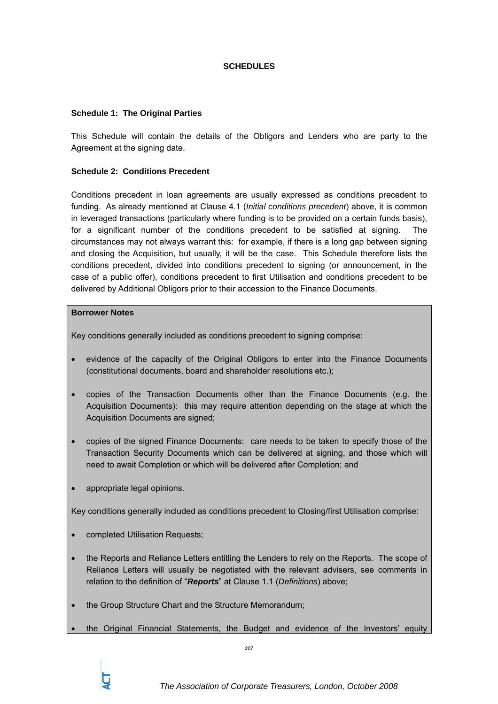#### **SCHEDULES**

#### **Schedule 1: The Original Parties**

This Schedule will contain the details of the Obligors and Lenders who are party to the Agreement at the signing date.

#### **Schedule 2: Conditions Precedent**

Conditions precedent in loan agreements are usually expressed as conditions precedent to funding. As already mentioned at Clause 4.1 (*Initial conditions precedent*) above, it is common in leveraged transactions (particularly where funding is to be provided on a certain funds basis), for a significant number of the conditions precedent to be satisfied at signing. The circumstances may not always warrant this: for example, if there is a long gap between signing and closing the Acquisition, but usually, it will be the case. This Schedule therefore lists the conditions precedent, divided into conditions precedent to signing (or announcement, in the case of a public offer), conditions precedent to first Utilisation and conditions precedent to be delivered by Additional Obligors prior to their accession to the Finance Documents.

#### **Borrower Notes**

Key conditions generally included as conditions precedent to signing comprise:

- evidence of the capacity of the Original Obligors to enter into the Finance Documents (constitutional documents, board and shareholder resolutions etc.);
- copies of the Transaction Documents other than the Finance Documents (e.g. the Acquisition Documents): this may require attention depending on the stage at which the Acquisition Documents are signed;
- copies of the signed Finance Documents: care needs to be taken to specify those of the Transaction Security Documents which can be delivered at signing, and those which will need to await Completion or which will be delivered after Completion; and
- appropriate legal opinions.

Key conditions generally included as conditions precedent to Closing/first Utilisation comprise:

- completed Utilisation Requests;
- the Reports and Reliance Letters entitling the Lenders to rely on the Reports. The scope of Reliance Letters will usually be negotiated with the relevant advisers, see comments in relation to the definition of "*Reports*" at Clause 1.1 (*Definitions*) above;
- the Group Structure Chart and the Structure Memorandum;
- the Original Financial Statements, the Budget and evidence of the Investors' equity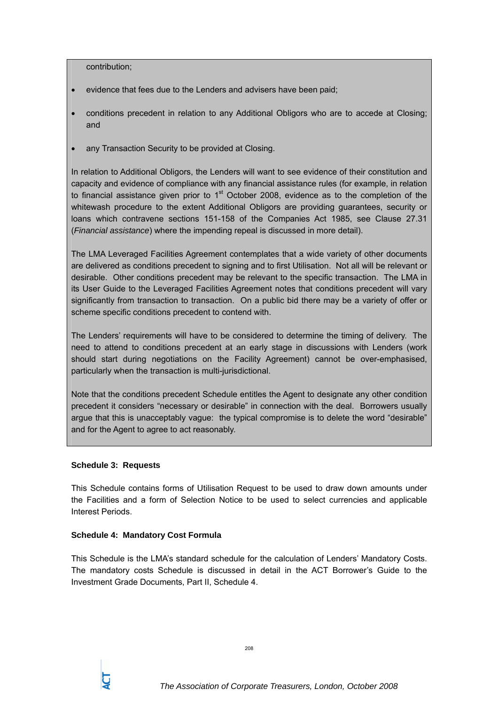contribution;

- evidence that fees due to the Lenders and advisers have been paid;
- conditions precedent in relation to any Additional Obligors who are to accede at Closing; and
- any Transaction Security to be provided at Closing.

In relation to Additional Obligors, the Lenders will want to see evidence of their constitution and capacity and evidence of compliance with any financial assistance rules (for example, in relation to financial assistance given prior to  $1<sup>st</sup>$  October 2008, evidence as to the completion of the whitewash procedure to the extent Additional Obligors are providing guarantees, security or loans which contravene sections 151-158 of the Companies Act 1985, see Clause 27.31 (*Financial assistance*) where the impending repeal is discussed in more detail).

The LMA Leveraged Facilities Agreement contemplates that a wide variety of other documents are delivered as conditions precedent to signing and to first Utilisation. Not all will be relevant or desirable. Other conditions precedent may be relevant to the specific transaction. The LMA in its User Guide to the Leveraged Facilities Agreement notes that conditions precedent will vary significantly from transaction to transaction. On a public bid there may be a variety of offer or scheme specific conditions precedent to contend with.

The Lenders' requirements will have to be considered to determine the timing of delivery. The need to attend to conditions precedent at an early stage in discussions with Lenders (work should start during negotiations on the Facility Agreement) cannot be over-emphasised, particularly when the transaction is multi-jurisdictional.

Note that the conditions precedent Schedule entitles the Agent to designate any other condition precedent it considers "necessary or desirable" in connection with the deal. Borrowers usually argue that this is unacceptably vague: the typical compromise is to delete the word "desirable" and for the Agent to agree to act reasonably.

#### **Schedule 3: Requests**

This Schedule contains forms of Utilisation Request to be used to draw down amounts under the Facilities and a form of Selection Notice to be used to select currencies and applicable Interest Periods.

### **Schedule 4: Mandatory Cost Formula**

This Schedule is the LMA's standard schedule for the calculation of Lenders' Mandatory Costs. The mandatory costs Schedule is discussed in detail in the ACT Borrower's Guide to the Investment Grade Documents, Part II, Schedule 4.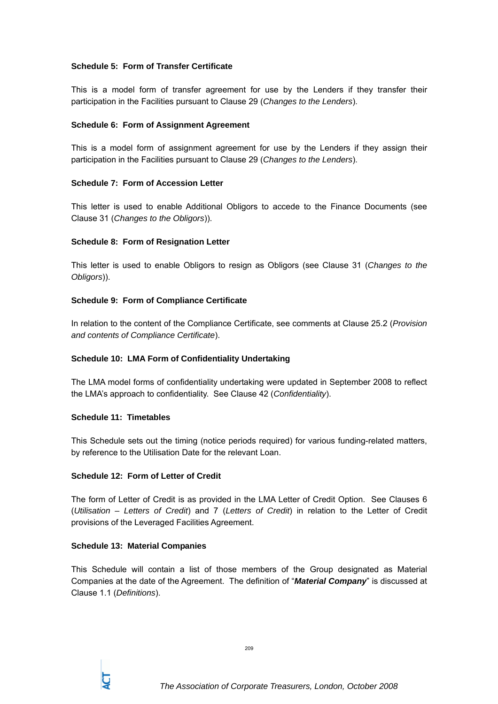# **Schedule 5: Form of Transfer Certificate**

This is a model form of transfer agreement for use by the Lenders if they transfer their participation in the Facilities pursuant to Clause 29 (*Changes to the Lenders*).

## **Schedule 6: Form of Assignment Agreement**

This is a model form of assignment agreement for use by the Lenders if they assign their participation in the Facilities pursuant to Clause 29 (*Changes to the Lenders*).

### **Schedule 7: Form of Accession Letter**

This letter is used to enable Additional Obligors to accede to the Finance Documents (see Clause 31 (*Changes to the Obligors*)).

# **Schedule 8: Form of Resignation Letter**

This letter is used to enable Obligors to resign as Obligors (see Clause 31 (*Changes to the Obligors*)).

# **Schedule 9: Form of Compliance Certificate**

In relation to the content of the Compliance Certificate, see comments at Clause 25.2 (*Provision and contents of Compliance Certificate*).

### **Schedule 10: LMA Form of Confidentiality Undertaking**

The LMA model forms of confidentiality undertaking were updated in September 2008 to reflect the LMA's approach to confidentiality. See Clause 42 (*Confidentiality*).

### **Schedule 11: Timetables**

This Schedule sets out the timing (notice periods required) for various funding-related matters, by reference to the Utilisation Date for the relevant Loan.

### **Schedule 12: Form of Letter of Credit**

The form of Letter of Credit is as provided in the LMA Letter of Credit Option. See Clauses 6 (*Utilisation – Letters of Credit*) and 7 (*Letters of Credit*) in relation to the Letter of Credit provisions of the Leveraged Facilities Agreement.

### **Schedule 13: Material Companies**

This Schedule will contain a list of those members of the Group designated as Material Companies at the date of the Agreement. The definition of "*Material Company*" is discussed at Clause 1.1 (*Definitions*).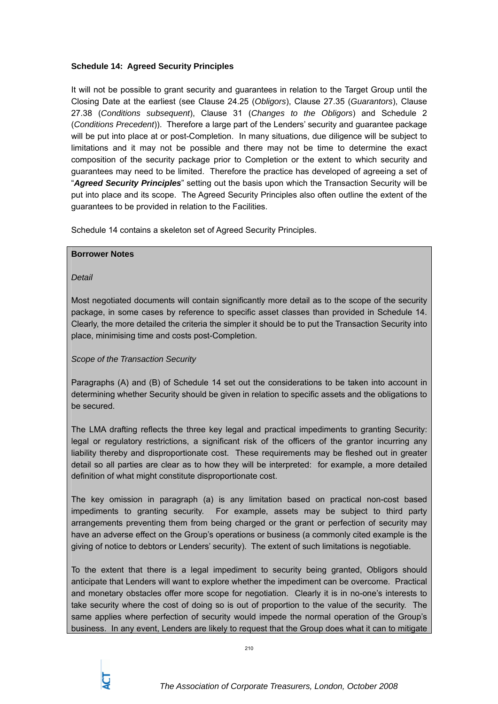# **Schedule 14: Agreed Security Principles**

It will not be possible to grant security and guarantees in relation to the Target Group until the Closing Date at the earliest (see Clause 24.25 (*Obligors*), Clause 27.35 (*Guarantors*), Clause 27.38 (*Conditions subsequent*), Clause 31 (*Changes to the Obligors*) and Schedule 2 (*Conditions Precedent*)). Therefore a large part of the Lenders' security and guarantee package will be put into place at or post-Completion. In many situations, due diligence will be subject to limitations and it may not be possible and there may not be time to determine the exact composition of the security package prior to Completion or the extent to which security and guarantees may need to be limited. Therefore the practice has developed of agreeing a set of "*Agreed Security Principles*" setting out the basis upon which the Transaction Security will be put into place and its scope. The Agreed Security Principles also often outline the extent of the guarantees to be provided in relation to the Facilities.

Schedule 14 contains a skeleton set of Agreed Security Principles.

### **Borrower Notes**

*Detail* 

Most negotiated documents will contain significantly more detail as to the scope of the security package, in some cases by reference to specific asset classes than provided in Schedule 14. Clearly, the more detailed the criteria the simpler it should be to put the Transaction Security into place, minimising time and costs post-Completion.

### *Scope of the Transaction Security*

Paragraphs (A) and (B) of Schedule 14 set out the considerations to be taken into account in determining whether Security should be given in relation to specific assets and the obligations to be secured.

The LMA drafting reflects the three key legal and practical impediments to granting Security: legal or regulatory restrictions, a significant risk of the officers of the grantor incurring any liability thereby and disproportionate cost. These requirements may be fleshed out in greater detail so all parties are clear as to how they will be interpreted: for example, a more detailed definition of what might constitute disproportionate cost.

The key omission in paragraph (a) is any limitation based on practical non-cost based impediments to granting security. For example, assets may be subject to third party arrangements preventing them from being charged or the grant or perfection of security may have an adverse effect on the Group's operations or business (a commonly cited example is the giving of notice to debtors or Lenders' security). The extent of such limitations is negotiable.

To the extent that there is a legal impediment to security being granted, Obligors should anticipate that Lenders will want to explore whether the impediment can be overcome. Practical and monetary obstacles offer more scope for negotiation. Clearly it is in no-one's interests to take security where the cost of doing so is out of proportion to the value of the security. The same applies where perfection of security would impede the normal operation of the Group's business. In any event, Lenders are likely to request that the Group does what it can to mitigate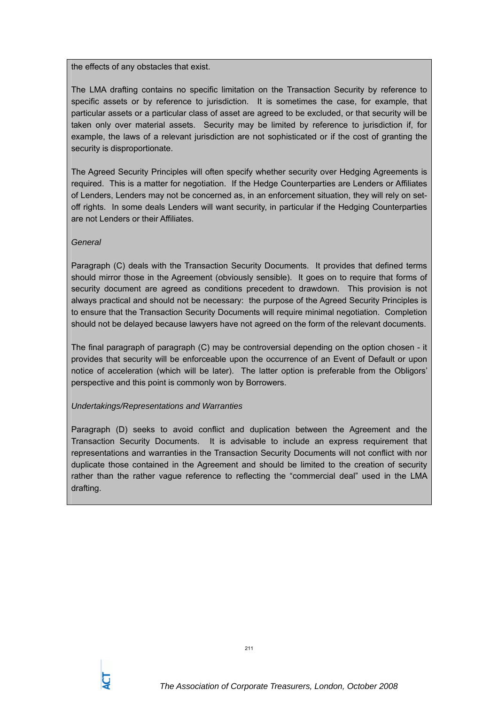the effects of any obstacles that exist.

The LMA drafting contains no specific limitation on the Transaction Security by reference to specific assets or by reference to jurisdiction. It is sometimes the case, for example, that particular assets or a particular class of asset are agreed to be excluded, or that security will be taken only over material assets. Security may be limited by reference to jurisdiction if, for example, the laws of a relevant jurisdiction are not sophisticated or if the cost of granting the security is disproportionate.

The Agreed Security Principles will often specify whether security over Hedging Agreements is required. This is a matter for negotiation. If the Hedge Counterparties are Lenders or Affiliates of Lenders, Lenders may not be concerned as, in an enforcement situation, they will rely on setoff rights. In some deals Lenders will want security, in particular if the Hedging Counterparties are not Lenders or their Affiliates.

### *General*

Paragraph (C) deals with the Transaction Security Documents. It provides that defined terms should mirror those in the Agreement (obviously sensible). It goes on to require that forms of security document are agreed as conditions precedent to drawdown. This provision is not always practical and should not be necessary: the purpose of the Agreed Security Principles is to ensure that the Transaction Security Documents will require minimal negotiation. Completion should not be delayed because lawyers have not agreed on the form of the relevant documents.

The final paragraph of paragraph (C) may be controversial depending on the option chosen - it provides that security will be enforceable upon the occurrence of an Event of Default or upon notice of acceleration (which will be later). The latter option is preferable from the Obligors' perspective and this point is commonly won by Borrowers.

### *Undertakings/Representations and Warranties*

Paragraph (D) seeks to avoid conflict and duplication between the Agreement and the Transaction Security Documents. It is advisable to include an express requirement that representations and warranties in the Transaction Security Documents will not conflict with nor duplicate those contained in the Agreement and should be limited to the creation of security rather than the rather vague reference to reflecting the "commercial deal" used in the LMA drafting.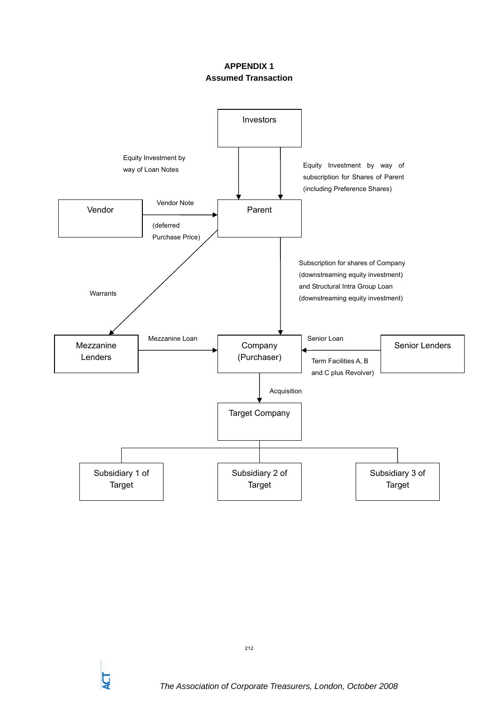# **APPENDIX 1 Assumed Transaction**

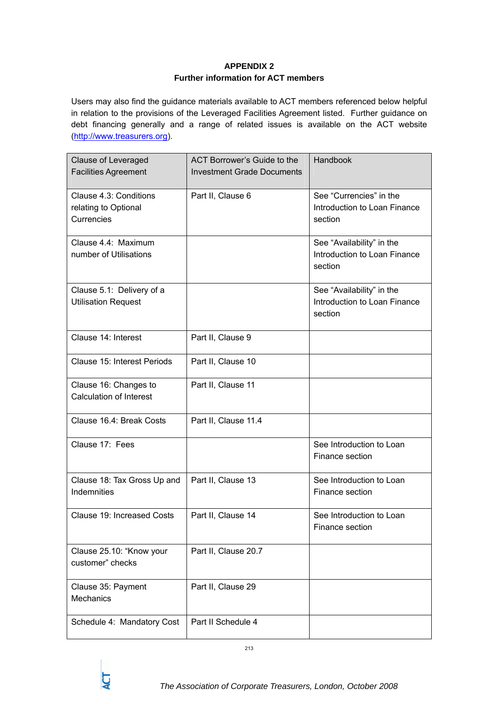# **APPENDIX 2 Further information for ACT members**

Users may also find the guidance materials available to ACT members referenced below helpful in relation to the provisions of the Leveraged Facilities Agreement listed. Further guidance on debt financing generally and a range of related issues is available on the ACT website (http://www.treasurers.org).

| <b>Clause of Leveraged</b><br><b>Facilities Agreement</b>    | ACT Borrower's Guide to the<br><b>Investment Grade Documents</b> | Handbook                                                             |
|--------------------------------------------------------------|------------------------------------------------------------------|----------------------------------------------------------------------|
| Clause 4.3: Conditions<br>relating to Optional<br>Currencies | Part II, Clause 6                                                | See "Currencies" in the<br>Introduction to Loan Finance<br>section   |
| Clause 4.4: Maximum<br>number of Utilisations                |                                                                  | See "Availability" in the<br>Introduction to Loan Finance<br>section |
| Clause 5.1: Delivery of a<br><b>Utilisation Request</b>      |                                                                  | See "Availability" in the<br>Introduction to Loan Finance<br>section |
| Clause 14: Interest                                          | Part II, Clause 9                                                |                                                                      |
| Clause 15: Interest Periods                                  | Part II, Clause 10                                               |                                                                      |
| Clause 16: Changes to<br><b>Calculation of Interest</b>      | Part II, Clause 11                                               |                                                                      |
| Clause 16.4: Break Costs                                     | Part II, Clause 11.4                                             |                                                                      |
| Clause 17: Fees                                              |                                                                  | See Introduction to Loan<br>Finance section                          |
| Clause 18: Tax Gross Up and<br>Indemnities                   | Part II, Clause 13                                               | See Introduction to Loan<br>Finance section                          |
| Clause 19: Increased Costs                                   | Part II, Clause 14                                               | See Introduction to Loan<br>Finance section                          |
| Clause 25.10: "Know your<br>customer" checks                 | Part II, Clause 20.7                                             |                                                                      |
| Clause 35: Payment<br>Mechanics                              | Part II, Clause 29                                               |                                                                      |
| Schedule 4: Mandatory Cost                                   | Part II Schedule 4                                               |                                                                      |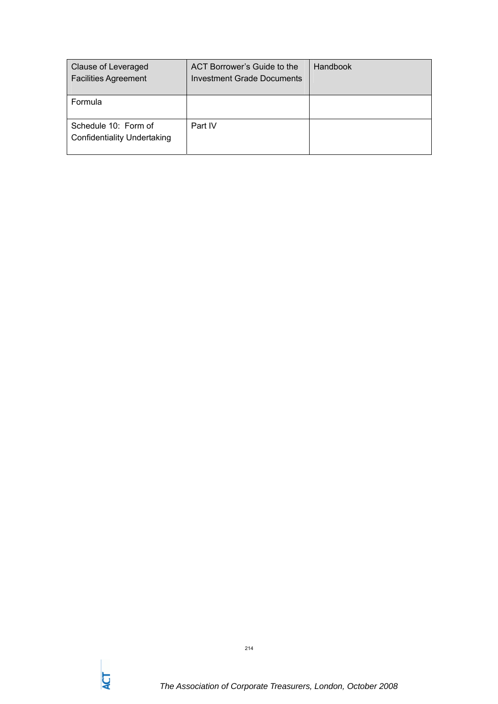| Clause of Leveraged<br><b>Facilities Agreement</b>         | ACT Borrower's Guide to the<br>Investment Grade Documents | Handbook |
|------------------------------------------------------------|-----------------------------------------------------------|----------|
| Formula                                                    |                                                           |          |
| Schedule 10: Form of<br><b>Confidentiality Undertaking</b> | Part IV                                                   |          |